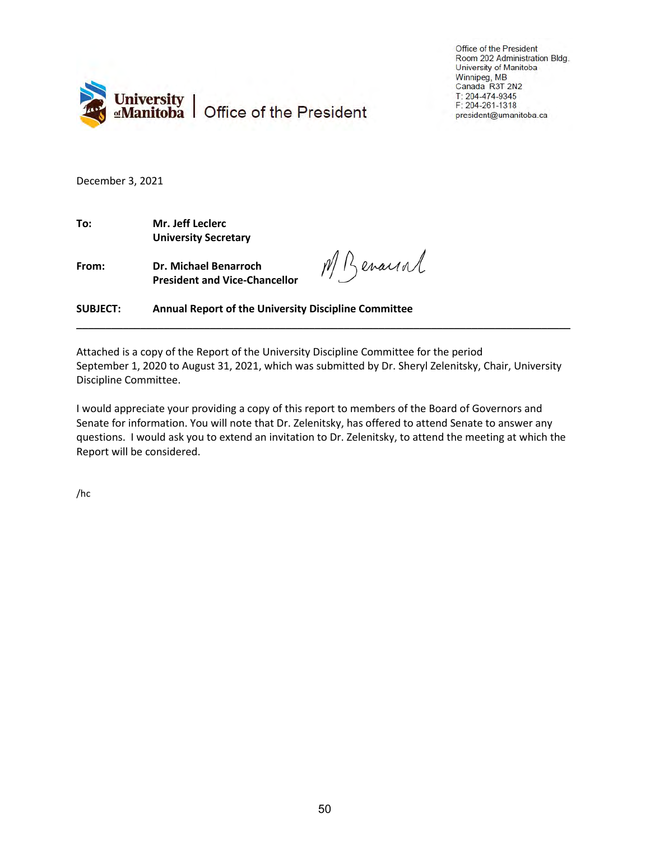

Office of the President Room 202 Administration Bldg. University of Manitoba Winnipeg, MB Canada R3T 2N2  $T: 204 - 474 - 9345$ F: 204-261-1318 president@umanitoba.ca

December 3, 2021

**To: Mr. Jeff Leclerc University Secretary**

**From: Dr. Michael Benarroch President and Vice-Chancellor**

M Benarral

**SUBJECT: Annual Report of the University Discipline Committee**

Attached is a copy of the Report of the University Discipline Committee for the period September 1, 2020 to August 31, 2021, which was submitted by Dr. Sheryl Zelenitsky, Chair, University Discipline Committee.

\_\_\_\_\_\_\_\_\_\_\_\_\_\_\_\_\_\_\_\_\_\_\_\_\_\_\_\_\_\_\_\_\_\_\_\_\_\_\_\_\_\_\_\_\_\_\_\_\_\_\_\_\_\_\_\_\_\_\_\_\_\_\_\_\_\_\_\_\_\_\_\_\_\_\_\_\_\_\_\_\_\_\_\_\_

I would appreciate your providing a copy of this report to members of the Board of Governors and Senate for information. You will note that Dr. Zelenitsky, has offered to attend Senate to answer any questions. I would ask you to extend an invitation to Dr. Zelenitsky, to attend the meeting at which the Report will be considered.

/hc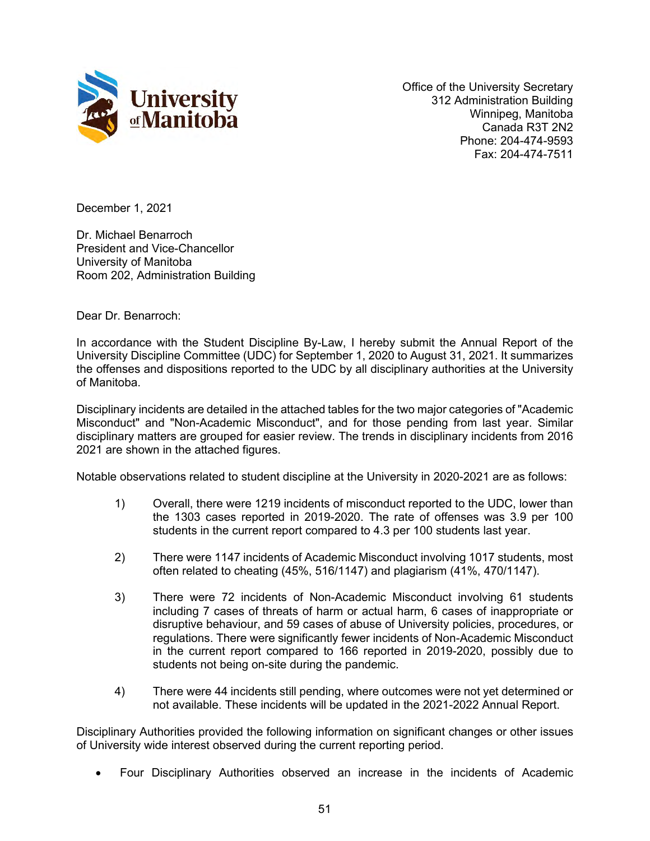

Office of the University Secretary 312 Administration Building Winnipeg, Manitoba Canada R3T 2N2 Phone: 204-474-9593 Fax: 204-474-7511

December 1, 2021

Dr. Michael Benarroch President and Vice-Chancellor University of Manitoba Room 202, Administration Building

Dear Dr. Benarroch:

In accordance with the Student Discipline By-Law, I hereby submit the Annual Report of the University Discipline Committee (UDC) for September 1, 2020 to August 31, 2021. It summarizes the offenses and dispositions reported to the UDC by all disciplinary authorities at the University of Manitoba.

Disciplinary incidents are detailed in the attached tables for the two major categories of "Academic Misconduct" and "Non-Academic Misconduct", and for those pending from last year. Similar disciplinary matters are grouped for easier review. The trends in disciplinary incidents from 2016 2021 are shown in the attached figures.

Notable observations related to student discipline at the University in 2020-2021 are as follows:

- 1) Overall, there were 1219 incidents of misconduct reported to the UDC, lower than the 1303 cases reported in 2019-2020. The rate of offenses was 3.9 per 100 students in the current report compared to 4.3 per 100 students last year.
- 2) There were 1147 incidents of Academic Misconduct involving 1017 students, most often related to cheating (45%, 516/1147) and plagiarism (41%, 470/1147).
- 3) There were 72 incidents of Non-Academic Misconduct involving 61 students including 7 cases of threats of harm or actual harm, 6 cases of inappropriate or disruptive behaviour, and 59 cases of abuse of University policies, procedures, or regulations. There were significantly fewer incidents of Non-Academic Misconduct in the current report compared to 166 reported in 2019-2020, possibly due to students not being on-site during the pandemic.
- 4) There were 44 incidents still pending, where outcomes were not yet determined or not available. These incidents will be updated in the 2021-2022 Annual Report.

Disciplinary Authorities provided the following information on significant changes or other issues of University wide interest observed during the current reporting period.

• Four Disciplinary Authorities observed an increase in the incidents of Academic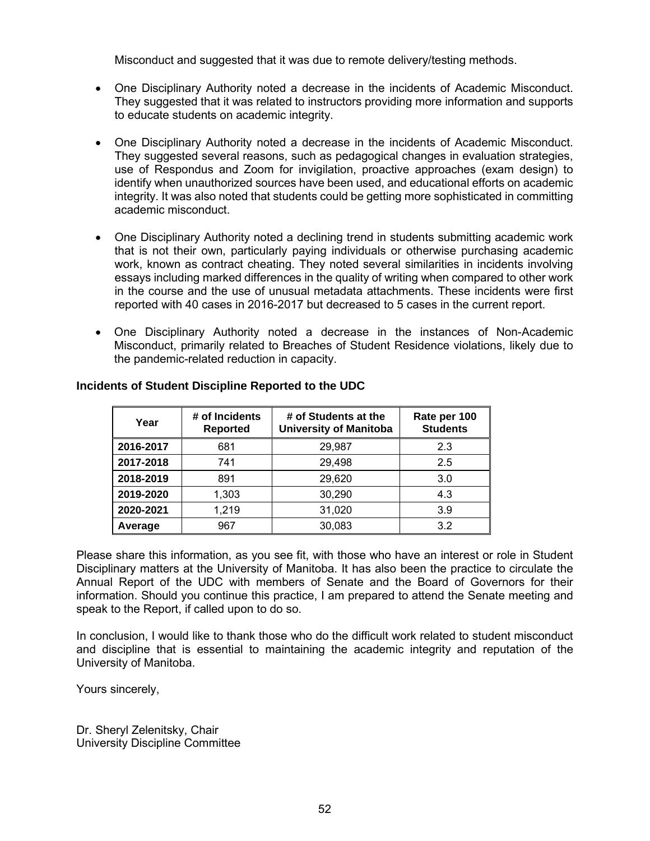Misconduct and suggested that it was due to remote delivery/testing methods.

- One Disciplinary Authority noted a decrease in the incidents of Academic Misconduct. They suggested that it was related to instructors providing more information and supports to educate students on academic integrity.
- One Disciplinary Authority noted a decrease in the incidents of Academic Misconduct. They suggested several reasons, such as pedagogical changes in evaluation strategies, use of Respondus and Zoom for invigilation, proactive approaches (exam design) to identify when unauthorized sources have been used, and educational efforts on academic integrity. It was also noted that students could be getting more sophisticated in committing academic misconduct.
- One Disciplinary Authority noted a declining trend in students submitting academic work that is not their own, particularly paying individuals or otherwise purchasing academic work, known as contract cheating. They noted several similarities in incidents involving essays including marked differences in the quality of writing when compared to other work in the course and the use of unusual metadata attachments. These incidents were first reported with 40 cases in 2016-2017 but decreased to 5 cases in the current report.
- One Disciplinary Authority noted a decrease in the instances of Non-Academic Misconduct, primarily related to Breaches of Student Residence violations, likely due to the pandemic-related reduction in capacity.

| Year      | # of Incidents<br><b>Reported</b> | # of Students at the<br><b>University of Manitoba</b> | Rate per 100<br><b>Students</b> |
|-----------|-----------------------------------|-------------------------------------------------------|---------------------------------|
| 2016-2017 | 681                               | 29,987                                                | 2.3                             |
| 2017-2018 | 741                               | 29,498                                                | 2.5                             |
| 2018-2019 | 891                               | 29,620                                                | 3.0                             |
| 2019-2020 | 1,303                             | 30,290                                                | 4.3                             |
| 2020-2021 | 1,219                             | 31,020                                                | 3.9                             |
| Average   | 967                               | 30,083                                                | 3.2                             |

# **Incidents of Student Discipline Reported to the UDC**

Please share this information, as you see fit, with those who have an interest or role in Student Disciplinary matters at the University of Manitoba. It has also been the practice to circulate the Annual Report of the UDC with members of Senate and the Board of Governors for their information. Should you continue this practice, I am prepared to attend the Senate meeting and speak to the Report, if called upon to do so.

In conclusion, I would like to thank those who do the difficult work related to student misconduct and discipline that is essential to maintaining the academic integrity and reputation of the University of Manitoba.

Yours sincerely,

Dr. Sheryl Zelenitsky, Chair University Discipline Committee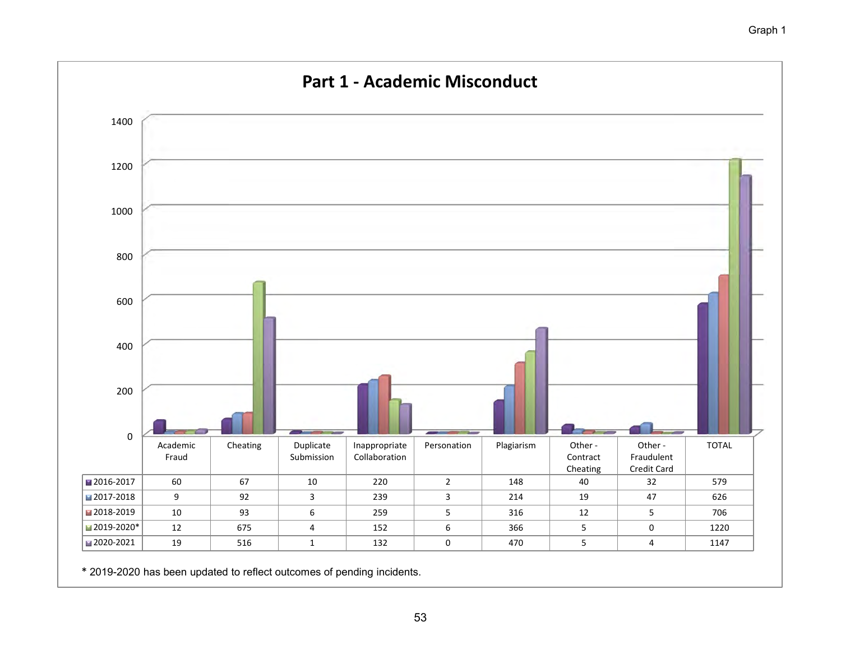

\* 2019-2020 has been updated to reflect outcomes of pending incidents.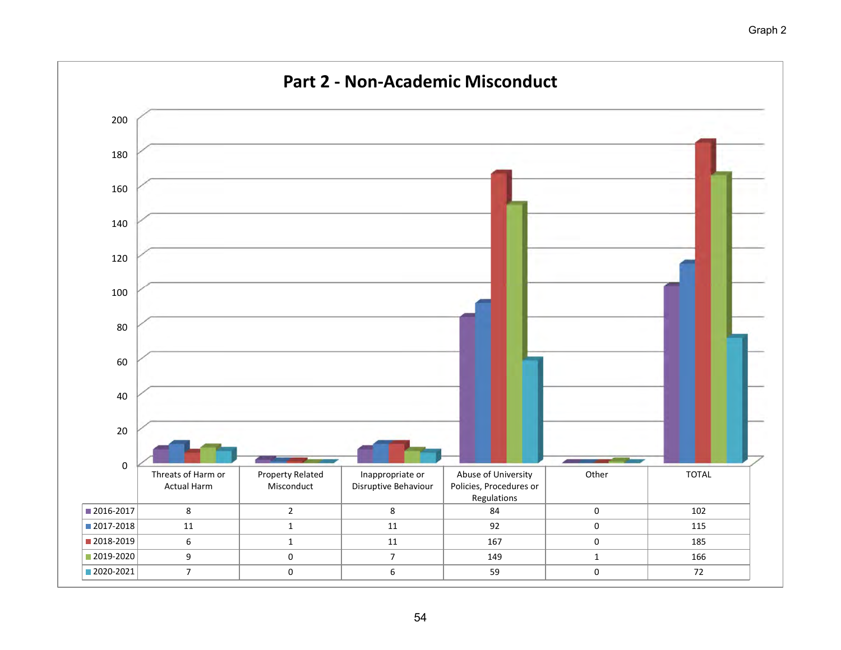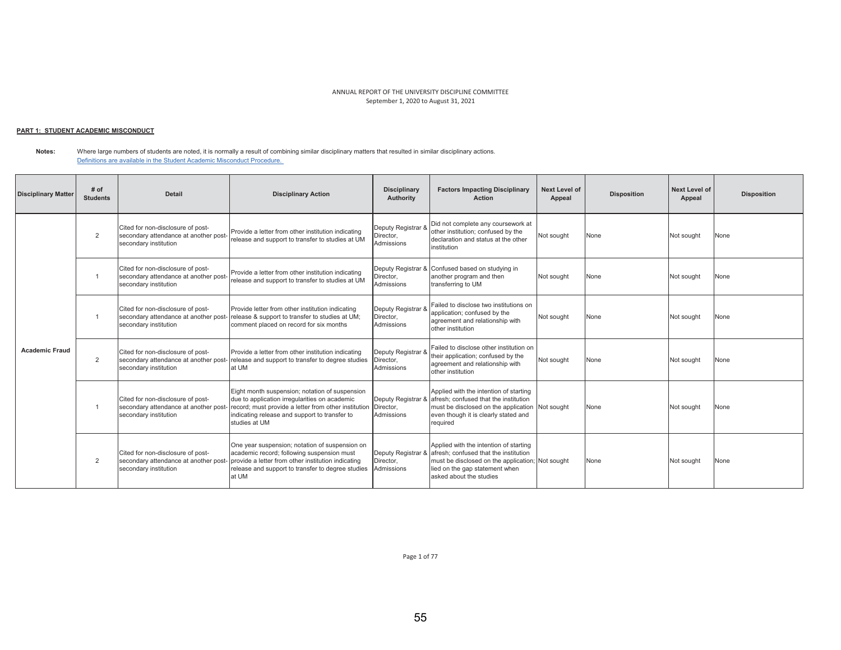## <u> PART 1: STUDENT ACADEMIC MISCONDUCT</u>

**Notes:**  Where large numbers of students are noted, it is normally a result of combining similar disciplinary matters that resulted in similar disciplinary actions. Definitions are available in the Student Academic Misconduct Procedure.

| <b>Disciplinary Matter</b> | # of<br><b>Students</b> | <b>Detail</b>                                                                                       | <b>Disciplinary Action</b>                                                                                                                                                                                                | <b>Disciplinary</b><br>Authority              | <b>Factors Impacting Disciplinary</b><br><b>Action</b>                                                                                                                                           | Next Level of<br>Appeal | <b>Disposition</b> | <b>Next Level of</b><br>Appeal | <b>Disposition</b> |
|----------------------------|-------------------------|-----------------------------------------------------------------------------------------------------|---------------------------------------------------------------------------------------------------------------------------------------------------------------------------------------------------------------------------|-----------------------------------------------|--------------------------------------------------------------------------------------------------------------------------------------------------------------------------------------------------|-------------------------|--------------------|--------------------------------|--------------------|
|                            | 2                       | Cited for non-disclosure of post-<br>secondary attendance at another post-<br>secondary institution | Provide a letter from other institution indicating<br>release and support to transfer to studies at UM                                                                                                                    | Deputy Registrar &<br>Director.<br>Admissions | Did not complete any coursework at<br>other institution; confused by the<br>declaration and status at the other<br>institution                                                                   | Not sought              | None               | Not sought                     | None               |
|                            |                         | Cited for non-disclosure of post-<br>secondary attendance at another post-<br>secondary institution | Provide a letter from other institution indicating<br>release and support to transfer to studies at UM                                                                                                                    | Deputy Registrar &<br>Director.<br>Admissions | Confused based on studying in<br>another program and then<br>transferring to UM                                                                                                                  | Not sought              | None               | Not sought                     | None               |
|                            |                         | Cited for non-disclosure of post-<br>secondary attendance at another post<br>secondary institution  | Provide letter from other institution indicating<br>release & support to transfer to studies at UM;<br>comment placed on record for six months                                                                            | Deputy Registrar 8<br>Director,<br>Admissions | Failed to disclose two institutions on<br>application; confused by the<br>agreement and relationship with<br>other institution                                                                   | Not sought              | None               | Not sought                     | None               |
| <b>Academic Fraud</b>      | 2                       | Cited for non-disclosure of post-<br>secondary attendance at another post<br>secondary institution  | Provide a letter from other institution indicating<br>release and support to transfer to degree studies<br>at UM                                                                                                          | Deputy Registrar 8<br>Director,<br>Admissions | Failed to disclose other institution on<br>their application; confused by the<br>agreement and relationship with<br>other institution                                                            | Not sought              | None               | Not sought                     | None               |
|                            |                         | Cited for non-disclosure of post-<br>secondary attendance at another post<br>secondary institution  | Eight month suspension; notation of suspension<br>due to application irregularities on academic<br>record; must provide a letter from other institution<br>indicating release and support to transfer to<br>studies at UM | Deputy Registrar &<br>Director.<br>Admissions | Applied with the intention of starting<br>afresh: confused that the institution<br>must be disclosed on the application Not sought<br>even though it is clearly stated and<br>required           |                         | None               | Not sought                     | None               |
|                            | $\overline{2}$          | Cited for non-disclosure of post-<br>secondary attendance at another post<br>secondary institution  | One year suspension; notation of suspension on<br>academic record; following suspension must<br>provide a letter from other institution indicating<br>release and support to transfer to degree studies<br>at UM          | Deputy Registrar &<br>Director.<br>Admissions | Applied with the intention of starting<br>afresh: confused that the institution<br>must be disclosed on the application; Not sought<br>lied on the gap statement when<br>asked about the studies |                         | None               | Not sought                     | None               |

Page 1 of 77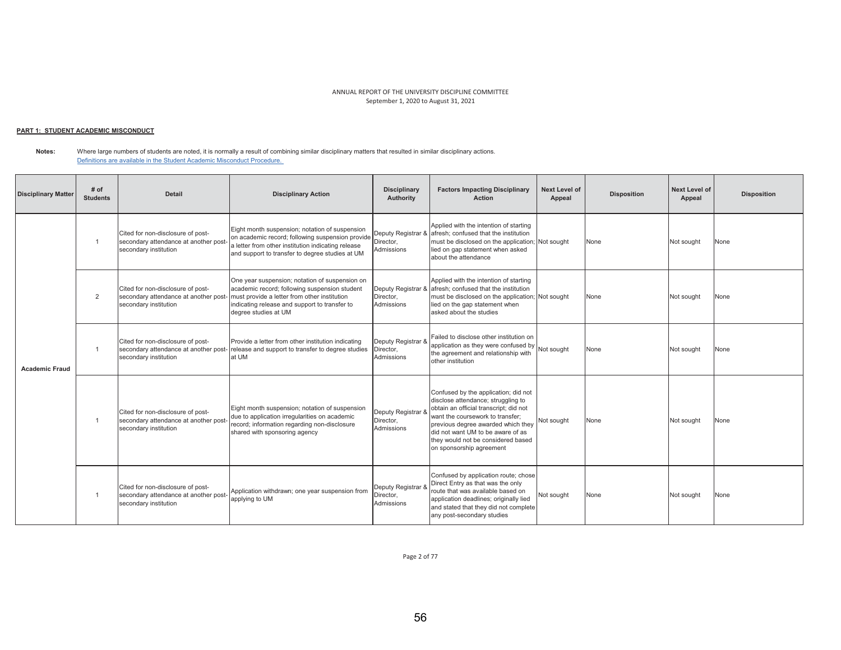# <u> PART 1: STUDENT ACADEMIC MISCONDUCT</u>

**Notes:**  Where large numbers of students are noted, it is normally a result of combining similar disciplinary matters that resulted in similar disciplinary actions. Definitions are available in the Student Academic Misconduct Procedure.

| <b>Disciplinary Matter</b> | $#$ of<br><b>Students</b> | <b>Detail</b>                                                                                       | <b>Disciplinary Action</b>                                                                                                                                                                                               | <b>Disciplinary</b><br>Authority              | <b>Factors Impacting Disciplinary</b><br><b>Action</b>                                                                                                                                                                                                                                                | <b>Next Level of</b><br>Appeal | <b>Disposition</b> | Next Level of<br>Appeal | <b>Disposition</b> |
|----------------------------|---------------------------|-----------------------------------------------------------------------------------------------------|--------------------------------------------------------------------------------------------------------------------------------------------------------------------------------------------------------------------------|-----------------------------------------------|-------------------------------------------------------------------------------------------------------------------------------------------------------------------------------------------------------------------------------------------------------------------------------------------------------|--------------------------------|--------------------|-------------------------|--------------------|
| <b>Academic Fraud</b>      | $\overline{1}$            | Cited for non-disclosure of post-<br>secondary attendance at another post-<br>secondary institution | Eight month suspension; notation of suspension<br>on academic record; following suspension provide<br>a letter from other institution indicating release<br>and support to transfer to degree studies at UM              | Director.<br>Admissions                       | Applied with the intention of starting<br>Deputy Registrar & afresh; confused that the institution<br>must be disclosed on the application; Not sought<br>lied on gap statement when asked<br>about the attendance                                                                                    |                                | None               | Not sought              | None               |
|                            | 2                         | Cited for non-disclosure of post-<br>secondary attendance at another post-<br>secondary institution | One year suspension; notation of suspension on<br>academic record; following suspension student<br>must provide a letter from other institution<br>indicating release and support to transfer to<br>degree studies at UM | Director,<br>Admissions                       | Applied with the intention of starting<br>Deputy Registrar & afresh; confused that the institution<br>must be disclosed on the application; Not sought<br>lied on the gap statement when<br>asked about the studies                                                                                   |                                | None               | Not sought              | None               |
|                            |                           | Cited for non-disclosure of post-<br>secondary attendance at another post-<br>secondary institution | Provide a letter from other institution indicating<br>release and support to transfer to degree studies<br>at UM                                                                                                         | Deputy Registrar &<br>Director,<br>Admissions | Failed to disclose other institution on<br>application as they were confused by $\left  \bigwedge_{i=1}^{N} G_i \right $ Not sought<br>the agreement and relationship with<br>other institution                                                                                                       |                                | None               | Not sought              | None               |
|                            | $\overline{1}$            | Cited for non-disclosure of post-<br>secondary attendance at another post-<br>secondary institution | Eight month suspension; notation of suspension<br>due to application irregularities on academic<br>record; information regarding non-disclosure<br>shared with sponsoring agency                                         | Deputy Registrar 8<br>Director,<br>Admissions | Confused by the application; did not<br>disclose attendance; struggling to<br>obtain an official transcript: did not<br>want the coursework to transfer:<br>previous degree awarded which they<br>did not want UM to be aware of as<br>they would not be considered based<br>on sponsorship agreement | Not sought                     | None               | Not sought              | None               |
|                            |                           | Cited for non-disclosure of post-<br>secondary attendance at another post-<br>secondary institution | Application withdrawn; one year suspension from<br>applying to UM                                                                                                                                                        | Deputy Registrar &<br>Director.<br>Admissions | Confused by application route; chose<br>Direct Entry as that was the only<br>route that was available based on<br>application deadlines; originally lied<br>and stated that they did not complete<br>any post-secondary studies                                                                       | Not sought                     | None               | Not sought              | None               |

Page 2 of 77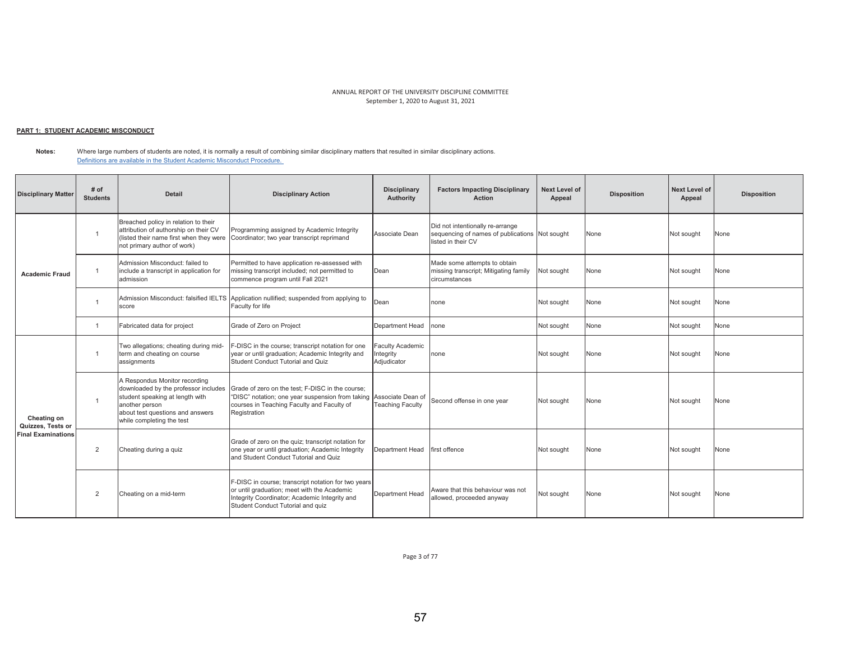# <u> PART 1: STUDENT ACADEMIC MISCONDUCT</u>

**Notes:**  Where large numbers of students are noted, it is normally a result of combining similar disciplinary matters that resulted in similar disciplinary actions. Definitions are available in the Student Academic Misconduct Procedure.

| <b>Disciplinary Matter</b>                                    | # of<br><b>Students</b> | <b>Detail</b>                                                                                                                                                                               | <b>Disciplinary Action</b>                                                                                                                                                               | <b>Disciplinary</b><br>Authority                    | <b>Factors Impacting Disciplinary</b><br><b>Action</b>                                                   | Next Level of<br>Appeal | <b>Disposition</b> | Next Level of<br>Appeal | <b>Disposition</b> |
|---------------------------------------------------------------|-------------------------|---------------------------------------------------------------------------------------------------------------------------------------------------------------------------------------------|------------------------------------------------------------------------------------------------------------------------------------------------------------------------------------------|-----------------------------------------------------|----------------------------------------------------------------------------------------------------------|-------------------------|--------------------|-------------------------|--------------------|
| <b>Academic Fraud</b>                                         |                         | Breached policy in relation to their<br>attribution of authorship on their CV<br>(listed their name first when they were<br>not primary author of work)                                     | Programming assigned by Academic Integrity<br>Coordinator; two year transcript reprimand                                                                                                 | Associate Dean                                      | Did not intentionally re-arrange<br>sequencing of names of publications Not sought<br>listed in their CV |                         | None               | Not sought              | None               |
|                                                               | $\overline{1}$          | Admission Misconduct: failed to<br>include a transcript in application for<br>admission                                                                                                     | Permitted to have application re-assessed with<br>missing transcript included; not permitted to<br>commence program until Fall 2021                                                      | Dean                                                | Made some attempts to obtain<br>missing transcript; Mitigating family<br>circumstances                   | Not sought              | None               | Not sought              | None               |
|                                                               |                         | score                                                                                                                                                                                       | Admission Misconduct: falsified IELTS Application nullified; suspended from applying to<br>Faculty for life                                                                              | Dean                                                | none                                                                                                     | Not sought              | None               | Not sought              | None               |
|                                                               | $\overline{1}$          | Fabricated data for project                                                                                                                                                                 | Grade of Zero on Project                                                                                                                                                                 | Department Head                                     | none                                                                                                     | Not sought              | None               | Not sought              | None               |
| Cheating on<br>Quizzes, Tests or<br><b>Final Examinations</b> |                         | Two allegations; cheating during mid-<br>term and cheating on course<br>assignments                                                                                                         | -DISC in the course; transcript notation for one<br>year or until graduation; Academic Integrity and<br>Student Conduct Tutorial and Quiz                                                | <b>Faculty Academic</b><br>Integrity<br>Adjudicator | none                                                                                                     | Not sought              | None               | Not sought              | None               |
|                                                               |                         | A Respondus Monitor recording<br>downloaded by the professor includes<br>student speaking at length with<br>another person<br>about test questions and answers<br>while completing the test | Grade of zero on the test: F-DISC in the course:<br>"DISC" notation; one year suspension from taking<br>courses in Teaching Faculty and Faculty of<br>Registration                       | Associate Dean of<br><b>Teaching Faculty</b>        | Second offense in one year                                                                               | Not sought              | None               | Not sought              | None               |
|                                                               | $\overline{2}$          | Cheating during a quiz                                                                                                                                                                      | Grade of zero on the quiz; transcript notation for<br>one year or until graduation; Academic Integrity<br>and Student Conduct Tutorial and Quiz                                          | Department Head                                     | first offence                                                                                            | Not sought              | None               | Not sought              | None               |
|                                                               | $\overline{2}$          | Cheating on a mid-term                                                                                                                                                                      | F-DISC in course; transcript notation for two years<br>or until graduation; meet with the Academic<br>Integrity Coordinator; Academic Integrity and<br>Student Conduct Tutorial and quiz | Department Head                                     | Aware that this behaviour was not<br>allowed, proceeded anyway                                           | Not sought              | None               | Not sought              | None               |

Page 3 of 77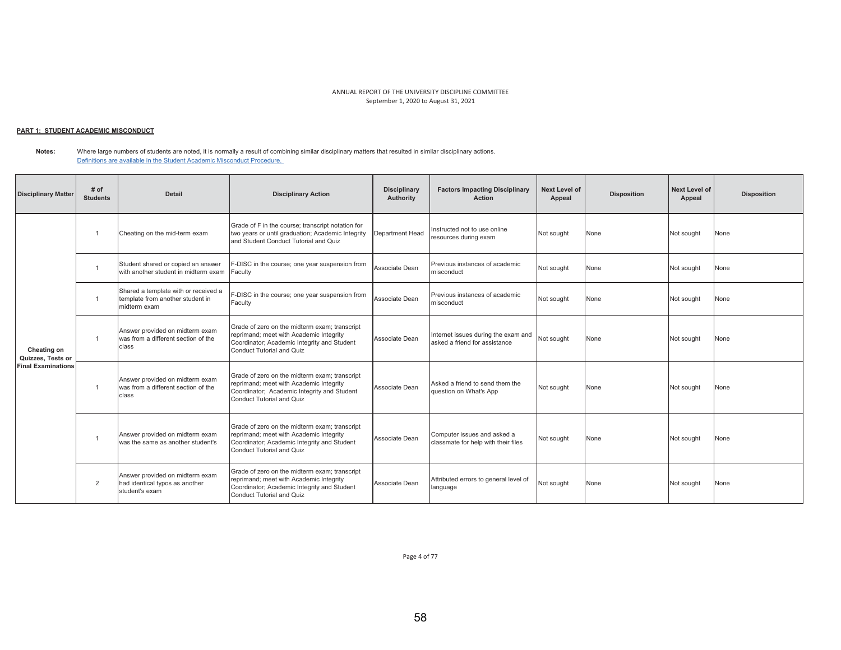# <u> PART 1: STUDENT ACADEMIC MISCONDUCT</u>

**Notes:**  Where large numbers of students are noted, it is normally a result of combining similar disciplinary matters that resulted in similar disciplinary actions. Definitions are available in the Student Academic Misconduct Procedure.

| <b>Disciplinary Matter</b>                                    | # of<br><b>Students</b> | Detail                                                                                   | <b>Disciplinary Action</b>                                                                                                                                           | <b>Disciplinary</b><br><b>Authority</b> | <b>Factors Impacting Disciplinary</b><br><b>Action</b>               | <b>Next Level of</b><br>Appeal | <b>Disposition</b> | Next Level of<br>Appeal | <b>Disposition</b> |
|---------------------------------------------------------------|-------------------------|------------------------------------------------------------------------------------------|----------------------------------------------------------------------------------------------------------------------------------------------------------------------|-----------------------------------------|----------------------------------------------------------------------|--------------------------------|--------------------|-------------------------|--------------------|
| Cheating on<br>Quizzes, Tests or<br><b>Final Examinations</b> |                         | Cheating on the mid-term exam                                                            | Grade of F in the course; transcript notation for<br>two years or until graduation; Academic Integrity<br>and Student Conduct Tutorial and Quiz                      | Department Head                         | Instructed not to use online<br>resources during exam                | Not sought                     | None               | Not sought              | None               |
|                                                               |                         | Student shared or copied an answer<br>with another student in midterm exam               | F-DISC in the course; one year suspension from<br>Faculty                                                                                                            | Associate Dean                          | Previous instances of academic<br>misconduct                         | Not sought                     | None               | Not sought              | None               |
|                                                               |                         | Shared a template with or received a<br>template from another student in<br>midterm exam | F-DISC in the course; one year suspension from<br>Faculty                                                                                                            | Associate Dean                          | Previous instances of academic<br>misconduct                         | Not sought                     | None               | Not sought              | None               |
|                                                               |                         | Answer provided on midterm exam<br>was from a different section of the<br>class          | Grade of zero on the midterm exam; transcript<br>reprimand; meet with Academic Integrity<br>Coordinator; Academic Integrity and Student<br>Conduct Tutorial and Quiz | Associate Dean                          | Internet issues during the exam and<br>asked a friend for assistance | Not sought                     | None               | Not sought              | None               |
|                                                               |                         | Answer provided on midterm exam<br>was from a different section of the<br>class          | Grade of zero on the midterm exam: transcript<br>reprimand; meet with Academic Integrity<br>Coordinator; Academic Integrity and Student<br>Conduct Tutorial and Quiz | Associate Dean                          | Asked a friend to send them the<br>question on What's App            | Not sought                     | None               | Not sought              | None               |
|                                                               |                         | Answer provided on midterm exam<br>was the same as another student's                     | Grade of zero on the midterm exam; transcript<br>reprimand; meet with Academic Integrity<br>Coordinator; Academic Integrity and Student<br>Conduct Tutorial and Quiz | Associate Dean                          | Computer issues and asked a<br>classmate for help with their files   | Not sought                     | None               | Not sought              | None               |
|                                                               | $\overline{2}$          | Answer provided on midterm exam<br>had identical typos as another<br>student's exam      | Grade of zero on the midterm exam; transcript<br>reprimand; meet with Academic Integrity<br>Coordinator; Academic Integrity and Student<br>Conduct Tutorial and Quiz | Associate Dean                          | Attributed errors to general level of<br>language                    | Not sought                     | None               | Not sought              | None               |

Page 4 of 77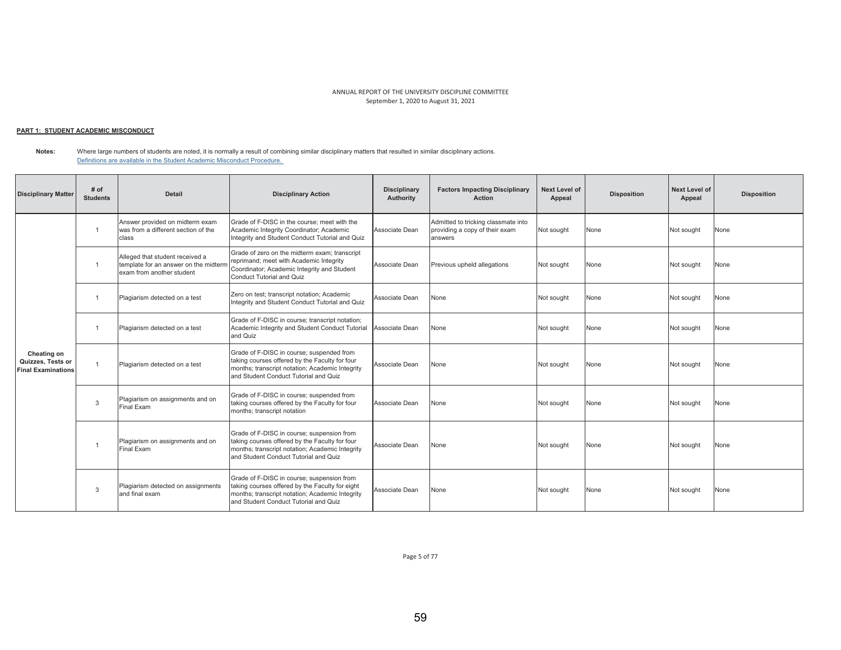## <u> PART 1: STUDENT ACADEMIC MISCONDUCT</u>

**Notes:**  Where large numbers of students are noted, it is normally a result of combining similar disciplinary matters that resulted in similar disciplinary actions. Definitions are available in the Student Academic Misconduct Procedure.

| <b>Disciplinary Matter</b>                                    | # of<br><b>Students</b> | <b>Detail</b>                                                                                         | <b>Disciplinary Action</b>                                                                                                                                                                | <b>Disciplinary</b><br>Authority | <b>Factors Impacting Disciplinary</b><br><b>Action</b>                           | <b>Next Level of</b><br>Appeal | <b>Disposition</b> | <b>Next Level of</b><br>Appeal | <b>Disposition</b> |
|---------------------------------------------------------------|-------------------------|-------------------------------------------------------------------------------------------------------|-------------------------------------------------------------------------------------------------------------------------------------------------------------------------------------------|----------------------------------|----------------------------------------------------------------------------------|--------------------------------|--------------------|--------------------------------|--------------------|
|                                                               |                         | Answer provided on midterm exam<br>was from a different section of the<br>class                       | Grade of F-DISC in the course: meet with the<br>Academic Integrity Coordinator; Academic<br>Integrity and Student Conduct Tutorial and Quiz                                               | Associate Dean                   | Admitted to tricking classmate into<br>providing a copy of their exam<br>answers | Not sought                     | None               | Not sought                     | None               |
|                                                               | $\overline{1}$          | Alleged that student received a<br>template for an answer on the midterm<br>exam from another student | Grade of zero on the midterm exam; transcript<br>reprimand; meet with Academic Integrity<br>Coordinator; Academic Integrity and Student<br><b>Conduct Tutorial and Quiz</b>               | Associate Dean                   | Previous upheld allegations                                                      | Not sought                     | None               | Not sought                     | None               |
|                                                               |                         | Plagiarism detected on a test                                                                         | Zero on test; transcript notation; Academic<br>Integrity and Student Conduct Tutorial and Quiz                                                                                            | Associate Dean                   | None                                                                             | Not sought                     | None               | Not sought                     | None               |
|                                                               |                         | Plagiarism detected on a test                                                                         | Grade of F-DISC in course; transcript notation;<br>Academic Integrity and Student Conduct Tutorial<br>and Quiz                                                                            | Associate Dean                   | None                                                                             | Not sought                     | None               | Not sought                     | None               |
| Cheating on<br>Quizzes, Tests or<br><b>Final Examinations</b> | $\overline{1}$          | Plagiarism detected on a test                                                                         | Grade of F-DISC in course; suspended from<br>taking courses offered by the Faculty for four<br>months; transcript notation; Academic Integrity<br>and Student Conduct Tutorial and Quiz   | Associate Dean                   | None                                                                             | Not sought                     | None               | Not sought                     | None               |
|                                                               | $\mathbf{3}$            | Plagiarism on assignments and on<br>Final Exam                                                        | Grade of F-DISC in course; suspended from<br>taking courses offered by the Faculty for four<br>months; transcript notation                                                                | Associate Dean                   | None                                                                             | Not sought                     | None               | Not sought                     | None               |
|                                                               |                         | Plagiarism on assignments and on<br>Final Exam                                                        | Grade of F-DISC in course; suspension from<br>taking courses offered by the Faculty for four<br>months; transcript notation; Academic Integrity<br>and Student Conduct Tutorial and Quiz  | Associate Dean                   | None                                                                             | Not sought                     | None               | Not sought                     | None               |
|                                                               | 3                       | Plagiarism detected on assignments<br>and final exam                                                  | Grade of F-DISC in course; suspension from<br>taking courses offered by the Faculty for eight<br>months; transcript notation; Academic Integrity<br>and Student Conduct Tutorial and Quiz | Associate Dean                   | None                                                                             | Not sought                     | None               | Not sought                     | None               |

Page 5 of 77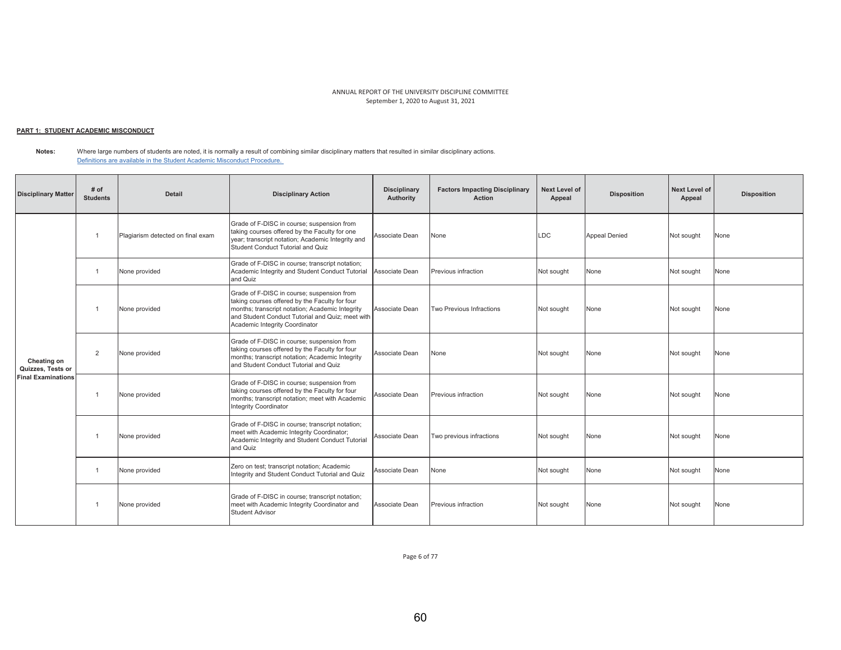## <u> PART 1: STUDENT ACADEMIC MISCONDUCT</u>

**Notes:**  Where large numbers of students are noted, it is normally a result of combining similar disciplinary matters that resulted in similar disciplinary actions. Definitions are available in the Student Academic Misconduct Procedure.

| <b>Disciplinary Matter</b>                                    | # of<br><b>Students</b> | <b>Detail</b>                     | <b>Disciplinary Action</b>                                                                                                                                                                                                            | <b>Disciplinary</b><br>Authority | <b>Factors Impacting Disciplinary</b><br><b>Action</b> | <b>Next Level of</b><br>Appeal | <b>Disposition</b>   | Next Level of<br>Appeal | <b>Disposition</b> |
|---------------------------------------------------------------|-------------------------|-----------------------------------|---------------------------------------------------------------------------------------------------------------------------------------------------------------------------------------------------------------------------------------|----------------------------------|--------------------------------------------------------|--------------------------------|----------------------|-------------------------|--------------------|
| Cheating on<br>Quizzes, Tests or<br><b>Final Examinations</b> |                         | Plagiarism detected on final exam | Grade of F-DISC in course; suspension from<br>taking courses offered by the Faculty for one<br>year; transcript notation; Academic Integrity and<br>Student Conduct Tutorial and Quiz                                                 | Associate Dean                   | None                                                   | LDC                            | <b>Appeal Denied</b> | Not sought              | None               |
|                                                               | $\overline{1}$          | None provided                     | Grade of F-DISC in course; transcript notation;<br>Academic Integrity and Student Conduct Tutorial<br>and Quiz                                                                                                                        | Associate Dean                   | Previous infraction                                    | Not sought                     | None                 | Not sought              | None               |
|                                                               |                         | None provided                     | Grade of F-DISC in course; suspension from<br>taking courses offered by the Faculty for four<br>months; transcript notation; Academic Integrity<br>and Student Conduct Tutorial and Quiz: meet with<br>Academic Integrity Coordinator | Associate Dean                   | Two Previous Infractions                               | Not sought                     | None                 | Not sought              | None               |
|                                                               | $\overline{2}$          | None provided                     | Grade of F-DISC in course; suspension from<br>taking courses offered by the Faculty for four<br>months; transcript notation; Academic Integrity<br>and Student Conduct Tutorial and Quiz                                              | Associate Dean                   | None                                                   | Not sought                     | None                 | Not sought              | None               |
|                                                               |                         | None provided                     | Grade of F-DISC in course; suspension from<br>taking courses offered by the Faculty for four<br>months; transcript notation; meet with Academic<br>Integrity Coordinator                                                              | Associate Dean                   | Previous infraction                                    | Not sought                     | None                 | Not sought              | None               |
|                                                               |                         | None provided                     | Grade of F-DISC in course; transcript notation;<br>meet with Academic Integrity Coordinator;<br>Academic Integrity and Student Conduct Tutorial<br>and Quiz                                                                           | Associate Dean                   | Two previous infractions                               | Not sought                     | None                 | Not sought              | None               |
|                                                               | -1                      | None provided                     | Zero on test; transcript notation; Academic<br>Integrity and Student Conduct Tutorial and Quiz                                                                                                                                        | Associate Dean                   | None                                                   | Not sought                     | None                 | Not sought              | None               |
|                                                               |                         | None provided                     | Grade of F-DISC in course; transcript notation;<br>meet with Academic Integrity Coordinator and<br><b>Student Advisor</b>                                                                                                             | Associate Dean                   | Previous infraction                                    | Not sought                     | None                 | Not sought              | None               |

Page 6 of 77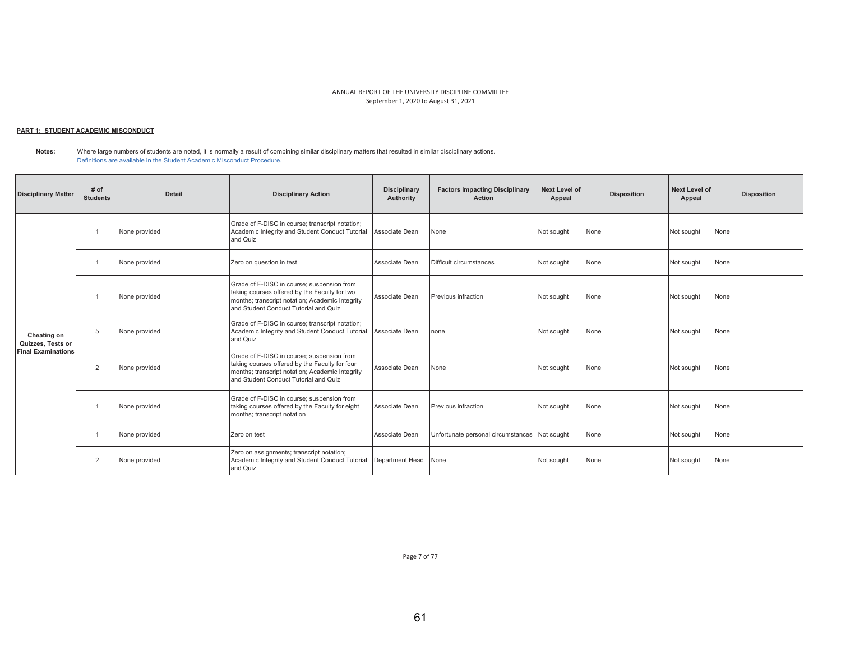## <u> PART 1: STUDENT ACADEMIC MISCONDUCT</u>

**Notes:**  Where large numbers of students are noted, it is normally a result of combining similar disciplinary matters that resulted in similar disciplinary actions. Definitions are available in the Student Academic Misconduct Procedure.

| <b>Disciplinary Matter</b>                                    | # of<br><b>Students</b> | <b>Detail</b> | <b>Disciplinary Action</b>                                                                                                                                                               | <b>Disciplinary</b><br>Authority | <b>Factors Impacting Disciplinary</b><br><b>Action</b> | <b>Next Level of</b><br>Appeal | <b>Disposition</b> | Next Level of<br>Appeal | <b>Disposition</b> |
|---------------------------------------------------------------|-------------------------|---------------|------------------------------------------------------------------------------------------------------------------------------------------------------------------------------------------|----------------------------------|--------------------------------------------------------|--------------------------------|--------------------|-------------------------|--------------------|
| Cheating on<br>Quizzes, Tests or<br><b>Final Examinations</b> |                         | None provided | Grade of F-DISC in course; transcript notation;<br>Academic Integrity and Student Conduct Tutorial<br>and Quiz                                                                           | Associate Dean                   | None                                                   | Not sought                     | None               | Not sought              | None               |
|                                                               |                         | None provided | Zero on question in test                                                                                                                                                                 | Associate Dean                   | Difficult circumstances                                | Not sought                     | None               | Not sought              | None               |
|                                                               |                         | None provided | Grade of F-DISC in course; suspension from<br>taking courses offered by the Faculty for two<br>months; transcript notation; Academic Integrity<br>and Student Conduct Tutorial and Quiz  | Associate Dean                   | Previous infraction                                    | Not sought                     | None               | Not sought              | None               |
|                                                               | 5                       | None provided | Grade of F-DISC in course; transcript notation;<br>Academic Integrity and Student Conduct Tutorial<br>and Quiz                                                                           | Associate Dean                   | none                                                   | Not sought                     | None               | Not sought              | None               |
|                                                               | $\overline{2}$          | None provided | Grade of F-DISC in course; suspension from<br>taking courses offered by the Faculty for four<br>months; transcript notation; Academic Integrity<br>and Student Conduct Tutorial and Quiz | Associate Dean                   | None                                                   | Not sought                     | None               | Not sought              | None               |
|                                                               |                         | None provided | Grade of F-DISC in course; suspension from<br>taking courses offered by the Faculty for eight<br>months; transcript notation                                                             | Associate Dean                   | Previous infraction                                    | Not sought                     | None               | Not sought              | None               |
|                                                               |                         | None provided | Zero on test                                                                                                                                                                             | Associate Dean                   | Unfortunate personal circumstances Not sought          |                                | None               | Not sought              | None               |
|                                                               | $\overline{2}$          | None provided | Zero on assignments; transcript notation;<br>Academic Integrity and Student Conduct Tutorial<br>and Quiz                                                                                 | Department Head                  | None                                                   | Not sought                     | None               | Not sought              | None               |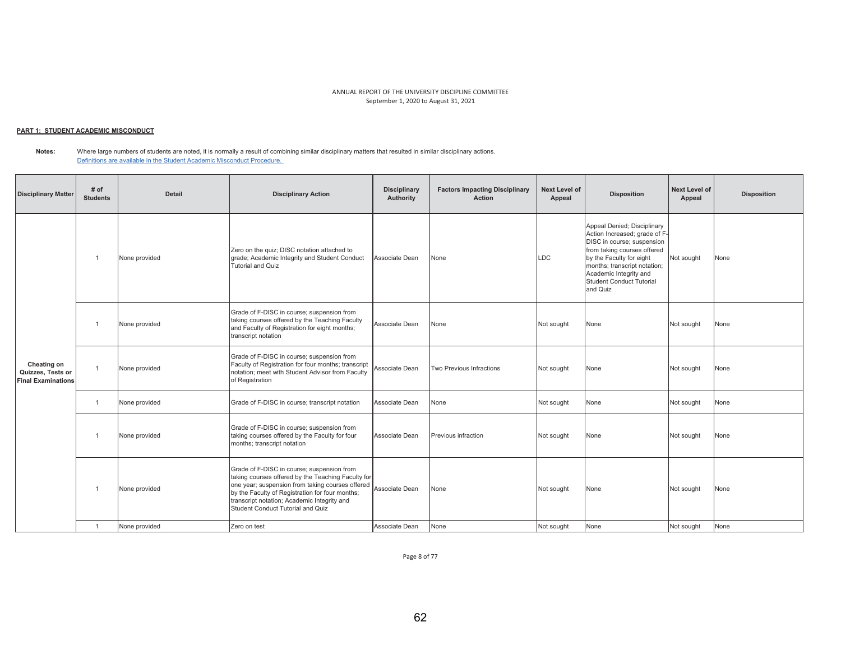## <u> PART 1: STUDENT ACADEMIC MISCONDUCT</u>

**Notes:**  Where large numbers of students are noted, it is normally a result of combining similar disciplinary matters that resulted in similar disciplinary actions. Definitions are available in the Student Academic Misconduct Procedure.

| <b>Disciplinary Matter</b>                                    | # of<br><b>Students</b> | <b>Detail</b> | <b>Disciplinary Action</b>                                                                                                                                                                                                                                                                  | <b>Disciplinary</b><br>Authority | <b>Factors Impacting Disciplinary</b><br><b>Action</b> | Next Level of<br>Appeal | <b>Disposition</b>                                                                                                                                                                                                                                      | Next Level of<br>Appeal | <b>Disposition</b> |
|---------------------------------------------------------------|-------------------------|---------------|---------------------------------------------------------------------------------------------------------------------------------------------------------------------------------------------------------------------------------------------------------------------------------------------|----------------------------------|--------------------------------------------------------|-------------------------|---------------------------------------------------------------------------------------------------------------------------------------------------------------------------------------------------------------------------------------------------------|-------------------------|--------------------|
| Cheating on<br>Quizzes, Tests or<br><b>Final Examinations</b> | $\overline{1}$          | None provided | Zero on the quiz; DISC notation attached to<br>grade; Academic Integrity and Student Conduct<br><b>Tutorial and Quiz</b>                                                                                                                                                                    | Associate Dean                   | None                                                   | LDC                     | Appeal Denied; Disciplinary<br>Action Increased; grade of F-<br>DISC in course; suspension<br>from taking courses offered<br>by the Faculty for eight<br>months; transcript notation;<br>Academic Integrity and<br>Student Conduct Tutorial<br>and Quiz | Not sought              | None               |
|                                                               |                         | None provided | Grade of F-DISC in course; suspension from<br>taking courses offered by the Teaching Faculty<br>and Faculty of Registration for eight months;<br>transcript notation                                                                                                                        | Associate Dean                   | None                                                   | Not sought              | None                                                                                                                                                                                                                                                    | Not sought              | None               |
|                                                               | $\overline{1}$          | None provided | Grade of F-DISC in course; suspension from<br>Faculty of Registration for four months; transcript<br>notation: meet with Student Advisor from Faculty<br>of Registration                                                                                                                    | Associate Dean                   | Two Previous Infractions                               | Not sought              | None                                                                                                                                                                                                                                                    | Not sought              | None               |
|                                                               | $\overline{1}$          | None provided | Grade of F-DISC in course; transcript notation                                                                                                                                                                                                                                              | Associate Dean                   | None                                                   | Not sought              | None                                                                                                                                                                                                                                                    | Not sought              | None               |
|                                                               | $\overline{1}$          | None provided | Grade of F-DISC in course; suspension from<br>taking courses offered by the Faculty for four<br>months; transcript notation                                                                                                                                                                 | Associate Dean                   | Previous infraction                                    | Not sought              | None                                                                                                                                                                                                                                                    | Not sought              | None               |
|                                                               |                         | None provided | Grade of F-DISC in course; suspension from<br>taking courses offered by the Teaching Faculty for<br>one year; suspension from taking courses offered<br>by the Faculty of Registration for four months;<br>transcript notation; Academic Integrity and<br>Student Conduct Tutorial and Quiz | Associate Dean                   | None                                                   | Not sought              | None                                                                                                                                                                                                                                                    | Not sought              | None               |
|                                                               | $\overline{1}$          | None provided | Zero on test                                                                                                                                                                                                                                                                                | Associate Dean                   | None                                                   | Not sought              | None                                                                                                                                                                                                                                                    | Not sought              | None               |

Page 8 of 77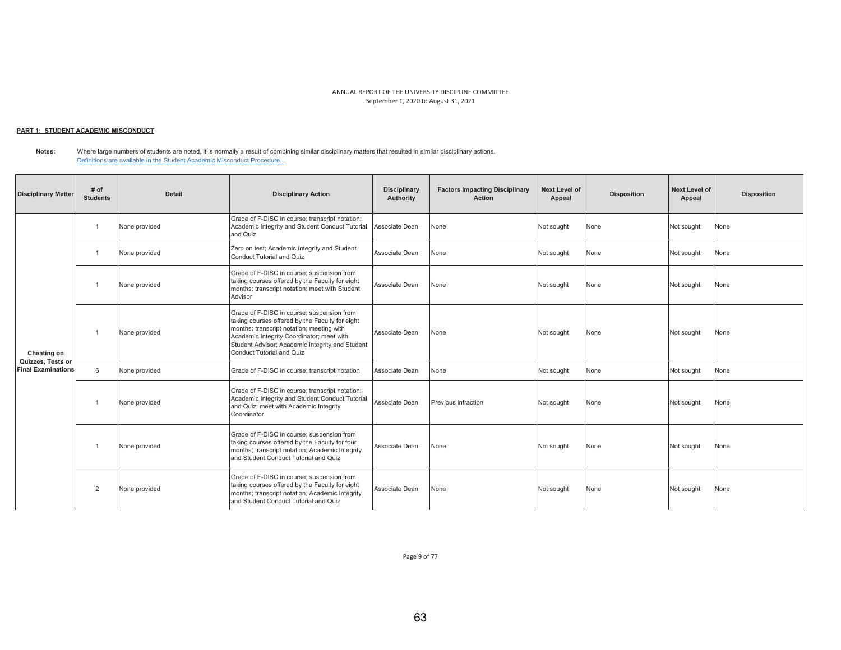## <u> PART 1: STUDENT ACADEMIC MISCONDUCT</u>

**Notes:**  Where large numbers of students are noted, it is normally a result of combining similar disciplinary matters that resulted in similar disciplinary actions. Definitions are available in the Student Academic Misconduct Procedure.

| <b>Disciplinary Matter</b>                     | # of<br><b>Students</b> | <b>Detail</b> | <b>Disciplinary Action</b>                                                                                                                                                                                                                                              | <b>Disciplinary</b><br>Authority | <b>Factors Impacting Disciplinary</b><br><b>Action</b> | <b>Next Level of</b><br>Appeal | <b>Disposition</b> | <b>Next Level of</b><br>Appeal | <b>Disposition</b> |
|------------------------------------------------|-------------------------|---------------|-------------------------------------------------------------------------------------------------------------------------------------------------------------------------------------------------------------------------------------------------------------------------|----------------------------------|--------------------------------------------------------|--------------------------------|--------------------|--------------------------------|--------------------|
| Cheating on                                    |                         | None provided | Grade of F-DISC in course; transcript notation;<br>Academic Integrity and Student Conduct Tutorial<br>and Quiz                                                                                                                                                          | Associate Dean                   | None                                                   | Not sought                     | None               | Not sought                     | None               |
|                                                |                         | None provided | Zero on test; Academic Integrity and Student<br>Conduct Tutorial and Quiz                                                                                                                                                                                               | Associate Dean                   | None                                                   | Not sought                     | None               | Not sought                     | None               |
|                                                |                         | None provided | Grade of F-DISC in course; suspension from<br>taking courses offered by the Faculty for eight<br>months; transcript notation; meet with Student<br>Advisor                                                                                                              | Associate Dean                   | None                                                   | Not sought                     | None               | Not sought                     | None               |
|                                                |                         | None provided | Grade of F-DISC in course; suspension from<br>taking courses offered by the Faculty for eight<br>months; transcript notation; meeting with<br>Academic Integrity Coordinator; meet with<br>Student Advisor; Academic Integrity and Student<br>Conduct Tutorial and Quiz | Associate Dean                   | None                                                   | Not sought                     | None               | Not sought                     | None               |
| Quizzes, Tests or<br><b>Final Examinations</b> | 6                       | None provided | Grade of F-DISC in course; transcript notation                                                                                                                                                                                                                          | Associate Dean                   | None                                                   | Not sought                     | None               | Not sought                     | None               |
|                                                |                         | None provided | Grade of F-DISC in course; transcript notation;<br>Academic Integrity and Student Conduct Tutorial<br>and Quiz; meet with Academic Integrity<br>Coordinator                                                                                                             | Associate Dean                   | Previous infraction                                    | Not sought                     | None               | Not sought                     | None               |
|                                                |                         | None provided | Grade of F-DISC in course; suspension from<br>taking courses offered by the Faculty for four<br>months; transcript notation; Academic Integrity<br>and Student Conduct Tutorial and Quiz                                                                                | Associate Dean                   | None                                                   | Not sought                     | None               | Not sought                     | None               |
|                                                | $\overline{2}$          | None provided | Grade of F-DISC in course; suspension from<br>taking courses offered by the Faculty for eight<br>months; transcript notation; Academic Integrity<br>and Student Conduct Tutorial and Quiz                                                                               | Associate Dean                   | None                                                   | Not sought                     | None               | Not sought                     | None               |

Page 9 of 77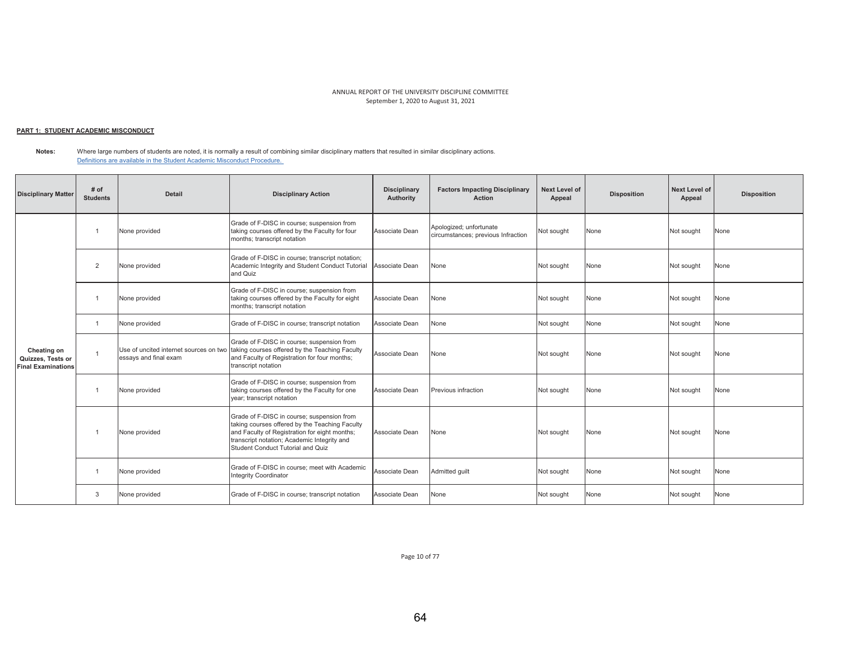## <u> PART 1: STUDENT ACADEMIC MISCONDUCT</u>

**Notes:**  Where large numbers of students are noted, it is normally a result of combining similar disciplinary matters that resulted in similar disciplinary actions. Definitions are available in the Student Academic Misconduct Procedure.

| <b>Disciplinary Matter</b>                                    | # of<br><b>Students</b> | <b>Detail</b>                                                   | <b>Disciplinary Action</b>                                                                                                                                                                                                        | <b>Disciplinary</b><br>Authority | <b>Factors Impacting Disciplinary</b><br><b>Action</b>        | Next Level of<br>Appeal | <b>Disposition</b> | Next Level of<br>Appeal | <b>Disposition</b> |
|---------------------------------------------------------------|-------------------------|-----------------------------------------------------------------|-----------------------------------------------------------------------------------------------------------------------------------------------------------------------------------------------------------------------------------|----------------------------------|---------------------------------------------------------------|-------------------------|--------------------|-------------------------|--------------------|
| Cheating on<br>Quizzes, Tests or<br><b>Final Examinations</b> |                         | None provided                                                   | Grade of F-DISC in course; suspension from<br>taking courses offered by the Faculty for four<br>months; transcript notation                                                                                                       | Associate Dean                   | Apologized; unfortunate<br>circumstances; previous Infraction | Not sought              | None               | Not sought              | None               |
|                                                               | $\overline{2}$          | None provided                                                   | Grade of F-DISC in course; transcript notation;<br>Academic Integrity and Student Conduct Tutorial<br>and Quiz                                                                                                                    | Associate Dean                   | None                                                          | Not sought              | None               | Not sought              | None               |
|                                                               |                         | None provided                                                   | Grade of F-DISC in course; suspension from<br>taking courses offered by the Faculty for eight<br>months; transcript notation                                                                                                      | Associate Dean                   | None                                                          | Not sought              | None               | Not sought              | None               |
|                                                               | $\overline{1}$          | None provided                                                   | Grade of F-DISC in course; transcript notation                                                                                                                                                                                    | Associate Dean                   | None                                                          | Not sought              | None               | Not sought              | None               |
|                                                               |                         | Use of uncited internet sources on two<br>essays and final exam | Grade of F-DISC in course; suspension from<br>taking courses offered by the Teaching Faculty<br>and Faculty of Registration for four months;<br>transcript notation                                                               | Associate Dean                   | None                                                          | Not sought              | None               | Not sought              | None               |
|                                                               |                         | None provided                                                   | Grade of F-DISC in course; suspension from<br>taking courses offered by the Faculty for one<br>year; transcript notation                                                                                                          | Associate Dean                   | Previous infraction                                           | Not sought              | None               | Not sought              | None               |
|                                                               |                         | None provided                                                   | Grade of F-DISC in course; suspension from<br>taking courses offered by the Teaching Faculty<br>and Faculty of Registration for eight months;<br>transcript notation; Academic Integrity and<br>Student Conduct Tutorial and Quiz | Associate Dean                   | None                                                          | Not sought              | None               | Not sought              | None               |
|                                                               |                         | None provided                                                   | Grade of F-DISC in course: meet with Academic<br><b>Integrity Coordinator</b>                                                                                                                                                     | Associate Dean                   | Admitted quilt                                                | Not sought              | None               | Not sought              | None               |
|                                                               | 3                       | None provided                                                   | Grade of F-DISC in course; transcript notation                                                                                                                                                                                    | Associate Dean                   | None                                                          | Not sought              | None               | Not sought              | None               |

Page 10 of 77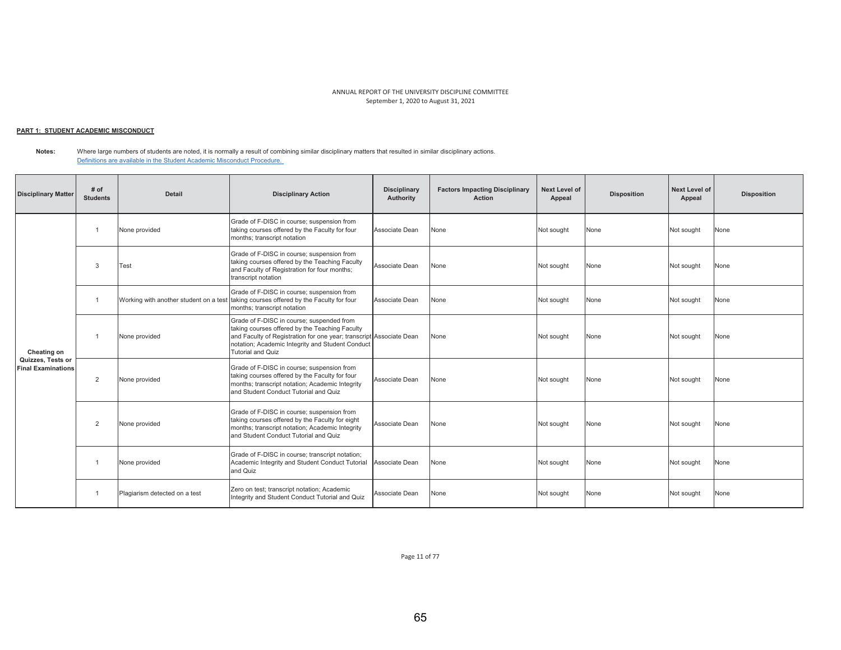## <u> PART 1: STUDENT ACADEMIC MISCONDUCT</u>

**Notes:**  Where large numbers of students are noted, it is normally a result of combining similar disciplinary matters that resulted in similar disciplinary actions. Definitions are available in the Student Academic Misconduct Procedure.

| <b>Disciplinary Matter</b>                                    | # of<br><b>Students</b> | <b>Detail</b>                          | <b>Disciplinary Action</b>                                                                                                                                                                                                                         | <b>Disciplinary</b><br>Authority | <b>Factors Impacting Disciplinary</b><br>Action | <b>Next Level of</b><br>Appeal | <b>Disposition</b> | Next Level of<br>Appeal | <b>Disposition</b> |
|---------------------------------------------------------------|-------------------------|----------------------------------------|----------------------------------------------------------------------------------------------------------------------------------------------------------------------------------------------------------------------------------------------------|----------------------------------|-------------------------------------------------|--------------------------------|--------------------|-------------------------|--------------------|
| Cheating on<br>Quizzes. Tests or<br><b>Final Examinations</b> |                         | None provided                          | Grade of F-DISC in course; suspension from<br>taking courses offered by the Faculty for four<br>months; transcript notation                                                                                                                        | Associate Dean                   | None                                            | Not sought                     | None               | Not sought              | None               |
|                                                               | 3                       | Test                                   | Grade of F-DISC in course; suspension from<br>taking courses offered by the Teaching Faculty<br>and Faculty of Registration for four months;<br>transcript notation                                                                                | Associate Dean                   | None                                            | Not sought                     | None               | Not sought              | None               |
|                                                               |                         | Working with another student on a test | Grade of F-DISC in course; suspension from<br>taking courses offered by the Faculty for four<br>months; transcript notation                                                                                                                        | Associate Dean                   | None                                            | Not sought                     | None               | Not sought              | None               |
|                                                               |                         | None provided                          | Grade of F-DISC in course; suspended from<br>taking courses offered by the Teaching Faculty<br>and Faculty of Registration for one year; transcript Associate Dean<br>notation; Academic Integrity and Student Conduct<br><b>Tutorial and Quiz</b> |                                  | None                                            | Not sought                     | None               | Not sought              | None               |
|                                                               | $\overline{2}$          | None provided                          | Grade of F-DISC in course; suspension from<br>taking courses offered by the Faculty for four<br>months; transcript notation; Academic Integrity<br>and Student Conduct Tutorial and Quiz                                                           | Associate Dean                   | None                                            | Not sought                     | None               | Not sought              | None               |
|                                                               | $\overline{2}$          | None provided                          | Grade of F-DISC in course; suspension from<br>taking courses offered by the Faculty for eight<br>months; transcript notation; Academic Integrity<br>and Student Conduct Tutorial and Quiz                                                          | Associate Dean                   | None                                            | Not sought                     | None               | Not sought              | None               |
|                                                               |                         | None provided                          | Grade of F-DISC in course; transcript notation;<br>Academic Integrity and Student Conduct Tutorial<br>and Quiz                                                                                                                                     | Associate Dean                   | None                                            | Not sought                     | None               | Not sought              | None               |
|                                                               |                         | Plagiarism detected on a test          | Zero on test; transcript notation; Academic<br>Integrity and Student Conduct Tutorial and Quiz                                                                                                                                                     | Associate Dean                   | None                                            | Not sought                     | None               | Not sought              | None               |

Page 11 of 77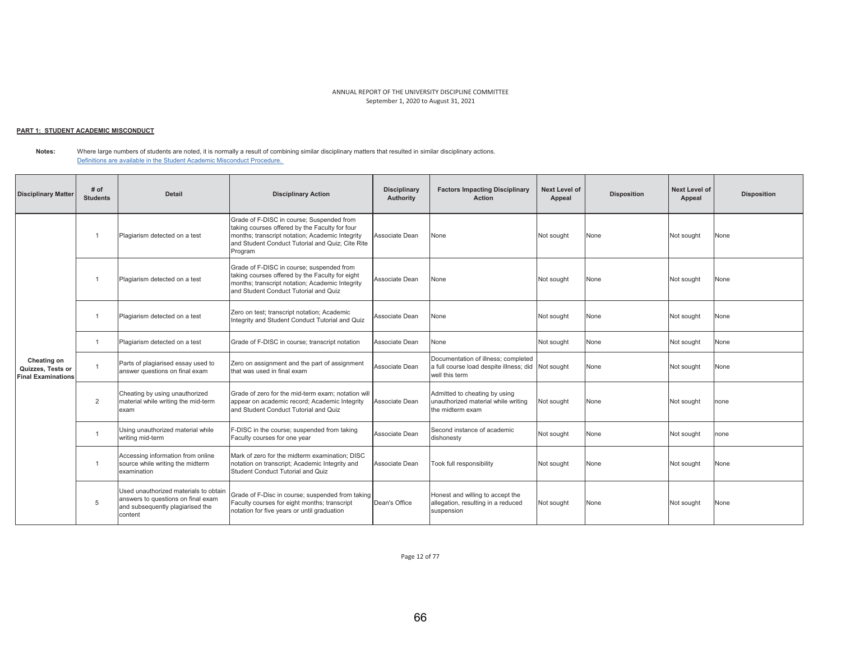## <u> PART 1: STUDENT ACADEMIC MISCONDUCT</u>

**Notes:**  Where large numbers of students are noted, it is normally a result of combining similar disciplinary matters that resulted in similar disciplinary actions. Definitions are available in the Student Academic Misconduct Procedure.

| <b>Disciplinary Matter</b>                                    | # of<br><b>Students</b> | <b>Detail</b>                                                                                                              | <b>Disciplinary Action</b>                                                                                                                                                                                    | <b>Disciplinary</b><br>Authority | <b>Factors Impacting Disciplinary</b><br><b>Action</b>                                           | <b>Next Level of</b><br>Appeal | <b>Disposition</b> | <b>Next Level of</b><br>Appeal | <b>Disposition</b> |
|---------------------------------------------------------------|-------------------------|----------------------------------------------------------------------------------------------------------------------------|---------------------------------------------------------------------------------------------------------------------------------------------------------------------------------------------------------------|----------------------------------|--------------------------------------------------------------------------------------------------|--------------------------------|--------------------|--------------------------------|--------------------|
|                                                               |                         | Plagiarism detected on a test                                                                                              | Grade of F-DISC in course; Suspended from<br>taking courses offered by the Faculty for four<br>months; transcript notation; Academic Integrity<br>and Student Conduct Tutorial and Quiz; Cite Rite<br>Program | Associate Dean                   | None                                                                                             | Not sought                     | None               | Not sought                     | None               |
|                                                               |                         | Plagiarism detected on a test                                                                                              | Grade of F-DISC in course; suspended from<br>taking courses offered by the Faculty for eight<br>months; transcript notation; Academic Integrity<br>and Student Conduct Tutorial and Quiz                      | Associate Dean                   | None                                                                                             | Not sought                     | None               | Not sought                     | None               |
|                                                               |                         | Plagiarism detected on a test                                                                                              | Zero on test; transcript notation; Academic<br>Integrity and Student Conduct Tutorial and Quiz                                                                                                                | Associate Dean                   | None                                                                                             | Not sought                     | None               | Not sought                     | None               |
|                                                               | $\overline{1}$          | Plagiarism detected on a test                                                                                              | Grade of F-DISC in course; transcript notation                                                                                                                                                                | Associate Dean                   | None                                                                                             | Not sought                     | None               | Not sought                     | None               |
| Cheating on<br>Quizzes, Tests or<br><b>Final Examinations</b> | $\overline{1}$          | Parts of plagiarised essay used to<br>answer questions on final exam                                                       | Zero on assignment and the part of assignment<br>that was used in final exam                                                                                                                                  | Associate Dean                   | Documentation of illness; completed<br>a full course load despite illness; did<br>well this term | Not sought                     | None               | Not sought                     | None               |
|                                                               | $\overline{2}$          | Cheating by using unauthorized<br>material while writing the mid-term<br>exam                                              | Grade of zero for the mid-term exam: notation will<br>appear on academic record; Academic Integrity<br>and Student Conduct Tutorial and Quiz                                                                  | Associate Dean                   | Admitted to cheating by using<br>unauthorized material while writing<br>the midterm exam         | Not sought                     | None               | Not sought                     | none               |
|                                                               |                         | Using unauthorized material while<br>writing mid-term                                                                      | F-DISC in the course; suspended from taking<br>Faculty courses for one year                                                                                                                                   | Associate Dean                   | Second instance of academic<br>dishonesty                                                        | Not sought                     | None               | Not sought                     | one                |
|                                                               | $\overline{1}$          | Accessing information from online<br>source while writing the midterm<br>examination                                       | Mark of zero for the midterm examination: DISC<br>notation on transcript; Academic Integrity and<br>Student Conduct Tutorial and Quiz                                                                         | Associate Dean                   | Took full responsibility                                                                         | Not sought                     | None               | Not sought                     | None               |
|                                                               | 5                       | Used unauthorized materials to obtain<br>answers to questions on final exam<br>and subsequently plagiarised the<br>content | Grade of F-Disc in course; suspended from taking<br>Faculty courses for eight months; transcript<br>notation for five years or until graduation                                                               | Dean's Office                    | Honest and willing to accept the<br>allegation, resulting in a reduced<br>suspension             | Not sought                     | None               | Not sought                     | None               |

Page 12 of 77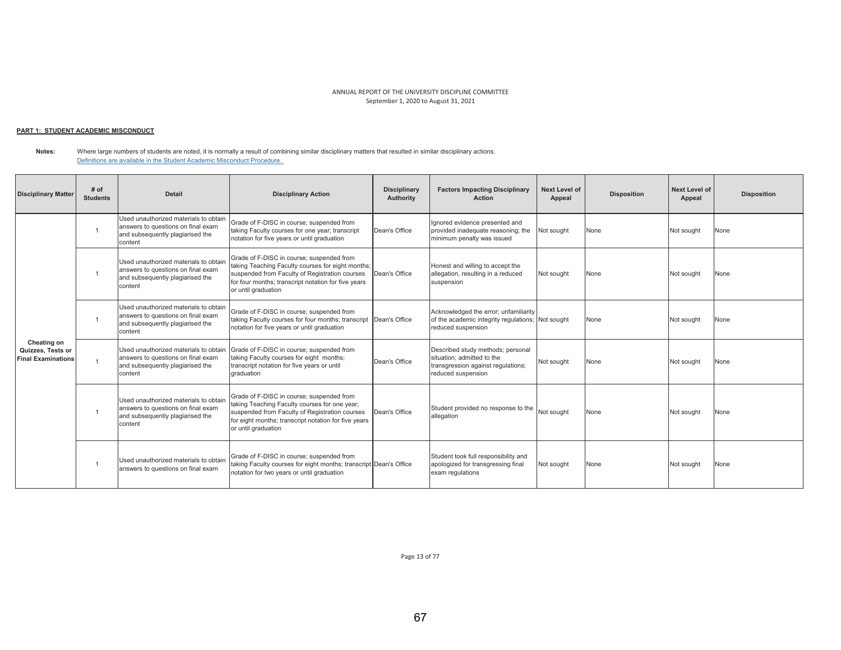# <u> PART 1: STUDENT ACADEMIC MISCONDUCT</u>

**Notes:**  Where large numbers of students are noted, it is normally a result of combining similar disciplinary matters that resulted in similar disciplinary actions. Definitions are available in the Student Academic Misconduct Procedure.

| <b>Disciplinary Matter</b>                                    | $#$ of<br><b>Students</b> | Detail                                                                                                                     | <b>Disciplinary Action</b>                                                                                                                                                                                                     | <b>Disciplinary</b><br>Authority | <b>Factors Impacting Disciplinary</b><br><b>Action</b>                                                                      | Next Level of<br>Appeal | <b>Disposition</b> | <b>Next Level of</b><br>Appeal | <b>Disposition</b> |
|---------------------------------------------------------------|---------------------------|----------------------------------------------------------------------------------------------------------------------------|--------------------------------------------------------------------------------------------------------------------------------------------------------------------------------------------------------------------------------|----------------------------------|-----------------------------------------------------------------------------------------------------------------------------|-------------------------|--------------------|--------------------------------|--------------------|
|                                                               |                           | Used unauthorized materials to obtain<br>answers to questions on final exam<br>and subsequently plagiarised the<br>content | Grade of F-DISC in course; suspended from<br>taking Faculty courses for one year; transcript<br>notation for five years or until graduation                                                                                    | Dean's Office                    | Ignored evidence presented and<br>provided inadequate reasoning; the<br>minimum penalty was issued                          | Not sought              | None               | Not sought                     | None               |
| Cheating on<br>Quizzes, Tests or<br><b>Final Examinations</b> |                           | Used unauthorized materials to obtain<br>answers to questions on final exam<br>and subsequently plagiarised the<br>content | Grade of F-DISC in course; suspended from<br>taking Teaching Faculty courses for eight months;<br>suspended from Faculty of Registration courses<br>for four months; transcript notation for five years<br>or until graduation | Dean's Office                    | Honest and willing to accept the<br>allegation, resulting in a reduced<br>suspension                                        | Not sought              | None               | Not sought                     | None               |
|                                                               |                           | Used unauthorized materials to obtain<br>answers to questions on final exam<br>and subsequently plagiarised the<br>content | Grade of F-DISC in course; suspended from<br>taking Faculty courses for four months; transcript Dean's Office<br>notation for five years or until graduation                                                                   |                                  | Acknowledged the error; unfamiliarity<br>of the academic integrity regulations; Not sought<br>reduced suspension            |                         | None               | Not sought                     | None               |
|                                                               |                           | Used unauthorized materials to obtain<br>answers to questions on final exam<br>and subsequently plagiarised the<br>content | Grade of F-DISC in course; suspended from<br>taking Faculty courses for eight months;<br>transcript notation for five years or until<br>graduation                                                                             | Dean's Office                    | Described study methods; personal<br>situation: admitted to the<br>transgression against regulations;<br>reduced suspension | Not sought              | None               | Not sought                     | None               |
|                                                               |                           | Used unauthorized materials to obtain<br>answers to questions on final exam<br>and subsequently plagiarised the<br>content | Grade of F-DISC in course; suspended from<br>taking Teaching Faculty courses for one year;<br>suspended from Faculty of Registration courses<br>for eight months; transcript notation for five years<br>or until graduation    | Dean's Office                    | Student provided no response to the<br>allegation                                                                           | Not sought              | None               | Not sought                     | None               |
|                                                               |                           | Used unauthorized materials to obtain<br>answers to questions on final exam                                                | Grade of F-DISC in course; suspended from<br>taking Faculty courses for eight months; transcript Dean's Office<br>notation for two years or until graduation                                                                   |                                  | Student took full responsibility and<br>apologized for transgressing final<br>exam regulations                              | Not sought              | None               | Not sought                     | None               |

Page 13 of 77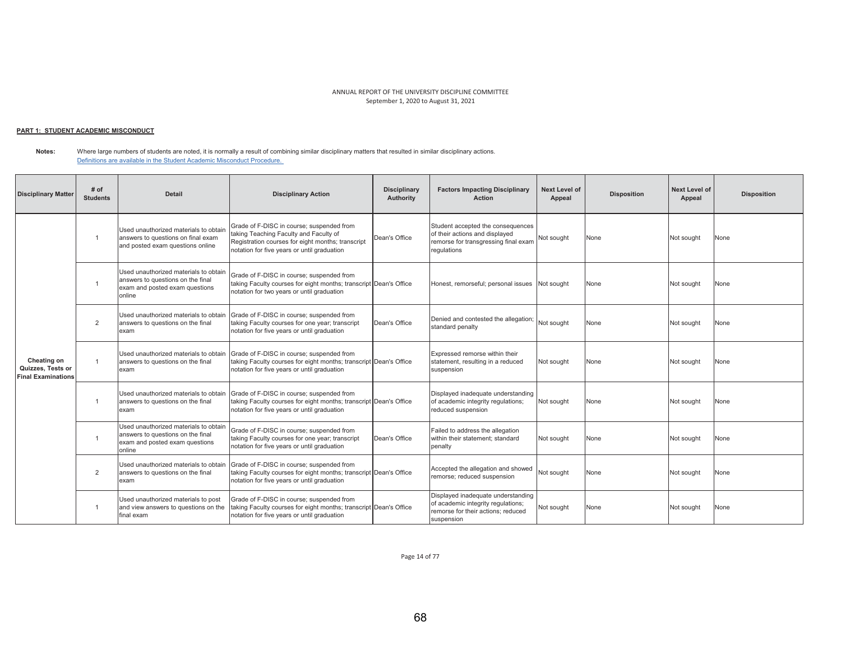# <u> PART 1: STUDENT ACADEMIC MISCONDUCT</u>

**Notes:**  Where large numbers of students are noted, it is normally a result of combining similar disciplinary matters that resulted in similar disciplinary actions. Definitions are available in the Student Academic Misconduct Procedure.

| <b>Disciplinary Matter</b>                                    | # of<br><b>Students</b> | <b>Detail</b>                                                                                                          | <b>Disciplinary Action</b>                                                                                                                                                              | <b>Disciplinary</b><br>Authority | <b>Factors Impacting Disciplinary</b><br><b>Action</b>                                                                       | <b>Next Level of</b><br>Appeal | <b>Disposition</b> | <b>Next Level of</b><br>Appeal | <b>Disposition</b> |
|---------------------------------------------------------------|-------------------------|------------------------------------------------------------------------------------------------------------------------|-----------------------------------------------------------------------------------------------------------------------------------------------------------------------------------------|----------------------------------|------------------------------------------------------------------------------------------------------------------------------|--------------------------------|--------------------|--------------------------------|--------------------|
|                                                               | $\overline{1}$          | Used unauthorized materials to obtain<br>answers to questions on final exam<br>and posted exam questions online        | Grade of F-DISC in course; suspended from<br>taking Teaching Faculty and Faculty of<br>Registration courses for eight months; transcript<br>notation for five years or until graduation | Dean's Office                    | Student accepted the consequences<br>of their actions and displayed<br>remorse for transgressing final exam<br>regulations   | Not sought                     | None               | Not sought                     | None               |
| Cheating on<br>Quizzes, Tests or<br><b>Final Examinations</b> |                         | Used unauthorized materials to obtain<br>answers to questions on the final<br>exam and posted exam questions<br>online | Grade of F-DISC in course; suspended from<br>taking Faculty courses for eight months; transcript Dean's Office<br>notation for two years or until graduation                            |                                  | Honest, remorseful; personal issues Not sought                                                                               |                                | None               | Not sought                     | None               |
|                                                               | 2                       | Used unauthorized materials to obtain<br>answers to questions on the final<br>exam                                     | Grade of F-DISC in course; suspended from<br>taking Faculty courses for one year; transcript<br>notation for five years or until graduation                                             | Dean's Office                    | Denied and contested the allegation;<br>standard penalty                                                                     | Not sought                     | None               | Not sought                     | None               |
|                                                               | $\overline{1}$          | Used unauthorized materials to obtain<br>answers to questions on the final<br>exam                                     | Grade of F-DISC in course; suspended from<br>taking Faculty courses for eight months; transcript Dean's Office<br>notation for five years or until graduation                           |                                  | Expressed remorse within their<br>statement, resulting in a reduced<br>suspension                                            | Not sought                     | None               | Not sought                     | None               |
|                                                               | $\overline{1}$          | Used unauthorized materials to obtain<br>answers to questions on the final<br>exam                                     | Grade of F-DISC in course; suspended from<br>taking Faculty courses for eight months; transcript Dean's Office<br>notation for five years or until graduation                           |                                  | Displayed inadequate understanding<br>of academic integrity regulations;<br>reduced suspension                               | Not sought                     | None               | Not sought                     | None               |
|                                                               | $\overline{1}$          | Used unauthorized materials to obtain<br>answers to questions on the final<br>exam and posted exam questions<br>online | Grade of F-DISC in course; suspended from<br>taking Faculty courses for one year; transcript<br>notation for five years or until graduation                                             | Dean's Office                    | Failed to address the allegation<br>within their statement; standard<br>penalty                                              | Not sought                     | None               | Not sought                     | None               |
|                                                               | 2                       | Used unauthorized materials to obtain<br>answers to questions on the final<br>exam                                     | Grade of F-DISC in course; suspended from<br>taking Faculty courses for eight months; transcript Dean's Office<br>notation for five years or until graduation                           |                                  | Accepted the allegation and showed<br>remorse; reduced suspension                                                            | Not sought                     | None               | Not sought                     | None               |
|                                                               |                         | Used unauthorized materials to post<br>and view answers to questions on the<br>final exam                              | Grade of F-DISC in course; suspended from<br>taking Faculty courses for eight months; transcript Dean's Office<br>notation for five years or until graduation                           |                                  | Displayed inadequate understanding<br>of academic integrity regulations;<br>remorse for their actions: reduced<br>suspension | Not sought                     | None               | Not sought                     | None               |

Page 14 of 77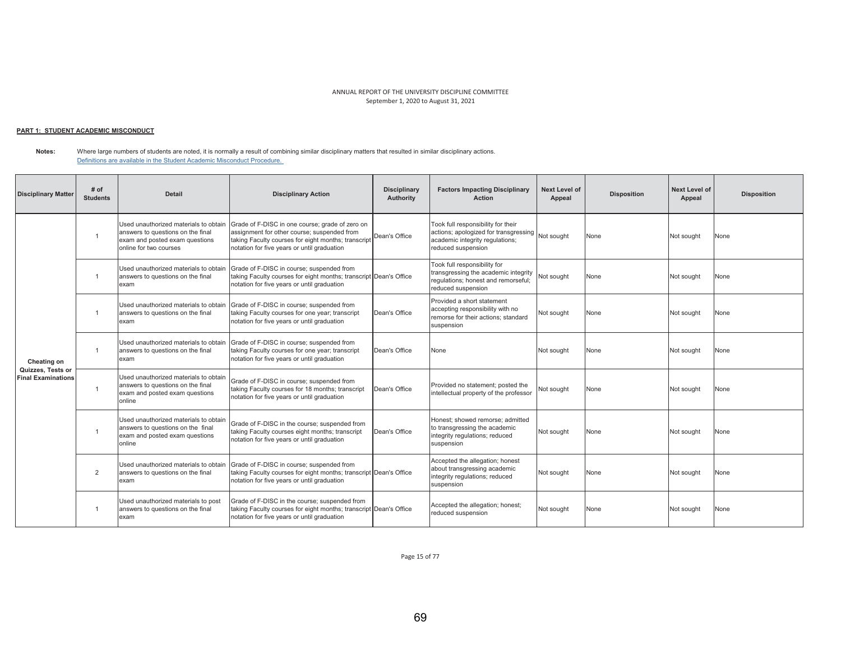## <u> PART 1: STUDENT ACADEMIC MISCONDUCT</u>

**Notes:**  Where large numbers of students are noted, it is normally a result of combining similar disciplinary matters that resulted in similar disciplinary actions. Definitions are available in the Student Academic Misconduct Procedure.

| <b>Disciplinary Matter</b>                     | # of<br><b>Students</b> | <b>Detail</b>                                                                                                                          | <b>Disciplinary Action</b>                                                                                                                                                                           | <b>Disciplinary</b><br>Authority | <b>Factors Impacting Disciplinary</b><br><b>Action</b>                                                                                          | <b>Next Level of</b><br>Appeal | <b>Disposition</b> | <b>Next Level of</b><br>Appeal | <b>Disposition</b> |
|------------------------------------------------|-------------------------|----------------------------------------------------------------------------------------------------------------------------------------|------------------------------------------------------------------------------------------------------------------------------------------------------------------------------------------------------|----------------------------------|-------------------------------------------------------------------------------------------------------------------------------------------------|--------------------------------|--------------------|--------------------------------|--------------------|
|                                                | $\overline{1}$          | Used unauthorized materials to obtain<br>answers to questions on the final<br>exam and posted exam questions<br>online for two courses | Grade of F-DISC in one course; grade of zero on<br>assignment for other course; suspended from<br>taking Faculty courses for eight months; transcript<br>notation for five years or until graduation | Dean's Office                    | Took full responsibility for their<br>actions; apologized for transgressing Not sought<br>academic integrity regulations;<br>reduced suspension |                                | None               | Not sought                     | None               |
| Cheating on                                    | $\overline{1}$          | Used unauthorized materials to obtain<br>answers to questions on the final<br>exam                                                     | Grade of F-DISC in course; suspended from<br>taking Faculty courses for eight months; transcript Dean's Office<br>notation for five years or until graduation                                        |                                  | Took full responsibility for<br>transgressing the academic integrity<br>regulations; honest and remorseful;<br>reduced suspension               | Not sought                     | None               | Not sought                     | None               |
|                                                | $\overline{1}$          | Used unauthorized materials to obtain<br>answers to questions on the final<br>exam                                                     | Grade of F-DISC in course; suspended from<br>taking Faculty courses for one year; transcript<br>notation for five years or until graduation                                                          | Dean's Office                    | Provided a short statement<br>accepting responsibility with no<br>remorse for their actions; standard<br>suspension                             | Not sought                     | None               | Not sought                     | None               |
|                                                | $\overline{1}$          | Used unauthorized materials to obtain<br>answers to questions on the final<br>exam                                                     | Grade of F-DISC in course; suspended from<br>taking Faculty courses for one year; transcript<br>notation for five years or until graduation                                                          | Dean's Office                    | None                                                                                                                                            | Not sought                     | None               | Not sought                     | None               |
| Quizzes, Tests or<br><b>Final Examinations</b> | $\overline{1}$          | Used unauthorized materials to obtain<br>answers to questions on the final<br>exam and posted exam questions<br>online                 | Grade of F-DISC in course; suspended from<br>taking Faculty courses for 18 months; transcript<br>notation for five years or until graduation                                                         | Dean's Office                    | Provided no statement; posted the<br>intellectual property of the professor                                                                     | Not sought                     | None               | Not sought                     | None               |
|                                                |                         | Used unauthorized materials to obtain<br>answers to questions on the final<br>exam and posted exam questions<br>online                 | Grade of F-DISC in the course; suspended from<br>taking Faculty courses eight months; transcript<br>notation for five years or until graduation                                                      | Dean's Office                    | Honest: showed remorse: admitted<br>to transgressing the academic<br>integrity regulations; reduced<br>suspension                               | Not sought                     | None               | Not sought                     | None               |
|                                                | $\overline{2}$          | Used unauthorized materials to obtain<br>answers to questions on the final<br>exam                                                     | Grade of F-DISC in course; suspended from<br>taking Faculty courses for eight months; transcript Dean's Office<br>notation for five years or until graduation                                        |                                  | Accepted the allegation; honest<br>about transgressing academic<br>integrity regulations; reduced<br>suspension                                 | Not sought                     | None               | Not sought                     | None               |
|                                                |                         | Used unauthorized materials to post<br>answers to questions on the final<br>exam                                                       | Grade of F-DISC in the course; suspended from<br>taking Faculty courses for eight months; transcript Dean's Office<br>notation for five years or until graduation                                    |                                  | Accepted the allegation; honest;<br>reduced suspension                                                                                          | Not sought                     | None               | Not sought                     | None               |

Page 15 of 77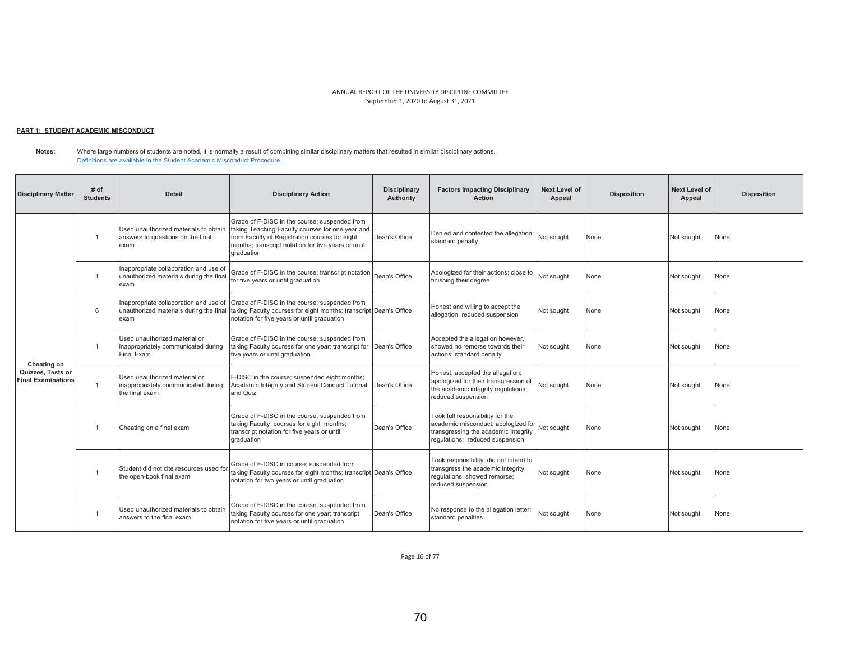## <u> PART 1: STUDENT ACADEMIC MISCONDUCT</u>

**Notes:**  Where large numbers of students are noted, it is normally a result of combining similar disciplinary matters that resulted in similar disciplinary actions. Definitions are available in the Student Academic Misconduct Procedure.

| <b>Disciplinary Matter</b>                                    | # of<br><b>Students</b> | <b>Detail</b>                                                                             | <b>Disciplinary Action</b>                                                                                                                                                                                               | <b>Disciplinary</b><br>Authority | <b>Factors Impacting Disciplinary</b><br><b>Action</b>                                                                                             | Next Level of<br>Appeal | <b>Disposition</b> | <b>Next Level of</b><br>Appeal | <b>Disposition</b> |
|---------------------------------------------------------------|-------------------------|-------------------------------------------------------------------------------------------|--------------------------------------------------------------------------------------------------------------------------------------------------------------------------------------------------------------------------|----------------------------------|----------------------------------------------------------------------------------------------------------------------------------------------------|-------------------------|--------------------|--------------------------------|--------------------|
|                                                               | $\overline{1}$          | Used unauthorized materials to obtain<br>answers to questions on the final<br>exam        | Grade of F-DISC in the course; suspended from<br>taking Teaching Faculty courses for one year and<br>from Faculty of Registration courses for eight<br>months; transcript notation for five years or until<br>draduation | Dean's Office                    | Denied and contested the allegation;<br>standard penalty                                                                                           | Not sought              | None               | Not sought                     | None               |
|                                                               | $\overline{1}$          | Inappropriate collaboration and use of<br>unauthorized materials during the final<br>exam | Grade of F-DISC in the course: transcript notation<br>for five years or until graduation                                                                                                                                 | Dean's Office                    | Apologized for their actions: close to<br>finishing their degree                                                                                   | Not sought              | None               | Not sought                     | None               |
| Cheating on<br>Quizzes, Tests or<br><b>Final Examinations</b> | 6                       | Inappropriate collaboration and use of<br>unauthorized materials during the final<br>exam | Grade of F-DISC in the course: suspended from<br>taking Faculty courses for eight months; transcript Dean's Office<br>notation for five years or until graduation                                                        |                                  | Honest and willing to accept the<br>allegation; reduced suspension                                                                                 | Not sought              | None               | Not sought                     | None               |
|                                                               | $\overline{1}$          | Used unauthorized material or<br>inappropriately communicated during<br>Final Exam        | Grade of F-DISC in the course; suspended from<br>taking Faculty courses for one year; transcript for Dean's Office<br>five years or until graduation                                                                     |                                  | Accepted the allegation however,<br>showed no remorse towards their<br>actions; standard penalty                                                   | Not sought              | None               | Not sought                     | None               |
|                                                               | $\overline{1}$          | Used unauthorized material or<br>inappropriately communicated during<br>the final exam    | F-DISC in the course; suspended eight months;<br>Academic Integrity and Student Conduct Tutorial<br>and Quiz                                                                                                             | Dean's Office                    | Honest, accepted the allegation;<br>apologized for their transgression of<br>the academic integrity regulations;<br>reduced suspension             | Not sought              | None               | Not sought                     | None               |
|                                                               |                         | Cheating on a final exam                                                                  | Grade of F-DISC in the course; suspended from<br>taking Faculty courses for eight months;<br>transcript notation for five years or until<br>draduation                                                                   | Dean's Office                    | Took full responsibility for the<br>academic misconduct; apologized for<br>transgressing the academic integrity<br>regulations; reduced suspension | Not sought              | None               | Not sought                     | None               |
|                                                               |                         | Student did not cite resources used for<br>the open-book final exam                       | Grade of F-DISC in course; suspended from<br>taking Faculty courses for eight months; transcript Dean's Office<br>notation for two years or until graduation                                                             |                                  | Took responsibility; did not intend to<br>transgress the academic integrity<br>requlations; showed remorse;<br>reduced suspension                  | Not sought              | None               | Not sought                     | None               |
|                                                               |                         | Used unauthorized materials to obtain<br>answers to the final exam                        | Grade of F-DISC in the course; suspended from<br>taking Faculty courses for one year; transcript<br>notation for five years or until graduation                                                                          | Dean's Office                    | No response to the allegation letter;<br>standard penalties                                                                                        | Not sought              | None               | Not sought                     | None               |

Page 16 of 77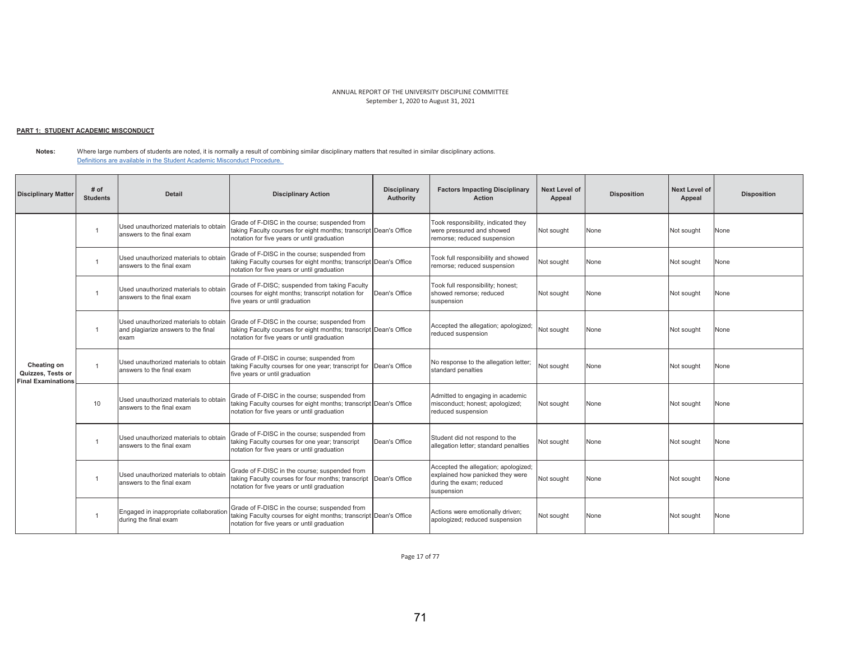## <u> PART 1: STUDENT ACADEMIC MISCONDUCT</u>

**Notes:**  Where large numbers of students are noted, it is normally a result of combining similar disciplinary matters that resulted in similar disciplinary actions. Definitions are available in the Student Academic Misconduct Procedure.

| <b>Disciplinary Matter</b>                                    | # of<br><b>Students</b> | <b>Detail</b>                                                                        | <b>Disciplinary Action</b>                                                                                                                                        | <b>Disciplinary</b><br>Authority | <b>Factors Impacting Disciplinary</b><br><b>Action</b>                                                             | Next Level of<br>Appeal | <b>Disposition</b> | <b>Next Level of</b><br>Appeal | <b>Disposition</b> |
|---------------------------------------------------------------|-------------------------|--------------------------------------------------------------------------------------|-------------------------------------------------------------------------------------------------------------------------------------------------------------------|----------------------------------|--------------------------------------------------------------------------------------------------------------------|-------------------------|--------------------|--------------------------------|--------------------|
|                                                               |                         | Used unauthorized materials to obtain<br>answers to the final exam                   | Grade of F-DISC in the course; suspended from<br>taking Faculty courses for eight months; transcript Dean's Office<br>notation for five years or until graduation |                                  | Took responsibility, indicated they<br>were pressured and showed<br>remorse; reduced suspension                    | Not sought              | None               | Not sought                     | None               |
|                                                               | $\overline{1}$          | Used unauthorized materials to obtain<br>answers to the final exam                   | Grade of F-DISC in the course; suspended from<br>taking Faculty courses for eight months; transcript Dean's Office<br>notation for five years or until graduation |                                  | Took full responsibility and showed<br>remorse; reduced suspension                                                 | Not sought              | None               | Not sought                     | None               |
| Cheating on<br>Quizzes, Tests or<br><b>Final Examinations</b> |                         | Used unauthorized materials to obtain<br>answers to the final exam                   | Grade of F-DISC; suspended from taking Faculty<br>courses for eight months; transcript notation for<br>five years or until graduation                             | Dean's Office                    | Took full responsibility; honest;<br>showed remorse: reduced<br>suspension                                         | Not sought              | None               | Not sought                     | None               |
|                                                               | $\overline{1}$          | Used unauthorized materials to obtain<br>and plagiarize answers to the final<br>exam | Grade of F-DISC in the course; suspended from<br>taking Faculty courses for eight months; transcript Dean's Office<br>notation for five years or until graduation |                                  | Accepted the allegation; apologized;<br>reduced suspension                                                         | Not sought              | None               | Not sought                     | None               |
|                                                               | $\overline{1}$          | Used unauthorized materials to obtain<br>answers to the final exam                   | Grade of F-DISC in course; suspended from<br>taking Faculty courses for one year; transcript for Dean's Office<br>five years or until graduation                  |                                  | No response to the allegation letter;<br>standard penalties                                                        | Not sought              | None               | Not sought                     | None               |
|                                                               | 10                      | Used unauthorized materials to obtain<br>answers to the final exam                   | Grade of F-DISC in the course; suspended from<br>taking Faculty courses for eight months; transcript Dean's Office<br>notation for five years or until graduation |                                  | Admitted to engaging in academic<br>misconduct; honest; apologized;<br>reduced suspension                          | Not sought              | None               | Not sought                     | None               |
|                                                               |                         | Used unauthorized materials to obtain<br>answers to the final exam                   | Grade of F-DISC in the course; suspended from<br>taking Faculty courses for one year; transcript<br>notation for five years or until graduation                   | Dean's Office                    | Student did not respond to the<br>allegation letter; standard penalties                                            | Not sought              | None               | Not sought                     | None               |
|                                                               | $\overline{1}$          | Used unauthorized materials to obtain<br>answers to the final exam                   | Grade of F-DISC in the course; suspended from<br>taking Faculty courses for four months; transcript Dean's Office<br>notation for five years or until graduation  |                                  | Accepted the allegation; apologized;<br>explained how panicked they were<br>during the exam: reduced<br>suspension | Not sought              | None               | Not sought                     | None               |
|                                                               |                         | Engaged in inappropriate collaboration<br>during the final exam                      | Grade of F-DISC in the course; suspended from<br>taking Faculty courses for eight months; transcript Dean's Office<br>notation for five years or until graduation |                                  | Actions were emotionally driven;<br>apologized; reduced suspension                                                 | Not sought              | None               | Not sought                     | None               |

Page 17 of 77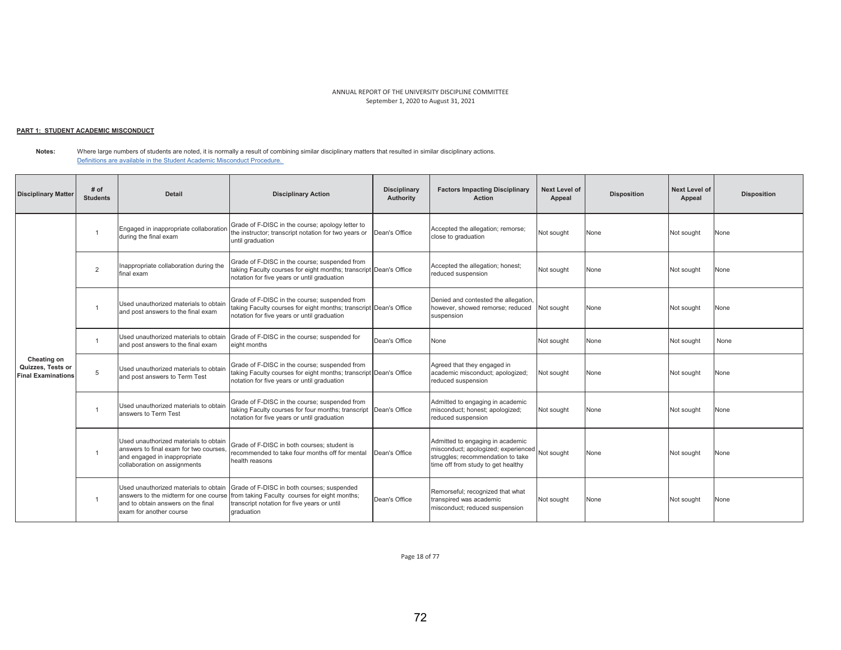## <u> PART 1: STUDENT ACADEMIC MISCONDUCT</u>

**Notes:**  Where large numbers of students are noted, it is normally a result of combining similar disciplinary matters that resulted in similar disciplinary actions. Definitions are available in the Student Academic Misconduct Procedure.

| <b>Disciplinary Matter</b>                                    | # of<br><b>Students</b> | <b>Detail</b>                                                                                                                                   | <b>Disciplinary Action</b>                                                                                                                                        | <b>Disciplinary</b><br>Authority | <b>Factors Impacting Disciplinary</b><br><b>Action</b>                                                                                             | <b>Next Level of</b><br>Appeal | <b>Disposition</b> | <b>Next Level of</b><br>Appeal | <b>Disposition</b> |
|---------------------------------------------------------------|-------------------------|-------------------------------------------------------------------------------------------------------------------------------------------------|-------------------------------------------------------------------------------------------------------------------------------------------------------------------|----------------------------------|----------------------------------------------------------------------------------------------------------------------------------------------------|--------------------------------|--------------------|--------------------------------|--------------------|
|                                                               | - 1                     | Engaged in inappropriate collaboration<br>during the final exam                                                                                 | Grade of F-DISC in the course; apology letter to<br>the instructor; transcript notation for two years or<br>until graduation                                      | Dean's Office                    | Accepted the allegation; remorse;<br>close to graduation                                                                                           | Not sought                     | None               | Not sought                     | None               |
|                                                               | $\overline{2}$          | Inappropriate collaboration during the<br>final exam                                                                                            | Grade of F-DISC in the course; suspended from<br>taking Faculty courses for eight months; transcript Dean's Office<br>notation for five years or until graduation |                                  | Accepted the allegation; honest;<br>reduced suspension                                                                                             | Not sought                     | None               | Not sought                     | None               |
|                                                               |                         | Used unauthorized materials to obtain<br>and post answers to the final exam                                                                     | Grade of F-DISC in the course; suspended from<br>taking Faculty courses for eight months; transcript Dean's Office<br>notation for five years or until graduation |                                  | Denied and contested the allegation,<br>however, showed remorse; reduced<br>suspension                                                             | Not sought                     | None               | Not sought                     | None               |
| Cheating on<br>Quizzes, Tests or<br><b>Final Examinations</b> | $\overline{1}$          | Used unauthorized materials to obtain<br>and post answers to the final exam                                                                     | Grade of F-DISC in the course; suspended for<br>eight months                                                                                                      | Dean's Office                    | None                                                                                                                                               | Not sought                     | None               | Not sought                     | None               |
|                                                               | 5                       | Used unauthorized materials to obtain<br>and post answers to Term Test                                                                          | Grade of F-DISC in the course; suspended from<br>taking Faculty courses for eight months; transcript Dean's Office<br>notation for five years or until graduation |                                  | Agreed that they engaged in<br>academic misconduct; apologized;<br>reduced suspension                                                              | Not sought                     | None               | Not sought                     | None               |
|                                                               | $\overline{1}$          | Used unauthorized materials to obtain<br>answers to Term Test                                                                                   | Grade of F-DISC in the course; suspended from<br>taking Faculty courses for four months; transcript Dean's Office<br>notation for five years or until graduation  |                                  | Admitted to engaging in academic<br>misconduct; honest; apologized;<br>reduced suspension                                                          | Not sought                     | None               | Not sought                     | None               |
|                                                               | -1                      | Used unauthorized materials to obtain<br>answers to final exam for two courses,<br>and engaged in inappropriate<br>collaboration on assignments | Grade of F-DISC in both courses: student is<br>recommended to take four months off for mental<br>health reasons                                                   | Dean's Office                    | Admitted to engaging in academic<br>misconduct; apologized; experienced<br>struggles; recommendation to take<br>time off from study to get healthy | Not sought                     | None               | Not sought                     | None               |
|                                                               | -1                      | Used unauthorized materials to obtain<br>answers to the midterm for one course<br>and to obtain answers on the final<br>exam for another course | Grade of F-DISC in both courses; suspended<br>from taking Faculty courses for eight months;<br>transcript notation for five years or until<br>graduation          | Dean's Office                    | Remorseful; recognized that what<br>transpired was academic<br>misconduct; reduced suspension                                                      | Not sought                     | None               | Not sought                     | None               |

Page 18 of 77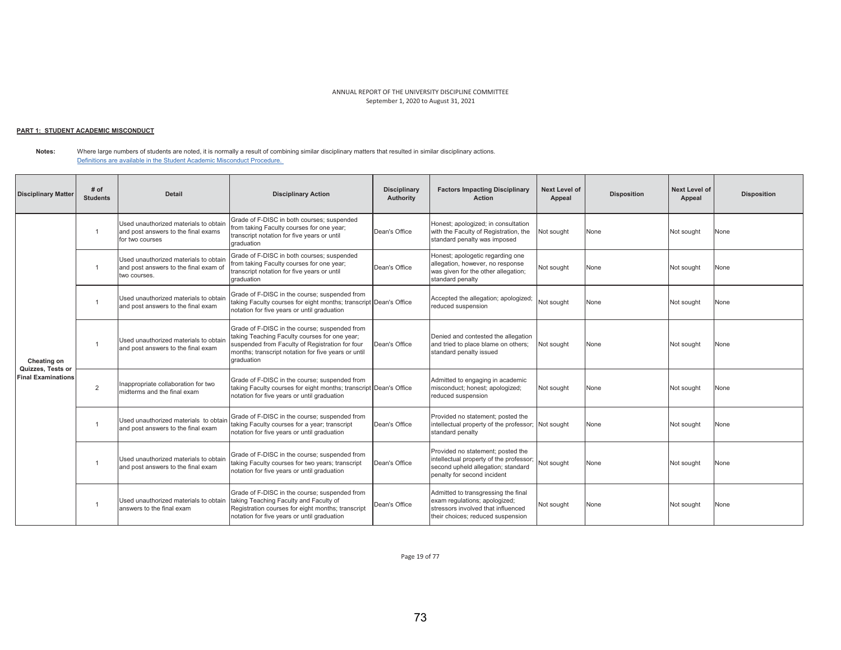## <u> PART 1: STUDENT ACADEMIC MISCONDUCT</u>

**Notes:**  Where large numbers of students are noted, it is normally a result of combining similar disciplinary matters that resulted in similar disciplinary actions. Definitions are available in the Student Academic Misconduct Procedure.

| <b>Disciplinary Matter</b>                     | # of<br><b>Students</b> | <b>Detail</b>                                                                                   | <b>Disciplinary Action</b>                                                                                                                                                                                             | <b>Disciplinary</b><br>Authority | <b>Factors Impacting Disciplinary</b><br><b>Action</b>                                                                                            | <b>Next Level of</b><br>Appeal | <b>Disposition</b> | <b>Next Level of</b><br>Appeal | <b>Disposition</b> |
|------------------------------------------------|-------------------------|-------------------------------------------------------------------------------------------------|------------------------------------------------------------------------------------------------------------------------------------------------------------------------------------------------------------------------|----------------------------------|---------------------------------------------------------------------------------------------------------------------------------------------------|--------------------------------|--------------------|--------------------------------|--------------------|
|                                                | $\overline{1}$          | Used unauthorized materials to obtain<br>and post answers to the final exams<br>for two courses | Grade of F-DISC in both courses; suspended<br>from taking Faculty courses for one year;<br>transcript notation for five years or until<br>graduation                                                                   | Dean's Office                    | Honest; apologized; in consultation<br>with the Faculty of Registration, the<br>standard penalty was imposed                                      | Not sought                     | None               | Not sought                     | None               |
| Cheating on                                    | $\overline{1}$          | Used unauthorized materials to obtain<br>and post answers to the final exam of<br>two courses.  | Grade of F-DISC in both courses; suspended<br>from taking Faculty courses for one year;<br>transcript notation for five years or until<br>draduation                                                                   | Dean's Office                    | Honest; apologetic regarding one<br>allegation, however, no response<br>was given for the other allegation;<br>standard penalty                   | Not sought                     | None               | Not sought                     | None               |
|                                                | $\overline{1}$          | Used unauthorized materials to obtain<br>and post answers to the final exam                     | Grade of F-DISC in the course; suspended from<br>taking Faculty courses for eight months; transcript Dean's Office<br>notation for five years or until graduation                                                      |                                  | Accepted the allegation; apologized;<br>reduced suspension                                                                                        | Not sought                     | None               | Not sought                     | None               |
|                                                |                         | Used unauthorized materials to obtain<br>and post answers to the final exam                     | Grade of F-DISC in the course; suspended from<br>taking Teaching Faculty courses for one year;<br>suspended from Faculty of Registration for four<br>months; transcript notation for five years or until<br>graduation | Dean's Office                    | Denied and contested the allegation<br>and tried to place blame on others:<br>standard penalty issued                                             | Not sought                     | None               | Not sought                     | None               |
| Quizzes, Tests or<br><b>Final Examinations</b> | $\overline{2}$          | Inappropriate collaboration for two<br>midterms and the final exam                              | Grade of F-DISC in the course; suspended from<br>taking Faculty courses for eight months; transcript Dean's Office<br>notation for five years or until graduation                                                      |                                  | Admitted to engaging in academic<br>misconduct; honest; apologized;<br>reduced suspension                                                         | Not sought                     | None               | Not sought                     | None               |
|                                                | $\overline{1}$          | Used unauthorized materials to obtair<br>and post answers to the final exam                     | Grade of F-DISC in the course: suspended from<br>taking Faculty courses for a year; transcript<br>notation for five years or until graduation                                                                          | Dean's Office                    | Provided no statement; posted the<br>intellectual property of the professor; Not sought<br>standard penalty                                       |                                | None               | Not sought                     | None               |
|                                                |                         | Used unauthorized materials to obtain<br>and post answers to the final exam                     | Grade of F-DISC in the course; suspended from<br>taking Faculty courses for two years; transcript<br>notation for five years or until graduation                                                                       | Dean's Office                    | Provided no statement; posted the<br>intellectual property of the professor;<br>second upheld allegation; standard<br>penalty for second incident | Not souaht                     | None               | Not sought                     | None               |
|                                                |                         | Used unauthorized materials to obtain<br>answers to the final exam                              | Grade of F-DISC in the course; suspended from<br>taking Teaching Faculty and Faculty of<br>Registration courses for eight months; transcript<br>notation for five years or until graduation                            | Dean's Office                    | Admitted to transgressing the final<br>exam regulations; apologized;<br>stressors involved that influenced<br>their choices; reduced suspension   | Not sought                     | None               | Not sought                     | None               |

Page 19 of 77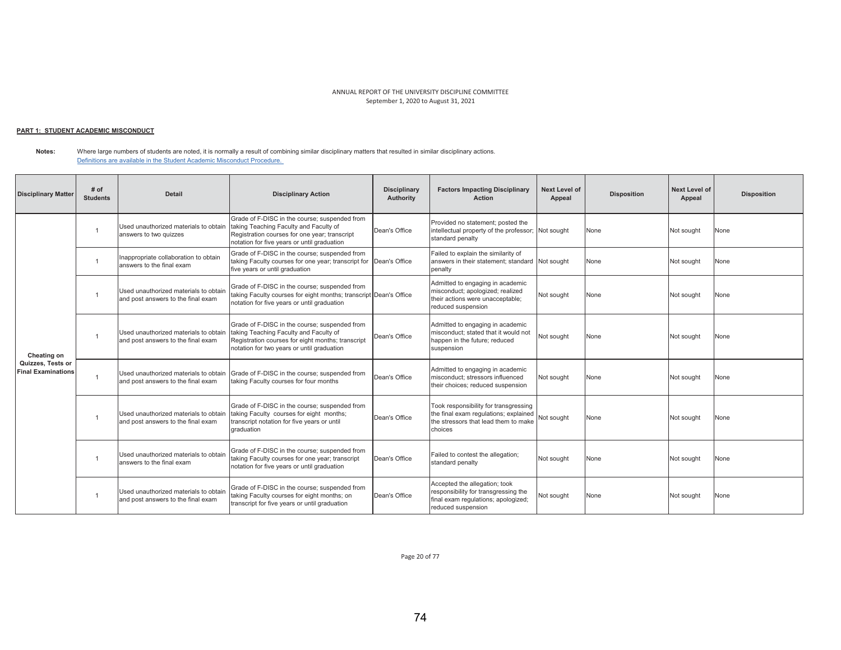## <u> PART 1: STUDENT ACADEMIC MISCONDUCT</u>

**Notes:**  Where large numbers of students are noted, it is normally a result of combining similar disciplinary matters that resulted in similar disciplinary actions. Definitions are available in the Student Academic Misconduct Procedure.

| <b>Disciplinary Matter</b>                     | # of<br><b>Students</b> | <b>Detail</b>                                                               | <b>Disciplinary Action</b>                                                                                                                                                                 | <b>Disciplinary</b><br>Authority | <b>Factors Impacting Disciplinary</b><br><b>Action</b>                                                                             | Next Level of<br>Appeal | <b>Disposition</b> | Next Level of<br>Appeal | <b>Disposition</b> |
|------------------------------------------------|-------------------------|-----------------------------------------------------------------------------|--------------------------------------------------------------------------------------------------------------------------------------------------------------------------------------------|----------------------------------|------------------------------------------------------------------------------------------------------------------------------------|-------------------------|--------------------|-------------------------|--------------------|
|                                                |                         | Used unauthorized materials to obtain<br>answers to two quizzes             | Grade of F-DISC in the course; suspended from<br>taking Teaching Faculty and Faculty of<br>Registration courses for one year; transcript<br>notation for five years or until graduation    | Dean's Office                    | Provided no statement; posted the<br>intellectual property of the professor;<br>standard penalty                                   | Not sought              | None               | Not sought              | None               |
|                                                |                         | Inappropriate collaboration to obtain<br>answers to the final exam          | Grade of F-DISC in the course: suspended from<br>taking Faculty courses for one year; transcript for Dean's Office<br>five years or until graduation                                       |                                  | Failed to explain the similarity of<br>answers in their statement; standard Not sought<br>penalty                                  |                         | None               | Not sought              | None               |
| Cheating on                                    |                         | Used unauthorized materials to obtain<br>and post answers to the final exam | Grade of F-DISC in the course: suspended from<br>taking Faculty courses for eight months; transcript Dean's Office<br>notation for five years or until graduation                          |                                  | Admitted to engaging in academic<br>misconduct; apologized; realized<br>their actions were unacceptable;<br>reduced suspension     | Not sought              | None               | Not sought              | None               |
|                                                |                         | Used unauthorized materials to obtain<br>and post answers to the final exam | Grade of F-DISC in the course; suspended from<br>taking Teaching Faculty and Faculty of<br>Registration courses for eight months; transcript<br>notation for two years or until graduation | Dean's Office                    | Admitted to engaging in academic<br>misconduct: stated that it would not<br>happen in the future: reduced<br>suspension            | Not sought              | None               | Not sought              | None               |
| Quizzes, Tests or<br><b>Final Examinations</b> |                         | Used unauthorized materials to obtain<br>and post answers to the final exam | Grade of F-DISC in the course; suspended from<br>taking Faculty courses for four months                                                                                                    | Dean's Office                    | Admitted to engaging in academic<br>misconduct; stressors influenced<br>their choices; reduced suspension                          | Not sought              | None               | Not sought              | None               |
|                                                |                         | Used unauthorized materials to obtain<br>and post answers to the final exam | Grade of F-DISC in the course; suspended from<br>taking Faculty courses for eight months;<br>transcript notation for five years or until<br>graduation                                     | Dean's Office                    | Took responsibility for transgressing<br>the final exam regulations; explained<br>the stressors that lead them to make<br>choices  | Not sought              | None               | Not sought              | None               |
|                                                |                         | Used unauthorized materials to obtain<br>answers to the final exam          | Grade of F-DISC in the course; suspended from<br>taking Faculty courses for one year; transcript<br>notation for five years or until graduation                                            | Dean's Office                    | Failed to contest the allegation;<br>standard penalty                                                                              | Not sought              | None               | Not sought              | None               |
|                                                |                         | Used unauthorized materials to obtain<br>and post answers to the final exam | Grade of F-DISC in the course; suspended from<br>taking Faculty courses for eight months; on<br>transcript for five years or until graduation                                              | Dean's Office                    | Accepted the allegation; took<br>responsibility for transgressing the<br>final exam regulations; apologized;<br>reduced suspension | Not sought              | None               | Not sought              | None               |

Page 20 of 77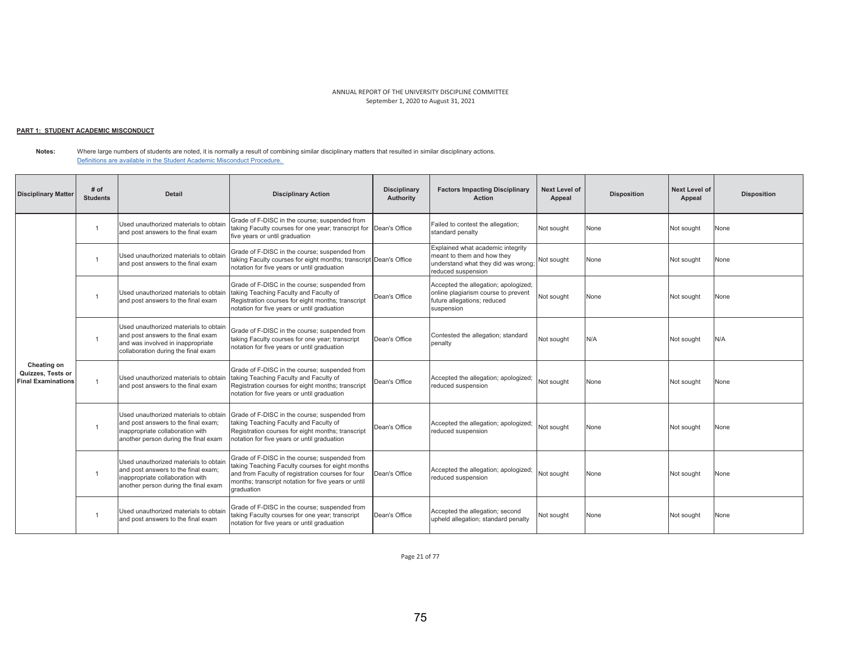# <u> PART 1: STUDENT ACADEMIC MISCONDUCT</u>

**Notes:**  Where large numbers of students are noted, it is normally a result of combining similar disciplinary matters that resulted in similar disciplinary actions. Definitions are available in the Student Academic Misconduct Procedure.

| <b>Disciplinary Matter</b>                                    | # of<br><b>Students</b> | <b>Detail</b>                                                                                                                                            | <b>Disciplinary Action</b>                                                                                                                                                                                                  | <b>Disciplinary</b><br>Authority | <b>Factors Impacting Disciplinary</b><br><b>Action</b>                                                                       | <b>Next Level of</b><br>Appeal | <b>Disposition</b> | <b>Next Level of</b><br>Appeal | <b>Disposition</b> |
|---------------------------------------------------------------|-------------------------|----------------------------------------------------------------------------------------------------------------------------------------------------------|-----------------------------------------------------------------------------------------------------------------------------------------------------------------------------------------------------------------------------|----------------------------------|------------------------------------------------------------------------------------------------------------------------------|--------------------------------|--------------------|--------------------------------|--------------------|
|                                                               |                         | Used unauthorized materials to obtain<br>and post answers to the final exam                                                                              | Grade of F-DISC in the course; suspended from<br>taking Faculty courses for one year; transcript for<br>five years or until graduation                                                                                      | Dean's Office                    | Failed to contest the allegation;<br>standard penalty                                                                        | Not sought                     | None               | Not sought                     | None               |
|                                                               |                         | Used unauthorized materials to obtain<br>and post answers to the final exam                                                                              | Grade of F-DISC in the course; suspended from<br>taking Faculty courses for eight months; transcript Dean's Office<br>notation for five years or until graduation                                                           |                                  | Explained what academic integrity<br>meant to them and how they<br>understand what they did was wrong;<br>reduced suspension | Not sought                     | None               | Not sought                     | None               |
| Cheating on<br>Quizzes, Tests or<br><b>Final Examinations</b> |                         | Used unauthorized materials to obtain<br>and post answers to the final exam                                                                              | Grade of F-DISC in the course; suspended from<br>taking Teaching Faculty and Faculty of<br>Registration courses for eight months; transcript<br>notation for five years or until graduation                                 | Dean's Office                    | Accepted the allegation; apologized;<br>online plagiarism course to prevent<br>future allegations; reduced<br>suspension     | Not sought                     | None               | Not sought                     | None               |
|                                                               |                         | Used unauthorized materials to obtain<br>and post answers to the final exam<br>and was involved in inappropriate<br>collaboration during the final exam  | Grade of F-DISC in the course; suspended from<br>taking Faculty courses for one year; transcript<br>notation for five years or until graduation                                                                             | Dean's Office                    | Contested the allegation; standard<br>penalty                                                                                | Not sought                     | N/A                | Not sought                     | N/A                |
|                                                               |                         | Used unauthorized materials to obtain<br>and post answers to the final exam                                                                              | Grade of F-DISC in the course: suspended from<br>taking Teaching Faculty and Faculty of<br>Registration courses for eight months; transcript<br>notation for five years or until graduation                                 | Dean's Office                    | Accepted the allegation; apologized;<br>reduced suspension                                                                   | Not sought                     | None               | Not sought                     | None               |
|                                                               |                         | Used unauthorized materials to obtain<br>and post answers to the final exam;<br>inappropriate collaboration with<br>another person during the final exam | Grade of F-DISC in the course; suspended from<br>taking Teaching Faculty and Faculty of<br>Registration courses for eight months; transcript<br>notation for five years or until graduation                                 | Dean's Office                    | Accepted the allegation; apologized;<br>reduced suspension                                                                   | Not sought                     | None               | Not sought                     | None               |
|                                                               |                         | Used unauthorized materials to obtain<br>and post answers to the final exam:<br>inappropriate collaboration with<br>another person during the final exam | Grade of F-DISC in the course; suspended from<br>taking Teaching Faculty courses for eight months<br>and from Faculty of registration courses for four<br>months; transcript notation for five years or until<br>graduation | Dean's Office                    | Accepted the allegation; apologized;<br>reduced suspension                                                                   | Not sought                     | None               | Not sought                     | None               |
|                                                               |                         | Used unauthorized materials to obtain<br>and post answers to the final exam                                                                              | Grade of F-DISC in the course; suspended from<br>taking Faculty courses for one year: transcript<br>notation for five years or until graduation                                                                             | Dean's Office                    | Accepted the allegation; second<br>upheld allegation; standard penalty                                                       | Not souaht                     | None               | Not sought                     | None               |

Page 21 of 77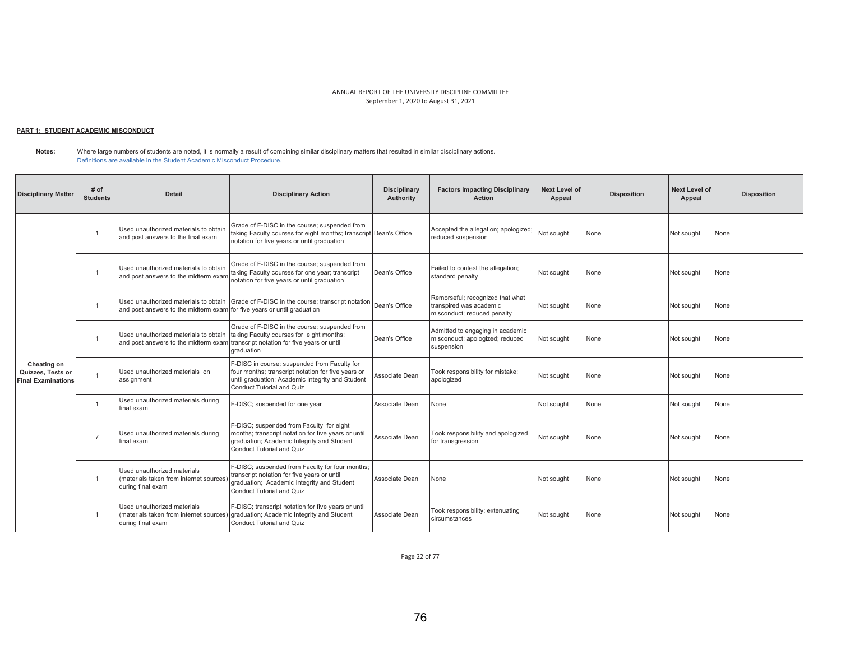# <u> PART 1: STUDENT ACADEMIC MISCONDUCT</u>

**Notes:**  Where large numbers of students are noted, it is normally a result of combining similar disciplinary matters that resulted in similar disciplinary actions. Definitions are available in the Student Academic Misconduct Procedure.

| <b>Disciplinary Matter</b>                                    | # of<br><b>Students</b> | <b>Detail</b>                                                                               | <b>Disciplinary Action</b>                                                                                                                                                          | <b>Disciplinary</b><br>Authority | <b>Factors Impacting Disciplinary</b><br><b>Action</b>                                     | <b>Next Level of</b><br>Appeal | <b>Disposition</b> | <b>Next Level of</b><br>Appeal | <b>Disposition</b> |
|---------------------------------------------------------------|-------------------------|---------------------------------------------------------------------------------------------|-------------------------------------------------------------------------------------------------------------------------------------------------------------------------------------|----------------------------------|--------------------------------------------------------------------------------------------|--------------------------------|--------------------|--------------------------------|--------------------|
|                                                               |                         | Used unauthorized materials to obtain<br>and post answers to the final exam                 | Grade of F-DISC in the course; suspended from<br>taking Faculty courses for eight months; transcript Dean's Office<br>notation for five years or until graduation                   |                                  | Accepted the allegation; apologized;<br>reduced suspension                                 | Not sought                     | None               | Not sought                     | None               |
|                                                               | 1                       | Used unauthorized materials to obtain<br>and post answers to the midterm exan               | Grade of F-DISC in the course; suspended from<br>taking Faculty courses for one year; transcript<br>notation for five years or until graduation                                     | Dean's Office                    | Failed to contest the allegation;<br>standard penalty                                      | Not sought                     | None               | Not sought                     | None               |
|                                                               | $\overline{1}$          | Used unauthorized materials to obtain<br>and post answers to the midterm exam               | Grade of F-DISC in the course: transcript notation<br>for five years or until graduation                                                                                            | Dean's Office                    | Remorseful; recognized that what<br>transpired was academic<br>misconduct; reduced penalty | Not sought                     | None               | Not sought                     | None               |
|                                                               |                         | Used unauthorized materials to obtain<br>and post answers to the midterm exam               | Grade of F-DISC in the course; suspended from<br>taking Faculty courses for eight months;<br>transcript notation for five years or until<br>graduation                              | Dean's Office                    | Admitted to engaging in academic<br>misconduct; apologized; reduced<br>suspension          | Not sought                     | None               | Not sought                     | None               |
| Cheating on<br>Quizzes, Tests or<br><b>Final Examinations</b> | $\overline{1}$          | Used unauthorized materials on<br>assignment                                                | F-DISC in course; suspended from Faculty for<br>four months; transcript notation for five years or<br>until graduation; Academic Integrity and Student<br>Conduct Tutorial and Quiz | Associate Dean                   | Took responsibility for mistake;<br>apologized                                             | Not sought                     | None               | Not sought                     | None               |
|                                                               | $\overline{1}$          | Used unauthorized materials during<br>final exam                                            | -DISC; suspended for one year                                                                                                                                                       | Associate Dean                   | None                                                                                       | Not sought                     | None               | Not sought                     | None               |
|                                                               | $\overline{7}$          | Used unauthorized materials during<br>final exam                                            | F-DISC; suspended from Faculty for eight<br>months; transcript notation for five years or until<br>graduation; Academic Integrity and Student<br>Conduct Tutorial and Quiz          | Associate Dean                   | Took responsibility and apologized<br>for transgression                                    | Not sought                     | None               | Not sought                     | None               |
|                                                               | $\overline{1}$          | Used unauthorized materials<br>(materials taken from internet sources)<br>during final exam | F-DISC; suspended from Faculty for four months;<br>transcript notation for five years or until<br>graduation; Academic Integrity and Student<br>Conduct Tutorial and Quiz           | Associate Dean                   | None                                                                                       | Not sought                     | None               | Not sought                     | None               |
|                                                               | $\overline{1}$          | Used unauthorized materials<br>(materials taken from internet sources<br>during final exam  | F-DISC; transcript notation for five years or until<br>graduation; Academic Integrity and Student<br>Conduct Tutorial and Quiz                                                      | Associate Dean                   | Took responsibility; extenuating<br>circumstances                                          | Not sought                     | None               | Not sought                     | None               |

Page 22 of 77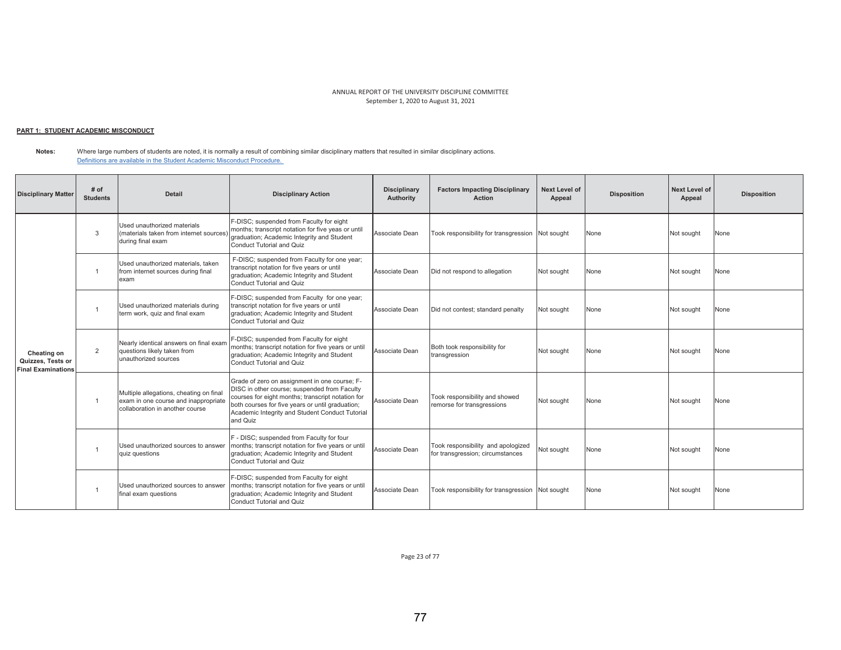## <u> PART 1: STUDENT ACADEMIC MISCONDUCT</u>

**Notes:**  Where large numbers of students are noted, it is normally a result of combining similar disciplinary matters that resulted in similar disciplinary actions. Definitions are available in the Student Academic Misconduct Procedure.

| <b>Disciplinary Matter</b>                                    | # of<br><b>Students</b> | <b>Detail</b>                                                                                                      | <b>Disciplinary Action</b>                                                                                                                                                                                                                                            | <b>Disciplinary</b><br>Authority | <b>Factors Impacting Disciplinary</b><br><b>Action</b>                 | <b>Next Level of</b><br>Appeal | <b>Disposition</b> | <b>Next Level of</b><br>Appeal | <b>Disposition</b> |
|---------------------------------------------------------------|-------------------------|--------------------------------------------------------------------------------------------------------------------|-----------------------------------------------------------------------------------------------------------------------------------------------------------------------------------------------------------------------------------------------------------------------|----------------------------------|------------------------------------------------------------------------|--------------------------------|--------------------|--------------------------------|--------------------|
|                                                               | 3                       | Used unauthorized materials<br>(materials taken from internet sources)<br>during final exam                        | F-DISC; suspended from Faculty for eight<br>months; transcript notation for five yeas or until<br>graduation; Academic Integrity and Student<br><b>Conduct Tutorial and Quiz</b>                                                                                      | Associate Dean                   | Took responsibility for transgression Not sought                       |                                | None               | Not sought                     | None               |
| Cheating on<br>Quizzes, Tests or<br><b>Final Examinations</b> | $\overline{1}$          | Used unauthorized materials, taken<br>from internet sources during final<br>exam                                   | F-DISC; suspended from Faculty for one year;<br>transcript notation for five years or until<br>graduation; Academic Integrity and Student<br><b>Conduct Tutorial and Quiz</b>                                                                                         | Associate Dean                   | Did not respond to allegation                                          | Not sought                     | None               | Not sought                     | None               |
|                                                               |                         | Used unauthorized materials during<br>term work, quiz and final exam                                               | F-DISC; suspended from Faculty for one year;<br>transcript notation for five years or until<br>graduation; Academic Integrity and Student<br><b>Conduct Tutorial and Quiz</b>                                                                                         | Associate Dean                   | Did not contest; standard penalty                                      | Not sought                     | None               | Not sought                     | None               |
|                                                               | 2                       | Nearly identical answers on final exam<br>questions likely taken from<br>unauthorized sources                      | F-DISC; suspended from Faculty for eight<br>months; transcript notation for five years or until<br>graduation; Academic Integrity and Student<br>Conduct Tutorial and Quiz                                                                                            | Associate Dean                   | Both took responsibility for<br>transgression                          | Not sought                     | None               | Not sought                     | None               |
|                                                               | $\overline{1}$          | Multiple allegations, cheating on final<br>exam in one course and inappropriate<br>collaboration in another course | Grade of zero on assignment in one course; F-<br>DISC in other course; suspended from Faculty<br>courses for eight months; transcript notation for<br>both courses for five years or until graduation;<br>Academic Integrity and Student Conduct Tutorial<br>and Quiz | Associate Dean                   | Took responsibility and showed<br>remorse for transgressions           | Not sought                     | None               | Not sought                     | None               |
|                                                               | $\overline{1}$          | Used unauthorized sources to answer<br>quiz questions                                                              | F - DISC; suspended from Faculty for four<br>months; transcript notation for five years or until<br>graduation; Academic Integrity and Student<br><b>Conduct Tutorial and Quiz</b>                                                                                    | Associate Dean                   | Took responsibility and apologized<br>for transgression; circumstances | Not sought                     | None               | Not sought                     | None               |
|                                                               |                         | Used unauthorized sources to answer<br>final exam questions                                                        | F-DISC; suspended from Faculty for eight<br>months; transcript notation for five years or until<br>graduation; Academic Integrity and Student<br><b>Conduct Tutorial and Quiz</b>                                                                                     | Associate Dean                   | Took responsibility for transgression Not sought                       |                                | None               | Not sought                     | None               |

Page 23 of 77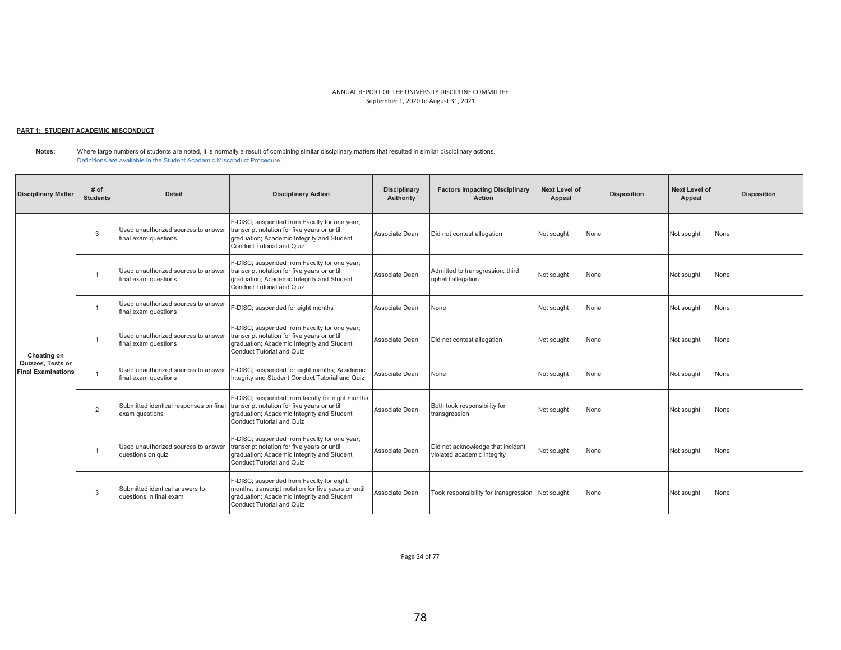## <u> PART 1: STUDENT ACADEMIC MISCONDUCT</u>

**Notes:**  Where large numbers of students are noted, it is normally a result of combining similar disciplinary matters that resulted in similar disciplinary actions. Definitions are available in the Student Academic Misconduct Procedure.

| <b>Disciplinary Matter</b>                     | # of<br><b>Students</b> | <b>Detail</b>                                               | <b>Disciplinary Action</b>                                                                                                                                                        | <b>Disciplinary</b><br><b>Authority</b> | <b>Factors Impacting Disciplinary</b><br><b>Action</b>           | <b>Next Level of</b><br>Appeal | <b>Disposition</b> | Next Level of<br>Appeal | <b>Disposition</b> |
|------------------------------------------------|-------------------------|-------------------------------------------------------------|-----------------------------------------------------------------------------------------------------------------------------------------------------------------------------------|-----------------------------------------|------------------------------------------------------------------|--------------------------------|--------------------|-------------------------|--------------------|
|                                                | 3                       | Used unauthorized sources to answer<br>final exam questions | F-DISC; suspended from Faculty for one year;<br>transcript notation for five years or until<br>graduation; Academic Integrity and Student<br>Conduct Tutorial and Quiz            | Associate Dean                          | Did not contest allegation                                       | Not sought                     | None               | Not sought              | None               |
|                                                | $\overline{1}$          | Used unauthorized sources to answer<br>final exam questions | F-DISC; suspended from Faculty for one year;<br>transcript notation for five years or until<br>graduation; Academic Integrity and Student<br><b>Conduct Tutorial and Quiz</b>     | Associate Dean                          | Admitted to transgression; third<br>upheld allegation            | Not sought                     | None               | Not sought              | None               |
| Cheating on                                    | - 1                     | Used unauthorized sources to answer<br>final exam questions | F-DISC; suspended for eight months                                                                                                                                                | Associate Dean                          | None                                                             | Not sought                     | None               | Not sought              | None               |
|                                                |                         | Used unauthorized sources to answer<br>final exam questions | F-DISC; suspended from Faculty for one year;<br>transcript notation for five years or until<br>graduation; Academic Integrity and Student<br>Conduct Tutorial and Quiz            | Associate Dean                          | Did not contest allegation                                       | Not sought                     | None               | Not sought              | None               |
| Quizzes, Tests or<br><b>Final Examinations</b> | $\overline{1}$          | Used unauthorized sources to answer<br>final exam questions | F-DISC; suspended for eight months; Academic<br>Integrity and Student Conduct Tutorial and Quiz                                                                                   | Associate Dean                          | None                                                             | Not sought                     | None               | Not sought              | None               |
|                                                | $\overline{2}$          | Submitted identical responses on final<br>exam questions    | F-DISC; suspended from faculty for eight months;<br>transcript notation for five years or until<br>graduation; Academic Integrity and Student<br>Conduct Tutorial and Quiz        | Associate Dean                          | Both took responsibility for<br>transgression                    | Not sought                     | None               | Not sought              | None               |
|                                                | $\overline{1}$          | Used unauthorized sources to answer<br>questions on quiz    | F-DISC; suspended from Faculty for one year;<br>transcript notation for five years or until<br>graduation; Academic Integrity and Student<br>Conduct Tutorial and Quiz            | Associate Dean                          | Did not acknowledge that incident<br>violated academic integrity | Not sought                     | None               | Not sought              | None               |
|                                                | $\mathcal{R}$           | Submitted identical answers to<br>questions in final exam   | F-DISC; suspended from Faculty for eight<br>months; transcript notation for five years or until<br>graduation; Academic Integrity and Student<br><b>Conduct Tutorial and Quiz</b> | Associate Dean                          | Took responsibility for transgression Not sought                 |                                | None               | Not sought              | None               |

Page 24 of 77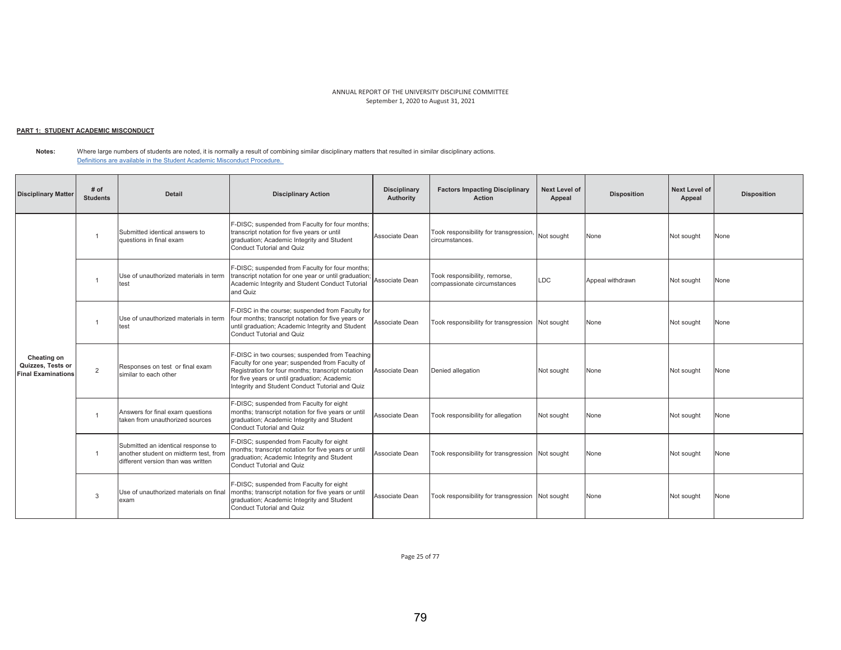# <u> PART 1: STUDENT ACADEMIC MISCONDUCT</u>

**Notes:**  Where large numbers of students are noted, it is normally a result of combining similar disciplinary matters that resulted in similar disciplinary actions. Definitions are available in the Student Academic Misconduct Procedure.

| <b>Disciplinary Matter</b>                                    | # of<br><b>Students</b> | <b>Detail</b>                                                                                                     | <b>Disciplinary Action</b>                                                                                                                                                                                                                                | <b>Disciplinary</b><br><b>Authority</b> | <b>Factors Impacting Disciplinary</b><br>Action              | Next Level of<br>Appeal | <b>Disposition</b> | Next Level of<br>Appeal | <b>Disposition</b> |
|---------------------------------------------------------------|-------------------------|-------------------------------------------------------------------------------------------------------------------|-----------------------------------------------------------------------------------------------------------------------------------------------------------------------------------------------------------------------------------------------------------|-----------------------------------------|--------------------------------------------------------------|-------------------------|--------------------|-------------------------|--------------------|
| Cheating on<br>Quizzes, Tests or<br><b>Final Examinations</b> |                         | Submitted identical answers to<br>questions in final exam                                                         | F-DISC; suspended from Faculty for four months;<br>transcript notation for five years or until<br>graduation; Academic Integrity and Student<br>Conduct Tutorial and Quiz                                                                                 | Associate Dean                          | Took responsibility for transgression,<br>circumstances.     | Not sought              | None               | Not sought              | None               |
|                                                               |                         | Use of unauthorized materials in term<br>test                                                                     | F-DISC; suspended from Faculty for four months;<br>transcript notation for one year or until graduation;<br>Academic Integrity and Student Conduct Tutorial<br>and Quiz                                                                                   | Associate Dean                          | Took responsibility, remorse,<br>compassionate circumstances | <b>LDC</b>              | Appeal withdrawn   | Not sought              | None               |
|                                                               |                         | Use of unauthorized materials in term<br>test                                                                     | F-DISC in the course; suspended from Faculty for<br>four months; transcript notation for five years or<br>until graduation; Academic Integrity and Student<br>Conduct Tutorial and Quiz                                                                   | Associate Dean                          | Took responsibility for transgression Not sought             |                         | None               | Not sought              | None               |
|                                                               | 2                       | Responses on test or final exam<br>similar to each other                                                          | F-DISC in two courses; suspended from Teaching<br>Faculty for one year; suspended from Faculty of<br>Registration for four months; transcript notation<br>for five years or until graduation; Academic<br>Integrity and Student Conduct Tutorial and Quiz | Associate Dean                          | Denied allegation                                            | Not sought              | None               | Not sought              | None               |
|                                                               |                         | Answers for final exam questions<br>taken from unauthorized sources                                               | F-DISC; suspended from Faculty for eight<br>months; transcript notation for five years or until<br>graduation; Academic Integrity and Student<br>Conduct Tutorial and Quiz                                                                                | Associate Dean                          | Took responsibility for allegation                           | Not sought              | None               | Not sought              | None               |
|                                                               | $\overline{1}$          | Submitted an identical response to<br>another student on midterm test, from<br>different version than was written | F-DISC; suspended from Faculty for eight<br>months; transcript notation for five years or until<br>graduation; Academic Integrity and Student<br>Conduct Tutorial and Quiz                                                                                | Associate Dean                          | Took responsibility for transgression Not sought             |                         | None               | Not sought              | None               |
|                                                               | $\mathcal{R}$           | Use of unauthorized materials on final<br>exam                                                                    | F-DISC; suspended from Faculty for eight<br>months; transcript notation for five years or until<br>graduation; Academic Integrity and Student<br>Conduct Tutorial and Quiz                                                                                | Associate Dean                          | Took responsibility for transgression Not sought             |                         | None               | Not sought              | None               |

Page 25 of 77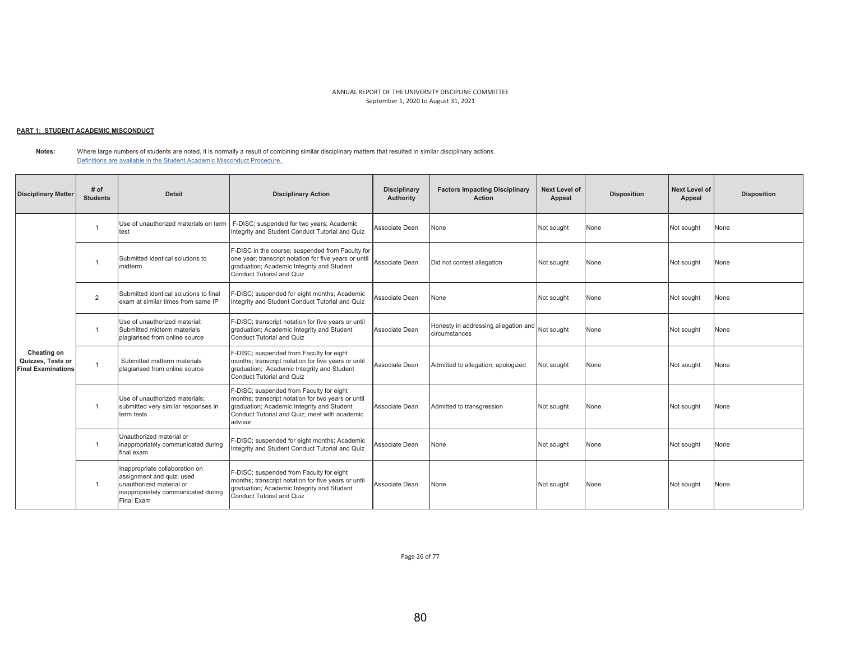## <u> PART 1: STUDENT ACADEMIC MISCONDUCT</u>

**Notes:**  Where large numbers of students are noted, it is normally a result of combining similar disciplinary matters that resulted in similar disciplinary actions. Definitions are available in the Student Academic Misconduct Procedure.

| <b>Disciplinary Matter</b>                                    | # of<br><b>Students</b> | <b>Detail</b>                                                                                                                                | <b>Disciplinary Action</b>                                                                                                                                                                               | <b>Disciplinary</b><br>Authority | <b>Factors Impacting Disciplinary</b><br>Action                  | <b>Next Level of</b><br>Appeal | <b>Disposition</b> | <b>Next Level of</b><br>Appeal | <b>Disposition</b> |
|---------------------------------------------------------------|-------------------------|----------------------------------------------------------------------------------------------------------------------------------------------|----------------------------------------------------------------------------------------------------------------------------------------------------------------------------------------------------------|----------------------------------|------------------------------------------------------------------|--------------------------------|--------------------|--------------------------------|--------------------|
|                                                               |                         | Use of unauthorized materials on term<br>test                                                                                                | F-DISC; suspended for two years; Academic<br>Integrity and Student Conduct Tutorial and Quiz                                                                                                             | Associate Dean                   | None                                                             | Not sought                     | None               | Not sought                     | None               |
|                                                               |                         | Submitted identical solutions to<br>midterm                                                                                                  | F-DISC in the course; suspended from Faculty for<br>one year; transcript notation for five years or until<br>graduation; Academic Integrity and Student<br><b>Conduct Tutorial and Quiz</b>              | Associate Dean                   | Did not contest allegation                                       | Not sought                     | None               | Not sought                     | None               |
|                                                               | 2                       | Submitted identical solutions to final<br>exam at similar times from same IP                                                                 | F-DISC; suspended for eight months; Academic<br>Integrity and Student Conduct Tutorial and Quiz                                                                                                          | Associate Dean                   | None                                                             | Not sought                     | None               | Not sought                     | None               |
|                                                               | $\overline{1}$          | Use of unauthorized material:<br>Submitted midterm materials<br>plagiarised from online source                                               | F-DISC; transcript notation for five years or until<br>graduation; Academic Integrity and Student<br>Conduct Tutorial and Quiz                                                                           | Associate Dean                   | Honesty in addressing allegation and Not sought<br>circumstances |                                | None               | Not sought                     | None               |
| Cheating on<br>Quizzes, Tests or<br><b>Final Examinations</b> | $\overline{1}$          | Submitted midterm materials<br>plagiarised from online source                                                                                | F-DISC; suspended from Faculty for eight<br>months; transcript notation for five years or until<br>graduation; Academic Integrity and Student<br>Conduct Tutorial and Quiz                               | Associate Dean                   | Admitted to allegation; apologized                               | Not sought                     | None               | Not sought                     | None               |
|                                                               |                         | Use of unauthorized materials:<br>submitted very similar responses in<br>term tests                                                          | F-DISC; suspended from Faculty for eight<br>months; transcript notation for two years or until<br>graduation; Academic Integrity and Student<br>Conduct Tutorial and Quiz: meet with academic<br>advisor | Associate Dean                   | Admitted to transgression                                        | Not sought                     | None               | Not sought                     | None               |
|                                                               |                         | Unauthorized material or<br>inappropriately communicated during<br>final exam                                                                | F-DISC; suspended for eight months; Academic<br>Integrity and Student Conduct Tutorial and Quiz                                                                                                          | Associate Dean                   | None                                                             | Not sought                     | None               | Not sought                     | None               |
|                                                               | $\overline{1}$          | Inappropriate collaboration on<br>assignment and quiz; used<br>unauthorized material or<br>inappropriately communicated during<br>Final Exam | F-DISC; suspended from Faculty for eight<br>months; transcript notation for five years or until<br>graduation; Academic Integrity and Student<br>Conduct Tutorial and Quiz                               | Associate Dean                   | None                                                             | Not sought                     | None               | Not sought                     | None               |

Page 26 of 77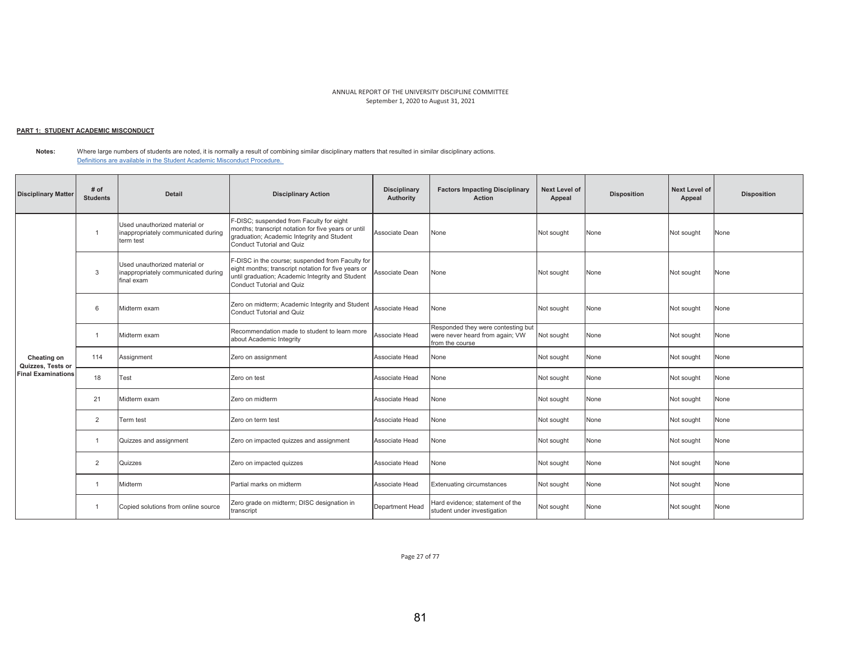#### <u> PART 1: STUDENT ACADEMIC MISCONDUCT</u>

**Notes:**  Where large numbers of students are noted, it is normally a result of combining similar disciplinary matters that resulted in similar disciplinary actions. Definitions are available in the Student Academic Misconduct Procedure.

| <b>Disciplinary Matter</b>       | # of<br><b>Students</b> | <b>Detail</b>                                                                      | <b>Disciplinary Action</b>                                                                                                                                                               | <b>Disciplinary</b><br>Authority | <b>Factors Impacting Disciplinary</b><br><b>Action</b>                                   | Next Level of<br>Appeal | <b>Disposition</b> | <b>Next Level of</b><br>Appeal | <b>Disposition</b> |
|----------------------------------|-------------------------|------------------------------------------------------------------------------------|------------------------------------------------------------------------------------------------------------------------------------------------------------------------------------------|----------------------------------|------------------------------------------------------------------------------------------|-------------------------|--------------------|--------------------------------|--------------------|
|                                  | $\overline{1}$          | Used unauthorized material or<br>inappropriately communicated during<br>term test  | F-DISC; suspended from Faculty for eight<br>months; transcript notation for five years or until<br>graduation; Academic Integrity and Student<br>Conduct Tutorial and Quiz               | Associate Dean                   | None                                                                                     | Not sought              | None               | Not sought                     | None               |
|                                  | 3                       | Used unauthorized material or<br>inappropriately communicated during<br>final exam | F-DISC in the course; suspended from Faculty for<br>eight months; transcript notation for five years or<br>until graduation; Academic Integrity and Student<br>Conduct Tutorial and Quiz | Associate Dean                   | None                                                                                     | Not sought              | None               | Not sought                     | None               |
|                                  | 6                       | Midterm exam                                                                       | Zero on midterm; Academic Integrity and Student<br>Conduct Tutorial and Quiz                                                                                                             | Associate Head                   | None                                                                                     | Not sought              | None               | Not sought                     | None               |
|                                  | $\overline{1}$          | Midterm exam                                                                       | Recommendation made to student to learn more<br>about Academic Integrity                                                                                                                 | Associate Head                   | Responded they were contesting but<br>were never heard from again; VW<br>from the course | Not sought              | None               | Not sought                     | None               |
| Cheating on<br>Quizzes, Tests or | 114                     | Assignment                                                                         | Zero on assignment                                                                                                                                                                       | Associate Head                   | None                                                                                     | Not sought              | None               | Not sought                     | None               |
| <b>Final Examinations</b>        | 18                      | Test                                                                               | Zero on test                                                                                                                                                                             | Associate Head                   | None                                                                                     | Not sought              | None               | Not sought                     | None               |
|                                  | 21                      | Midterm exam                                                                       | Zero on midterm                                                                                                                                                                          | Associate Head                   | None                                                                                     | Not sought              | None               | Not sought                     | None               |
|                                  | $\overline{2}$          | Term test                                                                          | Zero on term test                                                                                                                                                                        | Associate Head                   | None                                                                                     | Not sought              | None               | Not sought                     | None               |
|                                  | $\overline{1}$          | Quizzes and assignment                                                             | Zero on impacted quizzes and assignment                                                                                                                                                  | Associate Head                   | None                                                                                     | Not sought              | None               | Not sought                     | None               |
|                                  | $\overline{2}$          | Quizzes                                                                            | Zero on impacted quizzes                                                                                                                                                                 | Associate Head                   | None                                                                                     | Not sought              | None               | Not sought                     | None               |
|                                  | $\overline{1}$          | Midterm                                                                            | Partial marks on midterm                                                                                                                                                                 | Associate Head                   | <b>Extenuating circumstances</b>                                                         | Not sought              | None               | Not sought                     | None               |
|                                  | $\overline{1}$          | Copied solutions from online source                                                | Zero grade on midterm; DISC designation in<br>transcript                                                                                                                                 | Department Head                  | Hard evidence; statement of the<br>student under investigation                           | Not sought              | None               | Not sought                     | None               |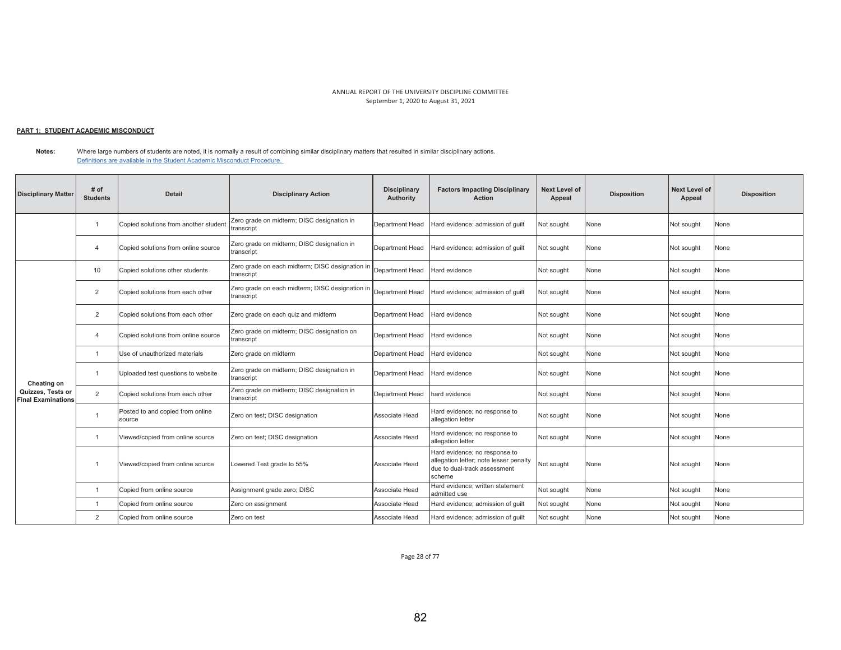#### <u> PART 1: STUDENT ACADEMIC MISCONDUCT</u>

**Notes:**  Where large numbers of students are noted, it is normally a result of combining similar disciplinary matters that resulted in similar disciplinary actions. Definitions are available in the Student Academic Misconduct Procedure.

| <b>Disciplinary Matter</b>                     | # of<br><b>Students</b> | <b>Detail</b>                              | <b>Disciplinary Action</b>                                    | <b>Disciplinary</b><br><b>Authority</b> | <b>Factors Impacting Disciplinary</b><br><b>Action</b>                                                            | <b>Next Level of</b><br>Appeal | <b>Disposition</b> | <b>Next Level of</b><br>Appeal | <b>Disposition</b> |
|------------------------------------------------|-------------------------|--------------------------------------------|---------------------------------------------------------------|-----------------------------------------|-------------------------------------------------------------------------------------------------------------------|--------------------------------|--------------------|--------------------------------|--------------------|
|                                                | $\overline{1}$          | Copied solutions from another student      | Zero grade on midterm; DISC designation in<br>transcript      | Department Head                         | Hard evidence: admission of quilt                                                                                 | Not sought                     | None               | Not sought                     | None               |
|                                                | $\overline{4}$          | Copied solutions from online source        | Zero grade on midterm; DISC designation in<br>transcript      | Department Head                         | Hard evidence: admission of quilt                                                                                 | Not sought                     | None               | Not sought                     | None               |
|                                                | 10                      | Copied solutions other students            | Zero grade on each midterm; DISC designation in<br>transcript | Department Head                         | Hard evidence                                                                                                     | Not sought                     | None               | Not sought                     | None               |
|                                                | $\overline{2}$          | Copied solutions from each other           | Zero grade on each midterm; DISC designation in<br>transcript | Department Head                         | Hard evidence; admission of quilt                                                                                 | Not sought                     | None               | Not sought                     | None               |
|                                                | $\overline{2}$          | Copied solutions from each other           | Zero grade on each quiz and midterm                           | Department Head                         | Hard evidence                                                                                                     | Not sought                     | None               | Not sought                     | None               |
|                                                | $\Delta$                | Copied solutions from online source        | Zero grade on midterm; DISC designation on<br>transcript      | Department Head                         | Hard evidence                                                                                                     | Not sought                     | None               | Not sought                     | None               |
|                                                |                         | Use of unauthorized materials              | Zero grade on midterm                                         | Department Head                         | Hard evidence                                                                                                     | Not sought                     | None               | Not sought                     | None               |
| Cheating on                                    |                         | Uploaded test questions to website         | Zero grade on midterm; DISC designation in<br>transcript      | Department Head                         | Hard evidence                                                                                                     | Not sought                     | None               | Not sought                     | None               |
| Quizzes, Tests or<br><b>Final Examinations</b> | 2                       | Copied solutions from each other           | Zero grade on midterm; DISC designation in<br>transcript      | Department Head                         | hard evidence                                                                                                     | Not sought                     | None               | Not sought                     | None               |
|                                                |                         | Posted to and copied from online<br>source | Zero on test; DISC designation                                | Associate Head                          | Hard evidence; no response to<br>allegation letter                                                                | Not sought                     | None               | Not sought                     | None               |
|                                                | -1                      | Viewed/copied from online source           | Zero on test; DISC designation                                | Associate Head                          | Hard evidence; no response to<br>allegation letter                                                                | Not sought                     | None               | Not sought                     | None               |
|                                                |                         | Viewed/copied from online source           | Lowered Test grade to 55%                                     | Associate Head                          | Hard evidence; no response to<br>allegation letter; note lesser penalty<br>due to dual-track assessment<br>scheme | Not sought                     | None               | Not sought                     | None               |
|                                                | $\overline{1}$          | Copied from online source                  | Assignment grade zero; DISC                                   | Associate Head                          | Hard evidence: written statement<br>admitted use                                                                  | Not sought                     | None               | Not sought                     | None               |
|                                                |                         | Copied from online source                  | Zero on assignment                                            | Associate Head                          | Hard evidence; admission of quilt                                                                                 | Not sought                     | None               | Not sought                     | None               |
|                                                | $\overline{2}$          | Copied from online source                  | Zero on test                                                  | Associate Head                          | Hard evidence; admission of quilt                                                                                 | Not sought                     | None               | Not sought                     | None               |

Page 28 of 77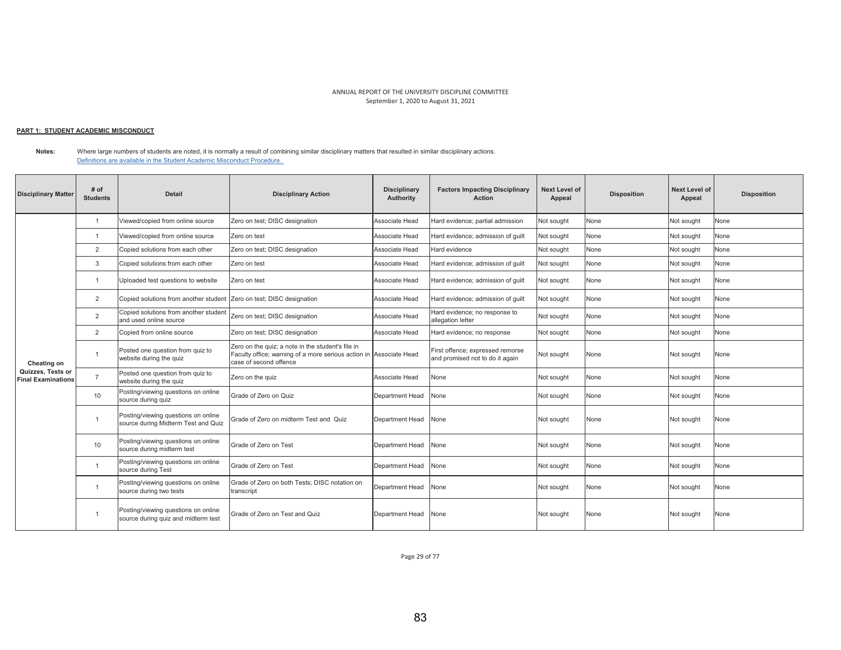## <u> PART 1: STUDENT ACADEMIC MISCONDUCT</u>

**Notes:**  Where large numbers of students are noted, it is normally a result of combining similar disciplinary matters that resulted in similar disciplinary actions. Definitions are available in the Student Academic Misconduct Procedure.

| <b>Disciplinary Matter</b>                     | # of<br><b>Students</b> | Detail                                                                     | <b>Disciplinary Action</b>                                                                                                                        | <b>Disciplinary</b><br>Authority | <b>Factors Impacting Disciplinary</b><br><b>Action</b>              | <b>Next Level of</b><br>Appeal | <b>Disposition</b> | <b>Next Level of</b><br>Appeal | <b>Disposition</b> |
|------------------------------------------------|-------------------------|----------------------------------------------------------------------------|---------------------------------------------------------------------------------------------------------------------------------------------------|----------------------------------|---------------------------------------------------------------------|--------------------------------|--------------------|--------------------------------|--------------------|
|                                                |                         | Viewed/copied from online source                                           | Zero on test; DISC designation                                                                                                                    | Associate Head                   | Hard evidence; partial admission                                    | Not sought                     | None               | Not sought                     | None               |
|                                                | $\overline{1}$          | Viewed/copied from online source                                           | Zero on test                                                                                                                                      | Associate Head                   | Hard evidence; admission of quilt                                   | Not sought                     | None               | Not sought                     | None               |
|                                                | 2                       | Copied solutions from each other                                           | Zero on test; DISC designation                                                                                                                    | Associate Head                   | Hard evidence                                                       | Not sought                     | None               | Not sought                     | None               |
|                                                | 3                       | Copied solutions from each other                                           | Zero on test                                                                                                                                      | Associate Head                   | Hard evidence; admission of quilt                                   | Not sought                     | None               | Not sought                     | None               |
|                                                |                         | Uploaded test questions to website                                         | Zero on test                                                                                                                                      | Associate Head                   | Hard evidence; admission of quilt                                   | Not sought                     | None               | Not sought                     | None               |
| Cheating on                                    | 2                       | Copied solutions from another student Zero on test; DISC designation       |                                                                                                                                                   | Associate Head                   | Hard evidence; admission of quilt                                   | Not sought                     | None               | Not sought                     | None               |
|                                                | $\overline{2}$          | Copied solutions from another student<br>and used online source            | Zero on test; DISC designation                                                                                                                    | Associate Head                   | Hard evidence; no response to<br>allegation letter                  | Not sought                     | None               | Not sought                     | None               |
|                                                | 2                       | Copied from online source                                                  | Zero on test; DISC designation                                                                                                                    | Associate Head                   | Hard evidence; no response                                          | Not sought                     | None               | Not sought                     | None               |
|                                                |                         | Posted one question from quiz to<br>website during the quiz                | Zero on the quiz; a note in the student's file in<br>Faculty office; warning of a more serious action in Associate Head<br>case of second offence |                                  | First offence; expressed remorse<br>and promised not to do it again | Not sought                     | None               | Not sought                     | None               |
| Quizzes, Tests or<br><b>Final Examinations</b> | $\overline{7}$          | Posted one question from quiz to<br>website during the quiz                | Zero on the quiz                                                                                                                                  | Associate Head                   | None                                                                | Not sought                     | None               | Not sought                     | None               |
|                                                | 10                      | Posting/viewing questions on online<br>source during quiz                  | Grade of Zero on Quiz                                                                                                                             | Department Head                  | None                                                                | Not sought                     | None               | Not sought                     | None               |
|                                                | $\overline{1}$          | Posting/viewing questions on online<br>source during Midterm Test and Quiz | Grade of Zero on midterm Test and Quiz                                                                                                            | Department Head                  | None                                                                | Not sought                     | None               | Not sought                     | None               |
|                                                | 10                      | Posting/viewing questions on online<br>source during midterm test          | Grade of Zero on Test                                                                                                                             | Department Head                  | None                                                                | Not sought                     | None               | Not sought                     | None               |
|                                                | $\overline{1}$          | Posting/viewing questions on online<br>source during Test                  | Grade of Zero on Test                                                                                                                             | Department Head                  | None                                                                | Not sought                     | None               | Not sought                     | None               |
|                                                | $\overline{1}$          | Posting/viewing questions on online<br>source during two tests             | Grade of Zero on both Tests; DISC notation on<br>transcript                                                                                       | Department Head                  | None                                                                | Not sought                     | None               | Not sought                     | None               |
|                                                |                         | Posting/viewing questions on online<br>source during quiz and midterm test | Grade of Zero on Test and Quiz                                                                                                                    | Department Head                  | None                                                                | Not sought                     | None               | Not sought                     | None               |

Page 29 of 77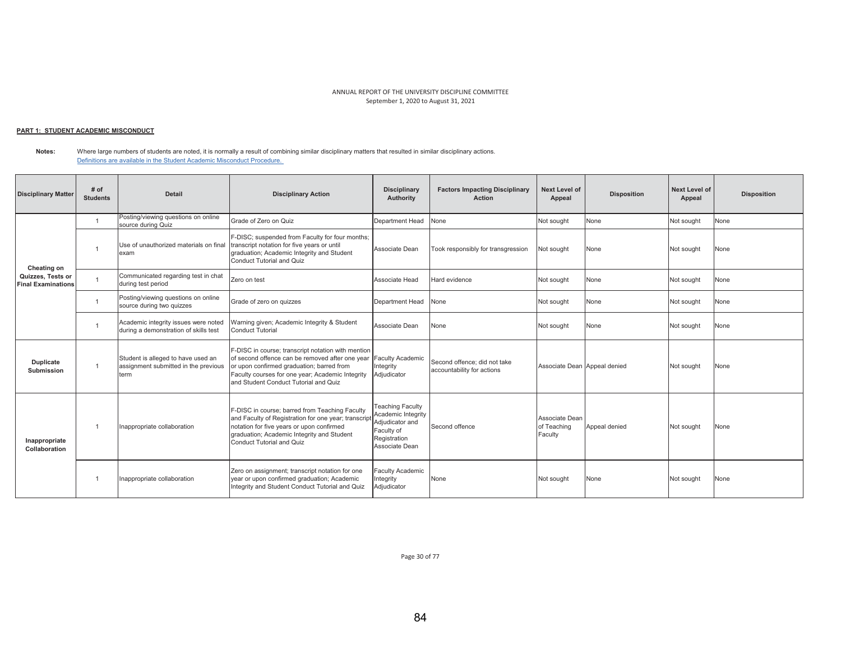# <u> PART 1: STUDENT ACADEMIC MISCONDUCT</u>

**Notes:**  Where large numbers of students are noted, it is normally a result of combining similar disciplinary matters that resulted in similar disciplinary actions. Definitions are available in the Student Academic Misconduct Procedure.

| <b>Disciplinary Matter</b>                     | $#$ of<br><b>Students</b> | <b>Detail</b>                                                                      | <b>Disciplinary Action</b>                                                                                                                                                                                                                      | <b>Disciplinary</b><br>Authority                                                                                 | <b>Factors Impacting Disciplinary</b><br><b>Action</b>     | <b>Next Level of</b><br>Appeal           | <b>Disposition</b> | Next Level of<br>Appeal | <b>Disposition</b> |
|------------------------------------------------|---------------------------|------------------------------------------------------------------------------------|-------------------------------------------------------------------------------------------------------------------------------------------------------------------------------------------------------------------------------------------------|------------------------------------------------------------------------------------------------------------------|------------------------------------------------------------|------------------------------------------|--------------------|-------------------------|--------------------|
|                                                |                           | Posting/viewing questions on online<br>source during Quiz                          | Grade of Zero on Quiz                                                                                                                                                                                                                           | Department Head                                                                                                  | None                                                       | Not sought                               | None               | Not sought              | None               |
| Cheating on                                    |                           | Use of unauthorized materials on final<br>exam                                     | F-DISC; suspended from Faculty for four months;<br>transcript notation for five years or until<br>graduation; Academic Integrity and Student<br>Conduct Tutorial and Quiz                                                                       | Associate Dean                                                                                                   | Took responsibly for transgression                         | Not sought                               | None               | Not sought              | None               |
| Quizzes, Tests or<br><b>Final Examinations</b> |                           | Communicated regarding test in chat<br>during test period                          | Zero on test                                                                                                                                                                                                                                    | Associate Head                                                                                                   | Hard evidence                                              | Not sought                               | None               | Not sought              | None               |
|                                                |                           | Posting/viewing questions on online<br>source during two quizzes                   | Grade of zero on guizzes                                                                                                                                                                                                                        | Department Head                                                                                                  | None                                                       | Not sought                               | None               | Not sought              | None               |
|                                                |                           | Academic integrity issues were noted<br>during a demonstration of skills test      | Warning given; Academic Integrity & Student<br>Conduct Tutorial                                                                                                                                                                                 | Associate Dean                                                                                                   | None                                                       | Not sought                               | None               | Not sought              | None               |
| Duplicate<br>Submission                        |                           | Student is alleged to have used an<br>assignment submitted in the previous<br>term | F-DISC in course; transcript notation with mention<br>of second offence can be removed after one vear<br>or upon confirmed graduation; barred from<br>Faculty courses for one year; Academic Integrity<br>and Student Conduct Tutorial and Quiz | <b>Faculty Academic</b><br>Integrity<br>Adjudicator                                                              | Second offence: did not take<br>accountability for actions | Associate Dean Appeal denied             |                    | Not sought              | None               |
| Inappropriate<br>Collaboration                 |                           | Inappropriate collaboration                                                        | F-DISC in course; barred from Teaching Faculty<br>and Faculty of Registration for one year; transcript<br>notation for five years or upon confirmed<br>graduation; Academic Integrity and Student<br>Conduct Tutorial and Quiz                  | <b>Teaching Faculty</b><br>Academic Integrity<br>Adjudicator and<br>Faculty of<br>Registration<br>Associate Dean | Second offence                                             | Associate Dean<br>of Teaching<br>Faculty | Appeal denied      | Not sought              | None               |
|                                                |                           | Inappropriate collaboration                                                        | Zero on assignment; transcript notation for one<br>year or upon confirmed graduation; Academic<br>Integrity and Student Conduct Tutorial and Quiz                                                                                               | <b>Faculty Academic</b><br>Integrity<br>Adjudicator                                                              | None                                                       | Not sought                               | None               | Not sought              | None               |

Page 30 of 77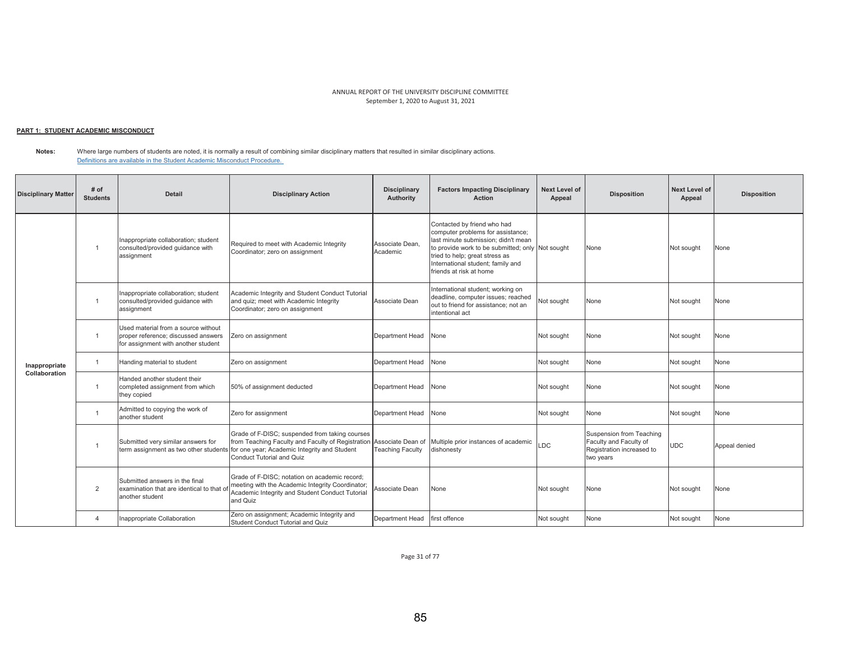#### <u> PART 1: STUDENT ACADEMIC MISCONDUCT</u>

**Notes:**  Where large numbers of students are noted, it is normally a result of combining similar disciplinary matters that resulted in similar disciplinary actions. Definitions are available in the Student Academic Misconduct Procedure.

| <b>Disciplinary Matter</b> | # of<br><b>Students</b> | <b>Detail</b>                                                                                                     | <b>Disciplinary Action</b>                                                                                                                                                                                | <b>Disciplinary</b><br>Authority | <b>Factors Impacting Disciplinary</b><br><b>Action</b>                                                                                                                                                                                                        | Next Level of<br>Appeal | <b>Disposition</b>                                                                           | <b>Next Level of</b><br>Appeal | <b>Disposition</b> |
|----------------------------|-------------------------|-------------------------------------------------------------------------------------------------------------------|-----------------------------------------------------------------------------------------------------------------------------------------------------------------------------------------------------------|----------------------------------|---------------------------------------------------------------------------------------------------------------------------------------------------------------------------------------------------------------------------------------------------------------|-------------------------|----------------------------------------------------------------------------------------------|--------------------------------|--------------------|
|                            | $\overline{1}$          | Inappropriate collaboration; student<br>consulted/provided guidance with<br>assignment                            | Required to meet with Academic Integrity<br>Coordinator; zero on assignment                                                                                                                               | Associate Dean,<br>Academic      | Contacted by friend who had<br>computer problems for assistance;<br>last minute submission; didn't mean<br>to provide work to be submitted; only Not sought<br>tried to help; great stress as<br>International student; family and<br>friends at risk at home |                         | None                                                                                         | Not sought                     | None               |
|                            | $\overline{1}$          | Inappropriate collaboration; student<br>consulted/provided guidance with<br>assignment                            | Academic Integrity and Student Conduct Tutorial<br>and quiz; meet with Academic Integrity<br>Coordinator; zero on assignment                                                                              | Associate Dean                   | International student; working on<br>deadline, computer issues; reached<br>out to friend for assistance; not an<br>intentional act                                                                                                                            | Not sought              | None                                                                                         | Not sought                     | None               |
|                            | $\overline{1}$          | Used material from a source without<br>proper reference; discussed answers<br>for assignment with another student | Zero on assignment                                                                                                                                                                                        | Department Head                  | None                                                                                                                                                                                                                                                          | Not sought              | None                                                                                         | Not sought                     | None               |
| Inappropriate              | $\overline{1}$          | Handing material to student                                                                                       | Zero on assignment                                                                                                                                                                                        | Department Head                  | None                                                                                                                                                                                                                                                          | Not sought              | None                                                                                         | Not sought                     | None               |
| Collaboration              | $\overline{1}$          | Handed another student their<br>completed assignment from which<br>they copied                                    | 50% of assignment deducted                                                                                                                                                                                | Department Head                  | None                                                                                                                                                                                                                                                          | Not sought              | None                                                                                         | Not sought                     | None               |
|                            | $\overline{1}$          | Admitted to copying the work of<br>another student                                                                | Zero for assignment                                                                                                                                                                                       | Department Head                  | None                                                                                                                                                                                                                                                          | Not sought              | None                                                                                         | Not sought                     | None               |
|                            |                         | Submitted very similar answers for<br>term assignment as two other students                                       | Grade of F-DISC; suspended from taking courses<br>from Teaching Faculty and Faculty of Registration Associate Dean of<br>for one year; Academic Integrity and Student<br><b>Conduct Tutorial and Quiz</b> | Teaching Faculty                 | Multiple prior instances of academic<br>dishonesty                                                                                                                                                                                                            | LDC                     | Suspension from Teaching<br>Faculty and Faculty of<br>Registration increased to<br>two years | <b>UDC</b>                     | Appeal denied      |
|                            | $\overline{2}$          | Submitted answers in the final<br>examination that are identical to that of<br>another student                    | Grade of F-DISC: notation on academic record:<br>meeting with the Academic Integrity Coordinator;<br>Academic Integrity and Student Conduct Tutorial<br>and Quiz                                          | Associate Dean                   | None                                                                                                                                                                                                                                                          | Not sought              | None                                                                                         | Not sought                     | None               |
|                            | $\overline{4}$          | Inappropriate Collaboration                                                                                       | Zero on assignment; Academic Integrity and<br>Student Conduct Tutorial and Quiz                                                                                                                           | Department Head                  | first offence                                                                                                                                                                                                                                                 | Not sought              | None                                                                                         | Not sought                     | None               |

Page 31 of 77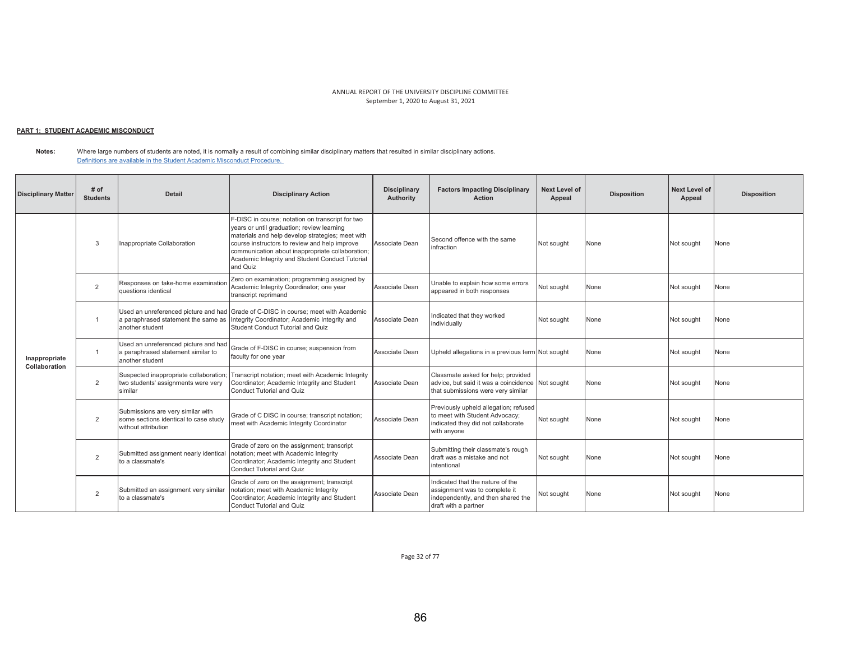## <u> PART 1: STUDENT ACADEMIC MISCONDUCT</u>

**Notes:**  Where large numbers of students are noted, it is normally a result of combining similar disciplinary matters that resulted in similar disciplinary actions. Definitions are available in the Student Academic Misconduct Procedure.

| <b>Disciplinary Matter</b>     | # of<br><b>Students</b> | <b>Detail</b>                                                                                     | <b>Disciplinary Action</b>                                                                                                                                                                                                                                                                                             | <b>Disciplinary</b><br>Authority | <b>Factors Impacting Disciplinary</b><br><b>Action</b>                                                                          | <b>Next Level of</b><br>Appeal | <b>Disposition</b> | <b>Next Level of</b><br>Appeal | <b>Disposition</b> |
|--------------------------------|-------------------------|---------------------------------------------------------------------------------------------------|------------------------------------------------------------------------------------------------------------------------------------------------------------------------------------------------------------------------------------------------------------------------------------------------------------------------|----------------------------------|---------------------------------------------------------------------------------------------------------------------------------|--------------------------------|--------------------|--------------------------------|--------------------|
|                                | 3                       | Inappropriate Collaboration                                                                       | F-DISC in course; notation on transcript for two<br>years or until graduation; review learning<br>materials and help develop strategies; meet with<br>course instructors to review and help improve<br>communication about inappropriate collaboration;<br>Academic Integrity and Student Conduct Tutorial<br>and Quiz | Associate Dean                   | Second offence with the same<br>infraction                                                                                      | Not sought                     | None               | Not sought                     | None               |
|                                | $\overline{2}$          | Responses on take-home examination<br>questions identical                                         | Zero on examination; programming assigned by<br>Academic Integrity Coordinator; one year<br>transcript reprimand                                                                                                                                                                                                       | Associate Dean                   | Unable to explain how some errors<br>appeared in both responses                                                                 | Not sought                     | None               | Not sought                     | None               |
|                                |                         | a paraphrased statement the same as<br>another student                                            | Used an unreferenced picture and had Grade of C-DISC in course; meet with Academic<br>Integrity Coordinator; Academic Integrity and<br>Student Conduct Tutorial and Quiz                                                                                                                                               | Associate Dean                   | Indicated that they worked<br>individually                                                                                      | Not sought                     | None               | Not sought                     | None               |
| Inappropriate<br>Collaboration | $\overline{1}$          | Used an unreferenced picture and had<br>a paraphrased statement similar to<br>another student     | Grade of F-DISC in course; suspension from<br>faculty for one year                                                                                                                                                                                                                                                     | Associate Dean                   | Upheld allegations in a previous term Not sought                                                                                |                                | None               | Not sought                     | None               |
|                                | 2                       | Suspected inappropriate collaboration;<br>two students' assignments were very<br>similar          | Transcript notation; meet with Academic Integrity<br>Coordinator; Academic Integrity and Student<br>Conduct Tutorial and Quiz                                                                                                                                                                                          | Associate Dean                   | Classmate asked for help; provided<br>advice, but said it was a coincidence Not sought<br>that submissions were very similar    |                                | None               | Not sought                     | None               |
|                                | $\overline{2}$          | Submissions are very similar with<br>some sections identical to case study<br>without attribution | Grade of C DISC in course; transcript notation;<br>meet with Academic Integrity Coordinator                                                                                                                                                                                                                            | Associate Dean                   | Previously upheld allegation; refused<br>to meet with Student Advocacy;<br>indicated they did not collaborate<br>with anyone    | Not sought                     | None               | Not sought                     | None               |
|                                | $\overline{2}$          | Submitted assignment nearly identical<br>to a classmate's                                         | Grade of zero on the assignment; transcript<br>notation; meet with Academic Integrity<br>Coordinator; Academic Integrity and Student<br>Conduct Tutorial and Quiz                                                                                                                                                      | Associate Dean                   | Submitting their classmate's rough<br>draft was a mistake and not<br>intentional                                                | Not sought                     | None               | Not sought                     | None               |
|                                | $\overline{2}$          | Submitted an assignment very similar<br>to a classmate's                                          | Grade of zero on the assignment; transcript<br>notation; meet with Academic Integrity<br>Coordinator; Academic Integrity and Student<br>Conduct Tutorial and Quiz                                                                                                                                                      | Associate Dean                   | Indicated that the nature of the<br>assignment was to complete it<br>independently, and then shared the<br>draft with a partner | Not sought                     | None               | Not sought                     | None               |

Page 32 of 77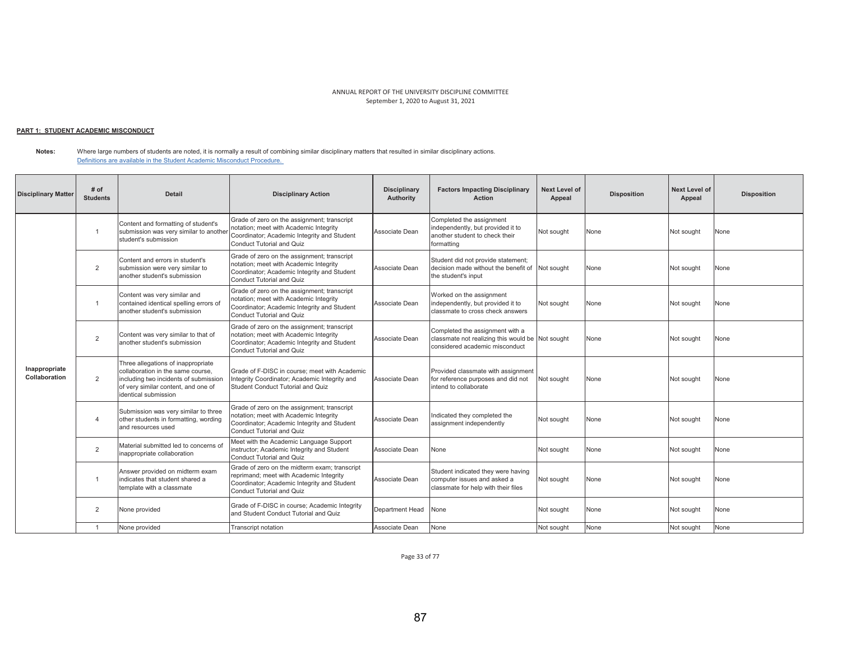#### <u> PART 1: STUDENT ACADEMIC MISCONDUCT</u>

**Notes:**  Where large numbers of students are noted, it is normally a result of combining similar disciplinary matters that resulted in similar disciplinary actions. Definitions are available in the Student Academic Misconduct Procedure.

| <b>Disciplinary Matter</b>     | # of<br><b>Students</b>  | <b>Detail</b>                                                                                                                                                                   | <b>Disciplinary Action</b>                                                                                                                                                  | <b>Disciplinary</b><br>Authority | <b>Factors Impacting Disciplinary</b><br><b>Action</b>                                                                | <b>Next Level of</b><br>Appeal | <b>Disposition</b> | Next Level of<br>Appeal | <b>Disposition</b> |
|--------------------------------|--------------------------|---------------------------------------------------------------------------------------------------------------------------------------------------------------------------------|-----------------------------------------------------------------------------------------------------------------------------------------------------------------------------|----------------------------------|-----------------------------------------------------------------------------------------------------------------------|--------------------------------|--------------------|-------------------------|--------------------|
|                                |                          | Content and formatting of student's<br>submission was very similar to another<br>student's submission                                                                           | Grade of zero on the assignment; transcript<br>notation; meet with Academic Integrity<br>Coordinator; Academic Integrity and Student<br><b>Conduct Tutorial and Quiz</b>    | Associate Dean                   | Completed the assignment<br>independently, but provided it to<br>another student to check their<br>formatting         | Not sought                     | None               | Not sought              | None               |
|                                | $\overline{2}$           | Content and errors in student's<br>submission were very similar to<br>another student's submission                                                                              | Grade of zero on the assignment; transcript<br>notation; meet with Academic Integrity<br>Coordinator; Academic Integrity and Student<br>Conduct Tutorial and Quiz           | Associate Dean                   | Student did not provide statement;<br>decision made without the benefit of Not sought<br>the student's input          |                                | None               | Not sought              | None               |
|                                | $\overline{1}$           | Content was very similar and<br>contained identical spelling errors of<br>another student's submission                                                                          | Grade of zero on the assignment; transcript<br>notation; meet with Academic Integrity<br>Coordinator; Academic Integrity and Student<br><b>Conduct Tutorial and Quiz</b>    | Associate Dean                   | Worked on the assignment<br>independently, but provided it to<br>classmate to cross check answers                     | Not sought                     | None               | Not sought              | None               |
|                                | $\overline{2}$           | Content was very similar to that of<br>another student's submission                                                                                                             | Grade of zero on the assignment; transcript<br>notation; meet with Academic Integrity<br>Coordinator; Academic Integrity and Student<br>Conduct Tutorial and Quiz           | Associate Dean                   | Completed the assignment with a<br>classmate not realizing this would be Not sought<br>considered academic misconduct |                                | None               | Not sought              | None               |
| Inappropriate<br>Collaboration | $\overline{2}$           | Three allegations of inappropriate<br>collaboration in the same course.<br>including two incidents of submission<br>of very similar content, and one of<br>identical submission | Grade of F-DISC in course: meet with Academic<br>Integrity Coordinator; Academic Integrity and<br>Student Conduct Tutorial and Quiz                                         | Associate Dean                   | Provided classmate with assignment<br>for reference purposes and did not<br>intend to collaborate                     | Not sought                     | None               | Not sought              | None               |
|                                | $\overline{\mathcal{A}}$ | Submission was very similar to three<br>other students in formatting, wording<br>and resources used                                                                             | Grade of zero on the assignment; transcript<br>notation; meet with Academic Integrity<br>Coordinator; Academic Integrity and Student<br>Conduct Tutorial and Quiz           | Associate Dean                   | Indicated they completed the<br>assignment independently                                                              | Not sought                     | None               | Not sought              | None               |
|                                | 2                        | Material submitted led to concerns of<br>inappropriate collaboration                                                                                                            | Meet with the Academic Language Support<br>instructor; Academic Integrity and Student<br><b>Conduct Tutorial and Quiz</b>                                                   | Associate Dean                   | None                                                                                                                  | Not sought                     | None               | Not sought              | None               |
|                                |                          | Answer provided on midterm exam<br>indicates that student shared a<br>template with a classmate                                                                                 | Grade of zero on the midterm exam: transcript<br>reprimand; meet with Academic Integrity<br>Coordinator; Academic Integrity and Student<br><b>Conduct Tutorial and Quiz</b> | Associate Dean                   | Student indicated they were having<br>computer issues and asked a<br>classmate for help with their files              | Not sought                     | None               | Not sought              | None               |
|                                | 2                        | None provided                                                                                                                                                                   | Grade of F-DISC in course; Academic Integrity<br>and Student Conduct Tutorial and Quiz                                                                                      | Department Head                  | None                                                                                                                  | Not sought                     | None               | Not sought              | None               |
|                                |                          | None provided                                                                                                                                                                   | <b>Transcript notation</b>                                                                                                                                                  | Associate Dean                   | None                                                                                                                  | Not sought                     | None               | Not sought              | None               |

Page 33 of 77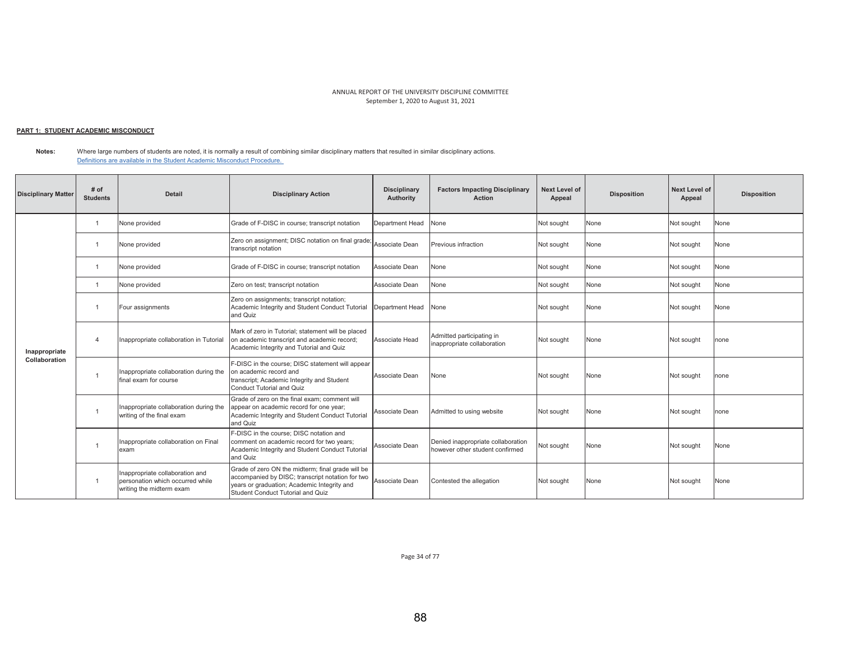## <u> PART 1: STUDENT ACADEMIC MISCONDUCT</u>

**Notes:**  Where large numbers of students are noted, it is normally a result of combining similar disciplinary matters that resulted in similar disciplinary actions. Definitions are available in the Student Academic Misconduct Procedure.

| <b>Disciplinary Matter</b> | # of<br><b>Students</b> | <b>Detail</b>                                                                                   | <b>Disciplinary Action</b>                                                                                                                                                                | <b>Disciplinary</b><br>Authority | <b>Factors Impacting Disciplinary</b><br><b>Action</b>                | Next Level of<br>Appeal | <b>Disposition</b> | Next Level of<br>Appeal | <b>Disposition</b> |
|----------------------------|-------------------------|-------------------------------------------------------------------------------------------------|-------------------------------------------------------------------------------------------------------------------------------------------------------------------------------------------|----------------------------------|-----------------------------------------------------------------------|-------------------------|--------------------|-------------------------|--------------------|
|                            | $\overline{1}$          | None provided                                                                                   | Grade of F-DISC in course; transcript notation                                                                                                                                            | Department Head                  | None                                                                  | Not sought              | None               | Not sought              | None               |
|                            |                         | None provided                                                                                   | Zero on assignment; DISC notation on final grade<br>transcript notation                                                                                                                   | Associate Dean                   | Previous infraction                                                   | Not sought              | None               | Not sought              | None               |
|                            | -1                      | None provided                                                                                   | Grade of F-DISC in course; transcript notation                                                                                                                                            | Associate Dean                   | None                                                                  | Not sought              | None               | Not sought              | None               |
|                            | -1                      | None provided                                                                                   | Zero on test; transcript notation                                                                                                                                                         | Associate Dean                   | None                                                                  | Not sought              | None               | Not sought              | None               |
| Inappropriate              |                         | Four assignments                                                                                | Zero on assignments; transcript notation;<br>Academic Integrity and Student Conduct Tutorial<br>and Quiz                                                                                  | Department Head                  | None                                                                  | Not sought              | None               | Not sought              | None               |
|                            | $\overline{4}$          | Inappropriate collaboration in Tutorial                                                         | Mark of zero in Tutorial; statement will be placed<br>on academic transcript and academic record;<br>Academic Integrity and Tutorial and Quiz                                             | Associate Head                   | Admitted participating in<br>inappropriate collaboration              | Not sought              | None               | Not sought              | none               |
| Collaboration              | $\overline{1}$          | Inappropriate collaboration during the<br>final exam for course                                 | F-DISC in the course; DISC statement will appear<br>on academic record and<br>transcript; Academic Integrity and Student<br>Conduct Tutorial and Quiz                                     | Associate Dean                   | None                                                                  | Not sought              | None               | Not sought              | none               |
|                            | -1                      | Inappropriate collaboration during the<br>writing of the final exam                             | Grade of zero on the final exam: comment will<br>appear on academic record for one year;<br>Academic Integrity and Student Conduct Tutorial<br>and Quiz                                   | Associate Dean                   | Admitted to using website                                             | Not sought              | None               | Not sought              | none               |
|                            |                         | Inappropriate collaboration on Final<br>exam                                                    | F-DISC in the course: DISC notation and<br>comment on academic record for two years;<br>Academic Integrity and Student Conduct Tutorial<br>and Quiz                                       | Associate Dean                   | Denied inappropriate collaboration<br>however other student confirmed | Not sought              | None               | Not sought              | None               |
|                            | -1                      | Inappropriate collaboration and<br>personation which occurred while<br>writing the midterm exam | Grade of zero ON the midterm; final grade will be<br>accompanied by DISC; transcript notation for two<br>years or graduation; Academic Integrity and<br>Student Conduct Tutorial and Quiz | Associate Dean                   | Contested the allegation                                              | Not sought              | None               | Not sought              | None               |

Page 34 of 77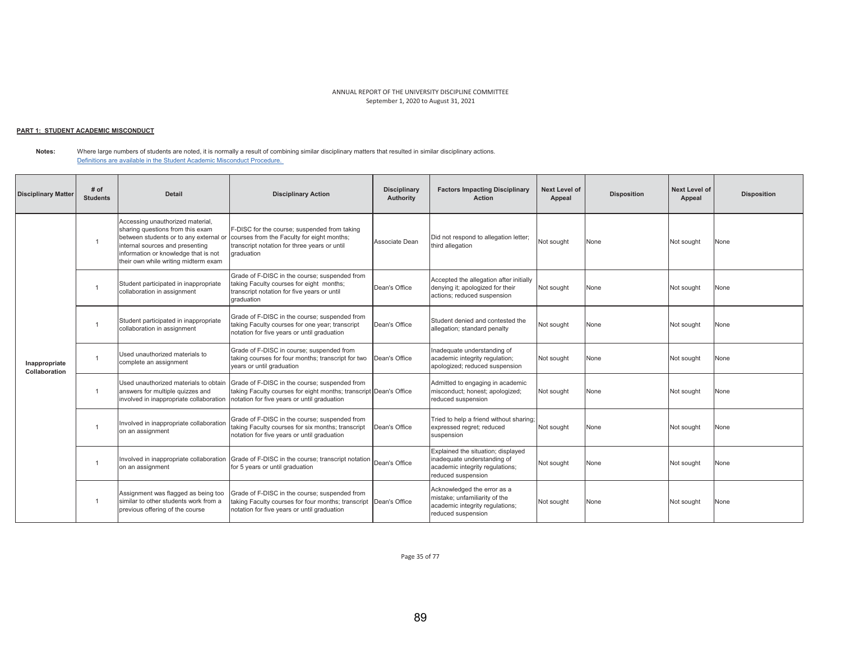## <u> PART 1: STUDENT ACADEMIC MISCONDUCT</u>

**Notes:**  Where large numbers of students are noted, it is normally a result of combining similar disciplinary matters that resulted in similar disciplinary actions. Definitions are available in the Student Academic Misconduct Procedure.

| <b>Disciplinary Matter</b>     | # of<br><b>Students</b> | <b>Detail</b>                                                                                                                                                                                                                     | <b>Disciplinary Action</b>                                                                                                                                        | <b>Disciplinary</b><br>Authority | <b>Factors Impacting Disciplinary</b><br><b>Action</b>                                                                     | <b>Next Level of</b><br>Appeal | <b>Disposition</b> | <b>Next Level of</b><br>Appeal | <b>Disposition</b> |
|--------------------------------|-------------------------|-----------------------------------------------------------------------------------------------------------------------------------------------------------------------------------------------------------------------------------|-------------------------------------------------------------------------------------------------------------------------------------------------------------------|----------------------------------|----------------------------------------------------------------------------------------------------------------------------|--------------------------------|--------------------|--------------------------------|--------------------|
|                                | $\mathbf{1}$            | Accessing unauthorized material,<br>sharing questions from this exam<br>between students or to any external or<br>internal sources and presenting<br>information or knowledge that is not<br>their own while writing midterm exam | F-DISC for the course; suspended from taking<br>courses from the Faculty for eight months;<br>transcript notation for three years or until<br>graduation          | Associate Dean                   | Did not respond to allegation letter;<br>third allegation                                                                  | Not sought                     | None               | Not sought                     | None               |
|                                |                         | Student participated in inappropriate<br>collaboration in assignment                                                                                                                                                              | Grade of F-DISC in the course; suspended from<br>taking Faculty courses for eight months;<br>transcript notation for five years or until<br>graduation            | Dean's Office                    | Accepted the allegation after initially<br>denying it; apologized for their<br>actions; reduced suspension                 | Not sought                     | None               | Not sought                     | None               |
|                                |                         | Student participated in inappropriate<br>collaboration in assignment                                                                                                                                                              | Grade of F-DISC in the course; suspended from<br>taking Faculty courses for one year; transcript<br>notation for five years or until graduation                   | Dean's Office                    | Student denied and contested the<br>allegation; standard penalty                                                           | Not sought                     | None               | Not sought                     | None               |
| Inappropriate<br>Collaboration |                         | Used unauthorized materials to<br>complete an assignment                                                                                                                                                                          | Grade of F-DISC in course; suspended from<br>taking courses for four months; transcript for two<br>years or until graduation                                      | Dean's Office                    | nadequate understanding of<br>academic integrity regulation;<br>apologized; reduced suspension                             | Not sought                     | None               | Not sought                     | None               |
|                                | $\overline{1}$          | Used unauthorized materials to obtain<br>answers for multiple quizzes and<br>involved in inappropriate collaboration                                                                                                              | Grade of F-DISC in the course; suspended from<br>taking Faculty courses for eight months; transcript Dean's Office<br>notation for five years or until graduation |                                  | Admitted to engaging in academic<br>misconduct; honest; apologized;<br>reduced suspension                                  | Not sought                     | None               | Not sought                     | None               |
|                                |                         | Involved in inappropriate collaboration<br>on an assignment                                                                                                                                                                       | Grade of F-DISC in the course; suspended from<br>taking Faculty courses for six months; transcript<br>notation for five years or until graduation                 | Dean's Office                    | Tried to help a friend without sharing;<br>expressed regret; reduced<br>suspension                                         | Not sought                     | None               | Not sought                     | None               |
|                                | $\overline{1}$          | Involved in inappropriate collaboration<br>on an assignment                                                                                                                                                                       | Grade of F-DISC in the course; transcript notation<br>for 5 years or until graduation                                                                             | Dean's Office                    | Explained the situation; displayed<br>inadequate understanding of<br>academic integrity regulations;<br>reduced suspension | Not sought                     | None               | Not sought                     | None               |
|                                |                         | Assignment was flagged as being too<br>similar to other students work from a<br>previous offering of the course                                                                                                                   | Grade of F-DISC in the course: suspended from<br>taking Faculty courses for four months; transcript<br>notation for five years or until graduation                | Dean's Office                    | Acknowledged the error as a<br>mistake; unfamiliarity of the<br>academic integrity regulations;<br>reduced suspension      | Not sought                     | None               | Not sought                     | None               |

Page 35 of 77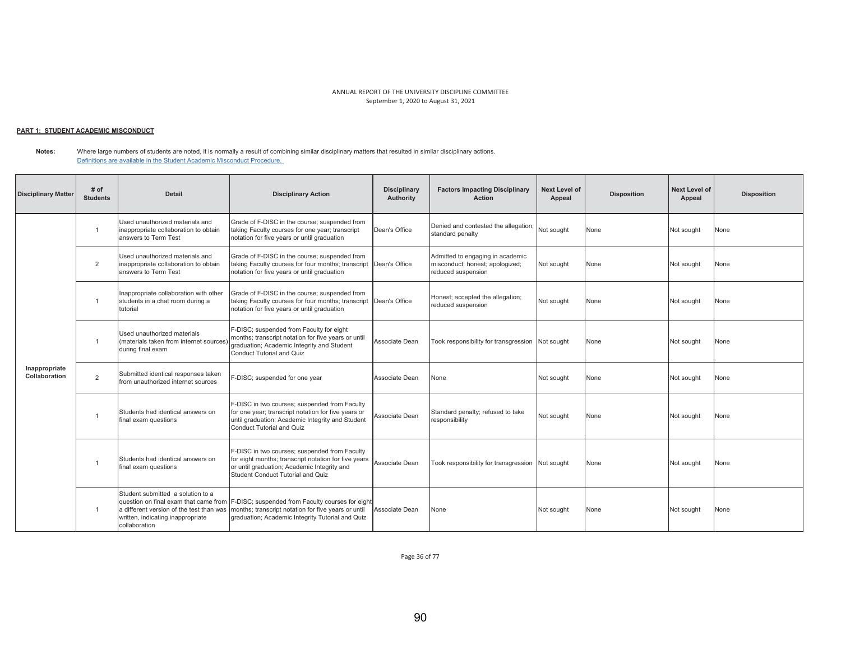# <u> PART 1: STUDENT ACADEMIC MISCONDUCT</u>

**Notes:**  Where large numbers of students are noted, it is normally a result of combining similar disciplinary matters that resulted in similar disciplinary actions. Definitions are available in the Student Academic Misconduct Procedure.

| <b>Disciplinary Matter</b>     | # of<br><b>Students</b> | Detail                                                                                                                              | <b>Disciplinary Action</b>                                                                                                                                                                        | <b>Disciplinary</b><br>Authority | <b>Factors Impacting Disciplinary</b><br><b>Action</b>                                    | Next Level of<br>Appeal | <b>Disposition</b> | <b>Next Level of</b><br>Appeal | <b>Disposition</b> |
|--------------------------------|-------------------------|-------------------------------------------------------------------------------------------------------------------------------------|---------------------------------------------------------------------------------------------------------------------------------------------------------------------------------------------------|----------------------------------|-------------------------------------------------------------------------------------------|-------------------------|--------------------|--------------------------------|--------------------|
|                                |                         | Used unauthorized materials and<br>inappropriate collaboration to obtain<br>answers to Term Test                                    | Grade of F-DISC in the course; suspended from<br>taking Faculty courses for one year; transcript<br>notation for five years or until graduation                                                   | Dean's Office                    | Denied and contested the allegation;<br>standard penalty                                  | Not sought              | None               | Not sought                     | None               |
|                                | 2                       | Used unauthorized materials and<br>inappropriate collaboration to obtain<br>answers to Term Test                                    | Grade of F-DISC in the course; suspended from<br>taking Faculty courses for four months; transcript Dean's Office<br>notation for five years or until graduation                                  |                                  | Admitted to engaging in academic<br>misconduct; honest; apologized;<br>reduced suspension | Not sought              | None               | Not sought                     | None               |
|                                |                         | Inappropriate collaboration with other<br>students in a chat room during a<br>tutorial                                              | Grade of F-DISC in the course; suspended from<br>taking Faculty courses for four months; transcript Dean's Office<br>notation for five years or until graduation                                  |                                  | Honest; accepted the allegation;<br>reduced suspension                                    | Not sought              | None               | Not sought                     | None               |
|                                |                         | Used unauthorized materials<br>(materials taken from internet sources)<br>during final exam                                         | F-DISC; suspended from Faculty for eight<br>months; transcript notation for five years or until<br>graduation; Academic Integrity and Student<br>Conduct Tutorial and Quiz                        | Associate Dean                   | Took responsibility for transgression Not sought                                          |                         | None               | Not sought                     | None               |
| Inappropriate<br>Collaboration | 2                       | Submitted identical responses taken<br>from unauthorized internet sources                                                           | F-DISC; suspended for one year                                                                                                                                                                    | Associate Dean                   | None                                                                                      | Not sought              | None               | Not sought                     | None               |
|                                |                         | Students had identical answers on<br>final exam questions                                                                           | F-DISC in two courses; suspended from Faculty<br>for one year; transcript notation for five years or<br>until graduation; Academic Integrity and Student<br>Conduct Tutorial and Quiz             | Associate Dean                   | Standard penalty; refused to take<br>responsibility                                       | Not sought              | None               | Not sought                     | None               |
|                                |                         | Students had identical answers on<br>final exam questions                                                                           | F-DISC in two courses; suspended from Faculty<br>for eight months; transcript notation for five years<br>or until graduation; Academic Integrity and<br>Student Conduct Tutorial and Quiz         | Associate Dean                   | Took responsibility for transgression Not sought                                          |                         | None               | Not sought                     | None               |
|                                |                         | Student submitted a solution to a<br>a different version of the test than was<br>written, indicating inappropriate<br>collaboration | question on final exam that came from F-DISC; suspended from Faculty courses for eight<br>months; transcript notation for five years or until<br>graduation; Academic Integrity Tutorial and Quiz | Associate Dean                   | None                                                                                      | Not sought              | None               | Not sought                     | None               |

Page 36 of 77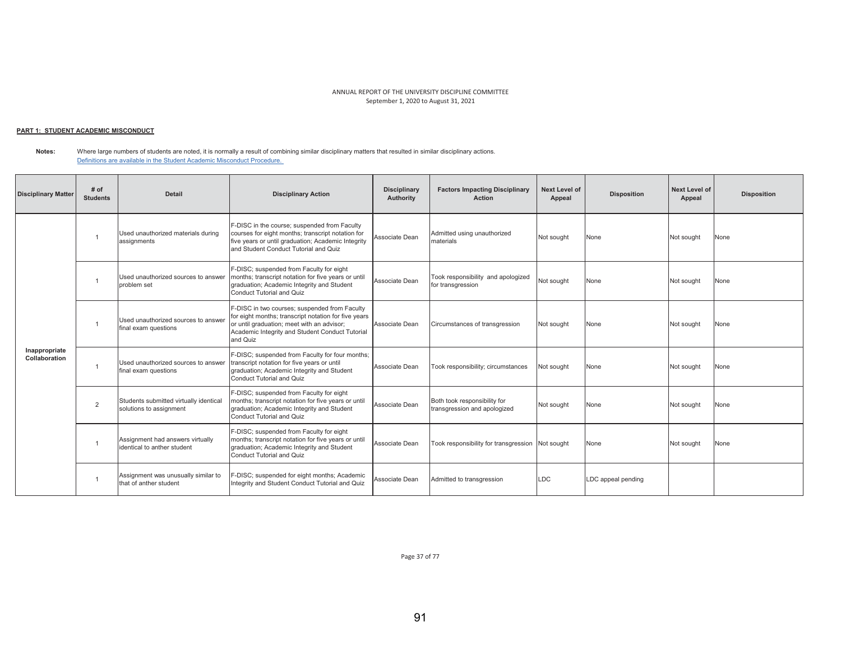# <u> PART 1: STUDENT ACADEMIC MISCONDUCT</u>

**Notes:**  Where large numbers of students are noted, it is normally a result of combining similar disciplinary matters that resulted in similar disciplinary actions. Definitions are available in the Student Academic Misconduct Procedure.

| <b>Disciplinary Matter</b>     | # of<br><b>Students</b> | <b>Detail</b>                                                     | <b>Disciplinary Action</b>                                                                                                                                                                                         | <b>Disciplinary</b><br>Authority | <b>Factors Impacting Disciplinary</b><br><b>Action</b>       | Next Level of<br>Appeal | <b>Disposition</b> | <b>Next Level of</b><br>Appeal | <b>Disposition</b> |
|--------------------------------|-------------------------|-------------------------------------------------------------------|--------------------------------------------------------------------------------------------------------------------------------------------------------------------------------------------------------------------|----------------------------------|--------------------------------------------------------------|-------------------------|--------------------|--------------------------------|--------------------|
|                                |                         | Used unauthorized materials during<br>assignments                 | F-DISC in the course; suspended from Faculty<br>courses for eight months; transcript notation for<br>five years or until graduation; Academic Integrity<br>and Student Conduct Tutorial and Quiz                   | Associate Dean                   | Admitted using unauthorized<br>materials                     | Not sought              | None               | Not sought                     | None               |
|                                |                         | Used unauthorized sources to answer<br>problem set                | F-DISC; suspended from Faculty for eight<br>months; transcript notation for five years or until<br>graduation; Academic Integrity and Student<br>Conduct Tutorial and Quiz                                         | Associate Dean                   | Took responsibility and apologized<br>for transgression      | Not sought              | None               | Not sought                     | None               |
|                                |                         | Used unauthorized sources to answer<br>final exam questions       | F-DISC in two courses; suspended from Faculty<br>for eight months; transcript notation for five years<br>or until graduation; meet with an advisor;<br>Academic Integrity and Student Conduct Tutorial<br>and Quiz | Associate Dean                   | Circumstances of transgression                               | Not sought              | None               | Not sought                     | None               |
| Inappropriate<br>Collaboration |                         | Used unauthorized sources to answer<br>final exam questions       | F-DISC; suspended from Faculty for four months;<br>transcript notation for five years or until<br>graduation; Academic Integrity and Student<br>Conduct Tutorial and Quiz                                          | Associate Dean                   | Took responsibility; circumstances                           | Not sought              | None               | Not sought                     | None               |
|                                | $\overline{2}$          | Students submitted virtually identical<br>solutions to assignment | F-DISC; suspended from Faculty for eight<br>months; transcript notation for five years or until<br>graduation; Academic Integrity and Student<br>Conduct Tutorial and Quiz                                         | Associate Dean                   | Both took responsibility for<br>transgression and apologized | Not sought              | None               | Not sought                     | None               |
|                                |                         | Assignment had answers virtually<br>identical to anther student   | F-DISC; suspended from Faculty for eight<br>months; transcript notation for five years or until<br>graduation; Academic Integrity and Student<br>Conduct Tutorial and Quiz                                         | Associate Dean                   | Took responsibility for transgression Not sought             |                         | None               | Not sought                     | None               |
|                                |                         | Assignment was unusually similar to<br>that of anther student     | F-DISC; suspended for eight months; Academic<br>Integrity and Student Conduct Tutorial and Quiz                                                                                                                    | Associate Dean                   | Admitted to transgression                                    | <b>LDC</b>              | LDC appeal pending |                                |                    |

Page 37 of 77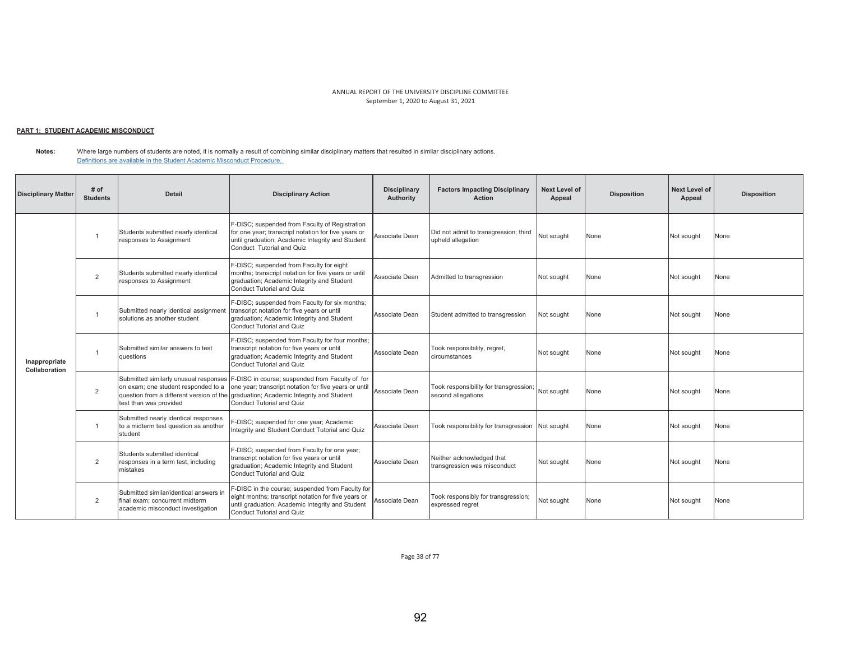#### <u> PART 1: STUDENT ACADEMIC MISCONDUCT</u>

**Notes:**  Where large numbers of students are noted, it is normally a result of combining similar disciplinary matters that resulted in similar disciplinary actions. Definitions are available in the Student Academic Misconduct Procedure.

| <b>Disciplinary Matter</b>     | # of<br><b>Students</b> | <b>Detail</b>                                                                                                 | <b>Disciplinary Action</b>                                                                                                                                                                                                   | <b>Disciplinary</b><br>Authority | <b>Factors Impacting Disciplinary</b><br>Action                         | <b>Next Level of</b><br>Appeal | <b>Disposition</b> | <b>Next Level of</b><br>Appeal | <b>Disposition</b> |
|--------------------------------|-------------------------|---------------------------------------------------------------------------------------------------------------|------------------------------------------------------------------------------------------------------------------------------------------------------------------------------------------------------------------------------|----------------------------------|-------------------------------------------------------------------------|--------------------------------|--------------------|--------------------------------|--------------------|
|                                | $\overline{1}$          | Students submitted nearly identical<br>responses to Assignment                                                | F-DISC; suspended from Faculty of Registration<br>for one year; transcript notation for five years or<br>until graduation; Academic Integrity and Student<br>Conduct Tutorial and Quiz                                       | Associate Dean                   | Did not admit to transgression; third<br>upheld allegation              | Not sought                     | None               | Not sought                     | None               |
|                                | $\overline{2}$          | Students submitted nearly identical<br>responses to Assignment                                                | F-DISC; suspended from Faculty for eight<br>months; transcript notation for five years or until<br>graduation; Academic Integrity and Student<br><b>Conduct Tutorial and Quiz</b>                                            | Associate Dean                   | Admitted to transgression                                               | Not sought                     | None               | Not sought                     | None               |
|                                | -1                      | Submitted nearly identical assignment<br>solutions as another student                                         | F-DISC; suspended from Faculty for six months;<br>transcript notation for five years or until<br>graduation; Academic Integrity and Student<br>Conduct Tutorial and Quiz                                                     | Associate Dean                   | Student admitted to transgression                                       | Not sought                     | None               | Not sought                     | None               |
| Inappropriate<br>Collaboration | $\overline{1}$          | Submitted similar answers to test<br>auestions                                                                | F-DISC; suspended from Faculty for four months;<br>transcript notation for five years or until<br>graduation; Academic Integrity and Student<br>Conduct Tutorial and Quiz                                                    | Associate Dean                   | Took responsibility, regret,<br>circumstances                           | Not sought                     | None               | Not sought                     | None               |
|                                | $\overline{2}$          | Submitted similarly unusual responses<br>on exam; one student responded to a<br>test than was provided        | F-DISC in course; suspended from Faculty of for<br>one year; transcript notation for five years or until<br>question from a different version of the graduation; Academic Integrity and Student<br>Conduct Tutorial and Quiz | Associate Dean                   | Took responsibility for transgression; Not sought<br>second allegations |                                | None               | Not sought                     | None               |
|                                | $\overline{1}$          | Submitted nearly identical responses<br>to a midterm test question as another<br>student                      | F-DISC; suspended for one year; Academic<br>Integrity and Student Conduct Tutorial and Quiz                                                                                                                                  | Associate Dean                   | Took responsibility for transgression Not sought                        |                                | None               | Not sought                     | None               |
|                                | 2                       | Students submitted identical<br>responses in a term test, including<br>mistakes                               | F-DISC; suspended from Faculty for one year;<br>transcript notation for five years or until<br>graduation; Academic Integrity and Student<br>Conduct Tutorial and Quiz                                                       | Associate Dean                   | Neither acknowledged that<br>transgression was misconduct               | Not sought                     | None               | Not sought                     | None               |
|                                | 2                       | Submitted similar/identical answers in<br>final exam: concurrent midterm<br>academic misconduct investigation | -DISC in the course; suspended from Faculty for<br>eight months; transcript notation for five years or<br>until graduation; Academic Integrity and Student<br><b>Conduct Tutorial and Quiz</b>                               | Associate Dean                   | Took responsibly for transgression;<br>expressed regret                 | Not sought                     | None               | Not sought                     | None               |

Page 38 of 77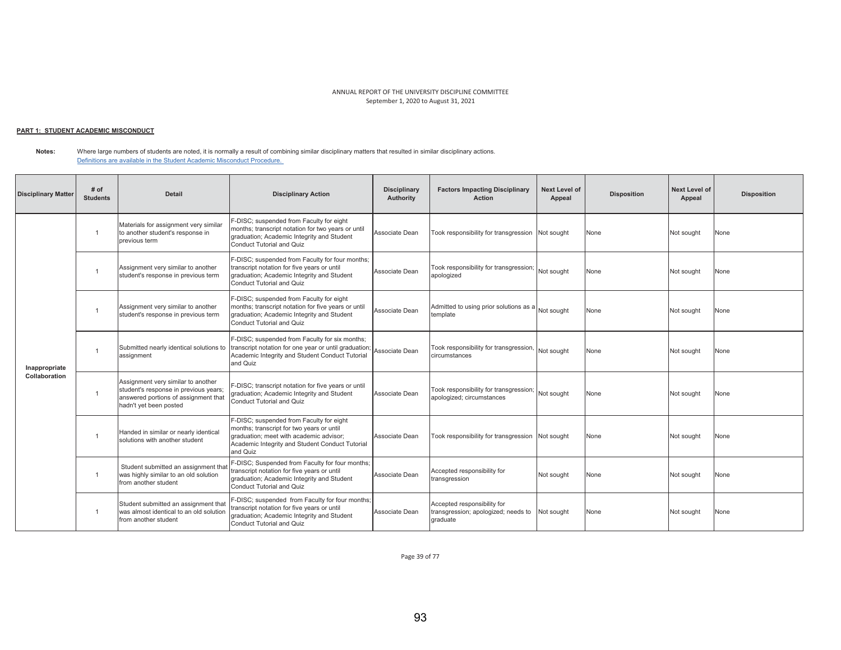## <u> PART 1: STUDENT ACADEMIC MISCONDUCT</u>

**Notes:**  Where large numbers of students are noted, it is normally a result of combining similar disciplinary matters that resulted in similar disciplinary actions. Definitions are available in the Student Academic Misconduct Procedure.

| <b>Disciplinary Matter</b> | # of<br><b>Students</b> | <b>Detail</b>                                                                                                                                 | <b>Disciplinary Action</b>                                                                                                                                                                      | <b>Disciplinary</b><br>Authority | <b>Factors Impacting Disciplinary</b><br><b>Action</b>                         | <b>Next Level of</b><br>Appeal | <b>Disposition</b> | <b>Next Level of</b><br>Appeal | <b>Disposition</b> |
|----------------------------|-------------------------|-----------------------------------------------------------------------------------------------------------------------------------------------|-------------------------------------------------------------------------------------------------------------------------------------------------------------------------------------------------|----------------------------------|--------------------------------------------------------------------------------|--------------------------------|--------------------|--------------------------------|--------------------|
|                            |                         | Materials for assignment very similar<br>to another student's response in<br>previous term                                                    | F-DISC; suspended from Faculty for eight<br>months; transcript notation for two years or until<br>graduation; Academic Integrity and Student<br>Conduct Tutorial and Quiz                       | Associate Dean                   | Took responsibility for transgression Not sought                               |                                | None               | Not sought                     | None               |
|                            | -1                      | Assignment very similar to another<br>student's response in previous term                                                                     | F-DISC; suspended from Faculty for four months;<br>transcript notation for five years or until<br>graduation; Academic Integrity and Student<br><b>Conduct Tutorial and Quiz</b>                | Associate Dean                   | Took responsibility for transgression; Not sought<br>apologized                |                                | None               | Not sought                     | None               |
|                            |                         | Assignment very similar to another<br>student's response in previous term                                                                     | F-DISC; suspended from Faculty for eight<br>months; transcript notation for five years or until<br>graduation; Academic Integrity and Student<br>Conduct Tutorial and Quiz                      | Associate Dean                   | Admitted to using prior solutions as a Not sought<br>template                  |                                | None               | Not sought                     | None               |
| Inappropriate              | $\overline{1}$          | Submitted nearly identical solutions to<br>assignment                                                                                         | F-DISC; suspended from Faculty for six months;<br>transcript notation for one year or until graduation;<br>Academic Integrity and Student Conduct Tutorial<br>and Quiz                          | Associate Dean                   | Took responsibility for transgression, Not sought<br>circumstances             |                                | None               | Not sought                     | None               |
| Collaboration              | $\overline{1}$          | Assignment very similar to another<br>student's response in previous years;<br>answered portions of assignment that<br>hadn't yet been posted | F-DISC; transcript notation for five years or until<br>graduation; Academic Integrity and Student<br><b>Conduct Tutorial and Quiz</b>                                                           | Associate Dean                   | Took responsibility for transgression;<br>apologized; circumstances            | Not sought                     | None               | Not sought                     | None               |
|                            | -1                      | Handed in similar or nearly identical<br>solutions with another student                                                                       | F-DISC; suspended from Faculty for eight<br>months; transcript for two years or until<br>graduation; meet with academic advisor;<br>Academic Integrity and Student Conduct Tutorial<br>and Quiz | Associate Dean                   | Took responsibility for transgression Not sought                               |                                | None               | Not sought                     | None               |
|                            | $\overline{1}$          | Student submitted an assignment that<br>was highly similar to an old solution<br>from another student                                         | F-DISC; Suspended from Faculty for four months;<br>transcript notation for five years or until<br>graduation; Academic Integrity and Student<br>Conduct Tutorial and Quiz                       | Associate Dean                   | Accepted responsibility for<br>transgression                                   | Not sought                     | None               | Not sought                     | None               |
|                            |                         | Student submitted an assignment that<br>was almost identical to an old solution<br>from another student                                       | F-DISC; suspended from Faculty for four months;<br>transcript notation for five years or until<br>graduation; Academic Integrity and Student<br>Conduct Tutorial and Quiz                       | Associate Dean                   | Accepted responsibility for<br>transgression; apologized; needs to<br>graduate | Not sought                     | None               | Not sought                     | None               |

Page 39 of 77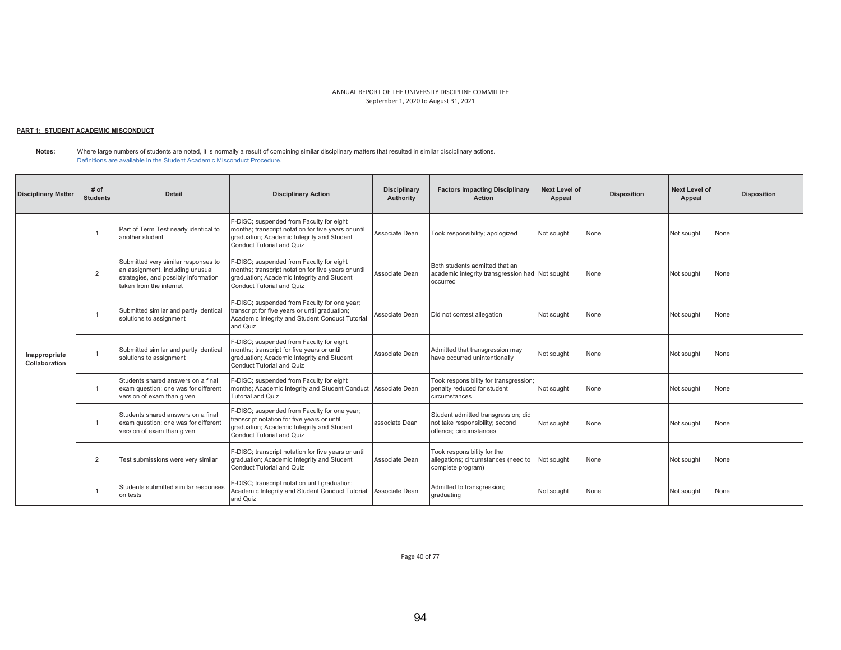# <u> PART 1: STUDENT ACADEMIC MISCONDUCT</u>

**Notes:**  Where large numbers of students are noted, it is normally a result of combining similar disciplinary matters that resulted in similar disciplinary actions. Definitions are available in the Student Academic Misconduct Procedure.

| <b>Disciplinary Matter</b>     | # of<br><b>Students</b> | <b>Detail</b>                                                                                                                              | <b>Disciplinary Action</b>                                                                                                                                                        | <b>Disciplinary</b><br>Authority | <b>Factors Impacting Disciplinary</b><br><b>Action</b>                                           | <b>Next Level of</b><br>Appeal | <b>Disposition</b> | Next Level of<br>Appeal | <b>Disposition</b> |
|--------------------------------|-------------------------|--------------------------------------------------------------------------------------------------------------------------------------------|-----------------------------------------------------------------------------------------------------------------------------------------------------------------------------------|----------------------------------|--------------------------------------------------------------------------------------------------|--------------------------------|--------------------|-------------------------|--------------------|
|                                |                         | Part of Term Test nearly identical to<br>another student                                                                                   | F-DISC; suspended from Faculty for eight<br>months; transcript notation for five years or until<br>graduation; Academic Integrity and Student<br>Conduct Tutorial and Quiz        | Associate Dean                   | Took responsibility; apologized                                                                  | Not sought                     | None               | Not sought              | None               |
|                                | $\overline{2}$          | Submitted very similar responses to<br>an assignment, including unusual<br>strategies, and possibly information<br>taken from the internet | F-DISC; suspended from Faculty for eight<br>months; transcript notation for five years or until<br>graduation; Academic Integrity and Student<br><b>Conduct Tutorial and Quiz</b> | Associate Dean                   | Both students admitted that an<br>academic integrity transgression had Not sought<br>occurred    |                                | None               | Not sought              | None               |
|                                | $\overline{1}$          | Submitted similar and partly identical<br>solutions to assignment                                                                          | F-DISC; suspended from Faculty for one year;<br>transcript for five years or until graduation;<br>Academic Integrity and Student Conduct Tutorial<br>and Quiz                     | Associate Dean                   | Did not contest allegation                                                                       | Not sought                     | None               | Not sought              | None               |
| Inappropriate<br>Collaboration | $\overline{1}$          | Submitted similar and partly identical<br>solutions to assignment                                                                          | F-DISC; suspended from Faculty for eight<br>months; transcript for five years or until<br>graduation; Academic Integrity and Student<br><b>Conduct Tutorial and Quiz</b>          | Associate Dean                   | Admitted that transgression may<br>have occurred unintentionally                                 | Not sought                     | None               | Not sought              | None               |
|                                | $\overline{1}$          | Students shared answers on a final<br>exam question; one was for different<br>version of exam than given                                   | F-DISC; suspended from Faculty for eight<br>months; Academic Integrity and Student Conduct Associate Dean<br>Tutorial and Quiz                                                    |                                  | Took responsibility for transgression;<br>penalty reduced for student<br>circumstances           | Not sought                     | None               | Not sought              | None               |
|                                | $\overline{1}$          | Students shared answers on a final<br>exam question; one was for different<br>version of exam than given                                   | F-DISC; suspended from Faculty for one year;<br>transcript notation for five years or until<br>graduation; Academic Integrity and Student<br><b>Conduct Tutorial and Quiz</b>     | associate Dean                   | Student admitted transgression; did<br>not take responsibility; second<br>offence; circumstances | Not sought                     | None               | Not sought              | None               |
|                                | $\overline{2}$          | Test submissions were very similar                                                                                                         | F-DISC; transcript notation for five years or until<br>graduation; Academic Integrity and Student<br><b>Conduct Tutorial and Quiz</b>                                             | Associate Dean                   | Took responsibility for the<br>allegations; circumstances (need to<br>complete program)          | Not sought                     | None               | Not sought              | None               |
|                                |                         | Students submitted similar responses<br>on tests                                                                                           | F-DISC; transcript notation until graduation;<br>Academic Integrity and Student Conduct Tutorial<br>and Quiz                                                                      | Associate Dean                   | Admitted to transgression;<br>graduating                                                         | Not sought                     | None               | Not sought              | None               |

Page 40 of 77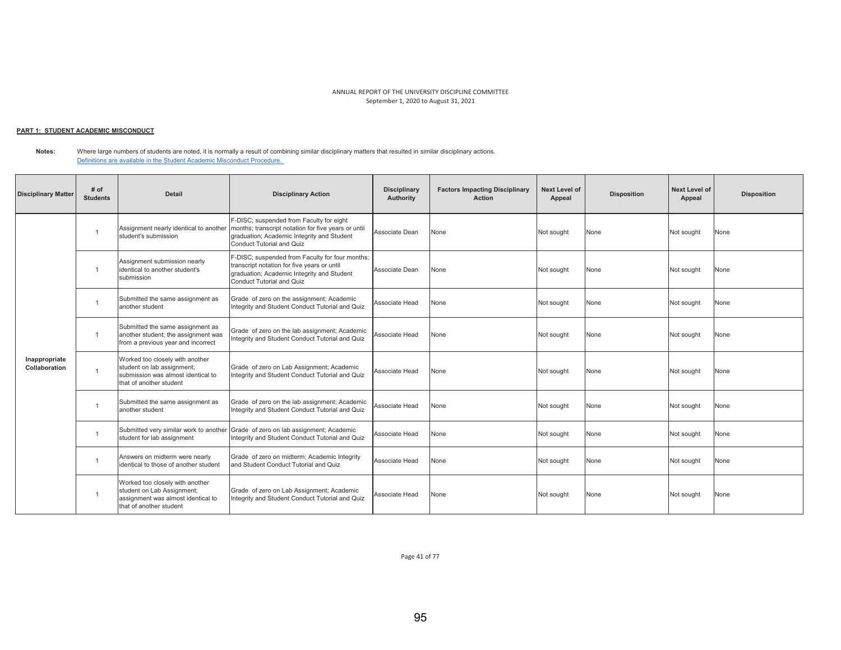# <u> PART 1: STUDENT ACADEMIC MISCONDUCT</u>

**Notes:**  Where large numbers of students are noted, it is normally a result of combining similar disciplinary matters that resulted in similar disciplinary actions. Definitions are available in the Student Academic Misconduct Procedure.

| <b>Disciplinary Matter</b>     | # of<br><b>Students</b> | <b>Detail</b>                                                                                                                  | <b>Disciplinary Action</b>                                                                                                                                                 | <b>Disciplinary</b><br><b>Authority</b> | <b>Factors Impacting Disciplinary</b><br><b>Action</b> | <b>Next Level of</b><br>Appeal | <b>Disposition</b> | Next Level of<br>Appeal | <b>Disposition</b> |
|--------------------------------|-------------------------|--------------------------------------------------------------------------------------------------------------------------------|----------------------------------------------------------------------------------------------------------------------------------------------------------------------------|-----------------------------------------|--------------------------------------------------------|--------------------------------|--------------------|-------------------------|--------------------|
|                                |                         | Assignment nearly identical to another<br>student's submission                                                                 | F-DISC; suspended from Faculty for eight<br>months; transcript notation for five years or until<br>graduation; Academic Integrity and Student<br>Conduct Tutorial and Quiz | Associate Dean                          | None                                                   | Not sought                     | None               | Not sought              | None               |
|                                |                         | Assignment submission nearly<br>identical to another student's<br>submission                                                   | F-DISC; suspended from Faculty for four months;<br>transcript notation for five years or until<br>graduation; Academic Integrity and Student<br>Conduct Tutorial and Quiz  | Associate Dean                          | None                                                   | Not sought                     | None               | Not sought              | None               |
|                                |                         | Submitted the same assignment as<br>another student                                                                            | Grade of zero on the assignment; Academic<br>Integrity and Student Conduct Tutorial and Quiz                                                                               | Associate Head                          | None                                                   | Not sought                     | None               | Not sought              | None               |
|                                | $\overline{1}$          | Submitted the same assignment as<br>another student; the assignment was<br>from a previous year and incorrect                  | Grade of zero on the lab assignment; Academic<br>Integrity and Student Conduct Tutorial and Quiz                                                                           | Associate Head                          | None                                                   | Not sought                     | None               | Not sought              | None               |
| Inappropriate<br>Collaboration | $\overline{1}$          | Worked too closely with another<br>student on lab assignment;<br>submission was almost identical to<br>that of another student | Grade of zero on Lab Assignment; Academic<br>Integrity and Student Conduct Tutorial and Quiz                                                                               | Associate Head                          | None                                                   | Not sought                     | None               | Not sought              | None               |
|                                |                         | Submitted the same assignment as<br>another student                                                                            | Grade of zero on the lab assignment; Academic<br>Integrity and Student Conduct Tutorial and Quiz                                                                           | Associate Head                          | None                                                   | Not sought                     | None               | Not sought              | None               |
|                                | $\overline{1}$          | Submitted very similar work to another<br>student for lab assignment                                                           | Grade of zero on lab assignment; Academic<br>Integrity and Student Conduct Tutorial and Quiz                                                                               | Associate Head                          | None                                                   | Not sought                     | None               | Not sought              | None               |
|                                | $\overline{1}$          | Answers on midterm were nearly<br>identical to those of another student                                                        | Grade of zero on midterm; Academic Integrity<br>and Student Conduct Tutorial and Quiz                                                                                      | Associate Head                          | None                                                   | Not sought                     | None               | Not sought              | None               |
|                                |                         | Worked too closely with another<br>student on Lab Assignment;<br>assignment was almost identical to<br>that of another student | Grade of zero on Lab Assignment; Academic<br>Integrity and Student Conduct Tutorial and Quiz                                                                               | Associate Head                          | None                                                   | Not sought                     | None               | Not sought              | None               |

Page 41 of 77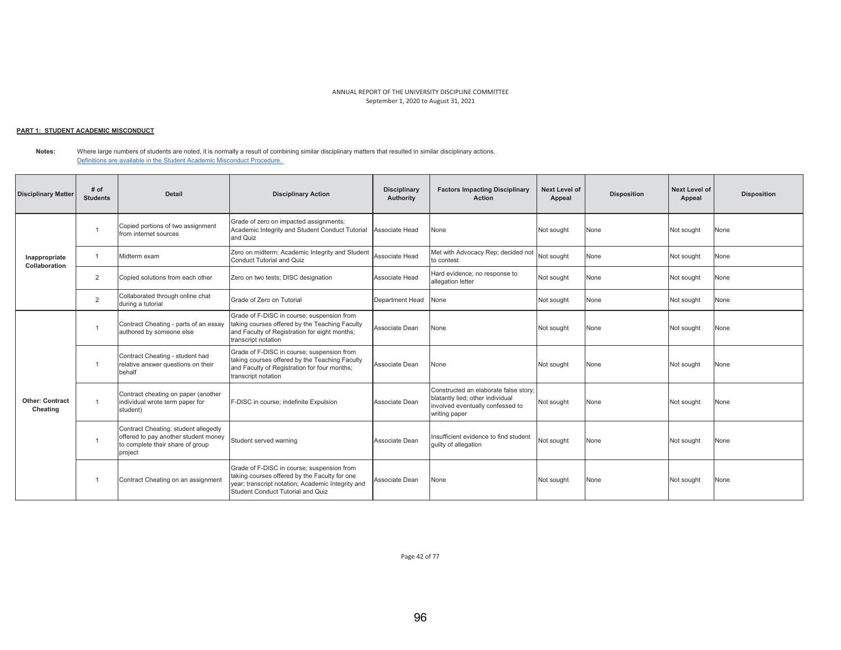# <u> PART 1: STUDENT ACADEMIC MISCONDUCT</u>

**Notes:**  Where large numbers of students are noted, it is normally a result of combining similar disciplinary matters that resulted in similar disciplinary actions. Definitions are available in the Student Academic Misconduct Procedure.

| <b>Disciplinary Matter</b>         | # of<br><b>Students</b> | <b>Detail</b>                                                                                                               | <b>Disciplinary Action</b>                                                                                                                                                            | <b>Disciplinary</b><br>Authority | <b>Factors Impacting Disciplinary</b><br><b>Action</b>                                                                         | Next Level of<br>Appeal | <b>Disposition</b> | <b>Next Level of</b><br>Appeal | <b>Disposition</b> |
|------------------------------------|-------------------------|-----------------------------------------------------------------------------------------------------------------------------|---------------------------------------------------------------------------------------------------------------------------------------------------------------------------------------|----------------------------------|--------------------------------------------------------------------------------------------------------------------------------|-------------------------|--------------------|--------------------------------|--------------------|
|                                    |                         | Copied portions of two assignment<br>from internet sources                                                                  | Grade of zero on impacted assignments;<br>Academic Integrity and Student Conduct Tutorial<br>and Quiz                                                                                 | Associate Head                   | None                                                                                                                           | Not sought              | None               | Not sought                     | None               |
| Inappropriate<br>Collaboration     |                         | Midterm exam                                                                                                                | Zero on midterm; Academic Integrity and Student<br>Conduct Tutorial and Quiz                                                                                                          | Associate Head                   | Met with Advocacy Rep; decided not<br>to contest                                                                               | Not sought              | None               | Not sought                     | None               |
|                                    | $\overline{2}$          | Copied solutions from each other                                                                                            | Zero on two tests; DISC designation                                                                                                                                                   | Associate Head                   | Hard evidence; no response to<br>allegation letter                                                                             | Not sought              | None               | Not sought                     | None               |
|                                    | $\overline{2}$          | Collaborated through online chat<br>during a tutorial                                                                       | Grade of Zero on Tutorial                                                                                                                                                             | Department Head                  | None                                                                                                                           | Not sought              | None               | Not sought                     | None               |
|                                    |                         | Contract Cheating - parts of an essay<br>authored by someone else                                                           | Grade of F-DISC in course; suspension from<br>taking courses offered by the Teaching Faculty<br>and Faculty of Registration for eight months;<br>transcript notation                  | Associate Dean                   | None                                                                                                                           | Not sought              | None               | Not sought                     | None               |
|                                    |                         | Contract Cheating - student had<br>relative answer questions on their<br>behalf                                             | Grade of F-DISC in course; suspension from<br>taking courses offered by the Teaching Faculty<br>and Faculty of Registration for four months;<br>transcript notation                   | Associate Dean                   | None                                                                                                                           | Not sought              | None               | Not sought                     | None               |
| <b>Other: Contract</b><br>Cheating | $\overline{1}$          | Contract cheating on paper (another<br>individual wrote term paper for<br>student)                                          | F-DISC in course; indefinite Expulsion                                                                                                                                                | Associate Dean                   | Constructed an elaborate false story;<br>blatantly lied; other individual<br>involved eventually confessed to<br>writing paper | Not sought              | None               | Not sought                     | None               |
|                                    |                         | Contract Cheating: student allegedly<br>offered to pay another student money<br>to complete their share of group<br>project | Student served warning                                                                                                                                                                | Associate Dean                   | Insufficient evidence to find student<br>quilty of allegation                                                                  | Not sought              | None               | Not sought                     | None               |
|                                    |                         | Contract Cheating on an assignment                                                                                          | Grade of F-DISC in course; suspension from<br>taking courses offered by the Faculty for one<br>year; transcript notation; Academic Integrity and<br>Student Conduct Tutorial and Quiz | Associate Dean                   | None                                                                                                                           | Not sought              | None               | Not sought                     | None               |

Page 42 of 77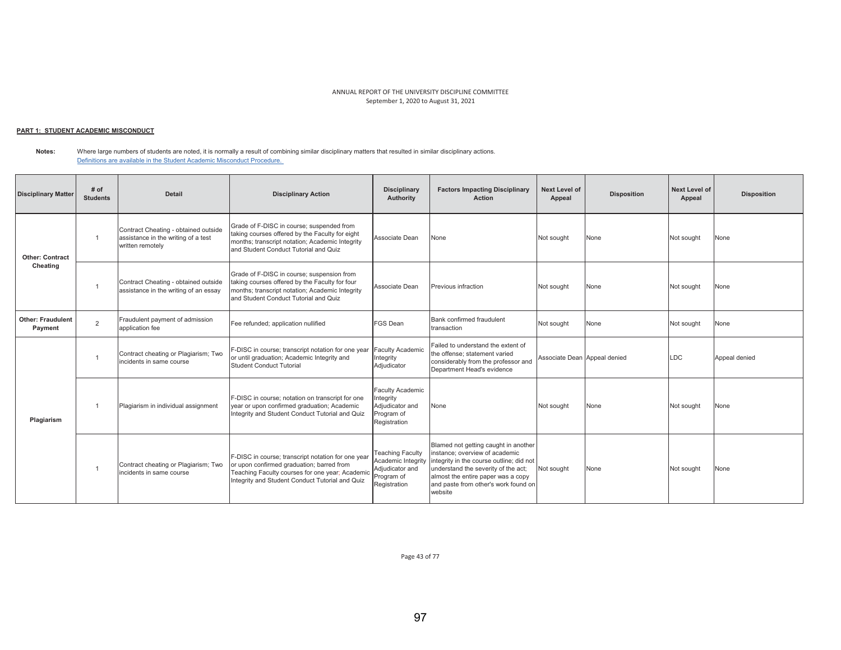# <u> PART 1: STUDENT ACADEMIC MISCONDUCT</u>

#### **Notes:**  Where large numbers of students are noted, it is normally a result of combining similar disciplinary matters that resulted in similar disciplinary actions. Definitions are available in the Student Academic Misconduct Procedure.

| <b>Disciplinary Matter</b>          | # of<br><b>Students</b> | <b>Detail</b>                                                                                   | <b>Disciplinary Action</b>                                                                                                                                                                            | <b>Disciplinary</b><br>Authority                                                               | <b>Factors Impacting Disciplinary</b><br><b>Action</b>                                                                                                                                                                                             | Next Level of<br>Appeal      | <b>Disposition</b> | Next Level of<br>Appeal | <b>Disposition</b> |
|-------------------------------------|-------------------------|-------------------------------------------------------------------------------------------------|-------------------------------------------------------------------------------------------------------------------------------------------------------------------------------------------------------|------------------------------------------------------------------------------------------------|----------------------------------------------------------------------------------------------------------------------------------------------------------------------------------------------------------------------------------------------------|------------------------------|--------------------|-------------------------|--------------------|
| <b>Other: Contract</b>              |                         | Contract Cheating - obtained outside<br>assistance in the writing of a test<br>written remotely | Grade of F-DISC in course; suspended from<br>taking courses offered by the Faculty for eight<br>months; transcript notation; Academic Integrity<br>and Student Conduct Tutorial and Quiz              | Associate Dean                                                                                 | None                                                                                                                                                                                                                                               | Not sought                   | None               | Not sought              | None               |
| Cheating                            |                         | Contract Cheating - obtained outside<br>assistance in the writing of an essay                   | Grade of F-DISC in course; suspension from<br>taking courses offered by the Faculty for four<br>months; transcript notation; Academic Integrity<br>and Student Conduct Tutorial and Quiz              | Associate Dean                                                                                 | Previous infraction                                                                                                                                                                                                                                | Not sought                   | None               | Not sought              | None               |
| <b>Other: Fraudulent</b><br>Payment | $\overline{2}$          | Fraudulent payment of admission<br>application fee                                              | Fee refunded; application nullified                                                                                                                                                                   | <b>FGS Dean</b>                                                                                | Bank confirmed fraudulent<br>transaction                                                                                                                                                                                                           | Not sought                   | None               | Not sought              | None               |
| Plagiarism                          |                         | Contract cheating or Plagiarism; Two<br>incidents in same course                                | F-DISC in course; transcript notation for one year<br>or until graduation; Academic Integrity and<br>Student Conduct Tutorial                                                                         | <b>Faculty Academic</b><br>Integrity<br>Adjudicator                                            | Failed to understand the extent of<br>the offense: statement varied<br>considerably from the professor and<br>Department Head's evidence                                                                                                           | Associate Dean Appeal denied |                    | <b>LDC</b>              | Appeal denied      |
|                                     |                         | Plagiarism in individual assignment                                                             | F-DISC in course; notation on transcript for one<br>year or upon confirmed graduation; Academic<br>Integrity and Student Conduct Tutorial and Quiz                                                    | Faculty Academic<br>Integrity<br>Adjudicator and<br>Program of<br>Registration                 | None                                                                                                                                                                                                                                               | Not sought                   | None               | Not sought              | None               |
|                                     |                         | Contract cheating or Plagiarism; Two<br>incidents in same course                                | F-DISC in course; transcript notation for one year<br>or upon confirmed graduation; barred from<br>Teaching Faculty courses for one year; Academic<br>Integrity and Student Conduct Tutorial and Quiz | <b>Teaching Faculty</b><br>Academic Integrity<br>Adjudicator and<br>Program of<br>Registration | Blamed not getting caught in another<br>instance: overview of academic<br>integrity in the course outline; did not<br>understand the severity of the act;<br>almost the entire paper was a copy<br>and paste from other's work found on<br>website | Not sought                   | None               | Not sought              | None               |

Page 43 of 77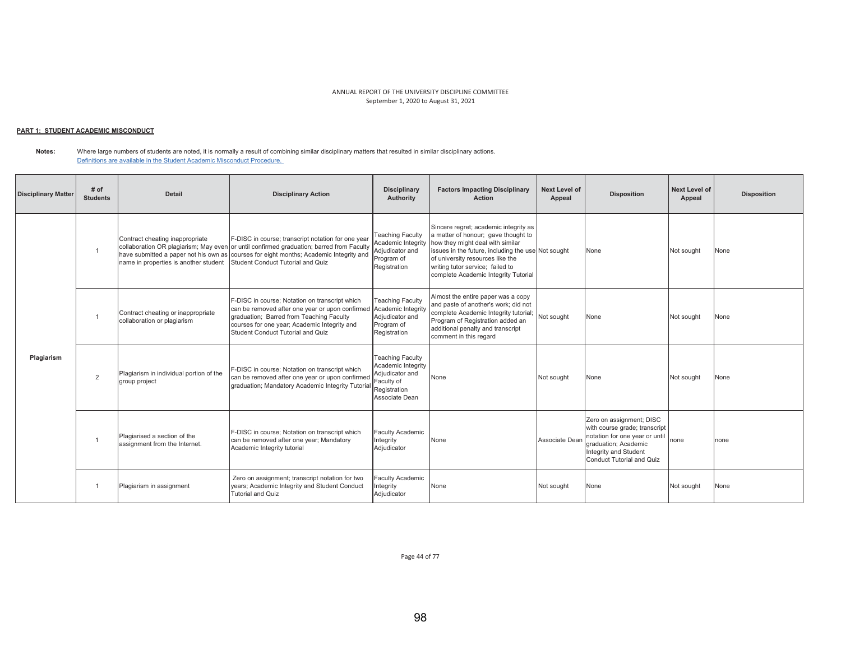# <u> PART 1: STUDENT ACADEMIC MISCONDUCT</u>

**Notes:**  Where large numbers of students are noted, it is normally a result of combining similar disciplinary matters that resulted in similar disciplinary actions. Definitions are available in the Student Academic Misconduct Procedure.

| <b>Disciplinary Matter</b> | # of<br><b>Students</b> | Detail                                                                   | <b>Disciplinary Action</b>                                                                                                                                                                                                                                                    | <b>Disciplinary</b><br>Authority                                                                                 | <b>Factors Impacting Disciplinary</b><br><b>Action</b>                                                                                                                                                                                                                                 | <b>Next Level of</b><br>Appeal | <b>Disposition</b>                                                                                                                                                               | <b>Next Level of</b><br>Appeal | <b>Disposition</b> |
|----------------------------|-------------------------|--------------------------------------------------------------------------|-------------------------------------------------------------------------------------------------------------------------------------------------------------------------------------------------------------------------------------------------------------------------------|------------------------------------------------------------------------------------------------------------------|----------------------------------------------------------------------------------------------------------------------------------------------------------------------------------------------------------------------------------------------------------------------------------------|--------------------------------|----------------------------------------------------------------------------------------------------------------------------------------------------------------------------------|--------------------------------|--------------------|
|                            |                         | Contract cheating inappropriate<br>name in properties is another student | F-DISC in course; transcript notation for one year<br>collaboration OR plagiarism; May even or until confirmed graduation; barred from Faculty<br>have submitted a paper not his own as courses for eight months; Academic Integrity and<br>Student Conduct Tutorial and Quiz | <b>Teaching Faculty</b><br>Academic Integrity<br>Adjudicator and<br>Program of<br>Registration                   | Sincere regret; academic integrity as<br>a matter of honour; gave thought to<br>how they might deal with similar<br>issues in the future, including the use Not sought<br>of university resources like the<br>writing tutor service; failed to<br>complete Academic Integrity Tutorial |                                | None                                                                                                                                                                             | Not sought                     | None               |
|                            |                         | Contract cheating or inappropriate<br>collaboration or plagiarism        | F-DISC in course; Notation on transcript which<br>can be removed after one year or upon confirmed Academic Integrity<br>graduation; Barred from Teaching Faculty<br>courses for one year; Academic Integrity and<br>Student Conduct Tutorial and Quiz                         | <b>Teaching Faculty</b><br>Adiudicator and<br>Program of<br>Registration                                         | Almost the entire paper was a copy<br>and paste of another's work; did not<br>complete Academic Integrity tutorial;<br>Program of Registration added an<br>additional penalty and transcript<br>comment in this regard                                                                 | Not sought                     | None                                                                                                                                                                             | Not sought                     | None               |
| Plagiarism                 | $\overline{2}$          | Plagiarism in individual portion of the<br>group project                 | F-DISC in course; Notation on transcript which<br>can be removed after one year or upon confirmed<br>graduation; Mandatory Academic Integrity Tutoria                                                                                                                         | <b>Teaching Faculty</b><br>Academic Integrity<br>Adjudicator and<br>Faculty of<br>Registration<br>Associate Dean | None                                                                                                                                                                                                                                                                                   | Not sought                     | None                                                                                                                                                                             | Not sought                     | None               |
|                            |                         | Plagiarised a section of the<br>assignment from the Internet.            | F-DISC in course; Notation on transcript which<br>can be removed after one year; Mandatory<br>Academic Integrity tutorial                                                                                                                                                     | <b>Faculty Academic</b><br>Integrity<br>Adjudicator                                                              | None                                                                                                                                                                                                                                                                                   | Associate Dean                 | Zero on assignment; DISC<br>with course grade; transcript<br>notation for one year or until<br>graduation: Academic<br>Integrity and Student<br><b>Conduct Tutorial and Quiz</b> | none                           | none               |
|                            |                         | Plagiarism in assignment                                                 | Zero on assignment; transcript notation for two<br>years; Academic Integrity and Student Conduct<br>Tutorial and Quiz                                                                                                                                                         | <b>Faculty Academic</b><br>Integrity<br>Adjudicator                                                              | None                                                                                                                                                                                                                                                                                   | Not sought                     | None                                                                                                                                                                             | Not sought                     | None               |

Page 44 of 77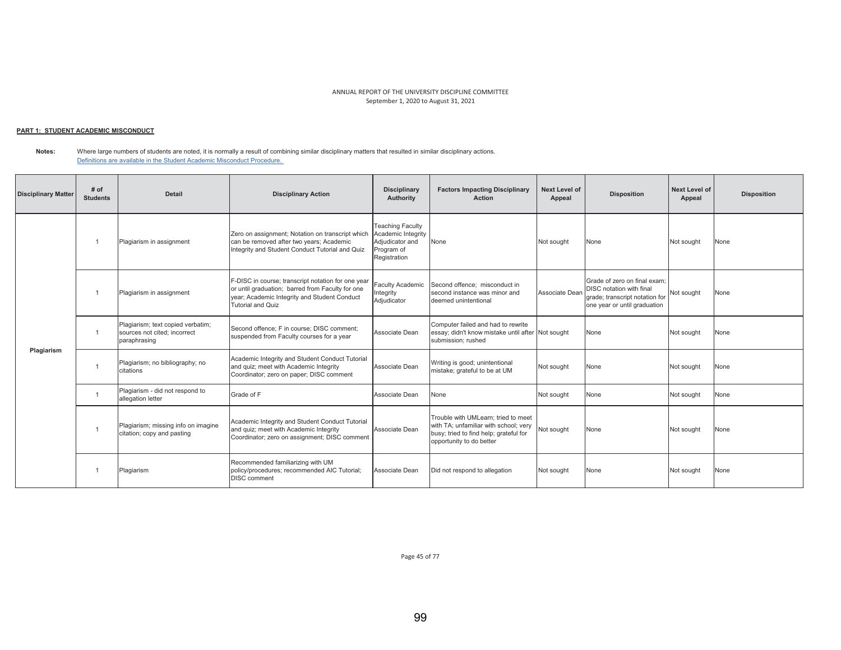# <u> PART 1: STUDENT ACADEMIC MISCONDUCT</u>

**Notes:**  Where large numbers of students are noted, it is normally a result of combining similar disciplinary matters that resulted in similar disciplinary actions. Definitions are available in the Student Academic Misconduct Procedure.

| <b>Disciplinary Matter</b> | # of<br><b>Students</b> | <b>Detail</b>                                                                     | <b>Disciplinary Action</b>                                                                                                                                                  | <b>Disciplinary</b><br>Authority                                                               | <b>Factors Impacting Disciplinary</b><br><b>Action</b>                                                                                             | Next Level of<br>Appeal | <b>Disposition</b>                                                                                                                | <b>Next Level of</b><br>Appeal | <b>Disposition</b> |
|----------------------------|-------------------------|-----------------------------------------------------------------------------------|-----------------------------------------------------------------------------------------------------------------------------------------------------------------------------|------------------------------------------------------------------------------------------------|----------------------------------------------------------------------------------------------------------------------------------------------------|-------------------------|-----------------------------------------------------------------------------------------------------------------------------------|--------------------------------|--------------------|
|                            |                         | Plagiarism in assignment                                                          | Zero on assignment; Notation on transcript which<br>can be removed after two years; Academic<br>Integrity and Student Conduct Tutorial and Quiz                             | <b>Teaching Faculty</b><br>Academic Integrity<br>Adjudicator and<br>Program of<br>Registration | None                                                                                                                                               | Not sought              | None                                                                                                                              | Not sought                     | None               |
|                            |                         | Plagiarism in assignment                                                          | F-DISC in course; transcript notation for one year<br>or until graduation; barred from Faculty for one<br>year; Academic Integrity and Student Conduct<br>Tutorial and Quiz | <b>Faculty Academic</b><br>Integrity<br>Adjudicator                                            | Second offence: misconduct in<br>second instance was minor and<br>deemed unintentional                                                             | Associate Dean          | Grade of zero on final exam:<br><b>DISC</b> notation with final<br>grade; transcript notation for<br>one year or until graduation | Not sought                     | None               |
|                            | $\overline{1}$          | Plagiarism; text copied verbatim;<br>sources not cited; incorrect<br>paraphrasing | Second offence: F in course: DISC comment:<br>suspended from Faculty courses for a year                                                                                     | Associate Dean                                                                                 | Computer failed and had to rewrite<br>essay; didn't know mistake until after Not sought<br>submission; rushed                                      |                         | None                                                                                                                              | Not sought                     | None               |
| Plagiarism                 |                         | Plagiarism; no bibliography; no<br>citations                                      | Academic Integrity and Student Conduct Tutorial<br>and quiz; meet with Academic Integrity<br>Coordinator; zero on paper; DISC comment                                       | Associate Dean                                                                                 | Writing is good; unintentional<br>mistake; grateful to be at UM                                                                                    | Not sought              | None                                                                                                                              | Not sought                     | None               |
|                            | $\overline{1}$          | Plagiarism - did not respond to<br>allegation letter                              | Grade of F                                                                                                                                                                  | Associate Dean                                                                                 | None                                                                                                                                               | Not sought              | None                                                                                                                              | Not sought                     | None               |
|                            |                         | Plagiarism; missing info on imagine<br>citation; copy and pasting                 | Academic Integrity and Student Conduct Tutorial<br>and quiz; meet with Academic Integrity<br>Coordinator; zero on assignment; DISC comment                                  | Associate Dean                                                                                 | Trouble with UMLearn: tried to meet<br>with TA; unfamiliar with school; very<br>busy; tried to find help; grateful for<br>opportunity to do better | Not sought              | None                                                                                                                              | Not sought                     | None               |
|                            |                         | Plagiarism                                                                        | Recommended familiarizing with UM<br>policy/procedures; recommended AIC Tutorial;<br><b>DISC</b> comment                                                                    | Associate Dean                                                                                 | Did not respond to allegation                                                                                                                      | Not sought              | None                                                                                                                              | Not sought                     | None               |

Page 45 of 77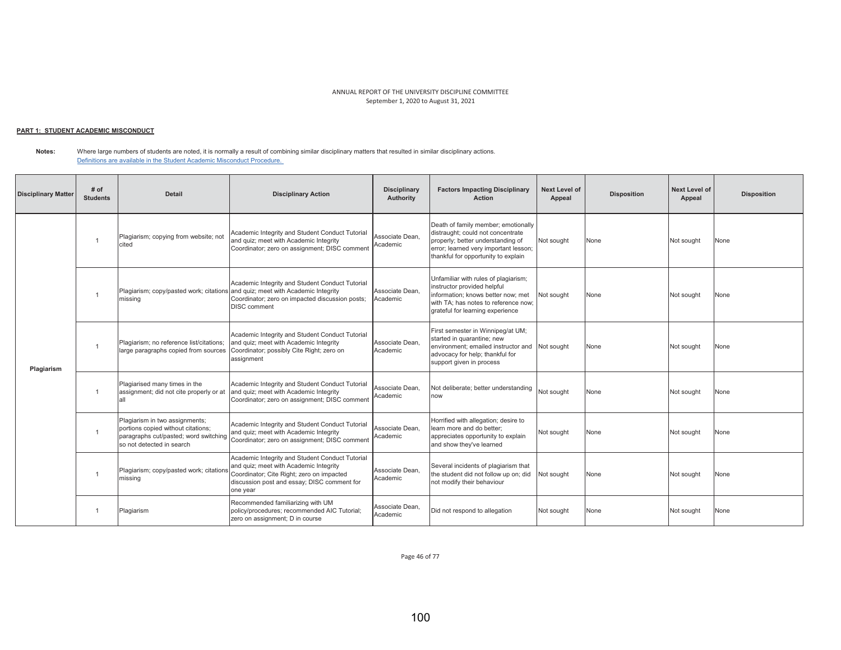# <u> PART 1: STUDENT ACADEMIC MISCONDUCT</u>

**Notes:** Where large numbers of students are noted, it is normally a result of combining similar disciplinary matters that resulted in similar disciplinary actions. Definitions are available in the Student Academic Misconduct Procedure.

| <b>Disciplinary Matter</b> | # of<br><b>Students</b> | <b>Detail</b>                                                                                                                              | <b>Disciplinary Action</b>                                                                                                                                                                                  | <b>Disciplinary</b><br>Authority | <b>Factors Impacting Disciplinary</b><br><b>Action</b>                                                                                                                                        | Next Level of<br>Appeal | <b>Disposition</b> | <b>Next Level of</b><br>Appeal | <b>Disposition</b> |
|----------------------------|-------------------------|--------------------------------------------------------------------------------------------------------------------------------------------|-------------------------------------------------------------------------------------------------------------------------------------------------------------------------------------------------------------|----------------------------------|-----------------------------------------------------------------------------------------------------------------------------------------------------------------------------------------------|-------------------------|--------------------|--------------------------------|--------------------|
| Plagiarism                 |                         | Plagiarism; copying from website; not<br>cited                                                                                             | Academic Integrity and Student Conduct Tutorial<br>and quiz; meet with Academic Integrity<br>Coordinator; zero on assignment; DISC comment                                                                  | Associate Dean,<br>Academic      | Death of family member; emotionally<br>distraught; could not concentrate<br>properly; better understanding of<br>error; learned very important lesson;<br>thankful for opportunity to explain | Not sought              | None               | Not sought                     | None               |
|                            | $\overline{1}$          | missing                                                                                                                                    | Academic Integrity and Student Conduct Tutorial<br>Plagiarism; copy/pasted work; citations and quiz; meet with Academic Integrity<br>Coordinator; zero on impacted discussion posts;<br><b>DISC</b> comment | Associate Dean.<br>Academic      | Unfamiliar with rules of plagiarism;<br>instructor provided helpful<br>information; knows better now; met<br>with TA: has notes to reference now:<br>grateful for learning experience         | Not sought              | None               | Not sought                     | None               |
|                            |                         | Plagiarism: no reference list/citations:<br>large paragraphs copied from sources                                                           | Academic Integrity and Student Conduct Tutorial<br>and quiz; meet with Academic Integrity<br>Coordinator; possibly Cite Right; zero on<br>assignment                                                        | Associate Dean.<br>Academic      | First semester in Winnipeg/at UM;<br>started in quarantine; new<br>environment; emailed instructor and<br>advocacy for help; thankful for<br>support given in process                         | Not sought              | None               | Not sought                     | None               |
|                            |                         | Plagiarised many times in the<br>assignment; did not cite properly or at<br>all                                                            | Academic Integrity and Student Conduct Tutorial<br>and quiz; meet with Academic Integrity<br>Coordinator; zero on assignment; DISC comment                                                                  | Associate Dean.<br>Academic      | Not deliberate; better understanding<br>now                                                                                                                                                   | Not sought              | None               | Not sought                     | None               |
|                            |                         | Plagiarism in two assignments;<br>portions copied without citations;<br>paragraphs cut/pasted; word switching<br>so not detected in search | Academic Integrity and Student Conduct Tutorial<br>and quiz; meet with Academic Integrity<br>Coordinator; zero on assignment; DISC commen                                                                   | Associate Dean.<br>Academic      | Horrified with allegation; desire to<br>learn more and do better:<br>appreciates opportunity to explain<br>and show they've learned                                                           | Not sought              | None               | Not sought                     | None               |
|                            | $\overline{1}$          | Plagiarism; copy/pasted work; citations<br>missina                                                                                         | Academic Integrity and Student Conduct Tutorial<br>and quiz; meet with Academic Integrity<br>Coordinator; Cite Right; zero on impacted<br>discussion post and essay; DISC comment for<br>one year           | Associate Dean.<br>Academic      | Several incidents of plagiarism that<br>the student did not follow up on; did<br>not modify their behaviour                                                                                   | Not sought              | None               | Not sought                     | None               |
|                            |                         | Plagiarism                                                                                                                                 | Recommended familiarizing with UM<br>policy/procedures; recommended AIC Tutorial;<br>zero on assignment; D in course                                                                                        | Associate Dean,<br>Academic      | Did not respond to allegation                                                                                                                                                                 | Not sought              | None               | Not sought                     | None               |

Page 46 of 77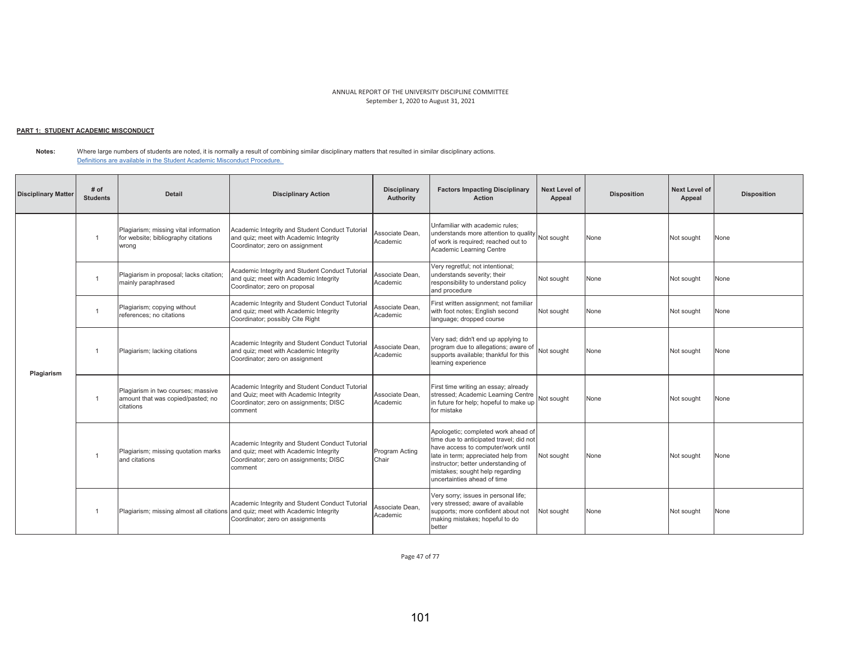# <u> PART 1: STUDENT ACADEMIC MISCONDUCT</u>

**Notes:**  Where large numbers of students are noted, it is normally a result of combining similar disciplinary matters that resulted in similar disciplinary actions. Definitions are available in the Student Academic Misconduct Procedure.

| <b>Disciplinary Matter</b> | # of<br><b>Students</b> | Detail                                                                                | <b>Disciplinary Action</b>                                                                                                                     | <b>Disciplinary</b><br>Authority | <b>Factors Impacting Disciplinary</b><br><b>Action</b>                                                                                                                                                                                                               | <b>Next Level of</b><br>Appeal | <b>Disposition</b> | <b>Next Level of</b><br>Appeal | <b>Disposition</b> |
|----------------------------|-------------------------|---------------------------------------------------------------------------------------|------------------------------------------------------------------------------------------------------------------------------------------------|----------------------------------|----------------------------------------------------------------------------------------------------------------------------------------------------------------------------------------------------------------------------------------------------------------------|--------------------------------|--------------------|--------------------------------|--------------------|
|                            |                         | Plagiarism; missing vital information<br>for website; bibliography citations<br>wrong | Academic Integrity and Student Conduct Tutorial<br>and quiz; meet with Academic Integrity<br>Coordinator; zero on assignment                   | Associate Dean.<br>Academic      | Unfamiliar with academic rules:<br>understands more attention to quality Not sought<br>of work is required; reached out to<br>Academic Learning Centre                                                                                                               |                                | None               | Not sought                     | None               |
| Plagiarism                 |                         | Plagiarism in proposal; lacks citation;<br>mainly paraphrased                         | Academic Integrity and Student Conduct Tutorial<br>and quiz; meet with Academic Integrity<br>Coordinator; zero on proposal                     | Associate Dean.<br>Academic      | Very regretful; not intentional;<br>understands severity; their<br>responsibility to understand policy<br>and procedure                                                                                                                                              | Not sought                     | None               | Not sought                     | None               |
|                            | $\mathbf{1}$            | Plagiarism; copying without<br>references: no citations                               | Academic Integrity and Student Conduct Tutorial<br>and quiz; meet with Academic Integrity<br>Coordinator; possibly Cite Right                  | Associate Dean,<br>Academic      | First written assignment; not familiar<br>with foot notes; English second<br>language; dropped course                                                                                                                                                                | Not sought                     | None               | Not sought                     | None               |
|                            |                         | Plagiarism; lacking citations                                                         | Academic Integrity and Student Conduct Tutorial<br>and quiz; meet with Academic Integrity<br>Coordinator; zero on assignment                   | Associate Dean.<br>Academic      | Very sad; didn't end up applying to<br>program due to allegations; aware of<br>supports available; thankful for this<br>learning experience                                                                                                                          | Not sought                     | None               | Not sought                     | None               |
|                            | $\mathbf{1}$            | Plagiarism in two courses; massive<br>amount that was copied/pasted; no<br>citations  | Academic Integrity and Student Conduct Tutorial<br>and Quiz; meet with Academic Integrity<br>Coordinator; zero on assignments; DISC<br>comment | Associate Dean.<br>Academic      | First time writing an essay; already<br>stressed; Academic Learning Centre<br>in future for help; hopeful to make up<br>for mistake                                                                                                                                  | Not sought                     | None               | Not sought                     | None               |
|                            | $\overline{1}$          | Plagiarism; missing quotation marks<br>and citations                                  | Academic Integrity and Student Conduct Tutorial<br>and quiz; meet with Academic Integrity<br>Coordinator; zero on assignments; DISC<br>comment | <b>Program Acting</b><br>Chair   | Apologetic; completed work ahead of<br>time due to anticipated travel: did not<br>have access to computer/work until<br>late in term; appreciated help from<br>instructor; better understanding of<br>mistakes; sought help regarding<br>uncertainties ahead of time | Not sought                     | None               | Not sought                     | None               |
|                            |                         | Plagiarism; missing almost all citations                                              | Academic Integrity and Student Conduct Tutorial<br>and quiz; meet with Academic Integrity<br>Coordinator; zero on assignments                  | Associate Dean.<br>Academic      | Very sorry; issues in personal life;<br>very stressed; aware of available<br>supports; more confident about not<br>making mistakes; hopeful to do<br>better                                                                                                          | Not sought                     | None               | Not sought                     | None               |

Page 47 of 77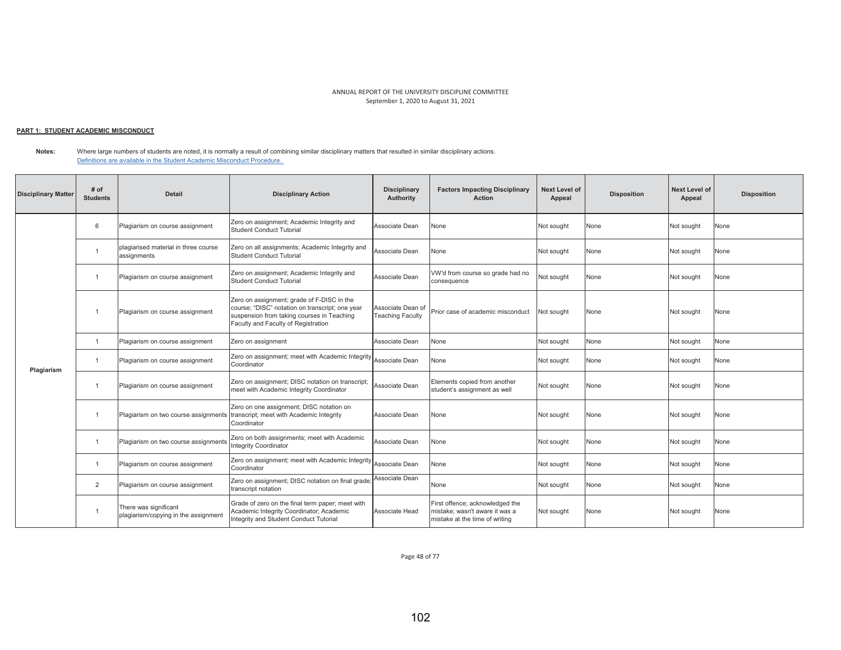## <u> PART 1: STUDENT ACADEMIC MISCONDUCT</u>

**Notes:**  Where large numbers of students are noted, it is normally a result of combining similar disciplinary matters that resulted in similar disciplinary actions. Definitions are available in the Student Academic Misconduct Procedure.

| <b>Disciplinary Matter</b> | # of<br><b>Students</b> | <b>Detail</b>                                                 | <b>Disciplinary Action</b>                                                                                                                                                         | <b>Disciplinary</b><br>Authority             | <b>Factors Impacting Disciplinary</b><br><b>Action</b>                                              | <b>Next Level of</b><br>Appeal | <b>Disposition</b> | Next Level of<br>Appeal | <b>Disposition</b> |
|----------------------------|-------------------------|---------------------------------------------------------------|------------------------------------------------------------------------------------------------------------------------------------------------------------------------------------|----------------------------------------------|-----------------------------------------------------------------------------------------------------|--------------------------------|--------------------|-------------------------|--------------------|
|                            | 6                       | Plagiarism on course assignment                               | Zero on assignment; Academic Integrity and<br><b>Student Conduct Tutorial</b>                                                                                                      | Associate Dean                               | None                                                                                                | Not sought                     | None               | Not sought              | None               |
|                            | -1                      | plagiarised material in three course<br>assignments           | Zero on all assignments; Academic Integrity and<br><b>Student Conduct Tutorial</b>                                                                                                 | Associate Dean                               | None                                                                                                | Not sought                     | None               | Not sought              | None               |
|                            | $\mathbf{1}$            | Plagiarism on course assignment                               | Zero on assignment; Academic Integrity and<br><b>Student Conduct Tutorial</b>                                                                                                      | Associate Dean                               | VW'd from course so grade had no<br>consequence                                                     | Not sought                     | None               | Not sought              | None               |
|                            | $\overline{1}$          | Plagiarism on course assignment                               | Zero on assignment; grade of F-DISC in the<br>course; "DISC" notation on transcript; one year<br>suspension from taking courses in Teaching<br>Faculty and Faculty of Registration | Associate Dean of<br><b>Teaching Faculty</b> | Prior case of academic misconduct                                                                   | Not sought                     | None               | Not sought              | None               |
|                            | $\mathbf{1}$            | Plagiarism on course assignment                               | Zero on assignment                                                                                                                                                                 | Associate Dean                               | None                                                                                                | Not sought                     | None               | Not sought              | None               |
| Plagiarism                 | $\mathbf{1}$            | Plagiarism on course assignment                               | Zero on assignment; meet with Academic Integrity<br>Coordinator                                                                                                                    | Associate Dean                               | None                                                                                                | Not sought                     | None               | Not sought              | None               |
|                            | -1                      | Plagiarism on course assignment                               | Zero on assignment; DISC notation on transcript;<br>meet with Academic Integrity Coordinator                                                                                       | Associate Dean                               | Elements copied from another<br>student's assignment as well                                        | Not sought                     | None               | Not sought              | None               |
|                            | -1                      | Plagiarism on two course assignments                          | Zero on one assignment; DISC notation on<br>transcript; meet with Academic Integrity<br>Coordinator                                                                                | Associate Dean                               | None                                                                                                | Not sought                     | None               | Not sought              | None               |
|                            | -1                      | Plagiarism on two course assignments                          | Zero on both assignments; meet with Academic<br><b>Integrity Coordinator</b>                                                                                                       | Associate Dean                               | None                                                                                                | Not sought                     | None               | Not sought              | None               |
|                            | $\overline{1}$          | Plagiarism on course assignment                               | Zero on assignment; meet with Academic Integrity Associate Dean<br>Coordinator                                                                                                     |                                              | None                                                                                                | Not sought                     | None               | Not sought              | None               |
|                            | $\overline{2}$          | Plagiarism on course assignment                               | Zero on assignment; DISC notation on final grade;<br>transcript notation                                                                                                           | Associate Dean                               | None                                                                                                | Not sought                     | None               | Not sought              | None               |
|                            | -1                      | There was significant<br>plagiarism/copying in the assignment | Grade of zero on the final term paper; meet with<br>Academic Integrity Coordinator; Academic<br>Integrity and Student Conduct Tutorial                                             | Associate Head                               | First offence; acknowledged the<br>mistake: wasn't aware it was a<br>mistake at the time of writing | Not sought                     | None               | Not sought              | None               |

Page 48 of 77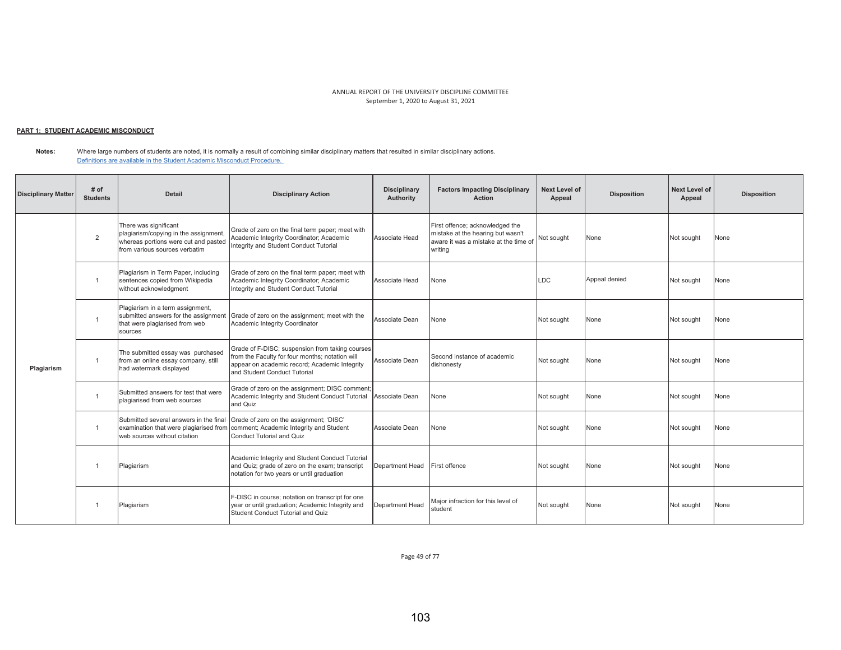# <u> PART 1: STUDENT ACADEMIC MISCONDUCT</u>

**Notes:** Where large numbers of students are noted, it is normally a result of combining similar disciplinary matters that resulted in similar disciplinary actions. Definitions are available in the Student Academic Misconduct Procedure.

| <b>Disciplinary Matter</b> | # of<br><b>Students</b> | <b>Detail</b>                                                                                                                           | <b>Disciplinary Action</b>                                                                                                                                                          | <b>Disciplinary</b><br>Authority | <b>Factors Impacting Disciplinary</b><br><b>Action</b>                                                                   | Next Level of<br>Appeal | <b>Disposition</b> | <b>Next Level of</b><br>Appeal | <b>Disposition</b> |
|----------------------------|-------------------------|-----------------------------------------------------------------------------------------------------------------------------------------|-------------------------------------------------------------------------------------------------------------------------------------------------------------------------------------|----------------------------------|--------------------------------------------------------------------------------------------------------------------------|-------------------------|--------------------|--------------------------------|--------------------|
|                            | $\overline{2}$          | There was significant<br>plagiarism/copying in the assignment,<br>whereas portions were cut and pasted<br>from various sources verbatim | Grade of zero on the final term paper; meet with<br>Academic Integrity Coordinator; Academic<br>Integrity and Student Conduct Tutorial                                              | Associate Head                   | First offence; acknowledged the<br>mistake at the hearing but wasn't<br>aware it was a mistake at the time of<br>writing | Not sought              | None               | Not sought                     | None               |
|                            | $\overline{1}$          | Plagiarism in Term Paper, including<br>sentences copied from Wikipedia<br>without acknowledgment                                        | Grade of zero on the final term paper; meet with<br>Academic Integrity Coordinator; Academic<br>Integrity and Student Conduct Tutorial                                              | Associate Head                   | None                                                                                                                     | <b>LDC</b>              | Appeal denied      | Not sought                     | None               |
|                            | $\overline{1}$          | Plagiarism in a term assignment,<br>submitted answers for the assignment<br>that were plagiarised from web<br>sources                   | Grade of zero on the assignment; meet with the<br>Academic Integrity Coordinator                                                                                                    | Associate Dean                   | None                                                                                                                     | Not sought              | None               | Not sought                     | None               |
| Plagiarism                 |                         | The submitted essay was purchased<br>from an online essay company, still<br>had watermark displayed                                     | Grade of F-DISC; suspension from taking courses<br>from the Faculty for four months; notation will<br>appear on academic record; Academic Integrity<br>and Student Conduct Tutorial | Associate Dean                   | Second instance of academic<br>dishonesty                                                                                | Not sought              | None               | Not sought                     | None               |
|                            | $\overline{1}$          | Submitted answers for test that were<br>plagiarised from web sources                                                                    | Grade of zero on the assignment; DISC comment;<br>Academic Integrity and Student Conduct Tutorial<br>and Quiz                                                                       | Associate Dean                   | None                                                                                                                     | Not sought              | None               | Not sought                     | None               |
|                            | $\overline{1}$          | Submitted several answers in the final<br>examination that were plagiarised from<br>web sources without citation                        | Grade of zero on the assignment; 'DISC'<br>comment; Academic Integrity and Student<br><b>Conduct Tutorial and Quiz</b>                                                              | Associate Dean                   | None                                                                                                                     | Not sought              | None               | Not sought                     | None               |
|                            |                         | Plagiarism                                                                                                                              | Academic Integrity and Student Conduct Tutorial<br>and Quiz; grade of zero on the exam; transcript<br>notation for two years or until graduation                                    | Department Head                  | First offence                                                                                                            | Not sought              | None               | Not sought                     | None               |
|                            | $\overline{1}$          | Plagiarism                                                                                                                              | F-DISC in course; notation on transcript for one<br>year or until graduation; Academic Integrity and<br>Student Conduct Tutorial and Quiz                                           | Department Head                  | Major infraction for this level of<br>student                                                                            | Not sought              | None               | Not sought                     | None               |

Page 49 of 77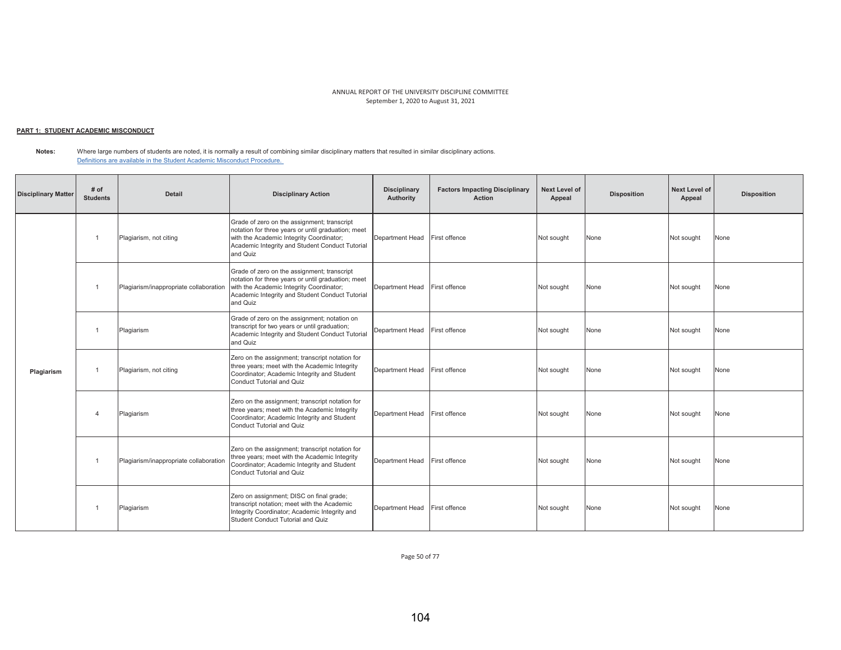# <u> PART 1: STUDENT ACADEMIC MISCONDUCT</u>

**Notes:**  Where large numbers of students are noted, it is normally a result of combining similar disciplinary matters that resulted in similar disciplinary actions. Definitions are available in the Student Academic Misconduct Procedure.

| <b>Disciplinary Matter</b> | # of<br><b>Students</b> | <b>Detail</b>                          | <b>Disciplinary Action</b>                                                                                                                                                                                   | <b>Disciplinary</b><br>Authority | <b>Factors Impacting Disciplinary</b><br><b>Action</b> | Next Level of<br>Appeal | <b>Disposition</b> | Next Level of<br>Appeal | <b>Disposition</b> |
|----------------------------|-------------------------|----------------------------------------|--------------------------------------------------------------------------------------------------------------------------------------------------------------------------------------------------------------|----------------------------------|--------------------------------------------------------|-------------------------|--------------------|-------------------------|--------------------|
|                            |                         | Plagiarism, not citing                 | Grade of zero on the assignment; transcript<br>notation for three years or until graduation; meet<br>with the Academic Integrity Coordinator;<br>Academic Integrity and Student Conduct Tutorial<br>and Quiz | Department Head                  | First offence                                          | Not sought              | None               | Not sought              | None               |
|                            |                         | Plagiarism/inappropriate collaboration | Grade of zero on the assignment; transcript<br>notation for three years or until graduation; meet<br>with the Academic Integrity Coordinator;<br>Academic Integrity and Student Conduct Tutorial<br>and Quiz | Department Head                  | First offence                                          | Not sought              | None               | Not sought              | None               |
|                            |                         | Plagiarism                             | Grade of zero on the assignment; notation on<br>transcript for two years or until graduation;<br>Academic Integrity and Student Conduct Tutorial<br>and Quiz                                                 | Department Head                  | First offence                                          | Not sought              | None               | Not sought              | None               |
| Plagiarism                 |                         | Plagiarism, not citing                 | Zero on the assignment; transcript notation for<br>three years; meet with the Academic Integrity<br>Coordinator; Academic Integrity and Student<br>Conduct Tutorial and Quiz                                 | Department Head                  | First offence                                          | Not sought              | None               | Not sought              | None               |
|                            | $\overline{4}$          | Plagiarism                             | Zero on the assignment; transcript notation for<br>three years; meet with the Academic Integrity<br>Coordinator; Academic Integrity and Student<br>Conduct Tutorial and Quiz                                 | Department Head                  | First offence                                          | Not sought              | None               | Not sought              | None               |
|                            |                         | Plagiarism/inappropriate collaboration | Zero on the assignment; transcript notation for<br>three years; meet with the Academic Integrity<br>Coordinator; Academic Integrity and Student<br>Conduct Tutorial and Quiz                                 | Department Head                  | First offence                                          | Not sought              | None               | Not sought              | None               |
|                            |                         | Plagiarism                             | Zero on assignment; DISC on final grade;<br>transcript notation; meet with the Academic<br>Integrity Coordinator; Academic Integrity and<br>Student Conduct Tutorial and Quiz                                | Department Head                  | First offence                                          | Not sought              | None               | Not sought              | None               |

Page 50 of 77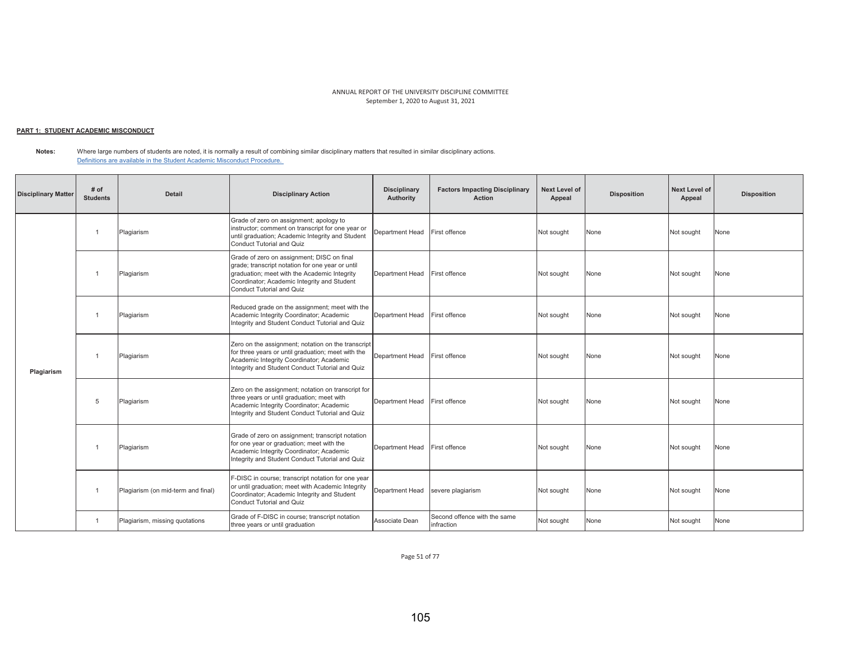## <u> PART 1: STUDENT ACADEMIC MISCONDUCT</u>

**Notes:**  Where large numbers of students are noted, it is normally a result of combining similar disciplinary matters that resulted in similar disciplinary actions. Definitions are available in the Student Academic Misconduct Procedure.

| <b>Disciplinary Matter</b> | # of<br><b>Students</b> | <b>Detail</b>                      | <b>Disciplinary Action</b>                                                                                                                                                                                                 | <b>Disciplinary</b><br>Authority | <b>Factors Impacting Disciplinary</b><br><b>Action</b> | <b>Next Level of</b><br>Appeal | <b>Disposition</b> | <b>Next Level of</b><br>Appeal | <b>Disposition</b> |
|----------------------------|-------------------------|------------------------------------|----------------------------------------------------------------------------------------------------------------------------------------------------------------------------------------------------------------------------|----------------------------------|--------------------------------------------------------|--------------------------------|--------------------|--------------------------------|--------------------|
|                            | $\overline{1}$          | Plagiarism                         | Grade of zero on assignment; apology to<br>instructor; comment on transcript for one year or<br>until graduation; Academic Integrity and Student<br><b>Conduct Tutorial and Quiz</b>                                       | Department Head                  | First offence                                          | Not sought                     | None               | Not sought                     | None               |
|                            | $\mathbf{1}$            | Plagiarism                         | Grade of zero on assignment; DISC on final<br>grade; transcript notation for one year or until<br>graduation; meet with the Academic Integrity<br>Coordinator; Academic Integrity and Student<br>Conduct Tutorial and Quiz | Department Head                  | First offence                                          | Not sought                     | None               | Not sought                     | None               |
|                            | $\overline{1}$          | Plagiarism                         | Reduced grade on the assignment; meet with the<br>Academic Integrity Coordinator; Academic<br>Integrity and Student Conduct Tutorial and Quiz                                                                              | Department Head                  | First offence                                          | Not sought                     | None               | Not sought                     | None               |
| Plagiarism                 |                         | Plagiarism                         | Zero on the assignment; notation on the transcript<br>for three years or until graduation; meet with the<br>Academic Integrity Coordinator; Academic<br>Integrity and Student Conduct Tutorial and Quiz                    | Department Head                  | First offence                                          | Not sought                     | None               | Not sought                     | None               |
|                            | 5                       | Plagiarism                         | Zero on the assignment; notation on transcript for<br>three years or until graduation; meet with<br>Academic Integrity Coordinator; Academic<br>Integrity and Student Conduct Tutorial and Quiz                            | Department Head                  | First offence                                          | Not sought                     | None               | Not sought                     | None               |
|                            | $\mathbf{1}$            | Plagiarism                         | Grade of zero on assignment; transcript notation<br>for one year or graduation; meet with the<br>Academic Integrity Coordinator; Academic<br>Integrity and Student Conduct Tutorial and Quiz                               | Department Head                  | First offence                                          | Not sought                     | None               | Not sought                     | None               |
|                            | $\overline{1}$          | Plagiarism (on mid-term and final) | F-DISC in course; transcript notation for one year<br>or until graduation; meet with Academic Integrity<br>Coordinator; Academic Integrity and Student<br>Conduct Tutorial and Quiz                                        | Department Head                  | severe plagiarism                                      | Not sought                     | None               | Not sought                     | None               |
|                            | $\overline{1}$          | Plagiarism, missing quotations     | Grade of F-DISC in course; transcript notation<br>three years or until graduation                                                                                                                                          | Associate Dean                   | Second offence with the same<br>infraction             | Not sought                     | None               | Not sought                     | None               |

Page 51 of 77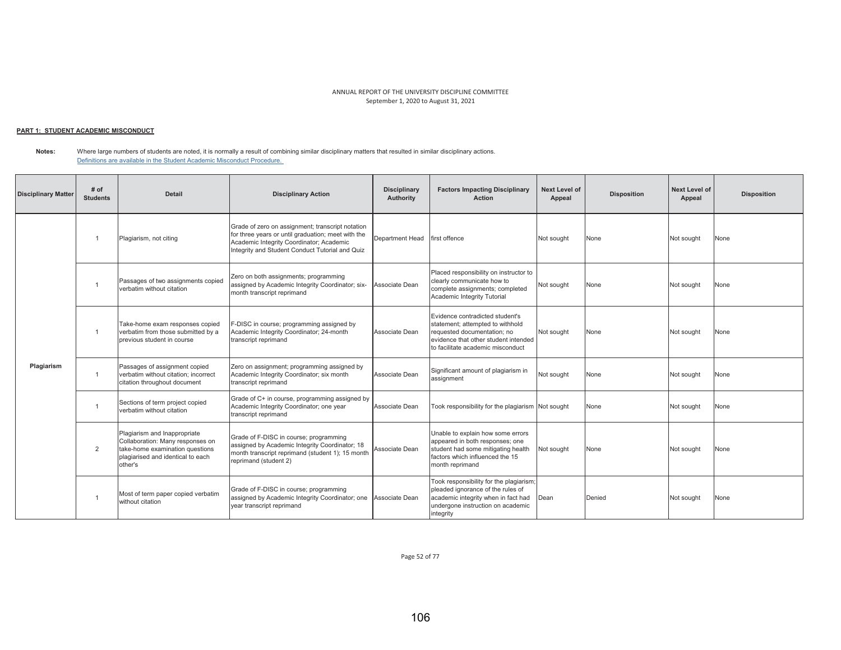# <u> PART 1: STUDENT ACADEMIC MISCONDUCT</u>

**Notes:** Where large numbers of students are noted, it is normally a result of combining similar disciplinary matters that resulted in similar disciplinary actions. Definitions are available in the Student Academic Misconduct Procedure.

| <b>Disciplinary Matter</b> | # of<br><b>Students</b> | <b>Detail</b>                                                                                                                                       | <b>Disciplinary Action</b>                                                                                                                                                                            | <b>Disciplinary</b><br>Authority | <b>Factors Impacting Disciplinary</b><br>Action                                                                                                                                 | <b>Next Level of</b><br>Appeal | <b>Disposition</b> | <b>Next Level of</b><br>Appeal | <b>Disposition</b> |
|----------------------------|-------------------------|-----------------------------------------------------------------------------------------------------------------------------------------------------|-------------------------------------------------------------------------------------------------------------------------------------------------------------------------------------------------------|----------------------------------|---------------------------------------------------------------------------------------------------------------------------------------------------------------------------------|--------------------------------|--------------------|--------------------------------|--------------------|
|                            |                         | Plagiarism, not citing                                                                                                                              | Grade of zero on assignment; transcript notation<br>for three years or until graduation; meet with the<br>Academic Integrity Coordinator; Academic<br>Integrity and Student Conduct Tutorial and Quiz | Department Head                  | first offence                                                                                                                                                                   | Not sought                     | None               | Not sought                     | None               |
|                            |                         | Passages of two assignments copied<br>verbatim without citation                                                                                     | Zero on both assignments; programming<br>assigned by Academic Integrity Coordinator; six-<br>month transcript reprimand                                                                               | Associate Dean                   | Placed responsibility on instructor to<br>clearly communicate how to<br>complete assignments; completed<br>Academic Integrity Tutorial                                          | Not sought                     | None               | Not sought                     | None               |
|                            | $\overline{1}$          | Take-home exam responses copied<br>verbatim from those submitted by a<br>previous student in course                                                 | F-DISC in course; programming assigned by<br>Academic Integrity Coordinator; 24-month<br>transcript reprimand                                                                                         | Associate Dean                   | Evidence contradicted student's<br>statement; attempted to withhold<br>requested documentation; no<br>evidence that other student intended<br>to facilitate academic misconduct | Not sought                     | None               | Not sought                     | None               |
| Plagiarism                 |                         | Passages of assignment copied<br>verbatim without citation: incorrect<br>citation throughout document                                               | Zero on assignment; programming assigned by<br>Academic Integrity Coordinator; six month<br>transcript reprimand                                                                                      | Associate Dean                   | Significant amount of plagiarism in<br>assignment                                                                                                                               | Not sought                     | None               | Not sought                     | None               |
|                            |                         | Sections of term project copied<br>verbatim without citation                                                                                        | Grade of C+ in course, programming assigned by<br>Academic Integrity Coordinator; one year<br>transcript reprimand                                                                                    | Associate Dean                   | Took responsibility for the plagiarism Not sought                                                                                                                               |                                | None               | Not sought                     | None               |
|                            | $\overline{2}$          | Plagiarism and Inappropriate<br>Collaboration: Many responses on<br>take-home examination questions<br>plagiarised and identical to each<br>other's | Grade of F-DISC in course; programming<br>assigned by Academic Integrity Coordinator; 18<br>month transcript reprimand (student 1); 15 month<br>reprimand (student 2)                                 | Associate Dean                   | Unable to explain how some errors<br>appeared in both responses; one<br>student had some mitigating health<br>factors which influenced the 15<br>month reprimand                | Not sought                     | None               | Not sought                     | None               |
|                            |                         | Most of term paper copied verbatim<br>without citation                                                                                              | Grade of F-DISC in course; programming<br>assigned by Academic Integrity Coordinator; one Associate Dean<br>year transcript reprimand                                                                 |                                  | Took responsibility for the plagiarism;<br>pleaded ignorance of the rules of<br>academic integrity when in fact had<br>undergone instruction on academic<br>integrity           | Dean                           | Denied             | Not sought                     | None               |

Page 52 of 77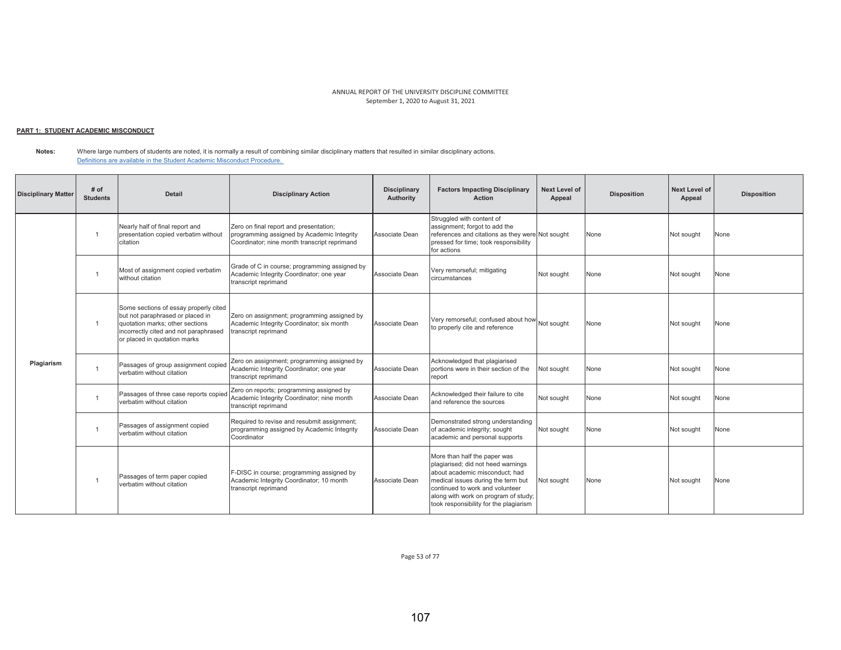# <u> PART 1: STUDENT ACADEMIC MISCONDUCT</u>

**Notes:** Where large numbers of students are noted, it is normally a result of combining similar disciplinary matters that resulted in similar disciplinary actions. Definitions are available in the Student Academic Misconduct Procedure.

| <b>Disciplinary Matter</b> | # of<br><b>Students</b> | <b>Detail</b>                                                                                                                                                                         | <b>Disciplinary Action</b>                                                                                                           | <b>Disciplinary</b><br><b>Authority</b> | <b>Factors Impacting Disciplinary</b><br>Action                                                                                                                                                                                                                 | <b>Next Level of</b><br>Appeal | <b>Disposition</b> | Next Level of<br>Appeal | <b>Disposition</b> |
|----------------------------|-------------------------|---------------------------------------------------------------------------------------------------------------------------------------------------------------------------------------|--------------------------------------------------------------------------------------------------------------------------------------|-----------------------------------------|-----------------------------------------------------------------------------------------------------------------------------------------------------------------------------------------------------------------------------------------------------------------|--------------------------------|--------------------|-------------------------|--------------------|
|                            |                         | Nearly half of final report and<br>presentation copied verbatim without<br>citation                                                                                                   | Zero on final report and presentation;<br>programming assigned by Academic Integrity<br>Coordinator; nine month transcript reprimand | Associate Dean                          | Struggled with content of<br>assignment; forgot to add the<br>references and citations as they were Not sought<br>pressed for time; took responsibility<br>for actions                                                                                          |                                | None               | Not sought              | None               |
|                            |                         | Most of assignment copied verbatim<br>without citation                                                                                                                                | Grade of C in course; programming assigned by<br>Academic Integrity Coordinator; one year<br>transcript reprimand                    | Associate Dean                          | Very remorseful; mitigating<br>circumstances                                                                                                                                                                                                                    | Not sought                     | None               | Not sought              | None               |
|                            |                         | Some sections of essay properly cited<br>but not paraphrased or placed in<br>quotation marks; other sections<br>incorrectly cited and not paraphrased<br>or placed in quotation marks | Zero on assignment; programming assigned by<br>Academic Integrity Coordinator; six month<br>transcript reprimand                     | Associate Dean                          | Very remorseful; confused about how Not sought<br>to properly cite and reference                                                                                                                                                                                |                                | None               | Not sought              | None               |
| Plagiarism                 |                         | Passages of group assignment copied<br>verbatim without citation                                                                                                                      | Zero on assignment; programming assigned by<br>Academic Integrity Coordinator; one year<br>transcript reprimand                      | Associate Dean                          | Acknowledged that plagiarised<br>portions were in their section of the<br>report                                                                                                                                                                                | Not sought                     | None               | Not sought              | None               |
|                            |                         | Passages of three case reports copied<br>verbatim without citation                                                                                                                    | Zero on reports; programming assigned by<br>Academic Integrity Coordinator; nine month<br>transcript reprimand                       | Associate Dean                          | Acknowledged their failure to cite<br>and reference the sources                                                                                                                                                                                                 | Not sought                     | None               | Not sought              | None               |
|                            | -1                      | Passages of assignment copied<br>verbatim without citation                                                                                                                            | Required to revise and resubmit assignment;<br>programming assigned by Academic Integrity<br>Coordinator                             | Associate Dean                          | Demonstrated strong understanding<br>of academic integrity; sought<br>academic and personal supports                                                                                                                                                            | Not sought                     | None               | Not sought              | None               |
|                            |                         | Passages of term paper copied<br>verbatim without citation                                                                                                                            | F-DISC in course; programming assigned by<br>Academic Integrity Coordinator; 10 month<br>transcript reprimand                        | Associate Dean                          | More than half the paper was<br>plagiarised; did not heed warnings<br>about academic misconduct: had<br>medical issues during the term but<br>continued to work and volunteer<br>along with work on program of study;<br>took responsibility for the plagiarism | Not sought                     | None               | Not sought              | None               |

Page 53 of 77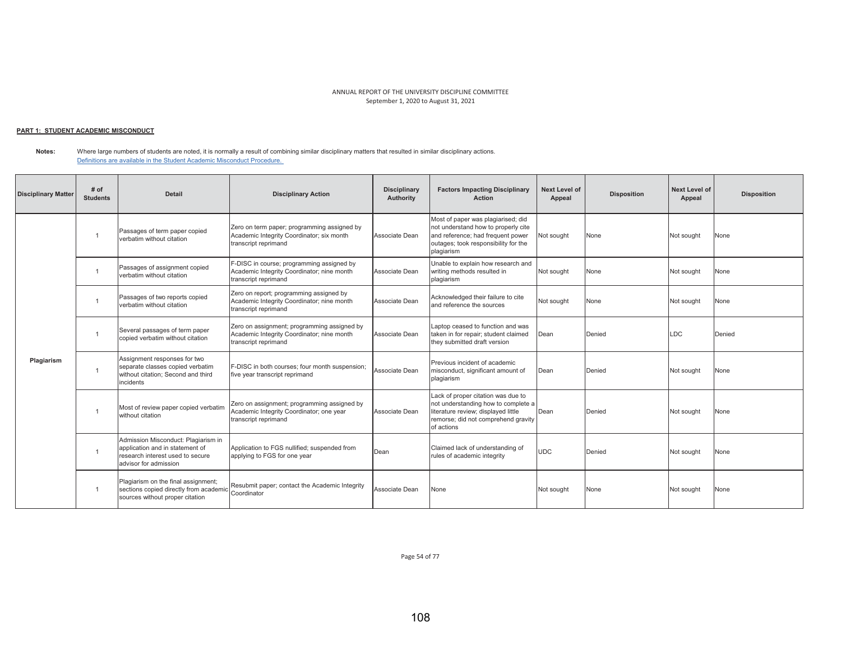## <u> PART 1: STUDENT ACADEMIC MISCONDUCT</u>

**Notes:**  Where large numbers of students are noted, it is normally a result of combining similar disciplinary matters that resulted in similar disciplinary actions. Definitions are available in the Student Academic Misconduct Procedure.

| <b>Disciplinary Matter</b> | # of<br><b>Students</b> | Detail                                                                                                                              | <b>Disciplinary Action</b>                                                                                        | <b>Disciplinary</b><br>Authority | <b>Factors Impacting Disciplinary</b><br><b>Action</b>                                                                                                                | Next Level of<br>Appeal | <b>Disposition</b> | <b>Next Level of</b><br>Appeal | <b>Disposition</b> |
|----------------------------|-------------------------|-------------------------------------------------------------------------------------------------------------------------------------|-------------------------------------------------------------------------------------------------------------------|----------------------------------|-----------------------------------------------------------------------------------------------------------------------------------------------------------------------|-------------------------|--------------------|--------------------------------|--------------------|
|                            |                         | Passages of term paper copied<br>verbatim without citation                                                                          | Zero on term paper; programming assigned by<br>Academic Integrity Coordinator; six month<br>transcript reprimand  | Associate Dean                   | Most of paper was plagiarised; did<br>not understand how to properly cite<br>and reference; had frequent power<br>outages; took responsibility for the<br>plagiarism  | Not sought              | None               | Not sought                     | None               |
|                            |                         | Passages of assignment copied<br>verbatim without citation                                                                          | F-DISC in course; programming assigned by<br>Academic Integrity Coordinator; nine month<br>transcript reprimand   | Associate Dean                   | Unable to explain how research and<br>writing methods resulted in<br>plagiarism                                                                                       | Not sought              | None               | Not sought                     | None               |
|                            |                         | Passages of two reports copied<br>verbatim without citation                                                                         | Zero on report; programming assigned by<br>Academic Integrity Coordinator; nine month<br>transcript reprimand     | Associate Dean                   | Acknowledged their failure to cite<br>and reference the sources                                                                                                       | Not sought              | None               | Not sought                     | None               |
|                            | $\overline{1}$          | Several passages of term paper<br>copied verbatim without citation                                                                  | Zero on assignment; programming assigned by<br>Academic Integrity Coordinator; nine month<br>transcript reprimand | Associate Dean                   | Laptop ceased to function and was<br>taken in for repair; student claimed<br>they submitted draft version                                                             | Dean                    | Denied             | LDC                            | Denied             |
| Plagiarism                 | $\overline{1}$          | Assignment responses for two<br>separate classes copied verbatim<br>without citation; Second and third<br>incidents                 | F-DISC in both courses: four month suspension:<br>five year transcript reprimand                                  | Associate Dean                   | Previous incident of academic<br>misconduct, significant amount of<br>plagiarism                                                                                      | Dean                    | Denied             | Not sought                     | None               |
|                            |                         | Most of review paper copied verbatim<br>without citation                                                                            | Zero on assignment; programming assigned by<br>Academic Integrity Coordinator; one year<br>transcript reprimand   | Associate Dean                   | Lack of proper citation was due to<br>not understanding how to complete a<br>literature review; displayed little<br>remorse; did not comprehend gravity<br>of actions | Dean                    | Denied             | Not sought                     | None               |
|                            |                         | Admission Misconduct: Plagiarism in<br>application and in statement of<br>research interest used to secure<br>advisor for admission | Application to FGS nullified; suspended from<br>applying to FGS for one year                                      | Dean                             | Claimed lack of understanding of<br>rules of academic integrity                                                                                                       | <b>UDC</b>              | Denied             | Not sought                     | None               |
|                            | $\overline{1}$          | Plagiarism on the final assignment;<br>sections copied directly from academic<br>sources without proper citation                    | Resubmit paper; contact the Academic Integrity<br>Coordinator                                                     | Associate Dean                   | None                                                                                                                                                                  | Not sought              | None               | Not sought                     | None               |

Page 54 of 77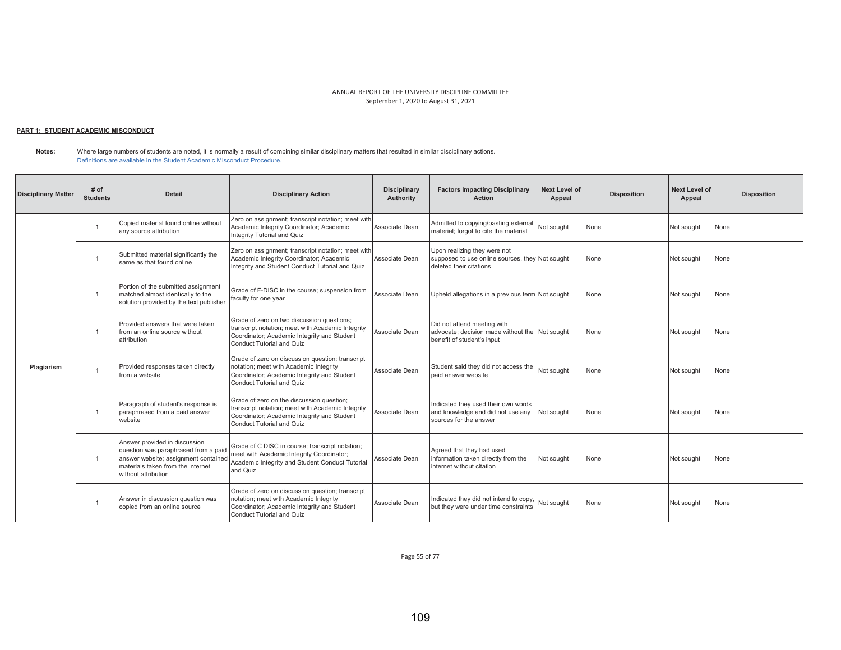## <u> PART 1: STUDENT ACADEMIC MISCONDUCT</u>

**Notes:** Where large numbers of students are noted, it is normally a result of combining similar disciplinary matters that resulted in similar disciplinary actions. Definitions are available in the Student Academic Misconduct Procedure.

| <b>Disciplinary Matter</b> | # of<br><b>Students</b> | <b>Detail</b>                                                                                                                                                             | <b>Disciplinary Action</b>                                                                                                                                                  | <b>Disciplinary</b><br>Authority | <b>Factors Impacting Disciplinary</b><br><b>Action</b>                                                      | Next Level of<br>Appeal | <b>Disposition</b> | <b>Next Level of</b><br>Appeal | <b>Disposition</b> |
|----------------------------|-------------------------|---------------------------------------------------------------------------------------------------------------------------------------------------------------------------|-----------------------------------------------------------------------------------------------------------------------------------------------------------------------------|----------------------------------|-------------------------------------------------------------------------------------------------------------|-------------------------|--------------------|--------------------------------|--------------------|
|                            |                         | Copied material found online without<br>any source attribution                                                                                                            | Zero on assignment; transcript notation; meet with<br>Academic Integrity Coordinator; Academic<br>Integrity Tutorial and Quiz                                               | Associate Dean                   | Admitted to copying/pasting external<br>material: forgot to cite the material                               | Not sought              | None               | Not sought                     | None               |
|                            | $\mathbf{1}$            | Submitted material significantly the<br>same as that found online                                                                                                         | Zero on assignment; transcript notation; meet with<br>Academic Integrity Coordinator; Academic<br>Integrity and Student Conduct Tutorial and Quiz                           | Associate Dean                   | Upon realizing they were not<br>supposed to use online sources, they Not sought<br>deleted their citations  |                         | None               | Not sought                     | None               |
|                            |                         | Portion of the submitted assignment<br>matched almost identically to the<br>solution provided by the text publisher                                                       | Grade of F-DISC in the course; suspension from<br>faculty for one year                                                                                                      | Associate Dean                   | Upheld allegations in a previous term Not sought                                                            |                         | None               | Not sought                     | None               |
|                            |                         | Provided answers that were taken<br>from an online source without<br>attribution                                                                                          | Grade of zero on two discussion questions;<br>transcript notation; meet with Academic Integrity<br>Coordinator; Academic Integrity and Student<br>Conduct Tutorial and Quiz | Associate Dean                   | Did not attend meeting with<br>advocate; decision made without the Not sought<br>benefit of student's input |                         | None               | Not sought                     | None               |
| Plagiarism                 |                         | Provided responses taken directly<br>from a website                                                                                                                       | Grade of zero on discussion question; transcript<br>notation; meet with Academic Integrity<br>Coordinator; Academic Integrity and Student<br>Conduct Tutorial and Quiz      | Associate Dean                   | Student said they did not access the<br>paid answer website                                                 | Not sought              | None               | Not sought                     | None               |
|                            |                         | Paragraph of student's response is<br>paraphrased from a paid answer<br>website                                                                                           | Grade of zero on the discussion question;<br>transcript notation; meet with Academic Integrity<br>Coordinator; Academic Integrity and Student<br>Conduct Tutorial and Quiz  | Associate Dean                   | Indicated they used their own words<br>and knowledge and did not use any<br>sources for the answer          | Not sought              | None               | Not sought                     | None               |
|                            | $\overline{1}$          | Answer provided in discussion<br>question was paraphrased from a paid<br>answer website; assignment contained<br>materials taken from the internet<br>without attribution | Grade of C DISC in course; transcript notation;<br>meet with Academic Integrity Coordinator;<br>Academic Integrity and Student Conduct Tutorial<br>and Quiz                 | Associate Dean                   | Agreed that they had used<br>information taken directly from the<br>internet without citation               | Not sought              | None               | Not sought                     | None               |
|                            | $\overline{1}$          | Answer in discussion question was<br>copied from an online source                                                                                                         | Grade of zero on discussion question; transcript<br>notation; meet with Academic Integrity<br>Coordinator; Academic Integrity and Student<br>Conduct Tutorial and Quiz      | Associate Dean                   | Indicated they did not intend to copy,<br>but they were under time constraints                              | Not sought              | None               | Not sought                     | None               |

Page 55 of 77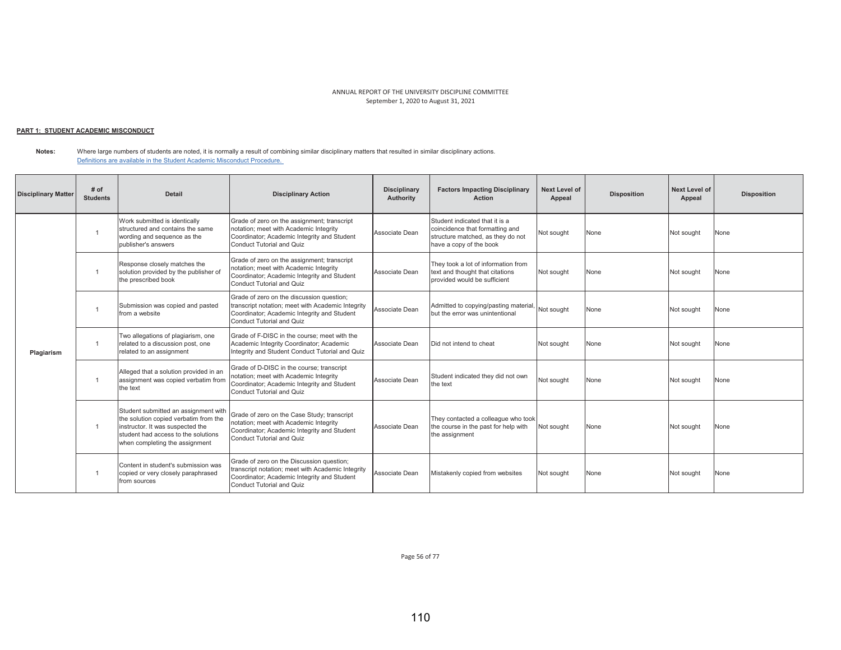## <u> PART 1: STUDENT ACADEMIC MISCONDUCT</u>

**Notes:**  Where large numbers of students are noted, it is normally a result of combining similar disciplinary matters that resulted in similar disciplinary actions. Definitions are available in the Student Academic Misconduct Procedure.

| <b>Disciplinary Matter</b> | # of<br><b>Students</b> | <b>Detail</b>                                                                                                                                                                              | <b>Disciplinary Action</b>                                                                                                                                                        | <b>Disciplinary</b><br>Authority | <b>Factors Impacting Disciplinary</b><br>Action                                                                                   | <b>Next Level of</b><br>Appeal | <b>Disposition</b> | <b>Next Level of</b><br>Appeal | <b>Disposition</b> |
|----------------------------|-------------------------|--------------------------------------------------------------------------------------------------------------------------------------------------------------------------------------------|-----------------------------------------------------------------------------------------------------------------------------------------------------------------------------------|----------------------------------|-----------------------------------------------------------------------------------------------------------------------------------|--------------------------------|--------------------|--------------------------------|--------------------|
|                            |                         | Work submitted is identically<br>structured and contains the same<br>wording and sequence as the<br>publisher's answers                                                                    | Grade of zero on the assignment; transcript<br>notation; meet with Academic Integrity<br>Coordinator; Academic Integrity and Student<br><b>Conduct Tutorial and Quiz</b>          | Associate Dean                   | Student indicated that it is a<br>coincidence that formatting and<br>structure matched, as they do not<br>have a copy of the book | Not sought                     | None               | Not sought                     | None               |
|                            |                         | Response closely matches the<br>solution provided by the publisher of<br>the prescribed book                                                                                               | Grade of zero on the assignment; transcript<br>notation; meet with Academic Integrity<br>Coordinator; Academic Integrity and Student<br>Conduct Tutorial and Quiz                 | Associate Dean                   | They took a lot of information from<br>text and thought that citations<br>provided would be sufficient                            | Not sought                     | None               | Not sought                     | None               |
|                            |                         | Submission was copied and pasted<br>from a website                                                                                                                                         | Grade of zero on the discussion question;<br>transcript notation; meet with Academic Integrity<br>Coordinator; Academic Integrity and Student<br><b>Conduct Tutorial and Quiz</b> | Associate Dean                   | Admitted to copying/pasting material,<br>but the error was unintentional                                                          | Not sought                     | None               | Not sought                     | None               |
| Plagiarism                 |                         | Two allegations of plagiarism, one<br>related to a discussion post, one<br>related to an assignment                                                                                        | Grade of F-DISC in the course: meet with the<br>Academic Integrity Coordinator; Academic<br>Integrity and Student Conduct Tutorial and Quiz                                       | Associate Dean                   | Did not intend to cheat                                                                                                           | Not sought                     | None               | Not sought                     | None               |
|                            |                         | Alleged that a solution provided in an<br>assignment was copied verbatim from<br>the text                                                                                                  | Grade of D-DISC in the course; transcript<br>notation; meet with Academic Integrity<br>Coordinator; Academic Integrity and Student<br><b>Conduct Tutorial and Quiz</b>            | Associate Dean                   | Student indicated they did not own<br>the text                                                                                    | Not sought                     | None               | Not sought                     | None               |
|                            |                         | Student submitted an assignment with<br>the solution copied verbatim from the<br>instructor. It was suspected the<br>student had access to the solutions<br>when completing the assignment | Grade of zero on the Case Study; transcript<br>notation; meet with Academic Integrity<br>Coordinator; Academic Integrity and Student<br>Conduct Tutorial and Quiz                 | Associate Dean                   | They contacted a colleague who took<br>the course in the past for help with<br>the assignment                                     | Not sought                     | None               | Not sought                     | None               |
|                            |                         | Content in student's submission was<br>copied or very closely paraphrased<br>from sources                                                                                                  | Grade of zero on the Discussion question;<br>transcript notation; meet with Academic Integrity<br>Coordinator; Academic Integrity and Student<br><b>Conduct Tutorial and Quiz</b> | Associate Dean                   | Mistakenly copied from websites                                                                                                   | Not sought                     | None               | Not sought                     | None               |

Page 56 of 77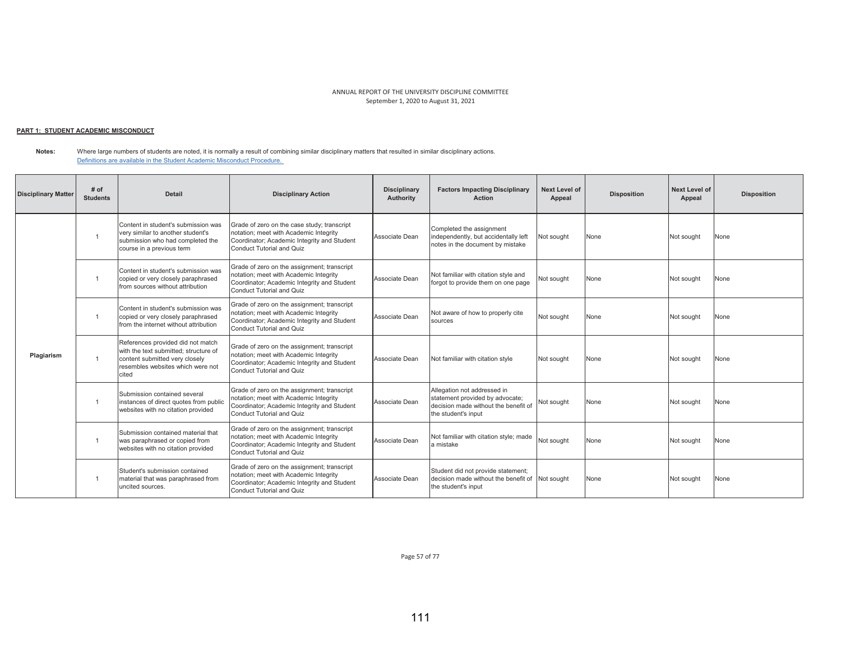## <u> PART 1: STUDENT ACADEMIC MISCONDUCT</u>

#### **Notes:** Where large numbers of students are noted, it is normally a result of combining similar disciplinary matters that resulted in similar disciplinary actions. Definitions are available in the Student Academic Misconduct Procedure.

| <b>Disciplinary Matter</b> | # of<br><b>Students</b> | <b>Detail</b>                                                                                                                                              | <b>Disciplinary Action</b>                                                                                                                                        | <b>Disciplinary</b><br>Authority | <b>Factors Impacting Disciplinary</b><br><b>Action</b>                                                                        | Next Level of<br>Appeal | <b>Disposition</b> | <b>Next Level of</b><br>Appeal | <b>Disposition</b> |
|----------------------------|-------------------------|------------------------------------------------------------------------------------------------------------------------------------------------------------|-------------------------------------------------------------------------------------------------------------------------------------------------------------------|----------------------------------|-------------------------------------------------------------------------------------------------------------------------------|-------------------------|--------------------|--------------------------------|--------------------|
|                            |                         | Content in student's submission was<br>very similar to another student's<br>submission who had completed the<br>course in a previous term                  | Grade of zero on the case study; transcript<br>notation; meet with Academic Integrity<br>Coordinator; Academic Integrity and Student<br>Conduct Tutorial and Quiz | Associate Dean                   | Completed the assignment<br>independently, but accidentally left<br>notes in the document by mistake                          | Not sought              | None               | Not sought                     | None               |
|                            | $\overline{1}$          | Content in student's submission was<br>copied or very closely paraphrased<br>from sources without attribution                                              | Grade of zero on the assignment; transcript<br>notation; meet with Academic Integrity<br>Coordinator; Academic Integrity and Student<br>Conduct Tutorial and Quiz | Associate Dean                   | Not familiar with citation style and<br>forgot to provide them on one page                                                    | Not sought              | None               | Not sought                     | None               |
|                            | $\overline{1}$          | Content in student's submission was<br>copied or very closely paraphrased<br>from the internet without attribution                                         | Grade of zero on the assignment; transcript<br>notation; meet with Academic Integrity<br>Coordinator; Academic Integrity and Student<br>Conduct Tutorial and Quiz | Associate Dean                   | Not aware of how to properly cite<br>sources                                                                                  | Not sought              | None               | Not sought                     | None               |
| Plagiarism                 | $\overline{1}$          | References provided did not match<br>with the text submitted: structure of<br>content submitted very closely<br>resembles websites which were not<br>cited | Grade of zero on the assignment; transcript<br>notation; meet with Academic Integrity<br>Coordinator; Academic Integrity and Student<br>Conduct Tutorial and Quiz | Associate Dean                   | Not familiar with citation style                                                                                              | Not sought              | None               | Not sought                     | None               |
|                            | $\overline{1}$          | Submission contained several<br>instances of direct quotes from public<br>websites with no citation provided                                               | Grade of zero on the assignment; transcript<br>notation; meet with Academic Integrity<br>Coordinator; Academic Integrity and Student<br>Conduct Tutorial and Quiz | Associate Dean                   | Allegation not addressed in<br>statement provided by advocate;<br>decision made without the benefit of<br>the student's input | Not sought              | None               | Not sought                     | None               |
|                            | $\overline{1}$          | Submission contained material that<br>was paraphrased or copied from<br>websites with no citation provided                                                 | Grade of zero on the assignment; transcript<br>notation; meet with Academic Integrity<br>Coordinator; Academic Integrity and Student<br>Conduct Tutorial and Quiz | Associate Dean                   | Not familiar with citation style; made<br>a mistake                                                                           | Not sought              | None               | Not sought                     | None               |
|                            | $\overline{1}$          | Student's submission contained<br>material that was paraphrased from<br>uncited sources.                                                                   | Grade of zero on the assignment; transcript<br>notation; meet with Academic Integrity<br>Coordinator; Academic Integrity and Student<br>Conduct Tutorial and Quiz | Associate Dean                   | Student did not provide statement;<br>decision made without the benefit of<br>the student's input                             | Not sought              | None               | Not sought                     | None               |

Page 57 of 77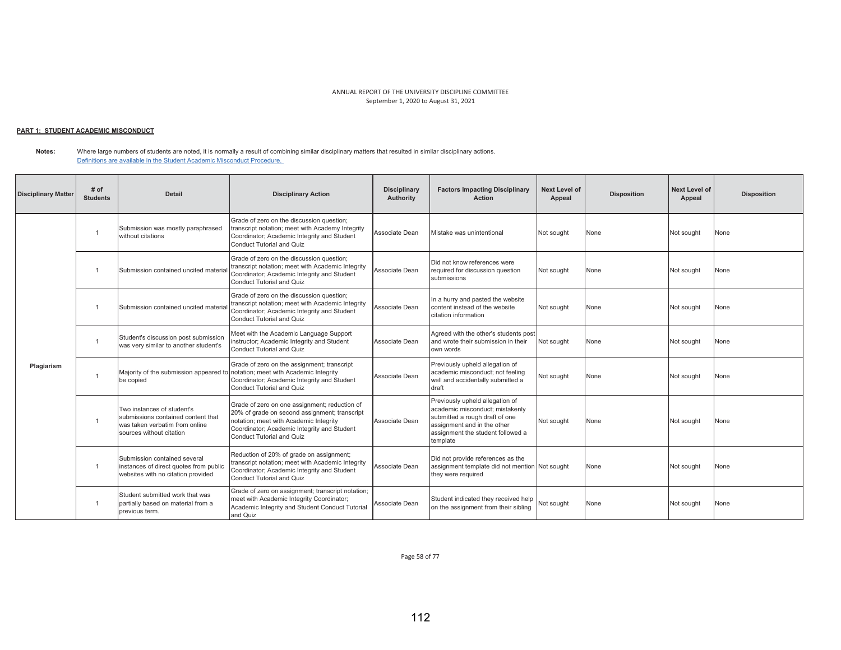#### <u> PART 1: STUDENT ACADEMIC MISCONDUCT</u>

**Notes:** Where large numbers of students are noted, it is normally a result of combining similar disciplinary matters that resulted in similar disciplinary actions. Definitions are available in the Student Academic Misconduct Procedure.

| <b>Disciplinary Matter</b> | # of<br><b>Students</b> | <b>Detail</b>                                                                                                                  | <b>Disciplinary Action</b>                                                                                                                                                                                           | <b>Disciplinary</b><br>Authority | <b>Factors Impacting Disciplinary</b><br><b>Action</b>                                                                                                                               | <b>Next Level of</b><br>Appeal | <b>Disposition</b> | <b>Next Level of</b><br>Appeal | <b>Disposition</b> |
|----------------------------|-------------------------|--------------------------------------------------------------------------------------------------------------------------------|----------------------------------------------------------------------------------------------------------------------------------------------------------------------------------------------------------------------|----------------------------------|--------------------------------------------------------------------------------------------------------------------------------------------------------------------------------------|--------------------------------|--------------------|--------------------------------|--------------------|
|                            |                         | Submission was mostly paraphrased<br>without citations                                                                         | Grade of zero on the discussion question;<br>transcript notation; meet with Academy Integrity<br>Coordinator; Academic Integrity and Student<br>Conduct Tutorial and Quiz                                            | Associate Dean                   | Mistake was unintentional                                                                                                                                                            | Not sought                     | None               | Not sought                     | None               |
|                            |                         | Submission contained uncited materia                                                                                           | Grade of zero on the discussion question;<br>transcript notation; meet with Academic Integrity<br>Coordinator; Academic Integrity and Student<br>Conduct Tutorial and Quiz                                           | Associate Dean                   | Did not know references were<br>required for discussion question<br>submissions                                                                                                      | Not sought                     | None               | Not sought                     | None               |
|                            |                         | Submission contained uncited materia                                                                                           | Grade of zero on the discussion question;<br>transcript notation; meet with Academic Integrity<br>Coordinator; Academic Integrity and Student<br><b>Conduct Tutorial and Quiz</b>                                    | Associate Dean                   | In a hurry and pasted the website<br>content instead of the website<br>citation information                                                                                          | Not sought                     | None               | Not sought                     | None               |
|                            |                         | Student's discussion post submission<br>was very similar to another student's                                                  | Meet with the Academic Language Support<br>instructor; Academic Integrity and Student<br>Conduct Tutorial and Quiz                                                                                                   | Associate Dean                   | Agreed with the other's students post<br>and wrote their submission in their<br>own words                                                                                            | Not sought                     | None               | Not sought                     | None               |
| Plagiarism                 | $\overline{1}$          | Maiority of the submission appeared to<br>be copied                                                                            | Grade of zero on the assignment; transcript<br>notation; meet with Academic Integrity<br>Coordinator; Academic Integrity and Student<br><b>Conduct Tutorial and Quiz</b>                                             | Associate Dean                   | Previously upheld allegation of<br>academic misconduct: not feeling<br>well and accidentally submitted a<br>draft                                                                    | Not sought                     | None               | Not sought                     | None               |
|                            |                         | Two instances of student's<br>submissions contained content that<br>was taken verbatim from online<br>sources without citation | Grade of zero on one assignment; reduction of<br>20% of grade on second assignment; transcript<br>notation; meet with Academic Integrity<br>Coordinator; Academic Integrity and Student<br>Conduct Tutorial and Quiz | Associate Dean                   | Previously upheld allegation of<br>academic misconduct; mistakenly<br>submitted a rough draft of one<br>assignment and in the other<br>assignment the student followed a<br>template | Not sought                     | None               | Not sought                     | None               |
|                            | $\overline{1}$          | Submission contained several<br>instances of direct quotes from public<br>websites with no citation provided                   | Reduction of 20% of grade on assignment;<br>transcript notation; meet with Academic Integrity<br>Coordinator; Academic Integrity and Student<br>Conduct Tutorial and Quiz                                            | Associate Dean                   | Did not provide references as the<br>assignment template did not mention Not sought<br>thev were reauired                                                                            |                                | None               | Not sought                     | None               |
|                            |                         | Student submitted work that was<br>partially based on material from a<br>previous term.                                        | Grade of zero on assignment; transcript notation;<br>meet with Academic Integrity Coordinator;<br>Academic Integrity and Student Conduct Tutorial<br>and Quiz                                                        | Associate Dean                   | Student indicated they received help<br>on the assignment from their sibling                                                                                                         | Not sought                     | None               | Not sought                     | None               |

Page 58 of 77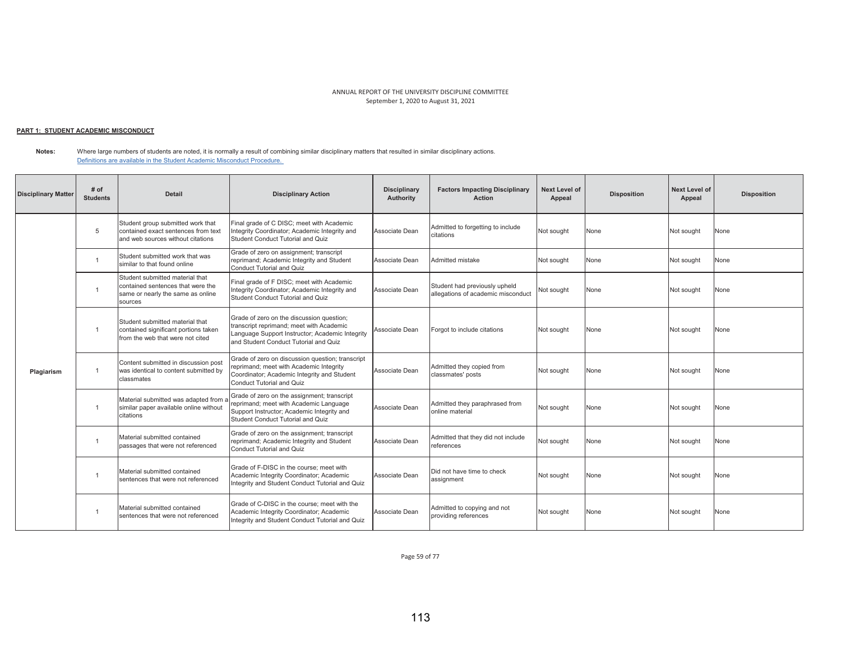# <u> PART 1: STUDENT ACADEMIC MISCONDUCT</u>

**Notes:** Where large numbers of students are noted, it is normally a result of combining similar disciplinary matters that resulted in similar disciplinary actions. Definitions are available in the Student Academic Misconduct Procedure.

| <b>Disciplinary Matter</b> | # of<br><b>Students</b> | <b>Detail</b>                                                                                                        | <b>Disciplinary Action</b>                                                                                                                                                        | <b>Disciplinary</b><br>Authority | <b>Factors Impacting Disciplinary</b><br><b>Action</b>              | <b>Next Level of</b><br>Appeal | <b>Disposition</b> | <b>Next Level of</b><br>Appeal | <b>Disposition</b> |
|----------------------------|-------------------------|----------------------------------------------------------------------------------------------------------------------|-----------------------------------------------------------------------------------------------------------------------------------------------------------------------------------|----------------------------------|---------------------------------------------------------------------|--------------------------------|--------------------|--------------------------------|--------------------|
|                            | 5                       | Student group submitted work that<br>contained exact sentences from text<br>and web sources without citations        | Final grade of C DISC; meet with Academic<br>Integrity Coordinator; Academic Integrity and<br>Student Conduct Tutorial and Quiz                                                   | Associate Dean                   | Admitted to forgetting to include<br>citations                      | Not sought                     | None               | Not sought                     | None               |
|                            | $\overline{1}$          | Student submitted work that was<br>similar to that found online                                                      | Grade of zero on assignment; transcript<br>reprimand; Academic Integrity and Student<br>Conduct Tutorial and Quiz                                                                 | Associate Dean                   | Admitted mistake                                                    | Not sought                     | None               | Not sought                     | None               |
|                            |                         | Student submitted material that<br>contained sentences that were the<br>same or nearly the same as online<br>sources | Final grade of F DISC; meet with Academic<br>Integrity Coordinator; Academic Integrity and<br>Student Conduct Tutorial and Quiz                                                   | Associate Dean                   | Student had previously upheld<br>allegations of academic misconduct | Not sought                     | None               | Not sought                     | None               |
|                            | $\overline{1}$          | Student submitted material that<br>contained significant portions taken<br>from the web that were not cited          | Grade of zero on the discussion question;<br>transcript reprimand; meet with Academic<br>Language Support Instructor; Academic Integrity<br>and Student Conduct Tutorial and Quiz | Associate Dean                   | Forgot to include citations                                         | Not sought                     | None               | Not sought                     | None               |
| Plagiarism                 |                         | Content submitted in discussion post<br>was identical to content submitted by<br>classmates                          | Grade of zero on discussion question; transcript<br>reprimand; meet with Academic Integrity<br>Coordinator; Academic Integrity and Student<br><b>Conduct Tutorial and Quiz</b>    | Associate Dean                   | Admitted they copied from<br>classmates' posts                      | Not sought                     | None               | Not sought                     | None               |
|                            |                         | Material submitted was adapted from a<br>similar paper available online without<br>citations                         | Grade of zero on the assignment; transcript<br>eprimand; meet with Academic Language<br>Support Instructor; Academic Integrity and<br>Student Conduct Tutorial and Quiz           | Associate Dean                   | Admitted they paraphrased from<br>online material                   | Not sought                     | None               | Not sought                     | None               |
|                            | $\overline{1}$          | Material submitted contained<br>passages that were not referenced                                                    | Grade of zero on the assignment; transcript<br>reprimand; Academic Integrity and Student<br><b>Conduct Tutorial and Quiz</b>                                                      | Associate Dean                   | Admitted that they did not include<br>references                    | Not sought                     | None               | Not sought                     | None               |
|                            | $\overline{1}$          | Material submitted contained<br>sentences that were not referenced                                                   | Grade of F-DISC in the course: meet with<br>Academic Integrity Coordinator; Academic<br>Integrity and Student Conduct Tutorial and Quiz                                           | Associate Dean                   | Did not have time to check<br>assignment                            | Not sought                     | None               | Not sought                     | None               |
|                            |                         | Material submitted contained<br>sentences that were not referenced                                                   | Grade of C-DISC in the course; meet with the<br>Academic Integrity Coordinator; Academic<br>Integrity and Student Conduct Tutorial and Quiz                                       | Associate Dean                   | Admitted to copying and not<br>providing references                 | Not sought                     | None               | Not sought                     | None               |

Page 59 of 77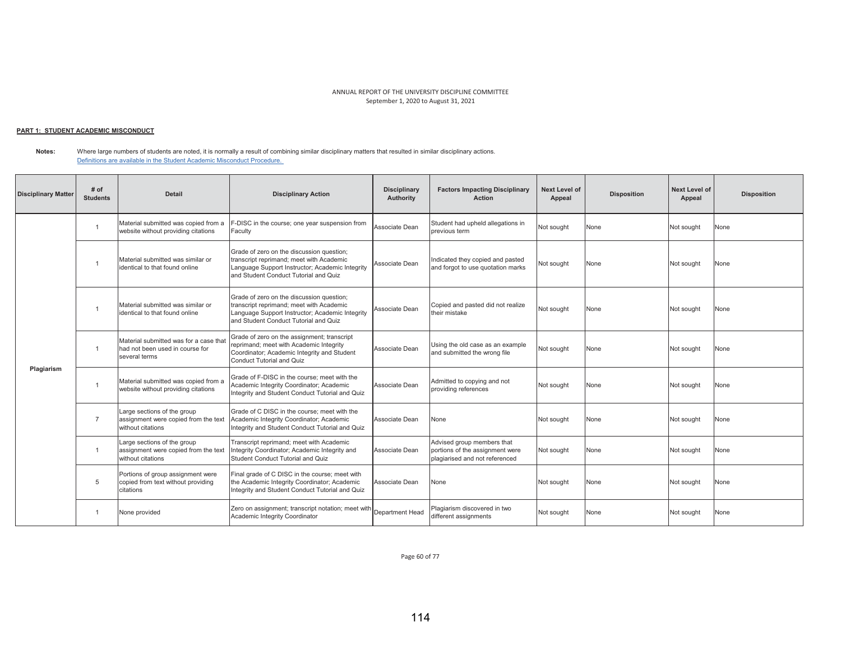## <u> PART 1: STUDENT ACADEMIC MISCONDUCT</u>

**Notes:**  Where large numbers of students are noted, it is normally a result of combining similar disciplinary matters that resulted in similar disciplinary actions. Definitions are available in the Student Academic Misconduct Procedure.

| <b>Disciplinary Matter</b> | # of<br><b>Students</b> | <b>Detail</b>                                                                              | <b>Disciplinary Action</b>                                                                                                                                                        | <b>Disciplinary</b><br>Authority | <b>Factors Impacting Disciplinary</b><br><b>Action</b>                                          | Next Level of<br>Appeal | <b>Disposition</b> | <b>Next Level of</b><br>Appeal | <b>Disposition</b> |
|----------------------------|-------------------------|--------------------------------------------------------------------------------------------|-----------------------------------------------------------------------------------------------------------------------------------------------------------------------------------|----------------------------------|-------------------------------------------------------------------------------------------------|-------------------------|--------------------|--------------------------------|--------------------|
|                            | $\overline{1}$          | Material submitted was copied from a<br>website without providing citations                | -DISC in the course; one year suspension from<br>Faculty                                                                                                                          | Associate Dean                   | Student had upheld allegations in<br>previous term                                              | Not sought              | None               | Not sought                     | None               |
|                            | $\overline{1}$          | Material submitted was similar or<br>identical to that found online                        | Grade of zero on the discussion question;<br>transcript reprimand: meet with Academic<br>Language Support Instructor; Academic Integrity<br>and Student Conduct Tutorial and Quiz | Associate Dean                   | ndicated they copied and pasted<br>and forgot to use quotation marks                            | Not sought              | None               | Not sought                     | None               |
|                            | $\overline{1}$          | Material submitted was similar or<br>identical to that found online                        | Grade of zero on the discussion question;<br>transcript reprimand; meet with Academic<br>Language Support Instructor; Academic Integrity<br>and Student Conduct Tutorial and Quiz | Associate Dean                   | Copied and pasted did not realize<br>their mistake                                              | Not sought              | None               | Not sought                     | None               |
|                            | $\overline{1}$          | Material submitted was for a case that<br>had not been used in course for<br>several terms | Grade of zero on the assignment; transcript<br>reprimand; meet with Academic Integrity<br>Coordinator; Academic Integrity and Student<br>Conduct Tutorial and Quiz                | Associate Dean                   | Using the old case as an example<br>and submitted the wrong file                                | Not sought              | None               | Not sought                     | None               |
| Plagiarism                 | $\overline{1}$          | Material submitted was copied from a<br>website without providing citations                | Grade of F-DISC in the course: meet with the<br>Academic Integrity Coordinator; Academic<br>Integrity and Student Conduct Tutorial and Quiz                                       | Associate Dean                   | Admitted to copying and not<br>providing references                                             | Not sought              | None               | Not sought                     | None               |
|                            | $\overline{7}$          | Large sections of the group<br>assignment were copied from the text<br>without citations   | Grade of C DISC in the course: meet with the<br>Academic Integrity Coordinator; Academic<br>Integrity and Student Conduct Tutorial and Quiz                                       | Associate Dean                   | None                                                                                            | Not sought              | None               | Not sought                     | None               |
|                            | $\overline{1}$          | Large sections of the group<br>assignment were copied from the text<br>without citations   | Transcript reprimand; meet with Academic<br>Integrity Coordinator; Academic Integrity and<br>Student Conduct Tutorial and Quiz                                                    | Associate Dean                   | Advised group members that<br>portions of the assignment were<br>plagiarised and not referenced | Not sought              | None               | Not sought                     | None               |
|                            | 5                       | Portions of group assignment were<br>copied from text without providing<br>citations       | Final grade of C DISC in the course; meet with<br>the Academic Integrity Coordinator; Academic<br>Integrity and Student Conduct Tutorial and Quiz                                 | Associate Dean                   | None                                                                                            | Not sought              | None               | Not sought                     | None               |
|                            | -1                      | None provided                                                                              | Zero on assignment; transcript notation; meet with<br>Academic Integrity Coordinator                                                                                              | Department Head                  | Plagiarism discovered in two<br>different assignments                                           | Not sought              | None               | Not sought                     | None               |

Page 60 of 77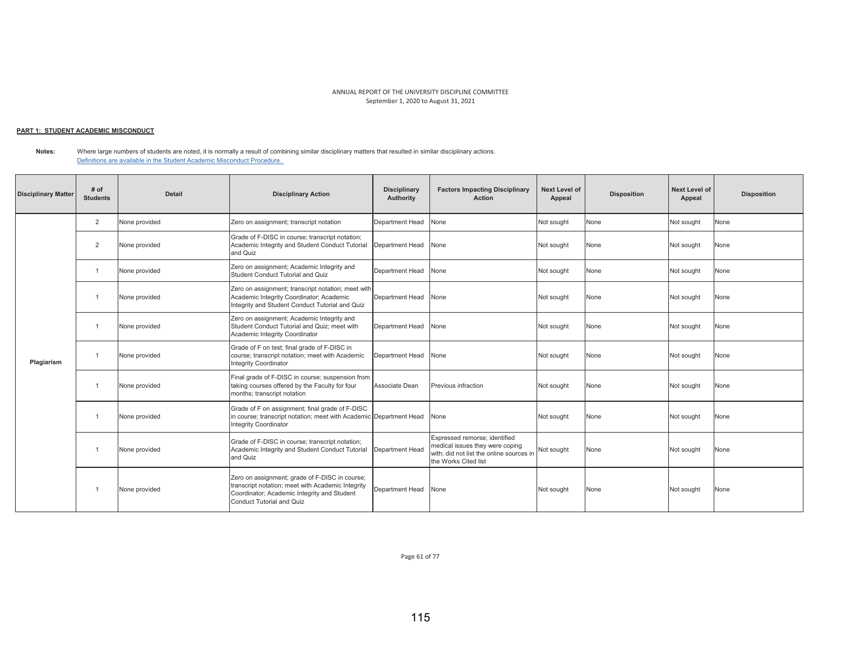# <u> PART 1: STUDENT ACADEMIC MISCONDUCT</u>

**Notes:** Where large numbers of students are noted, it is normally a result of combining similar disciplinary matters that resulted in similar disciplinary actions. Definitions are available in the Student Academic Misconduct Procedure.

| <b>Disciplinary Matter</b> | $#$ of<br><b>Students</b> | <b>Detail</b> | <b>Disciplinary Action</b>                                                                                                                                                             | <b>Disciplinary</b><br>Authority | <b>Factors Impacting Disciplinary</b><br>Action                                                                                      | Next Level of<br>Appeal | <b>Disposition</b> | Next Level of<br>Appeal | <b>Disposition</b> |
|----------------------------|---------------------------|---------------|----------------------------------------------------------------------------------------------------------------------------------------------------------------------------------------|----------------------------------|--------------------------------------------------------------------------------------------------------------------------------------|-------------------------|--------------------|-------------------------|--------------------|
|                            | $\overline{2}$            | None provided | Zero on assignment; transcript notation                                                                                                                                                | Department Head                  | None                                                                                                                                 | Not sought              | None               | Not sought              | None               |
|                            | $\overline{2}$            | None provided | Grade of F-DISC in course; transcript notation;<br>Academic Integrity and Student Conduct Tutorial<br>and Quiz                                                                         | Department Head                  | None                                                                                                                                 | Not sought              | None               | Not sought              | None               |
|                            |                           | None provided | Zero on assignment; Academic Integrity and<br>Student Conduct Tutorial and Quiz                                                                                                        | Department Head                  | None                                                                                                                                 | Not sought              | None               | Not sought              | None               |
|                            |                           | None provided | Zero on assignment; transcript notation; meet with<br>Academic Integrity Coordinator; Academic<br>Integrity and Student Conduct Tutorial and Quiz                                      | Department Head                  | None                                                                                                                                 | Not sought              | None               | Not sought              | None               |
|                            |                           | None provided | Zero on assignment; Academic Integrity and<br>Student Conduct Tutorial and Quiz: meet with<br>Academic Integrity Coordinator                                                           | Department Head                  | None                                                                                                                                 | Not sought              | None               | Not sought              | None               |
| Plagiarism                 |                           | None provided | Grade of F on test; final grade of F-DISC in<br>course; transcript notation; meet with Academic<br><b>Integrity Coordinator</b>                                                        | Department Head                  | None                                                                                                                                 | Not sought              | None               | Not sought              | None               |
|                            |                           | None provided | Final grade of F-DISC in course; suspension from<br>taking courses offered by the Faculty for four<br>months; transcript notation                                                      | Associate Dean                   | Previous infraction                                                                                                                  | Not sought              | None               | Not sought              | None               |
|                            |                           | None provided | Grade of F on assignment; final grade of F-DISC<br>in course; transcript notation; meet with Academic Department Head<br><b>Integrity Coordinator</b>                                  |                                  | None                                                                                                                                 | Not sought              | None               | Not sought              | None               |
|                            | $\overline{1}$            | None provided | Grade of F-DISC in course; transcript notation;<br>Academic Integrity and Student Conduct Tutorial<br>and Quiz                                                                         | Department Head                  | Expressed remorse: identified<br>medical issues they were coping<br>with: did not list the online sources in<br>the Works Cited list | Not sought              | None               | Not sought              | None               |
|                            |                           | None provided | Zero on assignment; grade of F-DISC in course;<br>transcript notation; meet with Academic Integrity<br>Coordinator; Academic Integrity and Student<br><b>Conduct Tutorial and Quiz</b> | Department Head                  | None                                                                                                                                 | Not sought              | None               | Not sought              | None               |

Page 61 of 77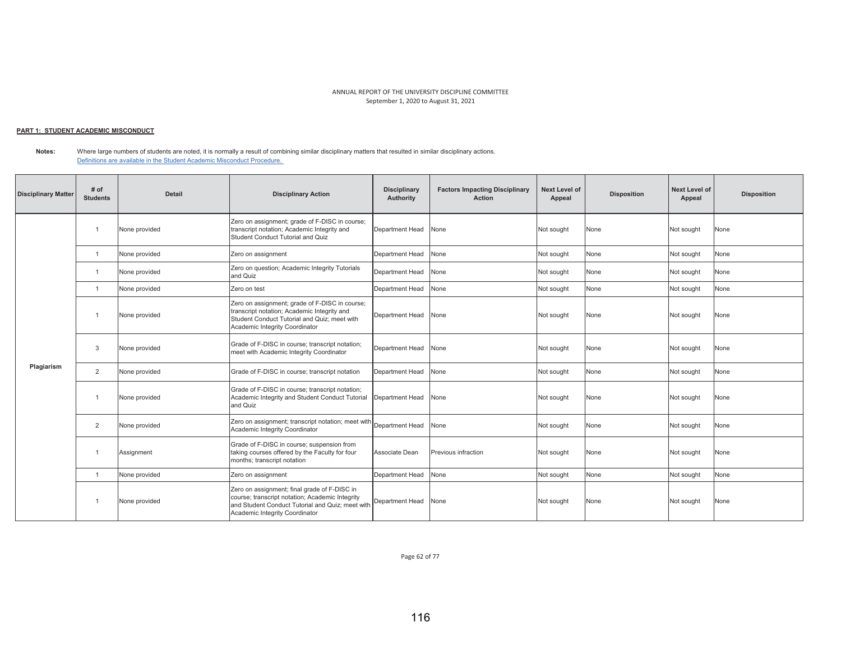## <u> PART 1: STUDENT ACADEMIC MISCONDUCT</u>

**Notes:** Where large numbers of students are noted, it is normally a result of combining similar disciplinary matters that resulted in similar disciplinary actions. Definitions are available in the Student Academic Misconduct Procedure.

| <b>Disciplinary Matter</b> | # of<br><b>Students</b> | <b>Detail</b> | <b>Disciplinary Action</b>                                                                                                                                                                            | <b>Disciplinary</b><br>Authority | <b>Factors Impacting Disciplinary</b><br><b>Action</b> | <b>Next Level of</b><br>Appeal | <b>Disposition</b> | <b>Next Level of</b><br>Appeal | <b>Disposition</b> |
|----------------------------|-------------------------|---------------|-------------------------------------------------------------------------------------------------------------------------------------------------------------------------------------------------------|----------------------------------|--------------------------------------------------------|--------------------------------|--------------------|--------------------------------|--------------------|
|                            | $\mathbf{1}$            | None provided | Zero on assignment; grade of F-DISC in course;<br>transcript notation; Academic Integrity and<br>Student Conduct Tutorial and Quiz                                                                    | Department Head                  | None                                                   | Not sought                     | None               | Not sought                     | None               |
|                            | $\overline{1}$          | None provided | Zero on assignment                                                                                                                                                                                    | Department Head                  | None                                                   | Not sought                     | None               | Not sought                     | None               |
|                            | $\mathbf{1}$            | None provided | Zero on question; Academic Integrity Tutorials<br>and Quiz                                                                                                                                            | Department Head                  | None                                                   | Not sought                     | None               | Not sought                     | None               |
|                            | $\overline{1}$          | None provided | Zero on test                                                                                                                                                                                          | Department Head                  | None                                                   | Not sought                     | None               | Not sought                     | None               |
|                            |                         | None provided | Zero on assignment; grade of F-DISC in course;<br>transcript notation; Academic Integrity and<br>Student Conduct Tutorial and Quiz; meet with<br>Academic Integrity Coordinator                       | Department Head                  | None                                                   | Not sought                     | None               | Not sought                     | None               |
|                            | 3                       | None provided | Grade of F-DISC in course; transcript notation;<br>meet with Academic Integrity Coordinator                                                                                                           | Department Head                  | None                                                   | Not sought                     | None               | Not sought                     | None               |
| Plagiarism                 | $\overline{2}$          | None provided | Grade of F-DISC in course; transcript notation                                                                                                                                                        | Department Head                  | None                                                   | Not sought                     | None               | Not sought                     | None               |
|                            | -1                      | None provided | Grade of F-DISC in course; transcript notation;<br>Academic Integrity and Student Conduct Tutorial<br>and Quiz                                                                                        | Department Head                  | None                                                   | Not sought                     | None               | Not sought                     | None               |
|                            | $\overline{2}$          | None provided | Zero on assignment; transcript notation; meet with<br>Academic Integrity Coordinator                                                                                                                  | Department Head                  | None                                                   | Not sought                     | None               | Not sought                     | None               |
|                            | -1                      | Assignment    | Grade of F-DISC in course; suspension from<br>taking courses offered by the Faculty for four<br>months; transcript notation                                                                           | Associate Dean                   | Previous infraction                                    | Not sought                     | None               | Not sought                     | None               |
|                            | $\mathbf{1}$            | None provided | Zero on assignment                                                                                                                                                                                    | Department Head                  | None                                                   | Not sought                     | None               | Not sought                     | None               |
|                            |                         | None provided | Zero on assignment; final grade of F-DISC in<br>course; transcript notation; Academic Integrity<br>and Student Conduct Tutorial and Quiz; meet with Department Head<br>Academic Integrity Coordinator |                                  | None                                                   | Not sought                     | None               | Not sought                     | None               |

Page 62 of 77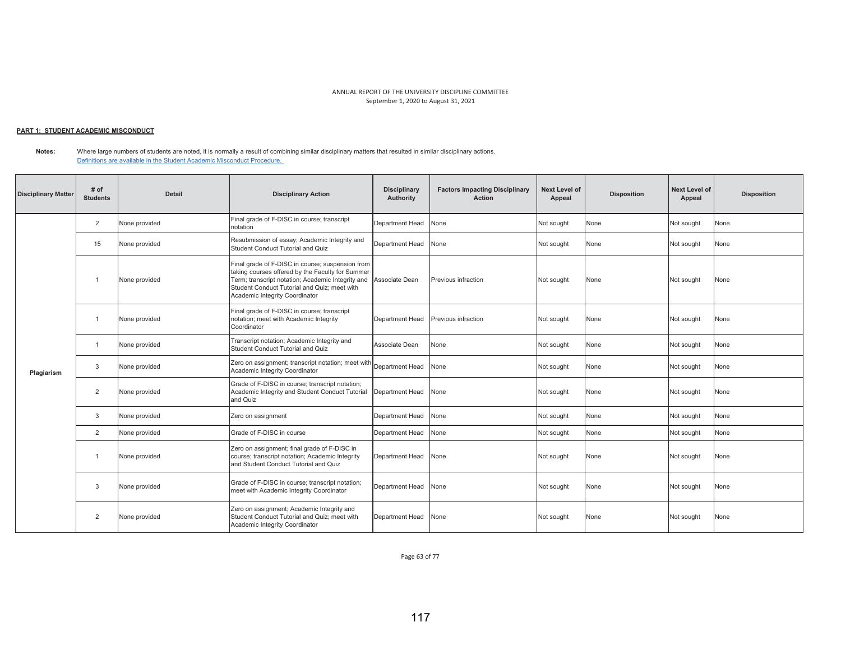## <u> PART 1: STUDENT ACADEMIC MISCONDUCT</u>

**Notes:** Where large numbers of students are noted, it is normally a result of combining similar disciplinary matters that resulted in similar disciplinary actions. Definitions are available in the Student Academic Misconduct Procedure.

| <b>Disciplinary Matter</b> | # of<br><b>Students</b> | <b>Detail</b> | <b>Disciplinary Action</b>                                                                                                                                                                                                                                 | <b>Disciplinary</b><br>Authority | <b>Factors Impacting Disciplinary</b><br><b>Action</b> | <b>Next Level of</b><br>Appeal | <b>Disposition</b> | <b>Next Level of</b><br>Appeal | <b>Disposition</b> |
|----------------------------|-------------------------|---------------|------------------------------------------------------------------------------------------------------------------------------------------------------------------------------------------------------------------------------------------------------------|----------------------------------|--------------------------------------------------------|--------------------------------|--------------------|--------------------------------|--------------------|
|                            | $\overline{2}$          | None provided | Final grade of F-DISC in course; transcript<br>notation                                                                                                                                                                                                    | Department Head                  | None                                                   | Not sought                     | None               | Not sought                     | None               |
|                            | 15                      | None provided | Resubmission of essay; Academic Integrity and<br>Student Conduct Tutorial and Quiz                                                                                                                                                                         | Department Head                  | None                                                   | Not sought                     | None               | Not sought                     | None               |
|                            | -1                      | None provided | Final grade of F-DISC in course; suspension from<br>taking courses offered by the Faculty for Summer<br>Term; transcript notation; Academic Integrity and Associate Dean<br>Student Conduct Tutorial and Quiz: meet with<br>Academic Integrity Coordinator |                                  | Previous infraction                                    | Not sought                     | None               | Not sought                     | None               |
|                            |                         | None provided | Final grade of F-DISC in course; transcript<br>notation; meet with Academic Integrity<br>Coordinator                                                                                                                                                       | Department Head                  | Previous infraction                                    | Not sought                     | None               | Not sought                     | None               |
|                            | $\overline{1}$          | None provided | Transcript notation; Academic Integrity and<br>Student Conduct Tutorial and Quiz                                                                                                                                                                           | Associate Dean                   | None                                                   | Not sought                     | None               | Not sought                     | None               |
| Plagiarism                 | 3                       | None provided | Zero on assignment; transcript notation; meet with<br><b>Academic Integrity Coordinator</b>                                                                                                                                                                | Department Head                  | None                                                   | Not sought                     | None               | Not sought                     | None               |
|                            | $\overline{2}$          | None provided | Grade of F-DISC in course; transcript notation;<br>Academic Integrity and Student Conduct Tutorial<br>and Quiz                                                                                                                                             | Department Head                  | None                                                   | Not sought                     | None               | Not sought                     | None               |
|                            | 3                       | None provided | Zero on assignment                                                                                                                                                                                                                                         | Department Head                  | None                                                   | Not sought                     | None               | Not sought                     | None               |
|                            | $\overline{2}$          | None provided | Grade of F-DISC in course                                                                                                                                                                                                                                  | Department Head                  | None                                                   | Not sought                     | None               | Not sought                     | None               |
|                            | $\overline{1}$          | None provided | Zero on assignment; final grade of F-DISC in<br>course; transcript notation; Academic Integrity<br>and Student Conduct Tutorial and Quiz                                                                                                                   | Department Head                  | None                                                   | Not sought                     | None               | Not sought                     | None               |
|                            | 3                       | None provided | Grade of F-DISC in course; transcript notation;<br>meet with Academic Integrity Coordinator                                                                                                                                                                | Department Head                  | None                                                   | Not sought                     | None               | Not sought                     | None               |
|                            | $\overline{2}$          | None provided | Zero on assignment; Academic Integrity and<br>Student Conduct Tutorial and Quiz: meet with<br>Academic Integrity Coordinator                                                                                                                               | Department Head                  | None                                                   | Not sought                     | None               | Not sought                     | None               |

Page 63 of 77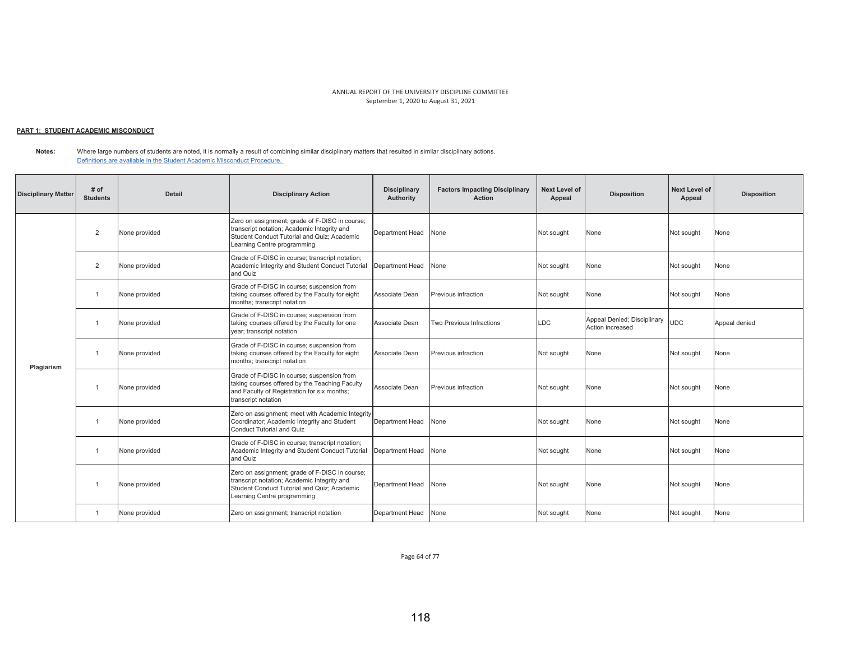## <u> PART 1: STUDENT ACADEMIC MISCONDUCT</u>

**Notes:** Where large numbers of students are noted, it is normally a result of combining similar disciplinary matters that resulted in similar disciplinary actions. Definitions are available in the Student Academic Misconduct Procedure.

| <b>Disciplinary Matter</b> | # of<br><b>Students</b> | <b>Detail</b> | <b>Disciplinary Action</b>                                                                                                                                                  | <b>Disciplinary</b><br>Authority | <b>Factors Impacting Disciplinary</b><br><b>Action</b> | <b>Next Level of</b><br>Appeal | <b>Disposition</b>                              | <b>Next Level of</b><br>Appeal | <b>Disposition</b> |
|----------------------------|-------------------------|---------------|-----------------------------------------------------------------------------------------------------------------------------------------------------------------------------|----------------------------------|--------------------------------------------------------|--------------------------------|-------------------------------------------------|--------------------------------|--------------------|
|                            | $\overline{2}$          | None provided | Zero on assignment; grade of F-DISC in course;<br>transcript notation; Academic Integrity and<br>Student Conduct Tutorial and Quiz: Academic<br>Learning Centre programming | Department Head                  | None                                                   | Not sought                     | None                                            | Not sought                     | None               |
|                            | $\overline{2}$          | None provided | Grade of F-DISC in course; transcript notation;<br>Academic Integrity and Student Conduct Tutorial<br>and Quiz                                                              | Department Head                  | None                                                   | Not sought                     | None                                            | Not sought                     | None               |
|                            | $\overline{1}$          | None provided | Grade of F-DISC in course; suspension from<br>taking courses offered by the Faculty for eight<br>months; transcript notation                                                | Associate Dean                   | Previous infraction                                    | Not sought                     | None                                            | Not sought                     | None               |
|                            | $\overline{1}$          | None provided | Grade of F-DISC in course; suspension from<br>taking courses offered by the Faculty for one<br>year; transcript notation                                                    | Associate Dean                   | Two Previous Infractions                               | <b>LDC</b>                     | Appeal Denied; Disciplinary<br>Action increased | <b>UDC</b>                     | Appeal denied      |
| Plagiarism                 |                         | None provided | Grade of F-DISC in course; suspension from<br>taking courses offered by the Faculty for eight<br>months: transcript notation                                                | Associate Dean                   | Previous infraction                                    | Not sought                     | None                                            | Not sought                     | None               |
|                            | $\overline{1}$          | None provided | Grade of F-DISC in course; suspension from<br>taking courses offered by the Teaching Faculty<br>and Faculty of Registration for six months;<br>transcript notation          | Associate Dean                   | Previous infraction                                    | Not sought                     | None                                            | Not sought                     | None               |
|                            | $\overline{1}$          | None provided | Zero on assignment; meet with Academic Integrity<br>Coordinator; Academic Integrity and Student<br><b>Conduct Tutorial and Quiz</b>                                         | Department Head                  | None                                                   | Not sought                     | None                                            | Not sought                     | None               |
|                            | $\overline{1}$          | None provided | Grade of F-DISC in course; transcript notation;<br>Academic Integrity and Student Conduct Tutorial<br>and Quiz                                                              | Department Head                  | None                                                   | Not sought                     | None                                            | Not sought                     | None               |
|                            | $\overline{1}$          | None provided | Zero on assignment; grade of F-DISC in course;<br>transcript notation; Academic Integrity and<br>Student Conduct Tutorial and Quiz: Academic<br>Learning Centre programming | Department Head                  | None                                                   | Not sought                     | None                                            | Not sought                     | None               |
|                            | $\overline{1}$          | None provided | Zero on assignment; transcript notation                                                                                                                                     | Department Head                  | None                                                   | Not sought                     | None                                            | Not sought                     | None               |

Page 64 of 77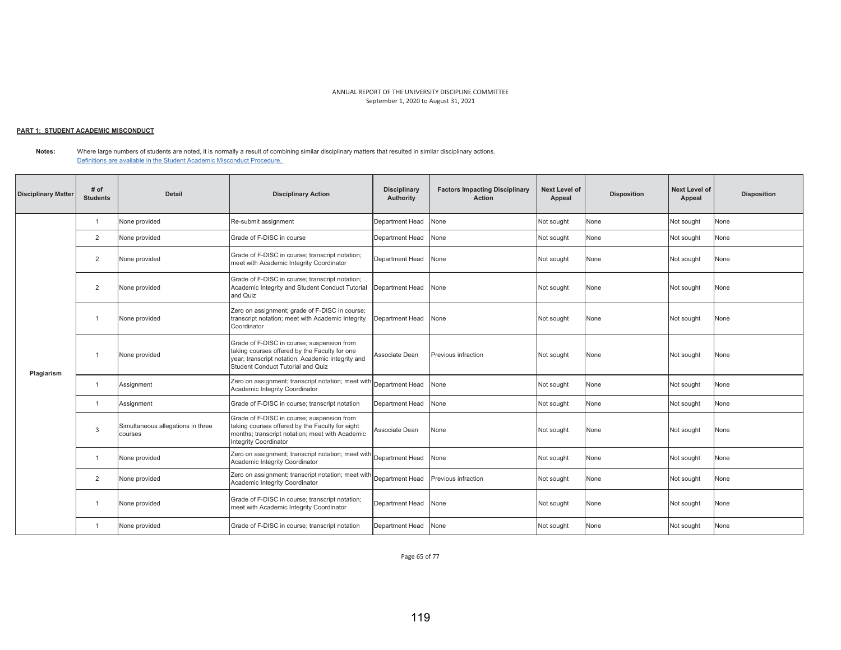## <u> PART 1: STUDENT ACADEMIC MISCONDUCT</u>

**Notes:** Where large numbers of students are noted, it is normally a result of combining similar disciplinary matters that resulted in similar disciplinary actions. Definitions are available in the Student Academic Misconduct Procedure.

| <b>Disciplinary Matter</b> | # of<br><b>Students</b> | <b>Detail</b>                                | <b>Disciplinary Action</b>                                                                                                                                                            | <b>Disciplinary</b><br><b>Authority</b> | <b>Factors Impacting Disciplinary</b><br><b>Action</b> | <b>Next Level of</b><br>Appeal | <b>Disposition</b> | <b>Next Level of</b><br>Appeal | <b>Disposition</b> |
|----------------------------|-------------------------|----------------------------------------------|---------------------------------------------------------------------------------------------------------------------------------------------------------------------------------------|-----------------------------------------|--------------------------------------------------------|--------------------------------|--------------------|--------------------------------|--------------------|
|                            | $\mathbf{1}$            | None provided                                | Re-submit assignment                                                                                                                                                                  | Department Head                         | None                                                   | Not sought                     | None               | Not sought                     | None               |
|                            | 2                       | None provided                                | Grade of F-DISC in course                                                                                                                                                             | Department Head                         | None                                                   | Not sought                     | None               | Not sought                     | None               |
|                            | 2                       | None provided                                | Grade of F-DISC in course; transcript notation;<br>meet with Academic Integrity Coordinator                                                                                           | Department Head                         | None                                                   | Not sought                     | None               | Not sought                     | None               |
|                            | 2                       | None provided                                | Grade of F-DISC in course; transcript notation;<br>Academic Integrity and Student Conduct Tutorial<br>and Quiz                                                                        | Department Head                         | None                                                   | Not sought                     | None               | Not sought                     | None               |
|                            | -1                      | None provided                                | Zero on assignment; grade of F-DISC in course;<br>transcript notation; meet with Academic Integrity<br>Coordinator                                                                    | Department Head                         | None                                                   | Not sought                     | None               | Not sought                     | None               |
| Plagiarism                 | $\overline{1}$          | None provided                                | Grade of F-DISC in course; suspension from<br>taking courses offered by the Faculty for one<br>year; transcript notation; Academic Integrity and<br>Student Conduct Tutorial and Quiz | Associate Dean                          | Previous infraction                                    | Not sought                     | None               | Not sought                     | None               |
|                            | $\overline{1}$          | Assignment                                   | Zero on assignment; transcript notation; meet with<br>Academic Integrity Coordinator                                                                                                  | Department Head                         | None                                                   | Not sought                     | None               | Not sought                     | None               |
|                            | $\overline{1}$          | Assignment                                   | Grade of F-DISC in course; transcript notation                                                                                                                                        | Department Head                         | None                                                   | Not sought                     | None               | Not sought                     | None               |
|                            | 3                       | Simultaneous allegations in three<br>courses | Grade of F-DISC in course; suspension from<br>taking courses offered by the Faculty for eight<br>months; transcript notation; meet with Academic<br><b>Integrity Coordinator</b>      | Associate Dean                          | None                                                   | Not sought                     | None               | Not sought                     | None               |
|                            | $\overline{1}$          | None provided                                | Zero on assignment; transcript notation; meet with<br>Academic Integrity Coordinator                                                                                                  | Department Head                         | None                                                   | Not sought                     | None               | Not sought                     | None               |
|                            | 2                       | None provided                                | IZero on assignment; transcript notation; meet with Department Head<br>Academic Integrity Coordinator                                                                                 |                                         | Previous infraction                                    | Not sought                     | None               | Not sought                     | None               |
|                            |                         | None provided                                | Grade of F-DISC in course; transcript notation;<br>meet with Academic Integrity Coordinator                                                                                           | Department Head                         | None                                                   | Not sought                     | None               | Not sought                     | None               |
|                            | $\overline{1}$          | None provided                                | Grade of F-DISC in course; transcript notation                                                                                                                                        | Department Head                         | None                                                   | Not sought                     | None               | Not sought                     | None               |

Page 65 of 77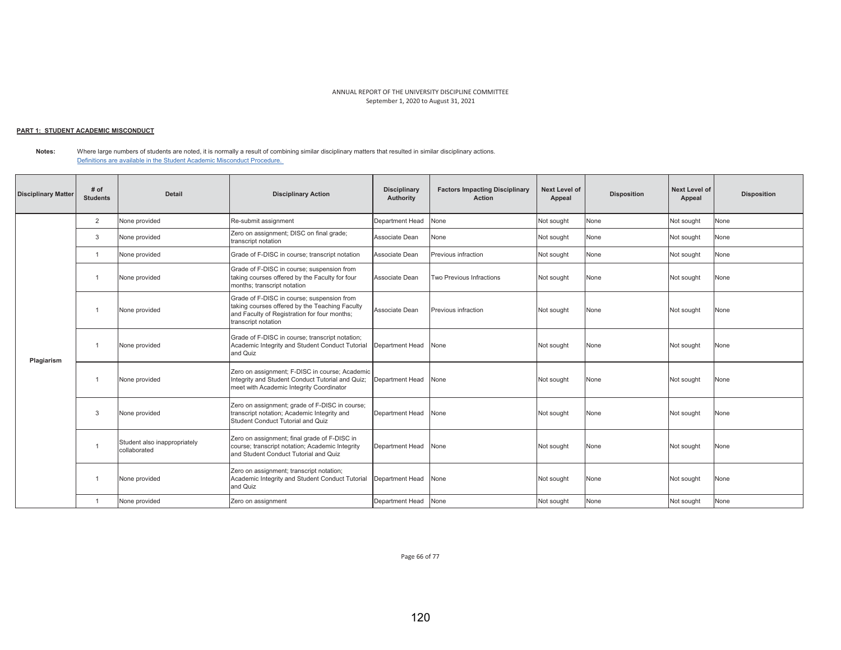## <u> PART 1: STUDENT ACADEMIC MISCONDUCT</u>

**Notes:**  Where large numbers of students are noted, it is normally a result of combining similar disciplinary matters that resulted in similar disciplinary actions. Definitions are available in the Student Academic Misconduct Procedure.

| <b>Disciplinary Matter</b> | # of<br><b>Students</b> | <b>Detail</b>                                | <b>Disciplinary Action</b>                                                                                                                                          | <b>Disciplinary</b><br>Authority | <b>Factors Impacting Disciplinary</b><br>Action | <b>Next Level of</b><br>Appeal | <b>Disposition</b> | Next Level of<br>Appeal | <b>Disposition</b> |
|----------------------------|-------------------------|----------------------------------------------|---------------------------------------------------------------------------------------------------------------------------------------------------------------------|----------------------------------|-------------------------------------------------|--------------------------------|--------------------|-------------------------|--------------------|
|                            | $\overline{2}$          | None provided                                | Re-submit assignment                                                                                                                                                | Department Head                  | None                                            | Not sought                     | None               | Not sought              | None               |
|                            | 3                       | None provided                                | Zero on assignment; DISC on final grade;<br>transcript notation                                                                                                     | Associate Dean                   | None                                            | Not sought                     | None               | Not sought              | None               |
|                            | $\overline{1}$          | None provided                                | Grade of F-DISC in course; transcript notation                                                                                                                      | Associate Dean                   | Previous infraction                             | Not sought                     | None               | Not sought              | None               |
|                            | -1                      | None provided                                | Grade of F-DISC in course; suspension from<br>taking courses offered by the Faculty for four<br>months; transcript notation                                         | Associate Dean                   | Two Previous Infractions                        | Not sought                     | None               | Not sought              | None               |
|                            |                         | None provided                                | Grade of F-DISC in course; suspension from<br>taking courses offered by the Teaching Faculty<br>and Faculty of Registration for four months;<br>transcript notation | Associate Dean                   | Previous infraction                             | Not sought                     | None               | Not sought              | None               |
| Plagiarism                 | $\overline{1}$          | None provided                                | Grade of F-DISC in course; transcript notation;<br>Academic Integrity and Student Conduct Tutorial<br>and Quiz                                                      | Department Head                  | None                                            | Not sought                     | None               | Not sought              | None               |
|                            | -1                      | None provided                                | Zero on assignment; F-DISC in course; Academic<br>Integrity and Student Conduct Tutorial and Quiz;<br>meet with Academic Integrity Coordinator                      | Department Head                  | None                                            | Not sought                     | None               | Not sought              | None               |
|                            | 3                       | None provided                                | Zero on assignment; grade of F-DISC in course;<br>transcript notation; Academic Integrity and<br>Student Conduct Tutorial and Quiz                                  | Department Head                  | None                                            | Not sought                     | None               | Not sought              | None               |
|                            | -1                      | Student also inappropriately<br>collaborated | Zero on assignment; final grade of F-DISC in<br>course; transcript notation; Academic Integrity<br>and Student Conduct Tutorial and Quiz                            | Department Head                  | None                                            | Not sought                     | None               | Not sought              | None               |
|                            | -1                      | None provided                                | Zero on assignment; transcript notation;<br>Academic Integrity and Student Conduct Tutorial<br>and Quiz                                                             | Department Head                  | None                                            | Not sought                     | None               | Not sought              | None               |
|                            | -1                      | None provided                                | Zero on assignment                                                                                                                                                  | Department Head                  | None                                            | Not sought                     | None               | Not sought              | None               |

Page 66 of 77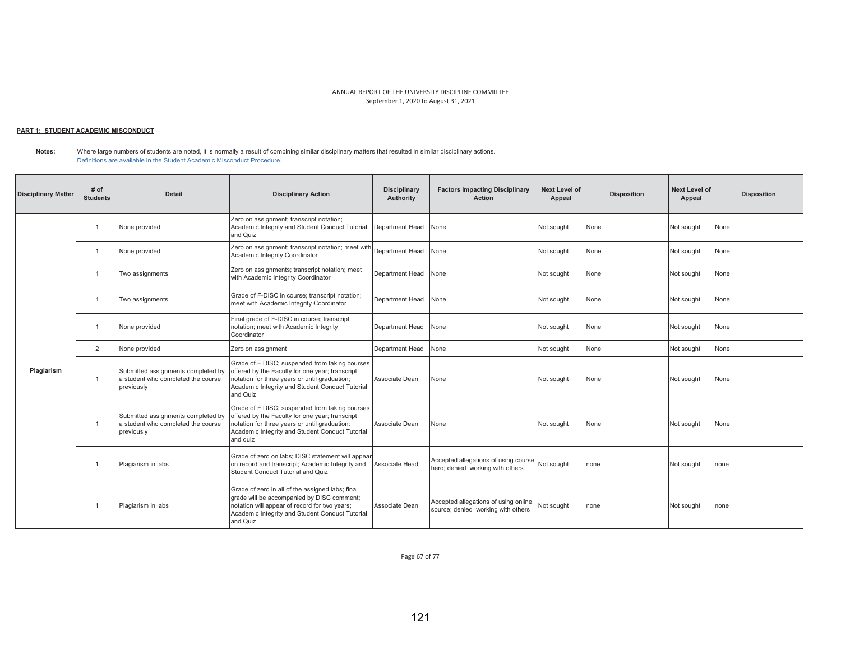## <u> PART 1: STUDENT ACADEMIC MISCONDUCT</u>

**Notes:**  Where large numbers of students are noted, it is normally a result of combining similar disciplinary matters that resulted in similar disciplinary actions. Definitions are available in the Student Academic Misconduct Procedure.

| <b>Disciplinary Matter</b> | # of<br><b>Students</b> | <b>Detail</b>                                                                          | <b>Disciplinary Action</b>                                                                                                                                                                                        | <b>Disciplinary</b><br>Authority | <b>Factors Impacting Disciplinary</b><br><b>Action</b>                              | <b>Next Level of</b><br>Appeal | <b>Disposition</b> | <b>Next Level of</b><br>Appeal | <b>Disposition</b> |
|----------------------------|-------------------------|----------------------------------------------------------------------------------------|-------------------------------------------------------------------------------------------------------------------------------------------------------------------------------------------------------------------|----------------------------------|-------------------------------------------------------------------------------------|--------------------------------|--------------------|--------------------------------|--------------------|
|                            | $\overline{1}$          | None provided                                                                          | Zero on assignment; transcript notation;<br>Academic Integrity and Student Conduct Tutorial<br>and Quiz                                                                                                           | Department Head                  | None                                                                                | Not sought                     | None               | Not sought                     | None               |
|                            | -1                      | None provided                                                                          | Zero on assignment; transcript notation; meet with<br>Academic Integrity Coordinator                                                                                                                              | Department Head                  | None                                                                                | Not sought                     | None               | Not sought                     | None               |
|                            | $\overline{1}$          | Two assignments                                                                        | Zero on assignments; transcript notation; meet<br>with Academic Integrity Coordinator                                                                                                                             | Department Head                  | None                                                                                | Not sought                     | None               | Not sought                     | None               |
|                            | -1                      | Two assignments                                                                        | Grade of F-DISC in course; transcript notation;<br>meet with Academic Integrity Coordinator                                                                                                                       | Department Head                  | None                                                                                | Not sought                     | None               | Not sought                     | None               |
|                            |                         | None provided                                                                          | Final grade of F-DISC in course; transcript<br>notation; meet with Academic Integrity<br>Coordinator                                                                                                              | Department Head                  | None                                                                                | Not sought                     | None               | Not sought                     | None               |
|                            | $\overline{2}$          | None provided                                                                          | Zero on assignment                                                                                                                                                                                                | Department Head                  | None                                                                                | Not sought                     | None               | Not sought                     | None               |
| Plagiarism                 | $\overline{1}$          | Submitted assignments completed by<br>a student who completed the course<br>previously | Grade of F DISC; suspended from taking courses<br>offered by the Faculty for one year; transcript<br>notation for three years or until graduation;<br>Academic Integrity and Student Conduct Tutorial<br>and Quiz | Associate Dean                   | None                                                                                | Not sought                     | None               | Not sought                     | None               |
|                            | $\overline{1}$          | Submitted assignments completed by<br>a student who completed the course<br>previously | Grade of F DISC; suspended from taking courses<br>offered by the Faculty for one year; transcript<br>notation for three years or until graduation;<br>Academic Integrity and Student Conduct Tutorial<br>and quiz | Associate Dean                   | None                                                                                | Not sought                     | None               | Not sought                     | None               |
|                            |                         | Plagiarism in labs                                                                     | Grade of zero on labs; DISC statement will appear<br>on record and transcript; Academic Integrity and<br>Student Conduct Tutorial and Quiz                                                                        | Associate Head                   | Accepted allegations of using course Not sought<br>hero; denied working with others |                                | none               | Not sought                     | none               |
|                            |                         | Plagiarism in labs                                                                     | Grade of zero in all of the assigned labs; final<br>grade will be accompanied by DISC comment;<br>notation will appear of record for two years;<br>Academic Integrity and Student Conduct Tutorial<br>and Quiz    | Associate Dean                   | Accepted allegations of using online<br>source: denied working with others          | Not sought                     | none               | Not sought                     | none               |

Page 67 of 77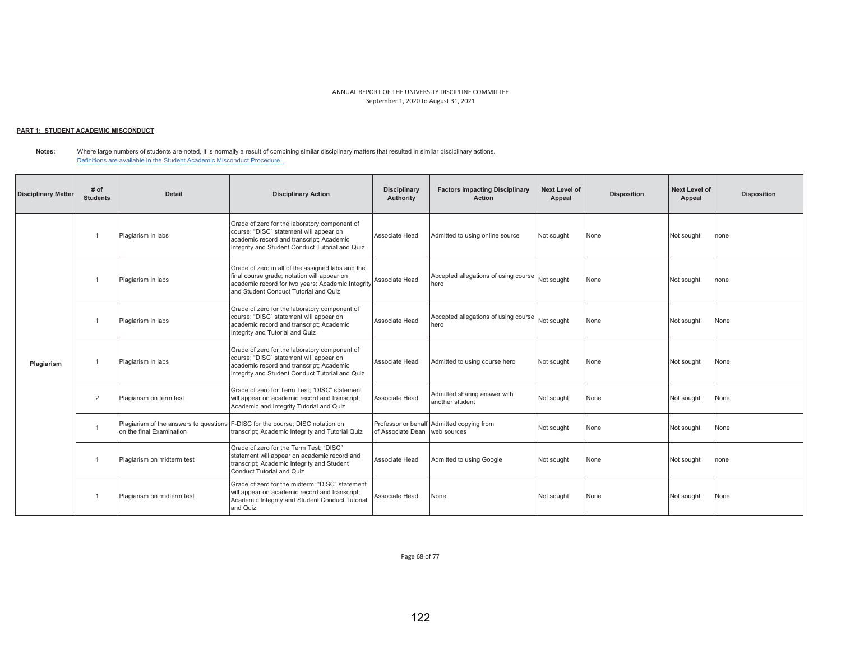### <u> PART 1: STUDENT ACADEMIC MISCONDUCT</u>

**Notes:**  Where large numbers of students are noted, it is normally a result of combining similar disciplinary matters that resulted in similar disciplinary actions. Definitions are available in the Student Academic Misconduct Procedure.

| <b>Disciplinary Matter</b> | # of<br><b>Students</b> | Detail                     | <b>Disciplinary Action</b>                                                                                                                                                                     | <b>Disciplinary</b><br>Authority | <b>Factors Impacting Disciplinary</b><br>Action          | <b>Next Level of</b><br>Appeal | <b>Disposition</b> | Next Level of<br>Appeal | <b>Disposition</b> |
|----------------------------|-------------------------|----------------------------|------------------------------------------------------------------------------------------------------------------------------------------------------------------------------------------------|----------------------------------|----------------------------------------------------------|--------------------------------|--------------------|-------------------------|--------------------|
|                            |                         | Plagiarism in labs         | Grade of zero for the laboratory component of<br>course; "DISC" statement will appear on<br>academic record and transcript; Academic<br>Integrity and Student Conduct Tutorial and Quiz        | Associate Head                   | Admitted to using online source                          | Not sought                     | None               | Not sought              | none               |
|                            |                         | Plagiarism in labs         | Grade of zero in all of the assigned labs and the<br>final course grade; notation will appear on<br>academic record for two years; Academic Integrity<br>and Student Conduct Tutorial and Quiz | Associate Head                   | Accepted allegations of using course Not sought<br>hero  |                                | None               | Not sought              | none               |
| Plagiarism                 |                         | Plagiarism in labs         | Grade of zero for the laboratory component of<br>course; "DISC" statement will appear on<br>academic record and transcript; Academic<br>Integrity and Tutorial and Quiz                        | Associate Head                   | Accepted allegations of using course Not sought<br>hero  |                                | None               | Not sought              | None               |
|                            |                         | Plagiarism in labs         | Grade of zero for the laboratory component of<br>course; "DISC" statement will appear on<br>academic record and transcript; Academic<br>Integrity and Student Conduct Tutorial and Quiz        | Associate Head                   | Admitted to using course hero                            | Not sought                     | None               | Not sought              | None               |
|                            | $\overline{2}$          | Plagiarism on term test    | Grade of zero for Term Test: "DISC" statement<br>will appear on academic record and transcript;<br>Academic and Integrity Tutorial and Quiz                                                    | Associate Head                   | Admitted sharing answer with<br>another student          | Not sought                     | None               | Not sought              | None               |
|                            | -1                      | on the final Examination   | Plagiarism of the answers to questions F-DISC for the course: DISC notation on<br>transcript; Academic Integrity and Tutorial Quiz                                                             | of Associate Dean                | Professor or behalf Admitted copying from<br>web sources | Not sought                     | None               | Not sought              | None               |
|                            | -1                      | Plagiarism on midterm test | Grade of zero for the Term Test: "DISC"<br>statement will appear on academic record and<br>transcript; Academic Integrity and Student<br>Conduct Tutorial and Quiz                             | Associate Head                   | Admitted to using Google                                 | Not sought                     | None               | Not sought              | none               |
|                            | -1                      | Plagiarism on midterm test | Grade of zero for the midterm: "DISC" statement<br>will appear on academic record and transcript;<br>Academic Integrity and Student Conduct Tutorial<br>and Quiz                               | Associate Head                   | None                                                     | Not sought                     | None               | Not sought              | None               |

Page 68 of 77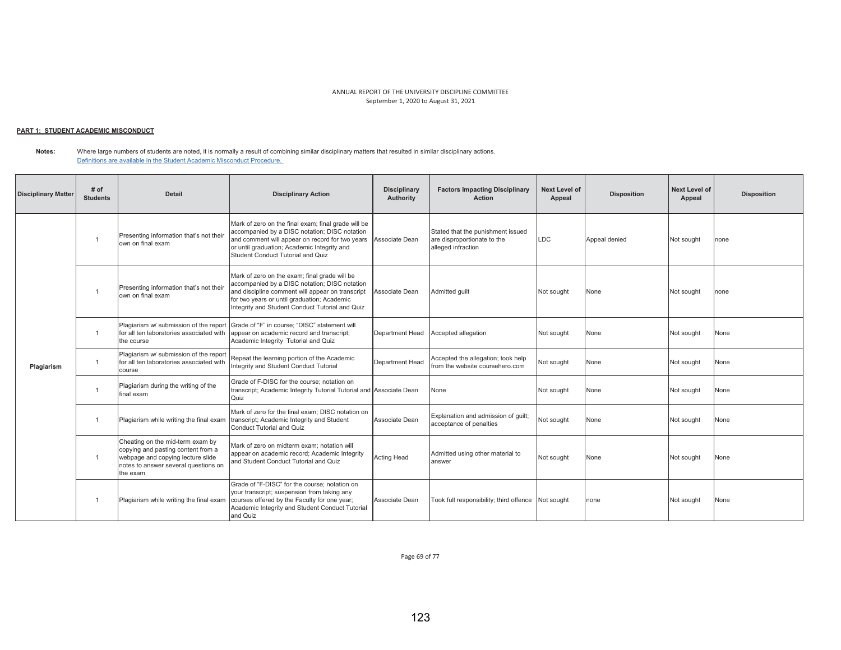### <u> PART 1: STUDENT ACADEMIC MISCONDUCT</u>

**Notes:**  Where large numbers of students are noted, it is normally a result of combining similar disciplinary matters that resulted in similar disciplinary actions. Definitions are available in the Student Academic Misconduct Procedure.

| <b>Disciplinary Matter</b> | # of<br><b>Students</b> | <b>Detail</b>                                                                                                                                                   | <b>Disciplinary Action</b>                                                                                                                                                                                                                           | <b>Disciplinary</b><br>Authority | <b>Factors Impacting Disciplinary</b><br><b>Action</b>                                 | <b>Next Level of</b><br>Appeal | <b>Disposition</b> | <b>Next Level of</b><br>Appeal | <b>Disposition</b> |
|----------------------------|-------------------------|-----------------------------------------------------------------------------------------------------------------------------------------------------------------|------------------------------------------------------------------------------------------------------------------------------------------------------------------------------------------------------------------------------------------------------|----------------------------------|----------------------------------------------------------------------------------------|--------------------------------|--------------------|--------------------------------|--------------------|
|                            | -1                      | Presenting information that's not their<br>own on final exam                                                                                                    | Mark of zero on the final exam; final grade will be<br>accompanied by a DISC notation; DISC notation<br>and comment will appear on record for two years<br>or until graduation; Academic Integrity and<br>Student Conduct Tutorial and Quiz          | Associate Dean                   | Stated that the punishment issued<br>are disproportionate to the<br>alleged infraction | <b>LDC</b>                     | Appeal denied      | Not sought                     | one                |
|                            |                         | Presenting information that's not their<br>own on final exam                                                                                                    | Mark of zero on the exam; final grade will be<br>accompanied by a DISC notation; DISC notation<br>and discipline comment will appear on transcript<br>for two years or until graduation; Academic<br>Integrity and Student Conduct Tutorial and Quiz | Associate Dean                   | Admitted guilt                                                                         | Not sought                     | None               | Not sought                     | none               |
|                            | $\overline{1}$          | Plagiarism w/ submission of the report<br>for all ten laboratories associated with<br>the course                                                                | Grade of "F" in course: "DISC" statement will<br>appear on academic record and transcript;<br>Academic Integrity Tutorial and Quiz                                                                                                                   | Department Head                  | Accepted allegation                                                                    | Not sought                     | None               | Not sought                     | None               |
| Plagiarism                 | -1                      | Plagiarism w/ submission of the report<br>for all ten laboratories associated with<br>course                                                                    | Repeat the learning portion of the Academic<br>Integrity and Student Conduct Tutorial                                                                                                                                                                | Department Head                  | Accepted the allegation; took help<br>from the website coursehero.com                  | Not sought                     | None               | Not sought                     | None               |
|                            |                         | Plagiarism during the writing of the<br>final exam                                                                                                              | Grade of F-DISC for the course: notation on<br>transcript; Academic Integrity Tutorial Tutorial and Associate Dean<br>Quiz                                                                                                                           |                                  | None                                                                                   | Not sought                     | None               | Not sought                     | None               |
|                            | $\overline{1}$          | Plagiarism while writing the final exam                                                                                                                         | Mark of zero for the final exam; DISC notation on<br>transcript; Academic Integrity and Student<br>Conduct Tutorial and Quiz                                                                                                                         | Associate Dean                   | Explanation and admission of quilt;<br>acceptance of penalties                         | Not sought                     | None               | Not sought                     | None               |
|                            | $\mathbf{1}$            | Cheating on the mid-term exam by<br>copying and pasting content from a<br>webpage and copying lecture slide<br>notes to answer several questions on<br>the exam | Mark of zero on midterm exam; notation will<br>appear on academic record; Academic Integrity<br>and Student Conduct Tutorial and Quiz                                                                                                                | <b>Acting Head</b>               | Admitted using other material to<br>answer                                             | Not sought                     | None               | Not sought                     | None               |
|                            |                         | Plagiarism while writing the final exam                                                                                                                         | Grade of "F-DISC" for the course: notation on<br>your transcript; suspension from taking any<br>courses offered by the Faculty for one year;<br>Academic Integrity and Student Conduct Tutorial<br>and Quiz                                          | Associate Dean                   | Took full responsibility; third offence                                                | Not sought                     | none               | Not sought                     | None               |

Page 69 of 77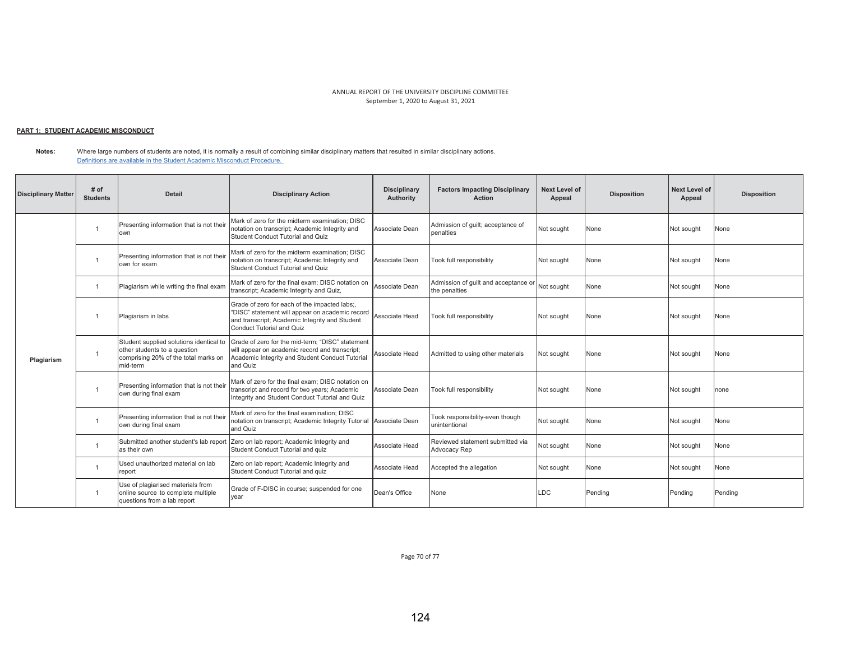### <u> PART 1: STUDENT ACADEMIC MISCONDUCT</u>

| <b>Disciplinary Matter</b> | $#$ of<br><b>Students</b> | <b>Detail</b>                                                                                                               | <b>Disciplinary Action</b>                                                                                                                                                             | <b>Disciplinary</b><br>Authority | <b>Factors Impacting Disciplinary</b><br>Action       | Next Level of<br>Appeal | <b>Disposition</b> | <b>Next Level of</b><br>Appeal | <b>Disposition</b> |
|----------------------------|---------------------------|-----------------------------------------------------------------------------------------------------------------------------|----------------------------------------------------------------------------------------------------------------------------------------------------------------------------------------|----------------------------------|-------------------------------------------------------|-------------------------|--------------------|--------------------------------|--------------------|
|                            |                           | Presenting information that is not their<br>own                                                                             | Mark of zero for the midterm examination; DISC<br>notation on transcript; Academic Integrity and<br>Student Conduct Tutorial and Quiz                                                  | Associate Dean                   | Admission of quilt; acceptance of<br>penalties        | Not sought              | None               | Not sought                     | None               |
|                            |                           | Presenting information that is not their<br>own for exam                                                                    | Mark of zero for the midterm examination: DISC<br>notation on transcript; Academic Integrity and<br>Student Conduct Tutorial and Quiz                                                  | Associate Dean                   | Took full responsibility                              | Not sought              | None               | Not sought                     | None               |
|                            | $\overline{1}$            | Plagiarism while writing the final exam                                                                                     | Mark of zero for the final exam: DISC notation on<br>transcript; Academic Integrity and Quiz,                                                                                          | Associate Dean                   | Admission of quilt and acceptance or<br>the penalties | Not sought              | None               | Not sought                     | None               |
|                            | -1                        | Plagiarism in labs                                                                                                          | Grade of zero for each of the impacted labs;,<br>"DISC" statement will appear on academic record<br>and transcript; Academic Integrity and Student<br><b>Conduct Tutorial and Quiz</b> | Associate Head                   | Took full responsibility                              | Not sought              | None               | Not sought                     | None               |
| Plagiarism                 |                           | Student supplied solutions identical to<br>other students to a question<br>comprising 20% of the total marks on<br>mid-term | Grade of zero for the mid-term: "DISC" statement<br>will appear on academic record and transcript;<br>Academic Integrity and Student Conduct Tutorial<br>and Quiz                      | Associate Head                   | Admitted to using other materials                     | Not sought              | None               | Not sought                     | None               |
|                            |                           | Presenting information that is not their<br>own during final exam                                                           | Mark of zero for the final exam: DISC notation on<br>transcript and record for two years; Academic<br>Integrity and Student Conduct Tutorial and Quiz                                  | Associate Dean                   | Took full responsibility                              | Not sought              | None               | Not sought                     | none               |
|                            | -1                        | Presenting information that is not their<br>own during final exam                                                           | Mark of zero for the final examination: DISC<br>notation on transcript; Academic Integrity Tutorial Associate Dean<br>and Quiz                                                         |                                  | Took responsibility-even though<br>unintentional      | Not sought              | None               | Not sought                     | None               |
|                            | $\mathbf{1}$              | Submitted another student's lab report<br>as their own                                                                      | Zero on lab report; Academic Integrity and<br>Student Conduct Tutorial and quiz                                                                                                        | Associate Head                   | Reviewed statement submitted via<br>Advocacy Rep      | Not sought              | None               | Not sought                     | None               |
|                            | $\overline{1}$            | Used unauthorized material on lab<br>report                                                                                 | Zero on lab report; Academic Integrity and<br>Student Conduct Tutorial and quiz                                                                                                        | Associate Head                   | Accepted the allegation                               | Not sought              | None               | Not sought                     | None               |
|                            | $\overline{1}$            | Use of plagiarised materials from<br>online source to complete multiple<br>questions from a lab report                      | Grade of F-DISC in course; suspended for one<br>year                                                                                                                                   | Dean's Office                    | None                                                  | <b>LDC</b>              | Pending            | Pendina                        | Pendina            |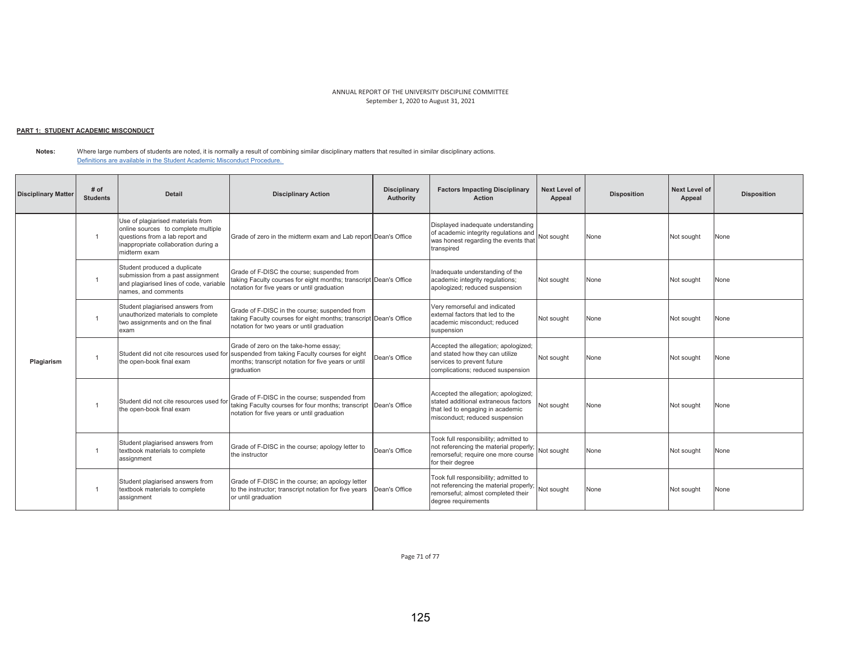### <u> PART 1: STUDENT ACADEMIC MISCONDUCT</u>

**Notes:**  Where large numbers of students are noted, it is normally a result of combining similar disciplinary matters that resulted in similar disciplinary actions. Definitions are available in the Student Academic Misconduct Procedure.

| <b>Disciplinary Matter</b> | $#$ of<br><b>Students</b> | <b>Detail</b>                                                                                                                                                       | <b>Disciplinary Action</b>                                                                                                                                                                            | <b>Disciplinary</b><br>Authority | <b>Factors Impacting Disciplinary</b><br><b>Action</b>                                                                                                  | <b>Next Level of</b><br>Appeal | <b>Disposition</b> | Next Level of<br>Appeal | <b>Disposition</b> |
|----------------------------|---------------------------|---------------------------------------------------------------------------------------------------------------------------------------------------------------------|-------------------------------------------------------------------------------------------------------------------------------------------------------------------------------------------------------|----------------------------------|---------------------------------------------------------------------------------------------------------------------------------------------------------|--------------------------------|--------------------|-------------------------|--------------------|
|                            |                           | Use of plagiarised materials from<br>online sources to complete multiple<br>questions from a lab report and<br>inappropriate collaboration during a<br>midterm exam | Grade of zero in the midterm exam and Lab report Dean's Office                                                                                                                                        |                                  | Displayed inadequate understanding<br>of academic integrity regulations and<br>was honest regarding the events that<br>transpired                       | Not sought                     | None               | Not sought              | None               |
|                            |                           | Student produced a duplicate<br>submission from a past assignment<br>and plagiarised lines of code, variable<br>names, and comments                                 | Grade of F-DISC the course; suspended from<br>taking Faculty courses for eight months; transcript Dean's Office<br>notation for five years or until graduation                                        |                                  | Inadequate understanding of the<br>academic integrity regulations;<br>apologized; reduced suspension                                                    | Not sought                     | None               | Not sought              | None               |
| Plagiarism                 | $\overline{1}$            | Student plagiarised answers from<br>unauthorized materials to complete<br>two assignments and on the final<br>exam                                                  | Grade of F-DISC in the course; suspended from<br>taking Faculty courses for eight months; transcript Dean's Office<br>notation for two years or until graduation                                      |                                  | Very remorseful and indicated<br>external factors that led to the<br>academic misconduct: reduced<br>suspension                                         | Not sought                     | None               | Not sought              | None               |
|                            |                           | the open-book final exam                                                                                                                                            | Grade of zero on the take-home essay;<br>Student did not cite resources used for suspended from taking Faculty courses for eight<br>months: transcript notation for five vears or until<br>draduation | Dean's Office                    | Accepted the allegation; apologized;<br>and stated how they can utilize<br>services to prevent future<br>complications: reduced suspension              | Not sought                     | None               | Not sought              | None               |
|                            |                           | Student did not cite resources used for<br>the open-book final exam                                                                                                 | Grade of F-DISC in the course: suspended from<br>taking Faculty courses for four months; transcript Dean's Office<br>notation for five years or until graduation                                      |                                  | Accepted the allegation; apologized;<br>stated additional extraneous factors<br>that led to engaging in academic<br>misconduct; reduced suspension      | Not sought                     | None               | Not sought              | None               |
|                            |                           | Student plagiarised answers from<br>textbook materials to complete<br>assignment                                                                                    | Grade of F-DISC in the course; apology letter to<br>the instructor                                                                                                                                    | Dean's Office                    | Took full responsibility; admitted to<br>not referencing the material properly; Not sought<br>remorseful; require one more course<br>for their dearee   |                                | None               | Not sought              | None               |
|                            |                           | Student plagiarised answers from<br>textbook materials to complete<br>assignment                                                                                    | Grade of F-DISC in the course; an apology letter<br>to the instructor; transcript notation for five years<br>or until graduation                                                                      | Dean's Office                    | Took full responsibility; admitted to<br>not referencing the material properly; Not sought<br>remorseful; almost completed their<br>degree requirements |                                | None               | Not sought              | None               |

Page 71 of 77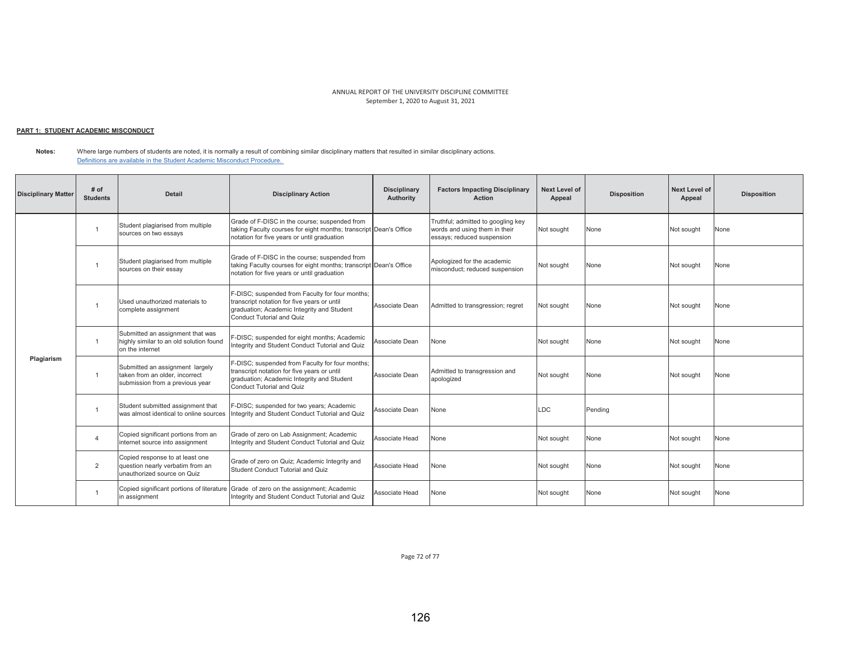### <u> PART 1: STUDENT ACADEMIC MISCONDUCT</u>

**Notes:**  Where large numbers of students are noted, it is normally a result of combining similar disciplinary matters that resulted in similar disciplinary actions. Definitions are available in the Student Academic Misconduct Procedure.

| <b>Disciplinary Matter</b> | # of<br><b>Students</b> | <b>Detail</b>                                                                                        | <b>Disciplinary Action</b>                                                                                                                                                | <b>Disciplinary</b><br><b>Authority</b> | <b>Factors Impacting Disciplinary</b><br><b>Action</b>                                            | <b>Next Level of</b><br>Appeal | <b>Disposition</b> | Next Level of<br>Appeal | <b>Disposition</b> |
|----------------------------|-------------------------|------------------------------------------------------------------------------------------------------|---------------------------------------------------------------------------------------------------------------------------------------------------------------------------|-----------------------------------------|---------------------------------------------------------------------------------------------------|--------------------------------|--------------------|-------------------------|--------------------|
|                            |                         | Student plagiarised from multiple<br>sources on two essays                                           | Grade of F-DISC in the course; suspended from<br>taking Faculty courses for eight months; transcript Dean's Office<br>notation for five years or until graduation         |                                         | Truthful; admitted to googling key<br>words and using them in their<br>essays; reduced suspension | Not sought                     | None               | Not sought              | None               |
|                            |                         | Student plagiarised from multiple<br>sources on their essay                                          | Grade of F-DISC in the course; suspended from<br>taking Faculty courses for eight months; transcript Dean's Office<br>notation for five years or until graduation         |                                         | Apologized for the academic<br>misconduct; reduced suspension                                     | Not sought                     | None               | Not sought              | None               |
|                            | -1                      | Used unauthorized materials to<br>complete assignment                                                | F-DISC: suspended from Faculty for four months;<br>transcript notation for five years or until<br>graduation; Academic Integrity and Student<br>Conduct Tutorial and Quiz | Associate Dean                          | Admitted to transgression; regret                                                                 | Not sought                     | None               | Not sought              | None               |
|                            | $\overline{1}$          | Submitted an assignment that was<br>highly similar to an old solution found<br>on the internet       | F-DISC; suspended for eight months; Academic<br>Integrity and Student Conduct Tutorial and Quiz                                                                           | Associate Dean                          | None                                                                                              | Not sought                     | None               | Not sought              | None               |
| Plagiarism                 | $\overline{1}$          | Submitted an assignment largely<br>taken from an older, incorrect<br>submission from a previous year | F-DISC; suspended from Faculty for four months;<br>transcript notation for five years or until<br>graduation; Academic Integrity and Student<br>Conduct Tutorial and Quiz | Associate Dean                          | Admitted to transgression and<br>apologized                                                       | Not sought                     | None               | Not sought              | None               |
|                            | -1                      | Student submitted assignment that<br>was almost identical to online sources                          | F-DISC; suspended for two years; Academic<br>Integrity and Student Conduct Tutorial and Quiz                                                                              | Associate Dean                          | None                                                                                              | <b>LDC</b>                     | Pending            |                         |                    |
|                            | $\overline{4}$          | Copied significant portions from an<br>internet source into assignment                               | Grade of zero on Lab Assignment; Academic<br>Integrity and Student Conduct Tutorial and Quiz                                                                              | Associate Head                          | None                                                                                              | Not sought                     | None               | Not sought              | None               |
|                            | $\overline{2}$          | Copied response to at least one<br>question nearly verbatim from an<br>unauthorized source on Quiz   | Grade of zero on Quiz; Academic Integrity and<br>Student Conduct Tutorial and Quiz                                                                                        | Associate Head                          | None                                                                                              | Not sought                     | None               | Not sought              | None               |
|                            |                         | in assignment                                                                                        | Copied significant portions of literature Grade of zero on the assignment; Academic<br>Integrity and Student Conduct Tutorial and Quiz                                    | Associate Head                          | None                                                                                              | Not sought                     | None               | Not sought              | None               |

Page 72 of 77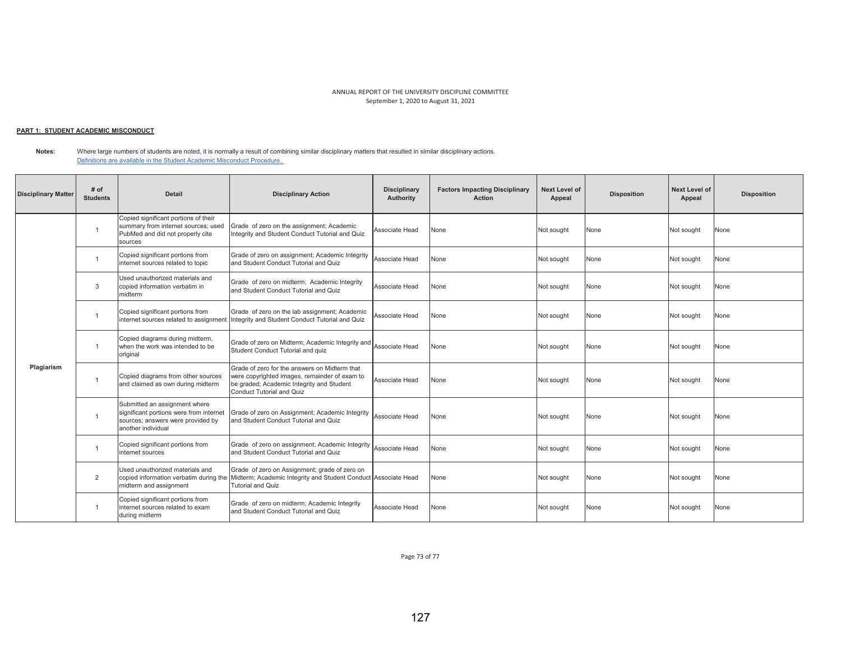### <u> PART 1: STUDENT ACADEMIC MISCONDUCT</u>

**Notes:**  Where large numbers of students are noted, it is normally a result of combining similar disciplinary matters that resulted in similar disciplinary actions. Definitions are available in the Student Academic Misconduct Procedure.

| <b>Disciplinary Matter</b> | # of<br><b>Students</b> | <b>Detail</b>                                                                                                                       | <b>Disciplinary Action</b>                                                                                                                                               | <b>Disciplinary</b><br>Authority | <b>Factors Impacting Disciplinary</b><br><b>Action</b> | <b>Next Level of</b><br>Appeal | <b>Disposition</b> | <b>Next Level of</b><br>Appeal | <b>Disposition</b> |
|----------------------------|-------------------------|-------------------------------------------------------------------------------------------------------------------------------------|--------------------------------------------------------------------------------------------------------------------------------------------------------------------------|----------------------------------|--------------------------------------------------------|--------------------------------|--------------------|--------------------------------|--------------------|
|                            | $\overline{1}$          | Copied significant portions of their<br>summary from internet sources; used<br>PubMed and did not properly cite<br>sources          | Grade of zero on the assignment; Academic<br>Integrity and Student Conduct Tutorial and Quiz                                                                             | Associate Head                   | None                                                   | Not sought                     | None               | Not sought                     | None               |
|                            | -1                      | Copied significant portions from<br>internet sources related to topic                                                               | Grade of zero on assignment; Academic Integrity<br>and Student Conduct Tutorial and Quiz                                                                                 | Associate Head                   | None                                                   | Not sought                     | None               | Not sought                     | None               |
|                            | 3                       | Used unauthorized materials and<br>copied information verbatim in<br>midterm                                                        | Grade of zero on midterm; Academic Integrity<br>and Student Conduct Tutorial and Quiz                                                                                    | Associate Head                   | None                                                   | Not sought                     | None               | Not sought                     | None               |
|                            | $\overline{1}$          | Copied significant portions from<br>internet sources related to assignment                                                          | Grade of zero on the lab assignment; Academic<br>Integrity and Student Conduct Tutorial and Quiz                                                                         | Associate Head                   | None                                                   | Not sought                     | None               | Not sought                     | None               |
|                            | $\overline{1}$          | Copied diagrams during midterm,<br>when the work was intended to be<br>original                                                     | Grade of zero on Midterm; Academic Integrity and<br>Student Conduct Tutorial and quiz                                                                                    | Associate Head                   | None                                                   | Not sought                     | None               | Not sought                     | None               |
| Plagiarism                 | $\mathbf{1}$            | Copied diagrams from other sources<br>and claimed as own during midterm                                                             | Grade of zero for the answers on Midterm that<br>were copyrighted images, remainder of exam to<br>be graded; Academic Integrity and Student<br>Conduct Tutorial and Quiz | Associate Head                   | None                                                   | Not sought                     | None               | Not sought                     | None               |
|                            | $\mathbf{1}$            | Submitted an assignment where<br>significant portions were from internet<br>sources; answers were provided by<br>another individual | Grade of zero on Assignment; Academic Integrity<br>and Student Conduct Tutorial and Quiz                                                                                 | Associate Head                   | None                                                   | Not sought                     | None               | Not sought                     | None               |
|                            | $\mathbf{1}$            | Copied significant portions from<br>internet sources                                                                                | Grade of zero on assignment; Academic Integrity<br>and Student Conduct Tutorial and Quiz                                                                                 | Associate Head                   | None                                                   | Not sought                     | None               | Not sought                     | None               |
|                            | 2                       | Used unauthorized materials and<br>copied information verbatim during the<br>midterm and assignment                                 | Grade of zero on Assignment; grade of zero on<br>Midterm; Academic Integrity and Student Conduct Associate Head<br><b>Tutorial and Quiz</b>                              |                                  | None                                                   | Not sought                     | None               | Not sought                     | None               |
|                            | $\mathbf{1}$            | Copied significant portions from<br>internet sources related to exam<br>during midterm                                              | Grade of zero on midterm; Academic Integrity<br>and Student Conduct Tutorial and Quiz                                                                                    | Associate Head                   | None                                                   | Not sought                     | None               | Not sought                     | None               |

Page 73 of 77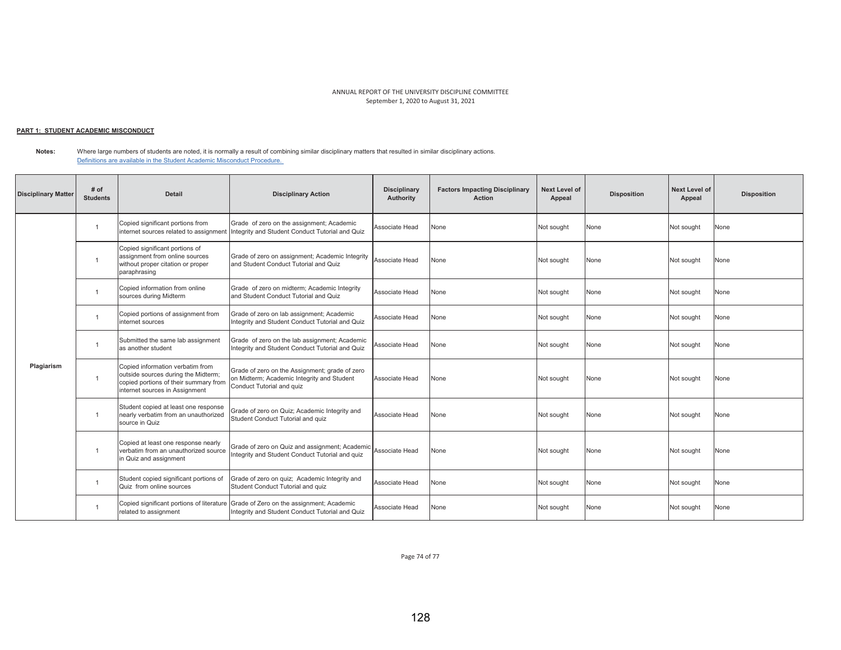### <u> PART 1: STUDENT ACADEMIC MISCONDUCT</u>

**Notes:**  Where large numbers of students are noted, it is normally a result of combining similar disciplinary matters that resulted in similar disciplinary actions. Definitions are available in the Student Academic Misconduct Procedure.

| <b>Disciplinary Matter</b> | # of<br><b>Students</b> | Detail                                                                                                                                             | <b>Disciplinary Action</b>                                                                                                          | <b>Disciplinary</b><br>Authority | <b>Factors Impacting Disciplinary</b><br><b>Action</b> | <b>Next Level of</b><br>Appeal | <b>Disposition</b> | Next Level of<br>Appeal | <b>Disposition</b> |
|----------------------------|-------------------------|----------------------------------------------------------------------------------------------------------------------------------------------------|-------------------------------------------------------------------------------------------------------------------------------------|----------------------------------|--------------------------------------------------------|--------------------------------|--------------------|-------------------------|--------------------|
|                            | 1                       | Copied significant portions from                                                                                                                   | Grade of zero on the assignment; Academic<br>internet sources related to assignment Integrity and Student Conduct Tutorial and Quiz | Associate Head                   | None                                                   | Not sought                     | None               | Not sought              | None               |
|                            | $\overline{1}$          | Copied significant portions of<br>assignment from online sources<br>without proper citation or proper<br>paraphrasing                              | Grade of zero on assignment; Academic Integrity<br>and Student Conduct Tutorial and Quiz                                            | Associate Head                   | None                                                   | Not sought                     | None               | Not sought              | None               |
|                            | 1                       | Copied information from online<br>sources during Midterm                                                                                           | Grade of zero on midterm; Academic Integrity<br>and Student Conduct Tutorial and Quiz                                               | Associate Head                   | None                                                   | Not sought                     | None               | Not sought              | None               |
|                            | 1                       | Copied portions of assignment from<br>internet sources                                                                                             | Grade of zero on lab assignment; Academic<br>Integrity and Student Conduct Tutorial and Quiz                                        | Associate Head                   | None                                                   | Not sought                     | None               | Not sought              | None               |
|                            | $\mathbf{1}$            | Submitted the same lab assignment<br>as another student                                                                                            | Grade of zero on the lab assignment; Academic<br>Integrity and Student Conduct Tutorial and Quiz                                    | Associate Head                   | None                                                   | Not sought                     | None               | Not sought              | None               |
| Plagiarism                 | $\overline{1}$          | Copied information verbatim from<br>outside sources during the Midterm;<br>copied portions of their summary from<br>internet sources in Assignment | Grade of zero on the Assignment; grade of zero<br>on Midterm; Academic Integrity and Student<br>Conduct Tutorial and quiz           | Associate Head                   | None                                                   | Not sought                     | None               | Not sought              | None               |
|                            | $\mathbf{1}$            | Student copied at least one response<br>nearly verbatim from an unauthorized<br>source in Quiz                                                     | Grade of zero on Quiz; Academic Integrity and<br>Student Conduct Tutorial and quiz                                                  | Associate Head                   | None                                                   | Not sought                     | None               | Not sought              | None               |
|                            | $\overline{1}$          | Copied at least one response nearly<br>verbatim from an unauthorized source<br>in Quiz and assignment                                              | Grade of zero on Quiz and assignment; Academic<br>Integrity and Student Conduct Tutorial and quiz                                   | Associate Head                   | None                                                   | Not sought                     | None               | Not sought              | None               |
|                            | -1                      | Student copied significant portions of<br>Quiz from online sources                                                                                 | Grade of zero on quiz; Academic Integrity and<br>Student Conduct Tutorial and quiz                                                  | Associate Head                   | None                                                   | Not sought                     | None               | Not sought              | None               |
|                            | 1                       | Copied significant portions of literature<br>related to assignment                                                                                 | Grade of Zero on the assignment; Academic<br>Integrity and Student Conduct Tutorial and Quiz                                        | Associate Head                   | None                                                   | Not sought                     | None               | Not sought              | None               |

Page 74 of 77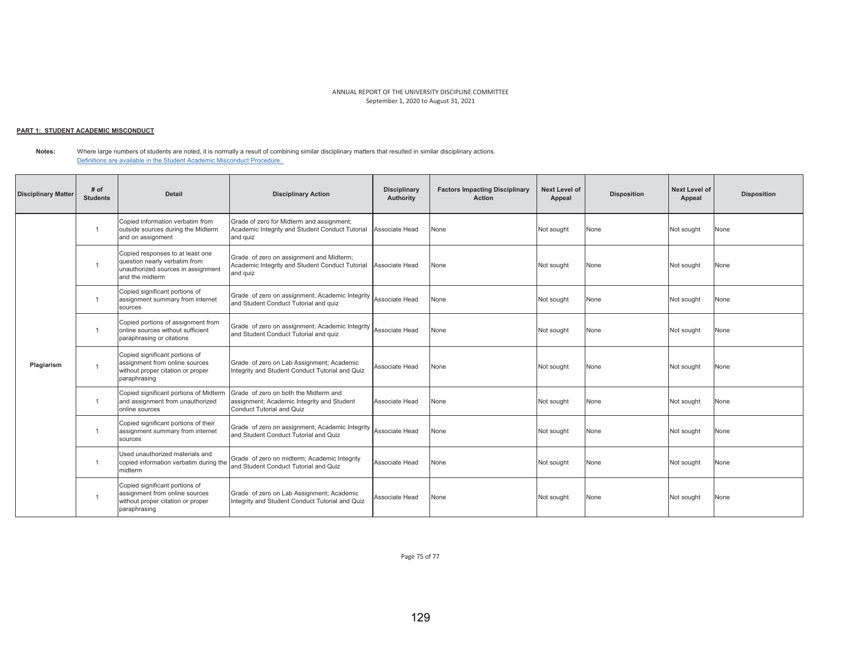### <u> PART 1: STUDENT ACADEMIC MISCONDUCT</u>

**Notes:**  Where large numbers of students are noted, it is normally a result of combining similar disciplinary matters that resulted in similar disciplinary actions. Definitions are available in the Student Academic Misconduct Procedure.

| <b>Disciplinary Matter</b> | # of<br><b>Students</b> | <b>Detail</b>                                                                                                              | <b>Disciplinary Action</b>                                                                                       | <b>Disciplinary</b><br>Authority | <b>Factors Impacting Disciplinary</b><br><b>Action</b> | <b>Next Level of</b><br>Appeal | <b>Disposition</b> | <b>Next Level of</b><br>Appeal | <b>Disposition</b> |
|----------------------------|-------------------------|----------------------------------------------------------------------------------------------------------------------------|------------------------------------------------------------------------------------------------------------------|----------------------------------|--------------------------------------------------------|--------------------------------|--------------------|--------------------------------|--------------------|
|                            | $\mathbf{1}$            | Copied information verbatim from<br>outside sources during the Midterm<br>and on assignment                                | Grade of zero for Midterm and assignment;<br>Academic Integrity and Student Conduct Tutorial<br>and quiz         | Associate Head                   | None                                                   | Not sought                     | None               | Not sought                     | None               |
|                            |                         | Copied responses to at least one<br>question nearly verbatim from<br>unauthorized sources in assignment<br>and the midterm | Grade of zero on assignment and Midterm;<br>Academic Integrity and Student Conduct Tutorial<br>and quiz          | Associate Head                   | None                                                   | Not sought                     | None               | Not sought                     | None               |
|                            |                         | Copied significant portions of<br>assignment summary from internet<br>sources                                              | Grade of zero on assignment; Academic Integrity<br>and Student Conduct Tutorial and quiz                         | Associate Head                   | None                                                   | Not sought                     | None               | Not sought                     | None               |
|                            | $\mathbf{1}$            | Copied portions of assignment from<br>online sources without sufficient<br>paraphrasing or citations                       | Grade of zero on assignment; Academic Integrity<br>and Student Conduct Tutorial and quiz                         | Associate Head                   | None                                                   | Not sought                     | None               | Not sought                     | None               |
| Plagiarism                 |                         | Copied significant portions of<br>assignment from online sources<br>without proper citation or proper<br>paraphrasing      | Grade of zero on Lab Assignment; Academic<br>Integrity and Student Conduct Tutorial and Quiz                     | Associate Head                   | None                                                   | Not sought                     | None               | Not sought                     | None               |
|                            | $\overline{1}$          | Copied significant portions of Midterm<br>and assignment from unauthorized<br>online sources                               | Grade of zero on both the Midterm and<br>assignment; Academic Integrity and Student<br>Conduct Tutorial and Quiz | Associate Head                   | None                                                   | Not sought                     | None               | Not sought                     | None               |
|                            | $\overline{1}$          | Copied significant portions of their<br>assignment summary from internet<br>sources                                        | Grade of zero on assignment; Academic Integrity<br>and Student Conduct Tutorial and Quiz                         | Associate Head                   | None                                                   | Not sought                     | None               | Not sought                     | None               |
|                            |                         | Used unauthorized materials and<br>copied information verbatim during the<br>midterm                                       | Grade of zero on midterm; Academic Integrity<br>and Student Conduct Tutorial and Quiz                            | Associate Head                   | None                                                   | Not sought                     | None               | Not sought                     | None               |
|                            |                         | Copied significant portions of<br>assignment from online sources<br>without proper citation or proper<br>paraphrasing      | Grade of zero on Lab Assignment; Academic<br>Integrity and Student Conduct Tutorial and Quiz                     | Associate Head                   | None                                                   | Not sought                     | None               | Not sought                     | None               |

Page 75 of 77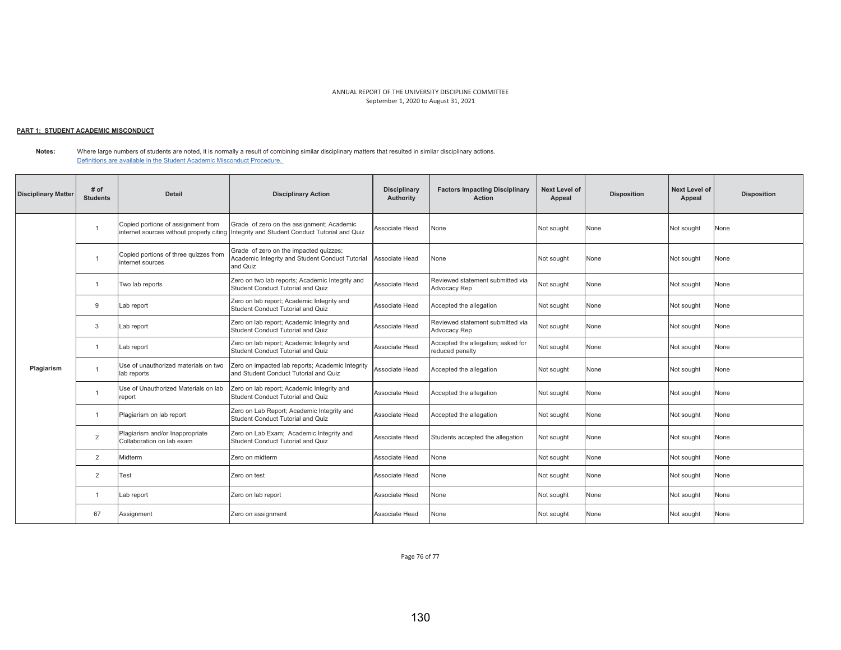#### <u> PART 1: STUDENT ACADEMIC MISCONDUCT</u>

| <b>Disciplinary Matter</b> | # of<br><b>Students</b> | <b>Detail</b>                                                | <b>Disciplinary Action</b>                                                                                                            | <b>Disciplinary</b><br>Authority | <b>Factors Impacting Disciplinary</b><br><b>Action</b> | <b>Next Level of</b><br>Appeal | <b>Disposition</b> | <b>Next Level of</b><br>Appeal | <b>Disposition</b> |
|----------------------------|-------------------------|--------------------------------------------------------------|---------------------------------------------------------------------------------------------------------------------------------------|----------------------------------|--------------------------------------------------------|--------------------------------|--------------------|--------------------------------|--------------------|
|                            | -1                      | Copied portions of assignment from                           | Grade of zero on the assignment; Academic<br>internet sources without properly citing Integrity and Student Conduct Tutorial and Quiz | Associate Head                   | None                                                   | Not sought                     | None               | Not sought                     | None               |
|                            | $\overline{1}$          | Copied portions of three quizzes from<br>internet sources    | Grade of zero on the impacted quizzes;<br>Academic Integrity and Student Conduct Tutorial<br>and Quiz                                 | Associate Head                   | None                                                   | Not sought                     | None               | Not sought                     | None               |
|                            | $\overline{1}$          | Two lab reports                                              | Zero on two lab reports; Academic Integrity and<br>Student Conduct Tutorial and Quiz                                                  | Associate Head                   | Reviewed statement submitted via<br>Advocacy Rep       | Not sought                     | None               | Not sought                     | None               |
|                            | 9                       | Lab report                                                   | Zero on lab report; Academic Integrity and<br>Student Conduct Tutorial and Quiz                                                       | Associate Head                   | Accepted the allegation                                | Not sought                     | None               | Not sought                     | None               |
|                            | 3                       | Lab report                                                   | Zero on lab report; Academic Integrity and<br>Student Conduct Tutorial and Quiz                                                       | Associate Head                   | Reviewed statement submitted via<br>Advocacy Rep       | Not sought                     | None               | Not sought                     | None               |
|                            | $\mathbf{1}$            | Lab report                                                   | Zero on lab report; Academic Integrity and<br><b>Student Conduct Tutorial and Quiz</b>                                                | Associate Head                   | Accepted the allegation; asked for<br>reduced penalty  | Not sought                     | None               | Not sought                     | None               |
| Plagiarism                 | $\overline{1}$          | Use of unauthorized materials on two<br>lab reports          | Zero on impacted lab reports; Academic Integrity<br>and Student Conduct Tutorial and Quiz                                             | Associate Head                   | Accepted the allegation                                | Not sought                     | None               | Not sought                     | None               |
|                            | -1                      | Use of Unauthorized Materials on lab<br>report               | Zero on lab report; Academic Integrity and<br>Student Conduct Tutorial and Quiz                                                       | Associate Head                   | Accepted the allegation                                | Not sought                     | None               | Not sought                     | None               |
|                            | $\overline{1}$          | Plagiarism on lab report                                     | Zero on Lab Report; Academic Integrity and<br>Student Conduct Tutorial and Quiz                                                       | Associate Head                   | Accepted the allegation                                | Not sought                     | None               | Not sought                     | None               |
|                            | 2                       | Plagiarism and/or Inappropriate<br>Collaboration on lab exam | Zero on Lab Exam; Academic Integrity and<br>Student Conduct Tutorial and Quiz                                                         | Associate Head                   | Students accepted the allegation                       | Not sought                     | None               | Not sought                     | None               |
|                            | 2                       | Midterm                                                      | Zero on midterm                                                                                                                       | Associate Head                   | None                                                   | Not sought                     | None               | Not sought                     | None               |
|                            | 2                       | Test                                                         | Zero on test                                                                                                                          | Associate Head                   | None                                                   | Not sought                     | None               | Not sought                     | None               |
|                            | $\mathbf{1}$            | Lab report                                                   | Zero on lab report                                                                                                                    | Associate Head                   | None                                                   | Not sought                     | None               | Not sought                     | None               |
|                            | 67                      | Assignment                                                   | Zero on assignment                                                                                                                    | Associate Head                   | None                                                   | Not sought                     | None               | Not sought                     | None               |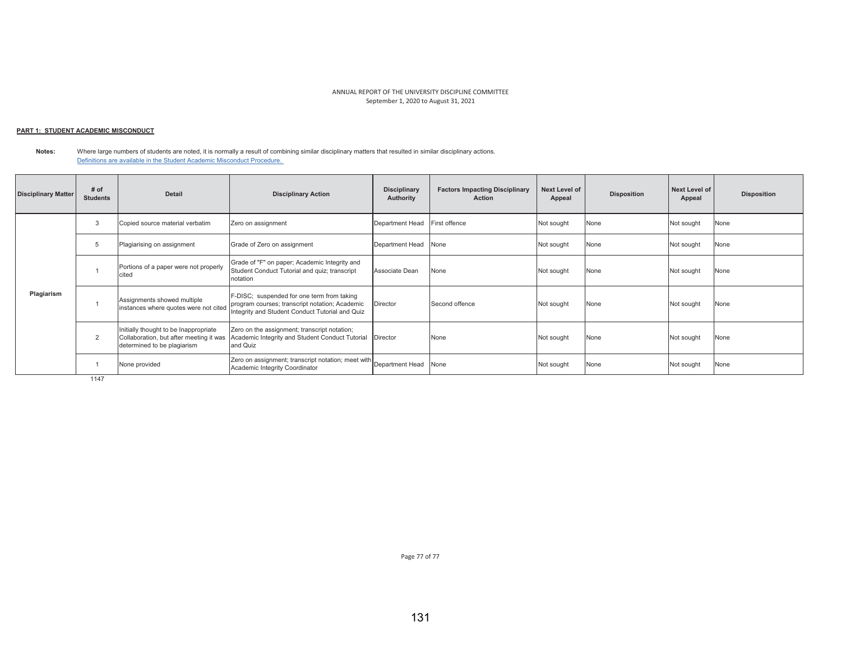### <u> PART 1: STUDENT ACADEMIC MISCONDUCT</u>

**Notes:**  Where large numbers of students are noted, it is normally a result of combining similar disciplinary matters that resulted in similar disciplinary actions. Definitions are available in the Student Academic Misconduct Procedure.

| <b>Disciplinary Matter</b> | # of<br><b>Students</b> | <b>Detail</b>                                                                                                   | <b>Disciplinary Action</b>                                                                                                                      | <b>Disciplinary</b><br>Authority | <b>Factors Impacting Disciplinary</b><br><b>Action</b> | Next Level of<br>Appeal | <b>Disposition</b> | Next Level of<br>Appeal | <b>Disposition</b> |
|----------------------------|-------------------------|-----------------------------------------------------------------------------------------------------------------|-------------------------------------------------------------------------------------------------------------------------------------------------|----------------------------------|--------------------------------------------------------|-------------------------|--------------------|-------------------------|--------------------|
|                            | 3                       | Copied source material verbatim                                                                                 | Zero on assignment                                                                                                                              | Department Head                  | First offence                                          | Not sought              | None               | Not sought              | None               |
| Plagiarism                 | .b                      | Plagiarising on assignment                                                                                      | Grade of Zero on assignment                                                                                                                     | Department Head                  | None                                                   | Not sought              | None               | Not sought              | None               |
|                            |                         | Portions of a paper were not properly<br>cited                                                                  | Grade of "F" on paper; Academic Integrity and<br>Student Conduct Tutorial and quiz; transcript<br>notation                                      | Associate Dean                   | None                                                   | Not sought              | None               | Not sought              | None               |
|                            |                         | Assignments showed multiple<br>instances where quotes were not cited                                            | F-DISC; suspended for one term from taking<br>program courses; transcript notation; Academic<br>Integrity and Student Conduct Tutorial and Quiz | Director                         | Second offence                                         | Not sought              | None               | Not sought              | None               |
|                            | $\overline{2}$          | Initially thought to be Inappropriate<br>Collaboration, but after meeting it was<br>determined to be plagiarism | Zero on the assignment; transcript notation;<br>Academic Integrity and Student Conduct Tutorial   Director<br>and Quiz                          |                                  | None                                                   | Not sought              | None               | Not sought              | None               |
|                            |                         | None provided                                                                                                   | Zero on assignment; transcript notation; meet with Department Head<br>Academic Integrity Coordinator                                            |                                  | None                                                   | Not sought              | None               | Not sought              | None               |

1147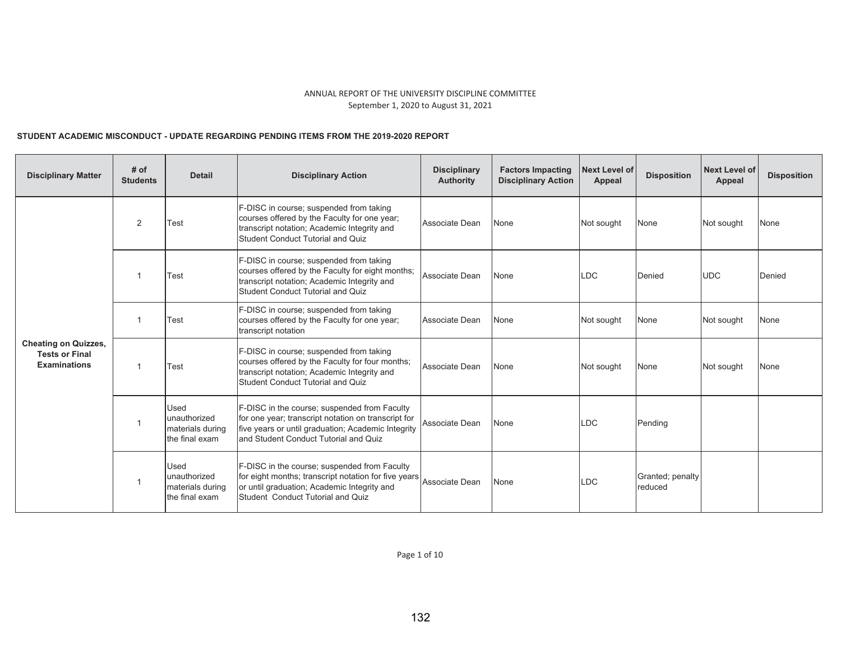# STUDENT ACADEMIC MISCONDUCT - UPDATE REGARDING PENDING ITEMS FROM THE 2019-2020 REPORT

| <b>Disciplinary Matter</b>                                                  | # of<br><b>Students</b> | <b>Detail</b>                                              | <b>Disciplinary Action</b>                                                                                                                                                                              | <b>Disciplinary</b><br><b>Authority</b> | <b>Factors Impacting</b><br><b>Disciplinary Action</b> | <b>Next Level of</b><br>Appeal | <b>Disposition</b>          | <b>Next Level of</b><br><b>Appeal</b> | <b>Disposition</b> |
|-----------------------------------------------------------------------------|-------------------------|------------------------------------------------------------|---------------------------------------------------------------------------------------------------------------------------------------------------------------------------------------------------------|-----------------------------------------|--------------------------------------------------------|--------------------------------|-----------------------------|---------------------------------------|--------------------|
|                                                                             | 2                       | Test                                                       | F-DISC in course; suspended from taking<br>courses offered by the Faculty for one year;<br>transcript notation; Academic Integrity and<br><b>Student Conduct Tutorial and Quiz</b>                      | Associate Dean                          | None                                                   | Not sought                     | None                        | Not sought                            | None               |
|                                                                             | -1                      | Test                                                       | F-DISC in course; suspended from taking<br>courses offered by the Faculty for eight months;<br>transcript notation; Academic Integrity and<br><b>Student Conduct Tutorial and Quiz</b>                  | Associate Dean                          | None                                                   | LDC                            | Denied                      | <b>UDC</b>                            | Denied             |
|                                                                             | $\mathbf{1}$            | Test                                                       | F-DISC in course; suspended from taking<br>courses offered by the Faculty for one year;<br>transcript notation                                                                                          | Associate Dean                          | None                                                   | Not sought                     | None                        | Not sought                            | None               |
| <b>Cheating on Quizzes,</b><br><b>Tests or Final</b><br><b>Examinations</b> | $\overline{1}$          | Test                                                       | F-DISC in course; suspended from taking<br>courses offered by the Faculty for four months;<br>transcript notation; Academic Integrity and<br><b>Student Conduct Tutorial and Quiz</b>                   | Associate Dean                          | None                                                   | Not sought                     | None                        | Not sought                            | None               |
|                                                                             | $\overline{1}$          | Used<br>unauthorized<br>materials during<br>the final exam | F-DISC in the course; suspended from Faculty<br>for one year; transcript notation on transcript for<br>five years or until graduation; Academic Integrity<br>and Student Conduct Tutorial and Quiz      | Associate Dean                          | None                                                   | LDC                            | Pending                     |                                       |                    |
|                                                                             | $\overline{1}$          | Used<br>unauthorized<br>materials during<br>the final exam | F-DISC in the course; suspended from Faculty<br>for eight months; transcript notation for five years Associate Dean<br>or until graduation; Academic Integrity and<br>Student Conduct Tutorial and Quiz |                                         | None                                                   | .DC                            | Granted; penalty<br>reduced |                                       |                    |

Page 1 of 10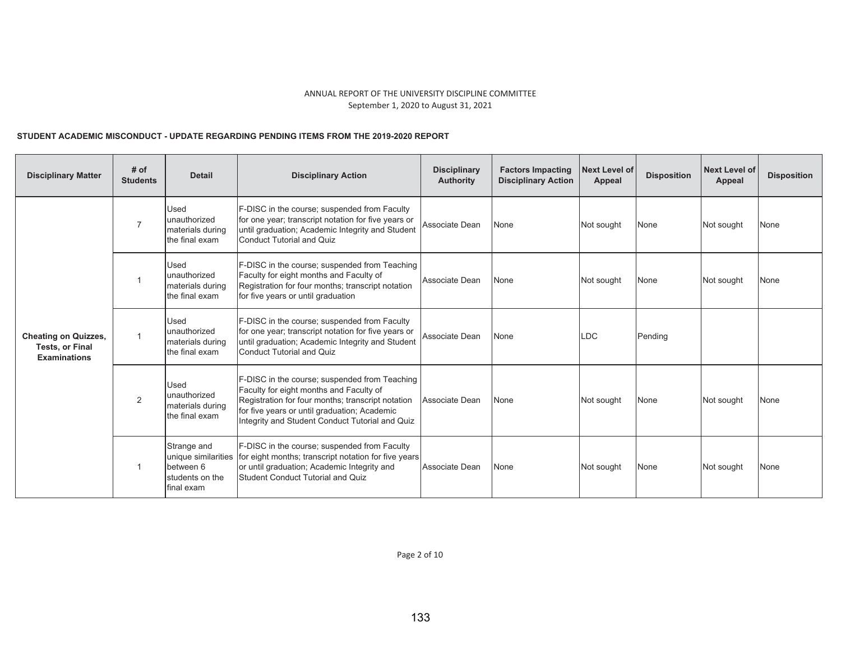# STUDENT ACADEMIC MISCONDUCT - UPDATE REGARDING PENDING ITEMS FROM THE 2019-2020 REPORT

| <b>Disciplinary Matter</b>                                                   | # of<br><b>Students</b> | <b>Detail</b>                                                                    | <b>Disciplinary Action</b>                                                                                                                                                                                                                       | <b>Disciplinary</b><br><b>Authority</b> | <b>Factors Impacting</b><br><b>Disciplinary Action</b> | <b>Next Level of</b><br>Appeal | <b>Disposition</b> | <b>Next Level of</b><br>Appeal | <b>Disposition</b> |
|------------------------------------------------------------------------------|-------------------------|----------------------------------------------------------------------------------|--------------------------------------------------------------------------------------------------------------------------------------------------------------------------------------------------------------------------------------------------|-----------------------------------------|--------------------------------------------------------|--------------------------------|--------------------|--------------------------------|--------------------|
|                                                                              | $\overline{7}$          | <b>Used</b><br>unauthorized<br>materials during<br>the final exam                | F-DISC in the course; suspended from Faculty<br>for one year; transcript notation for five years or<br>until graduation; Academic Integrity and Student<br><b>Conduct Tutorial and Quiz</b>                                                      | Associate Dean                          | None                                                   | Not sought                     | None               | Not sought                     | None               |
|                                                                              |                         | Used<br>unauthorized<br>materials during<br>the final exam                       | F-DISC in the course; suspended from Teaching<br>Faculty for eight months and Faculty of<br>Registration for four months; transcript notation<br>for five years or until graduation                                                              | Associate Dean                          | None                                                   | Not sought                     | None               | Not sought                     | None               |
| <b>Cheating on Quizzes,</b><br><b>Tests, or Final</b><br><b>Examinations</b> |                         | <b>Used</b><br>unauthorized<br>materials during<br>the final exam                | F-DISC in the course; suspended from Faculty<br>for one year; transcript notation for five years or<br>until graduation; Academic Integrity and Student<br><b>Conduct Tutorial and Quiz</b>                                                      | Associate Dean                          | None                                                   | LDC.                           | Pending            |                                |                    |
|                                                                              | 2                       | Used<br>unauthorized<br>materials during<br>the final exam                       | F-DISC in the course; suspended from Teaching<br>Faculty for eight months and Faculty of<br>Registration for four months; transcript notation<br>for five years or until graduation; Academic<br>Integrity and Student Conduct Tutorial and Quiz | Associate Dean                          | None                                                   | Not sought                     | <b>None</b>        | Not sought                     | None               |
|                                                                              | $\overline{1}$          | Strange and<br>unique similarities<br>between 6<br>students on the<br>final exam | F-DISC in the course; suspended from Faculty<br>for eight months; transcript notation for five years<br>or until graduation; Academic Integrity and<br><b>Student Conduct Tutorial and Quiz</b>                                                  | Associate Dean                          | None                                                   | Not sought                     | <b>None</b>        | Not sought                     | None               |

Page 2 of 10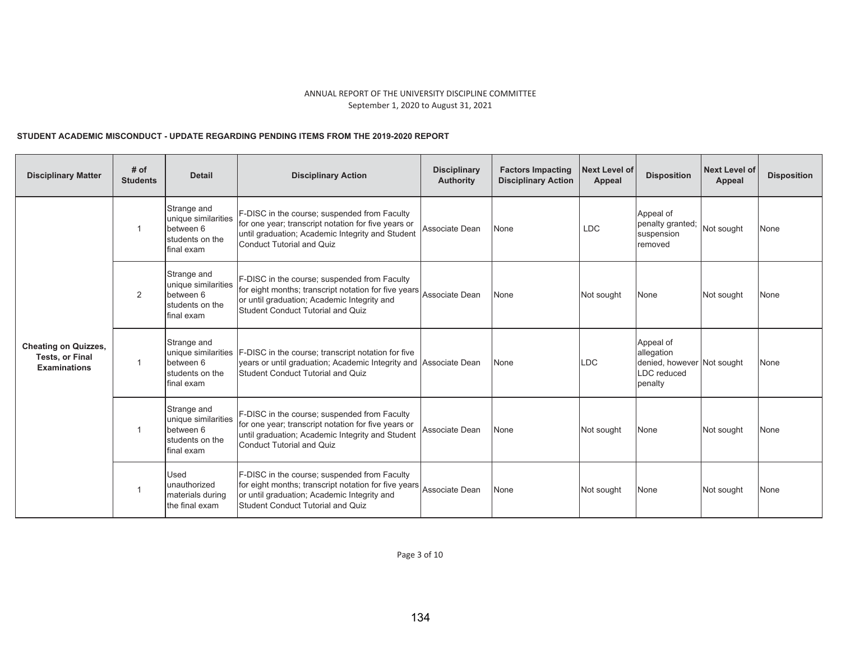# STUDENT ACADEMIC MISCONDUCT - UPDATE REGARDING PENDING ITEMS FROM THE 2019-2020 REPORT

| <b>Disciplinary Matter</b>                                                   | # of<br><b>Students</b> | <b>Detail</b>                                                                    | <b>Disciplinary Action</b>                                                                                                                                                                      | <b>Disciplinary</b><br><b>Authority</b> | <b>Factors Impacting</b><br><b>Disciplinary Action</b> | <b>Next Level of</b><br>Appeal | <b>Disposition</b>                                                              | Next Level of<br>Appeal | <b>Disposition</b> |
|------------------------------------------------------------------------------|-------------------------|----------------------------------------------------------------------------------|-------------------------------------------------------------------------------------------------------------------------------------------------------------------------------------------------|-----------------------------------------|--------------------------------------------------------|--------------------------------|---------------------------------------------------------------------------------|-------------------------|--------------------|
|                                                                              | $\overline{1}$          | Strange and<br>unique similarities<br>between 6<br>students on the<br>final exam | F-DISC in the course; suspended from Faculty<br>for one year; transcript notation for five years or<br>until graduation; Academic Integrity and Student<br>Conduct Tutorial and Quiz            | Associate Dean                          | None                                                   | <b>LDC</b>                     | Appeal of<br>penalty granted;<br>suspension<br>removed                          | Not sought              | None               |
|                                                                              | 2                       | Strange and<br>unique similarities<br>between 6<br>students on the<br>final exam | F-DISC in the course; suspended from Faculty<br>for eight months; transcript notation for five years<br>or until graduation; Academic Integrity and<br><b>Student Conduct Tutorial and Quiz</b> | Associate Dean                          | None                                                   | Not sought                     | None                                                                            | Not sought              | None               |
| <b>Cheating on Quizzes,</b><br><b>Tests, or Final</b><br><b>Examinations</b> | $\mathbf{1}$            | Strange and<br>unique similarities<br>between 6<br>students on the<br>final exam | <b>F-DISC</b> in the course; transcript notation for five<br>years or until graduation; Academic Integrity and Associate Dean<br><b>Student Conduct Tutorial and Quiz</b>                       |                                         | None                                                   | LDC                            | Appeal of<br>allegation<br>denied, however Not sought<br>LDC reduced<br>penalty |                         | None               |
|                                                                              | $\overline{1}$          | Strange and<br>unique similarities<br>between 6<br>students on the<br>final exam | F-DISC in the course; suspended from Faculty<br>for one year; transcript notation for five years or<br>until graduation; Academic Integrity and Student<br>Conduct Tutorial and Quiz            | Associate Dean                          | None                                                   | Not sought                     | None                                                                            | Not sought              | None               |
|                                                                              | $\overline{1}$          | <b>Used</b><br>unauthorized<br>materials during<br>the final exam                | F-DISC in the course; suspended from Faculty<br>for eight months; transcript notation for five years<br>or until graduation; Academic Integrity and<br><b>Student Conduct Tutorial and Quiz</b> | Associate Dean                          | None                                                   | Not sought                     | None                                                                            | Not sought              | None               |

Page 3 of 10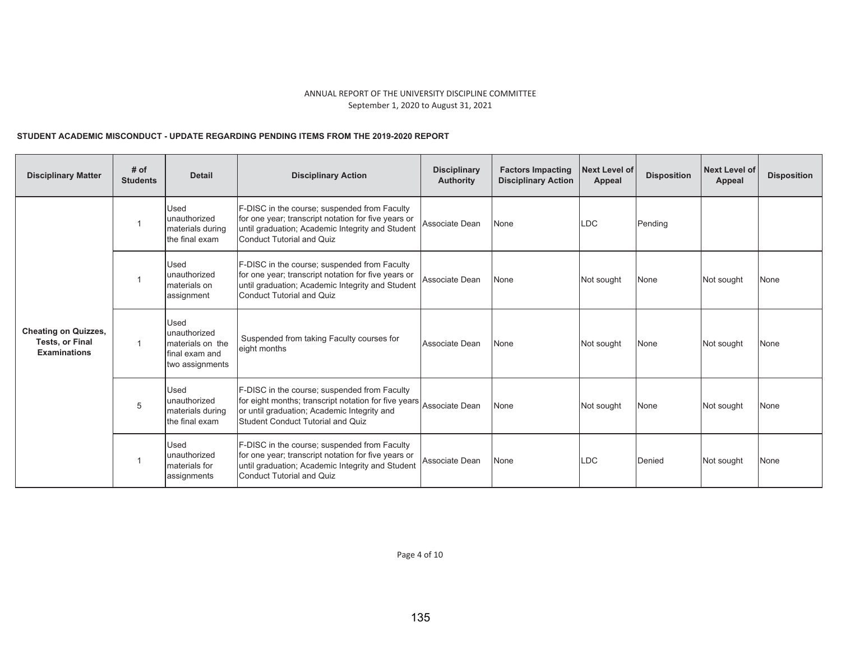# STUDENT ACADEMIC MISCONDUCT - UPDATE REGARDING PENDING ITEMS FROM THE 2019-2020 REPORT

| <b>Disciplinary Matter</b>                                                   | # of<br><b>Students</b> | <b>Detail</b>                                                                                                                                                                        | <b>Disciplinary Action</b>                                                                                                                                                                  | <b>Disciplinary</b><br><b>Authority</b> | <b>Factors Impacting</b><br><b>Disciplinary Action</b> | <b>Next Level of</b><br>Appeal | <b>Disposition</b> | <b>Next Level of</b><br>Appeal | <b>Disposition</b> |
|------------------------------------------------------------------------------|-------------------------|--------------------------------------------------------------------------------------------------------------------------------------------------------------------------------------|---------------------------------------------------------------------------------------------------------------------------------------------------------------------------------------------|-----------------------------------------|--------------------------------------------------------|--------------------------------|--------------------|--------------------------------|--------------------|
|                                                                              |                         | Used<br>lunauthorized<br>materials during<br>the final exam                                                                                                                          | F-DISC in the course; suspended from Faculty<br>for one year; transcript notation for five years or<br>until graduation; Academic Integrity and Student<br><b>Conduct Tutorial and Quiz</b> | Associate Dean                          | None                                                   | LDC                            | Pending            |                                |                    |
| Used<br>unauthorized<br>materials on<br>assignment                           |                         | F-DISC in the course; suspended from Faculty<br>for one year; transcript notation for five years or<br>until graduation; Academic Integrity and Student<br>Conduct Tutorial and Quiz | Associate Dean                                                                                                                                                                              | None                                    | Not sought                                             | None                           | Not sought         | None                           |                    |
| <b>Cheating on Quizzes,</b><br><b>Tests, or Final</b><br><b>Examinations</b> | 1                       | Used<br>unauthorized<br>materials on the<br>final exam and<br>two assignments                                                                                                        | Suspended from taking Faculty courses for<br>eight months                                                                                                                                   | Associate Dean                          | None                                                   | Not sought                     | None               | Not sought                     | None               |
|                                                                              | 5                       | Used<br>unauthorized<br>materials during<br>the final exam                                                                                                                           | F-DISC in the course; suspended from Faculty<br>for eight months; transcript notation for five years<br>or until graduation; Academic Integrity and<br>Student Conduct Tutorial and Quiz    | Associate Dean                          | None                                                   | Not sought                     | None               | Not sought                     | None               |
|                                                                              |                         | Used<br>unauthorized<br><b>Imaterials</b> for<br>assignments                                                                                                                         | F-DISC in the course; suspended from Faculty<br>for one year; transcript notation for five years or<br>until graduation; Academic Integrity and Student<br><b>Conduct Tutorial and Quiz</b> | Associate Dean                          | None                                                   | LDC                            | Denied             | Not sought                     | None               |

Page 4 of 10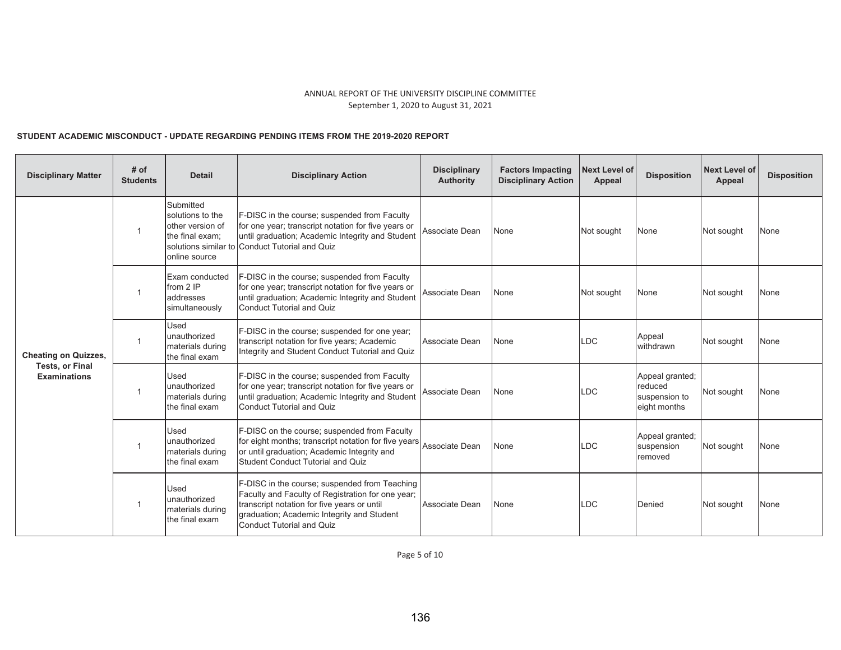# STUDENT ACADEMIC MISCONDUCT - UPDATE REGARDING PENDING ITEMS FROM THE 2019-2020 REPORT

| <b>Disciplinary Matter</b>                    | # of<br><b>Students</b> | <b>Detail</b>                                                                         | <b>Disciplinary Action</b>                                                                                                                                                                                                          | <b>Disciplinary</b><br><b>Authority</b> | <b>Factors Impacting</b><br><b>Disciplinary Action</b> | <b>Next Level of</b><br>Appeal | <b>Disposition</b>                                          | <b>Next Level of</b><br>Appeal | <b>Disposition</b> |
|-----------------------------------------------|-------------------------|---------------------------------------------------------------------------------------|-------------------------------------------------------------------------------------------------------------------------------------------------------------------------------------------------------------------------------------|-----------------------------------------|--------------------------------------------------------|--------------------------------|-------------------------------------------------------------|--------------------------------|--------------------|
|                                               | $\mathbf{1}$            | Submitted<br>solutions to the<br>other version of<br>the final exam;<br>online source | F-DISC in the course; suspended from Faculty<br>for one year; transcript notation for five years or<br>until graduation; Academic Integrity and Student<br>solutions similar to Conduct Tutorial and Quiz                           | Associate Dean                          | None                                                   | Not sought                     | None                                                        | Not sought                     | None               |
|                                               | $\mathbf{1}$            | Exam conducted<br>from 2 IP<br>addresses<br>simultaneously                            | F-DISC in the course; suspended from Faculty<br>for one year; transcript notation for five years or<br>until graduation; Academic Integrity and Student<br>Conduct Tutorial and Quiz                                                | Associate Dean                          | None                                                   | Not sought                     | None                                                        | Not sought                     | None               |
| <b>Cheating on Quizzes,</b>                   | $\overline{1}$          | Used<br>unauthorized<br>materials during<br>the final exam                            | F-DISC in the course; suspended for one year;<br>transcript notation for five years; Academic<br>Integrity and Student Conduct Tutorial and Quiz                                                                                    | Associate Dean                          | None                                                   | LDC.                           | Appeal<br>withdrawn                                         | Not sought                     | None               |
| <b>Tests, or Final</b><br><b>Examinations</b> | $\mathbf 1$             | Used<br>unauthorized<br>materials during<br>the final exam                            | F-DISC in the course; suspended from Faculty<br>for one year; transcript notation for five years or<br>until graduation; Academic Integrity and Student<br>Conduct Tutorial and Quiz                                                | Associate Dean                          | None                                                   | LDC                            | Appeal granted;<br>reduced<br>suspension to<br>eight months | Not sought                     | None               |
|                                               | $\mathbf{1}$            | <b>Used</b><br>unauthorized<br>materials during<br>the final exam                     | F-DISC on the course; suspended from Faculty<br>for eight months; transcript notation for five years Associate Dean<br>or until graduation; Academic Integrity and<br><b>Student Conduct Tutorial and Quiz</b>                      |                                         | None                                                   | LDC                            | Appeal granted;<br>suspension<br>removed                    | Not sought                     | None               |
|                                               | $\mathbf 1$             | Used<br>unauthorized<br>materials during<br>the final exam                            | F-DISC in the course; suspended from Teaching<br>Faculty and Faculty of Registration for one year;<br>transcript notation for five years or until<br>graduation; Academic Integrity and Student<br><b>Conduct Tutorial and Quiz</b> | Associate Dean                          | None                                                   | LDC                            | Denied                                                      | Not sought                     | None               |

Page 5 of 10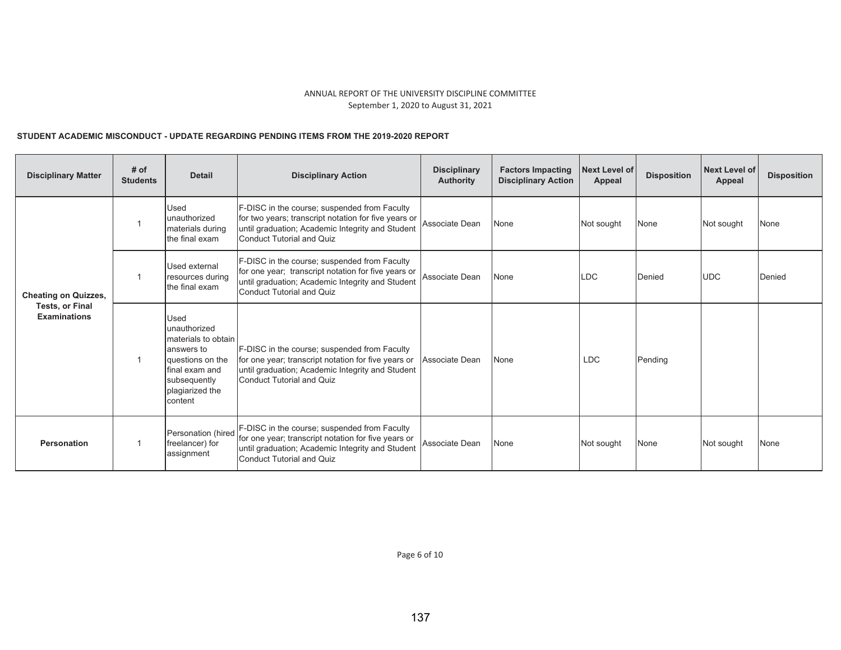# STUDENT ACADEMIC MISCONDUCT - UPDATE REGARDING PENDING ITEMS FROM THE 2019-2020 REPORT

| <b>Disciplinary Matter</b>                    | # of<br><b>Students</b> | <b>Detail</b>                                                                                                                                        | <b>Disciplinary Action</b>                                                                                                                                                                  | <b>Disciplinary</b><br><b>Authority</b> | <b>Factors Impacting</b><br><b>Disciplinary Action</b> | Next Level of<br>Appeal | <b>Disposition</b> | <b>Next Level of</b><br>Appeal | <b>Disposition</b> |
|-----------------------------------------------|-------------------------|------------------------------------------------------------------------------------------------------------------------------------------------------|---------------------------------------------------------------------------------------------------------------------------------------------------------------------------------------------|-----------------------------------------|--------------------------------------------------------|-------------------------|--------------------|--------------------------------|--------------------|
|                                               |                         | <b>Used</b><br>lunauthorized<br>materials during<br>the final exam                                                                                   | F-DISC in the course; suspended from Faculty<br>for two years; transcript notation for five years or<br>until graduation; Academic Integrity and Student<br>Conduct Tutorial and Quiz       | Associate Dean                          | None                                                   | Not sought              | None               | Not sought                     | None               |
| <b>Cheating on Quizzes,</b>                   |                         | Used external<br>resources during<br>the final exam                                                                                                  | F-DISC in the course; suspended from Faculty<br>for one year; transcript notation for five years or<br>until graduation; Academic Integrity and Student<br><b>Conduct Tutorial and Quiz</b> | Associate Dean                          | None                                                   | LDC                     | Denied             | <b>UDC</b>                     | Denied             |
| <b>Tests, or Final</b><br><b>Examinations</b> |                         | <b>Used</b><br>unauthorized<br>materials to obtain<br>answers to<br>questions on the<br>final exam and<br>subsequently<br>plagiarized the<br>content | F-DISC in the course; suspended from Faculty<br>for one year; transcript notation for five years or<br>until graduation; Academic Integrity and Student<br>Conduct Tutorial and Quiz        | Associate Dean                          | None                                                   | <b>LDC</b>              | Pending            |                                |                    |
| Personation                                   |                         | Personation (hired<br>freelancer) for<br>assignment                                                                                                  | F-DISC in the course; suspended from Faculty<br>for one year; transcript notation for five years or<br>until graduation; Academic Integrity and Student<br><b>Conduct Tutorial and Quiz</b> | Associate Dean                          | None                                                   | Not sought              | None               | Not sought                     | <b>None</b>        |

Page 6 of 10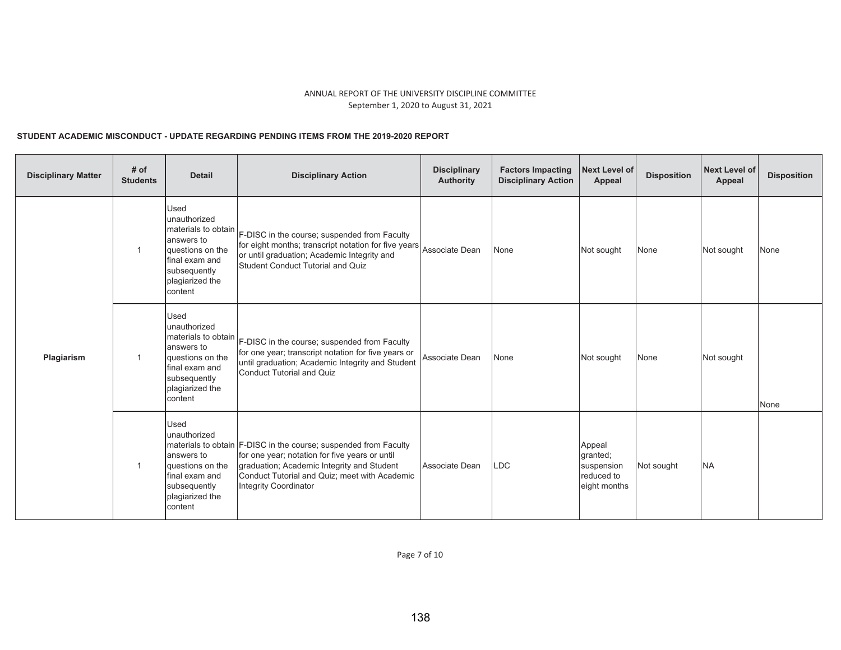# STUDENT ACADEMIC MISCONDUCT - UPDATE REGARDING PENDING ITEMS FROM THE 2019-2020 REPORT

| <b>Disciplinary Matter</b> | # of<br><b>Students</b> | <b>Detail</b>                                                                                                                                        | <b>Disciplinary Action</b>                                                                                                                                                                                                                 | <b>Disciplinary</b><br><b>Authority</b> | <b>Factors Impacting</b><br><b>Disciplinary Action</b> | <b>Next Level of</b><br>Appeal                                 | <b>Disposition</b> | Next Level of<br><b>Appeal</b> | <b>Disposition</b> |
|----------------------------|-------------------------|------------------------------------------------------------------------------------------------------------------------------------------------------|--------------------------------------------------------------------------------------------------------------------------------------------------------------------------------------------------------------------------------------------|-----------------------------------------|--------------------------------------------------------|----------------------------------------------------------------|--------------------|--------------------------------|--------------------|
|                            | $\mathbf{1}$            | Used<br>unauthorized<br>materials to obtain<br>answers to<br>questions on the<br>final exam and<br>subsequently<br>plagiarized the<br>content        | F-DISC in the course; suspended from Faculty<br>for eight months; transcript notation for five years<br>or until graduation; Academic Integrity and<br><b>Student Conduct Tutorial and Quiz</b>                                            | Associate Dean                          | None                                                   | Not sought                                                     | None               | Not sought                     | None               |
| Plagiarism                 | $\overline{1}$          | <b>Used</b><br>unauthorized<br>materials to obtain<br>answers to<br>questions on the<br>final exam and<br>subsequently<br>plagiarized the<br>content | F-DISC in the course; suspended from Faculty<br>for one year; transcript notation for five years or<br>until graduation; Academic Integrity and Student<br><b>Conduct Tutorial and Quiz</b>                                                | Associate Dean                          | None                                                   | Not sought                                                     | None               | Not sought                     | None               |
|                            | $\mathbf{1}$            | <b>Used</b><br>unauthorized<br>answers to<br>questions on the<br>final exam and<br>subsequently<br>plagiarized the<br>content                        | materials to obtain F-DISC in the course; suspended from Faculty<br>for one year; notation for five years or until<br>graduation; Academic Integrity and Student<br>Conduct Tutorial and Quiz; meet with Academic<br>Integrity Coordinator | Associate Dean                          | <b>LDC</b>                                             | Appeal<br>qranted;<br>suspension<br>reduced to<br>eight months | Not sought         | <b>NA</b>                      |                    |

Page 7 of 10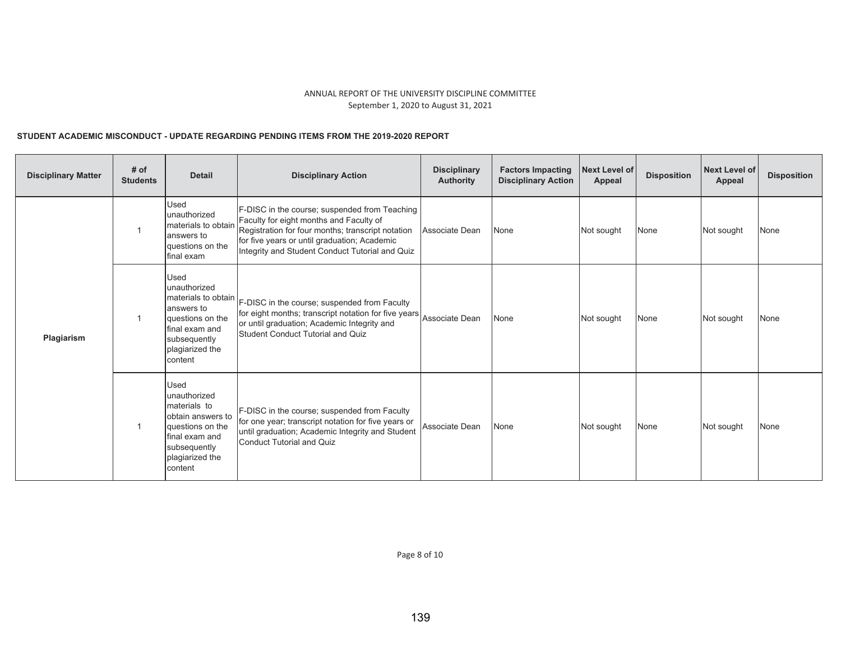# STUDENT ACADEMIC MISCONDUCT - UPDATE REGARDING PENDING ITEMS FROM THE 2019-2020 REPORT

| <b>Disciplinary Matter</b> | # of<br><b>Students</b> | <b>Detail</b>                                                                                                                                        | <b>Disciplinary Action</b>                                                                                                                                                                                                                       | <b>Disciplinary</b><br><b>Authority</b> | <b>Factors Impacting</b><br><b>Disciplinary Action</b> | <b>Next Level of</b><br>Appeal | <b>Disposition</b> | <b>Next Level of</b><br>Appeal | <b>Disposition</b> |
|----------------------------|-------------------------|------------------------------------------------------------------------------------------------------------------------------------------------------|--------------------------------------------------------------------------------------------------------------------------------------------------------------------------------------------------------------------------------------------------|-----------------------------------------|--------------------------------------------------------|--------------------------------|--------------------|--------------------------------|--------------------|
|                            |                         | Used<br>unauthorized<br>materials to obtair<br>answers to<br>questions on the<br>final exam                                                          | F-DISC in the course; suspended from Teaching<br>Faculty for eight months and Faculty of<br>Registration for four months; transcript notation<br>for five years or until graduation; Academic<br>Integrity and Student Conduct Tutorial and Quiz | Associate Dean                          | None                                                   | Not sought                     | None               | Not sought                     | None               |
| Plagiarism                 | $\overline{1}$          | <b>Used</b><br>unauthorized<br>answers to<br>questions on the<br>final exam and<br>subsequently<br>plagiarized the<br>content                        | materials to obtain F-DISC in the course; suspended from Faculty<br>for eight months; transcript notation for five years<br>or until graduation; Academic Integrity and<br><b>Student Conduct Tutorial and Quiz</b>                              | Associate Dean                          | None                                                   | Not sought                     | None               | Not sought                     | None               |
|                            |                         | <b>Used</b><br>unauthorized<br>materials to<br>obtain answers to<br>questions on the<br>final exam and<br>subsequently<br>plagiarized the<br>content | F-DISC in the course; suspended from Faculty<br>for one year; transcript notation for five years or<br>until graduation; Academic Integrity and Student<br>Conduct Tutorial and Quiz                                                             | Associate Dean                          | None                                                   | Not sought                     | None               | Not sought                     | None               |

Page 8 of 10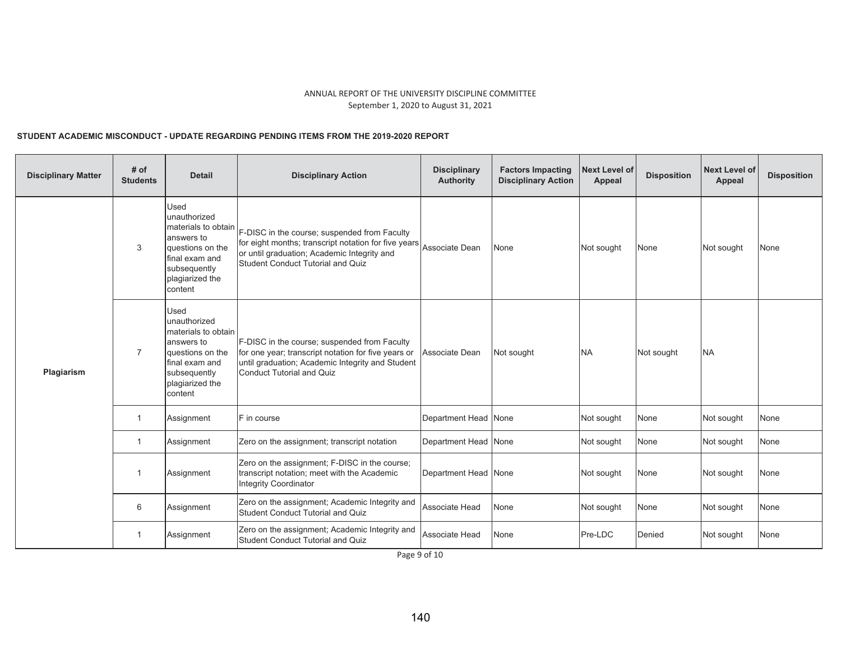# STUDENT ACADEMIC MISCONDUCT - UPDATE REGARDING PENDING ITEMS FROM THE 2019-2020 REPORT

| <b>Disciplinary Matter</b> | # of<br><b>Students</b> | <b>Detail</b>                                                                                                                                        | <b>Disciplinary Action</b>                                                                                                                                                                                     | <b>Disciplinary</b><br><b>Authority</b> | <b>Factors Impacting</b><br><b>Disciplinary Action</b> | <b>Next Level of</b><br>Appeal | <b>Disposition</b> | <b>Next Level of</b><br>Appeal | <b>Disposition</b> |
|----------------------------|-------------------------|------------------------------------------------------------------------------------------------------------------------------------------------------|----------------------------------------------------------------------------------------------------------------------------------------------------------------------------------------------------------------|-----------------------------------------|--------------------------------------------------------|--------------------------------|--------------------|--------------------------------|--------------------|
|                            | 3                       | Used<br>unauthorized<br>materials to obtain<br>answers to<br>questions on the<br>final exam and<br>subsequently<br>plagiarized the<br>content        | F-DISC in the course; suspended from Faculty<br>for eight months; transcript notation for five years Associate Dean<br>or until graduation; Academic Integrity and<br><b>Student Conduct Tutorial and Quiz</b> |                                         | None                                                   | Not sought                     | None               | Not sought                     | None               |
| Plagiarism                 | $\overline{7}$          | <b>Used</b><br>unauthorized<br>materials to obtain<br>answers to<br>questions on the<br>final exam and<br>subsequently<br>plagiarized the<br>content | F-DISC in the course; suspended from Faculty<br>for one year; transcript notation for five years or<br>until graduation; Academic Integrity and Student<br><b>Conduct Tutorial and Quiz</b>                    | Associate Dean                          | Not sought                                             | <b>NA</b>                      | Not sought         | <b>NA</b>                      |                    |
|                            | $\mathbf{1}$            | Assignment                                                                                                                                           | F in course                                                                                                                                                                                                    | Department Head None                    |                                                        | Not sought                     | None               | Not sought                     | None               |
|                            | $\mathbf{1}$            | Assignment                                                                                                                                           | Zero on the assignment; transcript notation                                                                                                                                                                    | Department Head None                    |                                                        | Not sought                     | None               | Not sought                     | None               |
|                            | $\mathbf{1}$            | Assignment                                                                                                                                           | Zero on the assignment; F-DISC in the course;<br>transcript notation; meet with the Academic<br><b>Integrity Coordinator</b>                                                                                   | Department Head None                    |                                                        | Not sought                     | None               | Not sought                     | None               |
|                            | 6<br>Assignment         |                                                                                                                                                      | Zero on the assignment; Academic Integrity and<br><b>Student Conduct Tutorial and Quiz</b>                                                                                                                     | Associate Head                          | None                                                   | Not sought                     | None               | Not sought                     | None               |
| $\mathbf{1}$<br>Assignment |                         | Zero on the assignment; Academic Integrity and<br><b>Student Conduct Tutorial and Quiz</b>                                                           | <b>Associate Head</b>                                                                                                                                                                                          | None                                    | Pre-LDC                                                | Denied                         | Not sought         | None                           |                    |

Page 9 of 10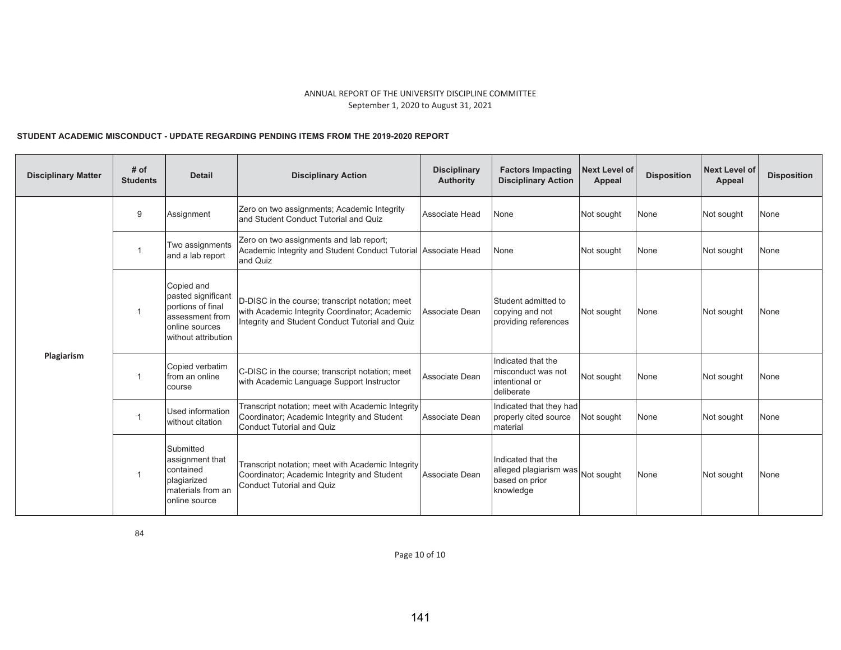# STUDENT ACADEMIC MISCONDUCT - UPDATE REGARDING PENDING ITEMS FROM THE 2019-2020 REPORT

| <b>Disciplinary Matter</b> | # of<br><b>Students</b> | <b>Detail</b>                                                                                                     | <b>Disciplinary Action</b>                                                                                                                          | <b>Disciplinary</b><br><b>Authority</b> | <b>Factors Impacting</b><br><b>Disciplinary Action</b>                      | <b>Next Level of</b><br>Appeal | <b>Disposition</b> | <b>Next Level of</b><br><b>Appeal</b> | <b>Disposition</b> |
|----------------------------|-------------------------|-------------------------------------------------------------------------------------------------------------------|-----------------------------------------------------------------------------------------------------------------------------------------------------|-----------------------------------------|-----------------------------------------------------------------------------|--------------------------------|--------------------|---------------------------------------|--------------------|
|                            | 9                       | Assignment                                                                                                        | Zero on two assignments; Academic Integrity<br>and Student Conduct Tutorial and Quiz                                                                | Associate Head                          | None                                                                        | Not sought                     | None               | Not sought                            | None               |
|                            | $\overline{1}$          | Two assignments<br>and a lab report                                                                               | Zero on two assignments and lab report;<br>Academic Integrity and Student Conduct Tutorial Associate Head<br>and Quiz                               |                                         | None                                                                        | Not sought                     | None               | Not sought                            | None               |
|                            | $\mathbf{1}$            | Copied and<br>pasted significant<br>portions of final<br>assessment from<br>online sources<br>without attribution | D-DISC in the course; transcript notation; meet<br>with Academic Integrity Coordinator; Academic<br>Integrity and Student Conduct Tutorial and Quiz | Associate Dean                          | Student admitted to<br>copying and not<br>providing references              | Not sought                     | None               | Not sought                            | None               |
| Plagiarism                 | 1                       | Copied verbatim<br>from an online<br>course                                                                       | C-DISC in the course; transcript notation; meet<br>with Academic Language Support Instructor                                                        | Associate Dean                          | Indicated that the<br>misconduct was not<br>intentional or<br>deliberate    | Not sought                     | None               | Not sought                            | None               |
|                            | $\mathbf 1$             | Used information<br>without citation                                                                              | Transcript notation; meet with Academic Integrity<br>Coordinator; Academic Integrity and Student<br><b>Conduct Tutorial and Quiz</b>                | Associate Dean                          | Indicated that they had<br>properly cited source<br>material                | Not sought                     | None               | Not sought                            | None               |
|                            | $\mathbf{1}$            | Submitted<br>assignment that<br>contained<br>plagiarized<br>materials from an<br>online source                    | Transcript notation; meet with Academic Integrity<br>Coordinator; Academic Integrity and Student<br><b>Conduct Tutorial and Quiz</b>                | Associate Dean                          | Indicated that the<br>alleged plagiarism was<br>based on prior<br>knowledge | Not sought                     | None               | Not sought                            | None               |

Page 10 of 10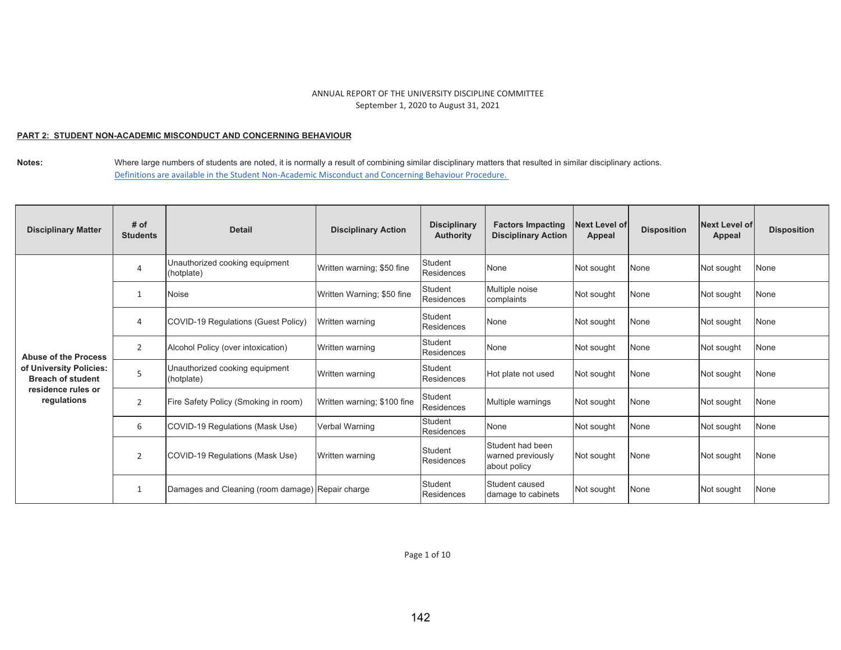### <u>PART 2: STUDENT NON-ACADEMIC MISCONDUCT AND CONCERNING BEHAVIOUR</u>

| <b>Disciplinary Matter</b>                          | # of<br><b>Students</b> | <b>Detail</b>                                    | <b>Disciplinary Action</b>  | <b>Disciplinary</b><br><b>Authority</b> | <b>Factors Impacting</b><br><b>Disciplinary Action</b> | <b>Next Level of</b><br>Appeal | <b>Disposition</b> | <b>Next Level of</b><br>Appeal | <b>Disposition</b> |
|-----------------------------------------------------|-------------------------|--------------------------------------------------|-----------------------------|-----------------------------------------|--------------------------------------------------------|--------------------------------|--------------------|--------------------------------|--------------------|
|                                                     | 4                       | Unauthorized cooking equipment<br>(hotplate)     | Written warning; \$50 fine  | <b>Student</b><br>Residences            | None                                                   | Not sought                     | None               | Not sought                     | None               |
|                                                     |                         | Noise                                            | Written Warning; \$50 fine  | Student<br>Residences                   | Multiple noise<br>complaints                           | Not sought                     | None               | Not sought                     | None               |
|                                                     | 4                       | COVID-19 Regulations (Guest Policy)              | Written warning             | Student<br>Residences                   | None                                                   | Not sought                     | None               | Not sought                     | None               |
| <b>Abuse of the Process</b>                         | 2                       | Alcohol Policy (over intoxication)               | Written warning             | Student<br>Residences                   | None                                                   | Not sought                     | None               | Not sought                     | None               |
| of University Policies:<br><b>Breach of student</b> | 5                       | Unauthorized cooking equipment<br>(hotplate)     | Written warning             | Student<br>Residences                   | Hot plate not used                                     | Not sought                     | None               | Not sought                     | None               |
| residence rules or<br>regulations                   | 2                       | Fire Safety Policy (Smoking in room)             | Written warning; \$100 fine | Student<br>Residences                   | Multiple warnings                                      | Not sought                     | None               | Not sought                     | None               |
|                                                     | 6                       | COVID-19 Regulations (Mask Use)                  | Verbal Warning              | Student<br>Residences                   | None                                                   | Not sought                     | None               | Not sought                     | None               |
|                                                     | $\overline{2}$          | COVID-19 Regulations (Mask Use)                  | Written warning             | Student<br><b>Residences</b>            | Student had been<br>warned previously<br>about policy  | Not sought                     | None               | Not sought                     | None               |
|                                                     |                         | Damages and Cleaning (room damage) Repair charge |                             | Student<br>Residences                   | Student caused<br>damage to cabinets                   | Not sought                     | None               | Not sought                     | None               |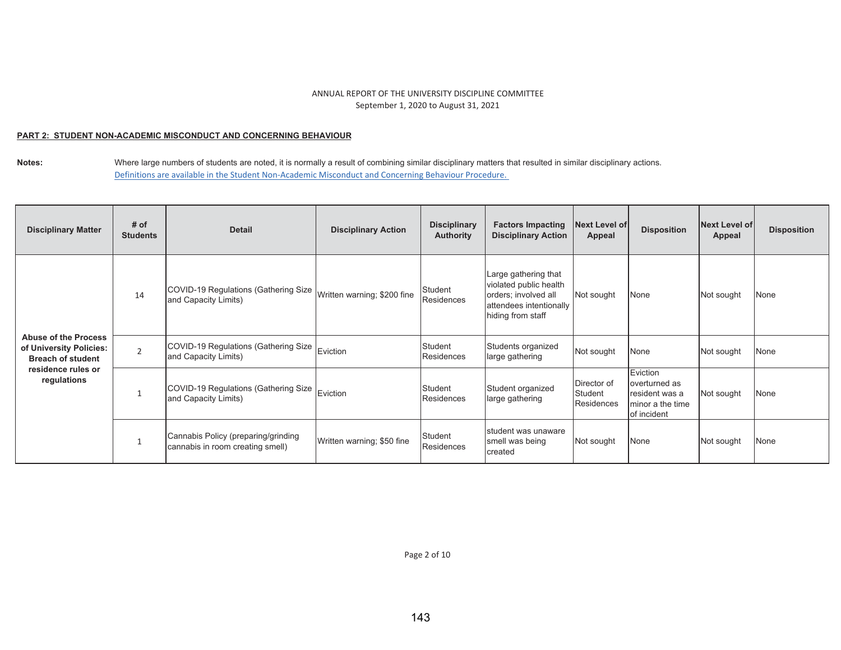### <u>PART 2: STUDENT NON-ACADEMIC MISCONDUCT AND CONCERNING BEHAVIOUR</u>

| <b>Disciplinary Matter</b>                                                                                              | # of<br><b>Students</b> | <b>Detail</b>                                                           | <b>Disciplinary Action</b>  | <b>Disciplinary</b><br><b>Authority</b> | <b>Factors Impacting</b><br><b>Disciplinary Action</b>                                                                 | <b>Next Level of</b><br>Appeal       | <b>Disposition</b>                                                              | Next Level of<br>Appeal | <b>Disposition</b> |
|-------------------------------------------------------------------------------------------------------------------------|-------------------------|-------------------------------------------------------------------------|-----------------------------|-----------------------------------------|------------------------------------------------------------------------------------------------------------------------|--------------------------------------|---------------------------------------------------------------------------------|-------------------------|--------------------|
|                                                                                                                         | 14                      | COVID-19 Regulations (Gathering Size<br>and Capacity Limits)            | Written warning; \$200 fine | Student<br>Residences                   | Large gathering that<br>violated public health<br>orders; involved all<br>attendees intentionally<br>hiding from staff | Not sought                           | None                                                                            | Not sought              | None               |
| <b>Abuse of the Process</b><br>of University Policies:<br><b>Breach of student</b><br>residence rules or<br>regulations | $\overline{2}$          | COVID-19 Regulations (Gathering Size<br>and Capacity Limits)            | Eviction                    | Student<br>Residences                   | Students organized<br>large gathering                                                                                  | Not sought                           | None                                                                            | Not sought              | None               |
|                                                                                                                         |                         | COVID-19 Regulations (Gathering Size<br>and Capacity Limits)            | Eviction                    | Student<br>Residences                   | Student organized<br>large gathering                                                                                   | Director of<br>Student<br>Residences | Eviction<br>overturned as<br>resident was a<br>Iminor a the time<br>of incident | Not sought              | None               |
|                                                                                                                         |                         | Cannabis Policy (preparing/grinding<br>cannabis in room creating smell) | Written warning; \$50 fine  | Student<br>Residences                   | student was unaware<br>smell was being<br>created                                                                      | Not sought                           | None                                                                            | Not sought              | None               |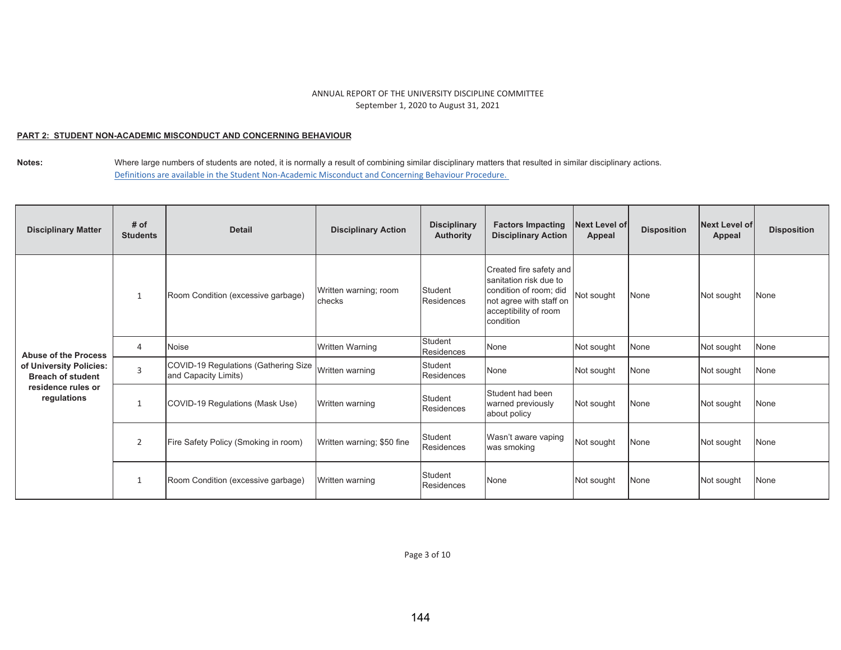### <u>PART 2: STUDENT NON-ACADEMIC MISCONDUCT AND CONCERNING BEHAVIOUR</u>

| <b>Disciplinary Matter</b>                          | # of<br><b>Students</b> | <b>Detail</b>                                                | <b>Disciplinary Action</b>      | <b>Disciplinary</b><br><b>Authority</b> | <b>Factors Impacting</b><br><b>Disciplinary Action</b>                                                                                       | <b>Next Level of</b><br>Appeal | <b>Disposition</b> | <b>Next Level of</b><br>Appeal | <b>Disposition</b> |
|-----------------------------------------------------|-------------------------|--------------------------------------------------------------|---------------------------------|-----------------------------------------|----------------------------------------------------------------------------------------------------------------------------------------------|--------------------------------|--------------------|--------------------------------|--------------------|
|                                                     | 1                       | Room Condition (excessive garbage)                           | Written warning; room<br>checks | Student<br>Residences                   | Created fire safety and<br>sanitation risk due to<br>condition of room; did<br>not agree with staff on<br>acceptibility of room<br>condition | Not sought                     | None               | Not sought                     | None               |
| <b>Abuse of the Process</b>                         | $\overline{4}$          | Noise                                                        | <b>Written Warning</b>          | Student<br>Residences                   | None                                                                                                                                         | Not sought                     | None               | Not sought                     | None               |
| of University Policies:<br><b>Breach of student</b> | $\overline{3}$          | COVID-19 Regulations (Gathering Size<br>and Capacity Limits) | Written warning                 | Student<br>Residences                   | None                                                                                                                                         | Not sought                     | None               | Not sought                     | None               |
| residence rules or<br>regulations                   | $\mathbf{1}$            | COVID-19 Regulations (Mask Use)                              | Written warning                 | Student<br>Residences                   | Student had been<br>warned previously<br>about policy                                                                                        | Not sought                     | None               | Not sought                     | None               |
|                                                     | 2                       | Fire Safety Policy (Smoking in room)                         | Written warning; \$50 fine      | Student<br>Residences                   | Wasn't aware vaping<br>was smoking                                                                                                           | Not sought                     | None               | Not sought                     | None               |
|                                                     | $\mathbf{1}$            | Room Condition (excessive garbage)                           | Written warning                 | Student<br>Residences                   | None                                                                                                                                         | Not sought                     | None               | Not sought                     | None               |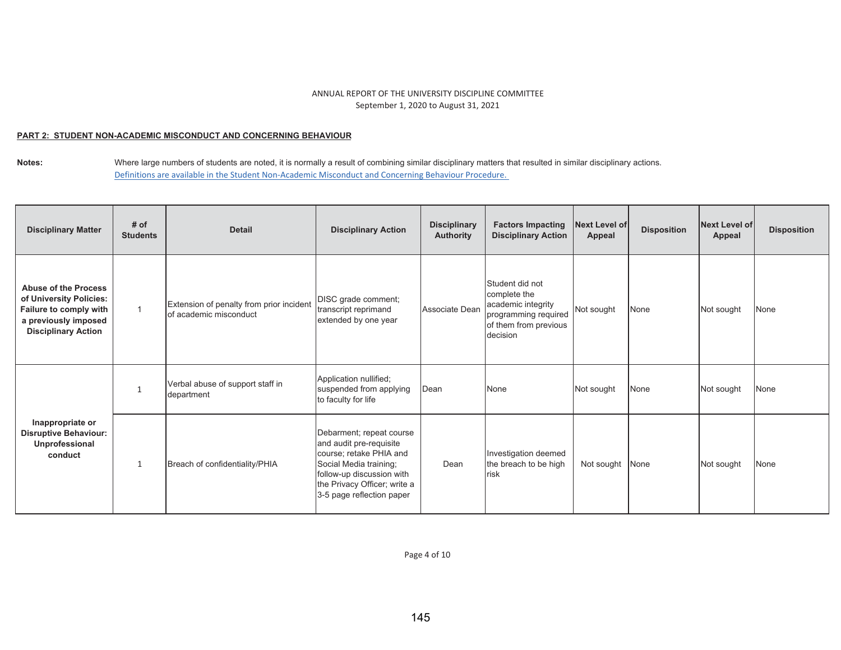### <u>PART 2: STUDENT NON-ACADEMIC MISCONDUCT AND CONCERNING BEHAVIOUR</u>

| <b>Disciplinary Matter</b>                                                                                                             | # of<br><b>Students</b> | <b>Detail</b>                                                      | <b>Disciplinary Action</b>                                                                                                                                                                         | <b>Disciplinary</b><br><b>Authority</b> | <b>Factors Impacting</b><br><b>Disciplinary Action</b>                                                             | <b>Next Level of</b><br><b>Appeal</b> | <b>Disposition</b> | Next Level of<br>Appeal | <b>Disposition</b> |
|----------------------------------------------------------------------------------------------------------------------------------------|-------------------------|--------------------------------------------------------------------|----------------------------------------------------------------------------------------------------------------------------------------------------------------------------------------------------|-----------------------------------------|--------------------------------------------------------------------------------------------------------------------|---------------------------------------|--------------------|-------------------------|--------------------|
| <b>Abuse of the Process</b><br>of University Policies:<br>Failure to comply with<br>a previously imposed<br><b>Disciplinary Action</b> | $\overline{1}$          | Extension of penalty from prior incident<br>of academic misconduct | DISC grade comment;<br>transcript reprimand<br>extended by one year                                                                                                                                | Associate Dean                          | Student did not<br>complete the<br>academic integrity<br>programming required<br>of them from previous<br>decision | Not sought                            | None               | Not sought              | None               |
|                                                                                                                                        |                         | Verbal abuse of support staff in<br>department                     | Application nullified;<br>suspended from applying<br>to faculty for life                                                                                                                           | Dean                                    | None                                                                                                               | Not sought                            | None               | Not sought              | None               |
| Inappropriate or<br><b>Disruptive Behaviour:</b><br>Unprofessional<br>conduct                                                          | $\mathbf{1}$            | Breach of confidentiality/PHIA                                     | Debarment; repeat course<br>and audit pre-requisite<br>course; retake PHIA and<br>Social Media training;<br>follow-up discussion with<br>the Privacy Officer; write a<br>3-5 page reflection paper | Dean                                    | Investigation deemed<br>the breach to be high<br><b>risk</b>                                                       | Not sought                            | None               | Not sought              | None               |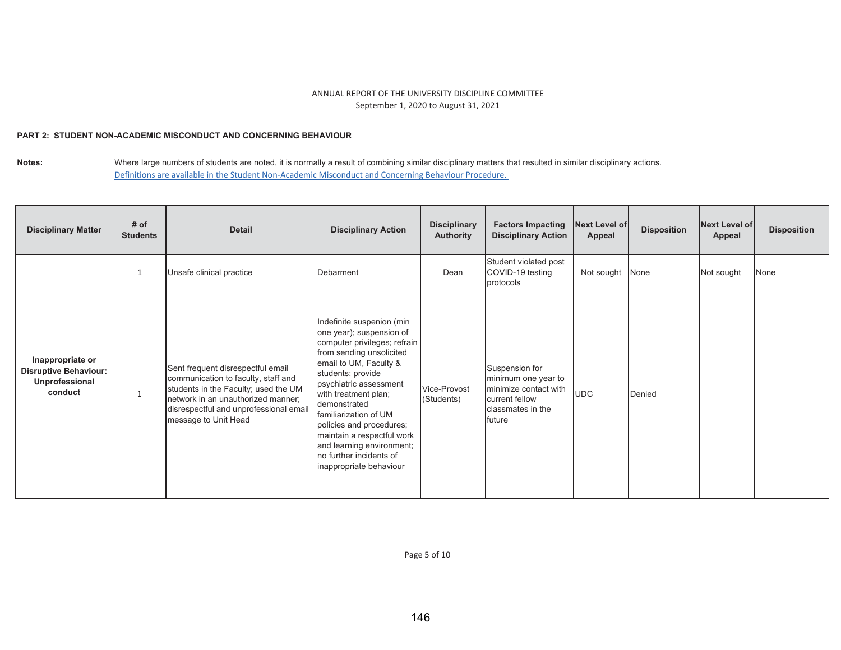### <u>PART 2: STUDENT NON-ACADEMIC MISCONDUCT AND CONCERNING BEHAVIOUR</u>

**Notes:**  Where large numbers of students are noted, it is normally a result of combining similar disciplinary matters that resulted in similar disciplinary actions. Definitions are available in the Student Non-Academic Misconduct and Concerning Behaviour Procedure.

| <b>Disciplinary Matter</b>                                                    | # of<br><b>Students</b> | <b>Detail</b>                                                                                                                                                                                                            | <b>Disciplinary Action</b>                                                                                                                                                                                                                                                                                                                                                                               | <b>Disciplinary</b><br><b>Authority</b> | <b>Factors Impacting</b><br><b>Disciplinary Action</b>                                                          | Next Level of<br>Appeal | <b>Disposition</b> | Next Level of<br>Appeal | <b>Disposition</b> |
|-------------------------------------------------------------------------------|-------------------------|--------------------------------------------------------------------------------------------------------------------------------------------------------------------------------------------------------------------------|----------------------------------------------------------------------------------------------------------------------------------------------------------------------------------------------------------------------------------------------------------------------------------------------------------------------------------------------------------------------------------------------------------|-----------------------------------------|-----------------------------------------------------------------------------------------------------------------|-------------------------|--------------------|-------------------------|--------------------|
|                                                                               | $\mathbf{1}$            | Unsafe clinical practice                                                                                                                                                                                                 | Debarment                                                                                                                                                                                                                                                                                                                                                                                                | Dean                                    | Student violated post<br>COVID-19 testing<br>protocols                                                          | Not sought              | None               | Not sought              | None               |
| Inappropriate or<br><b>Disruptive Behaviour:</b><br>Unprofessional<br>conduct | $\mathbf{1}$            | Sent frequent disrespectful email<br>communication to faculty, staff and<br>students in the Faculty; used the UM<br>network in an unauthorized manner;<br>disrespectful and unprofessional email<br>message to Unit Head | Indefinite suspenion (min<br>one year); suspension of<br>computer privileges; refrain<br>from sending unsolicited<br>email to UM, Faculty &<br>students; provide<br>psychiatric assessment<br>with treatment plan;<br>demonstrated<br>familiarization of UM<br>policies and procedures;<br>maintain a respectful work<br>and learning environment;<br>no further incidents of<br>inappropriate behaviour | Vice-Provost<br>(Students)              | Suspension for<br>minimum one year to<br>minimize contact with<br>current fellow<br>classmates in the<br>future | <b>UDC</b>              | Denied             |                         |                    |

Page 5 of 10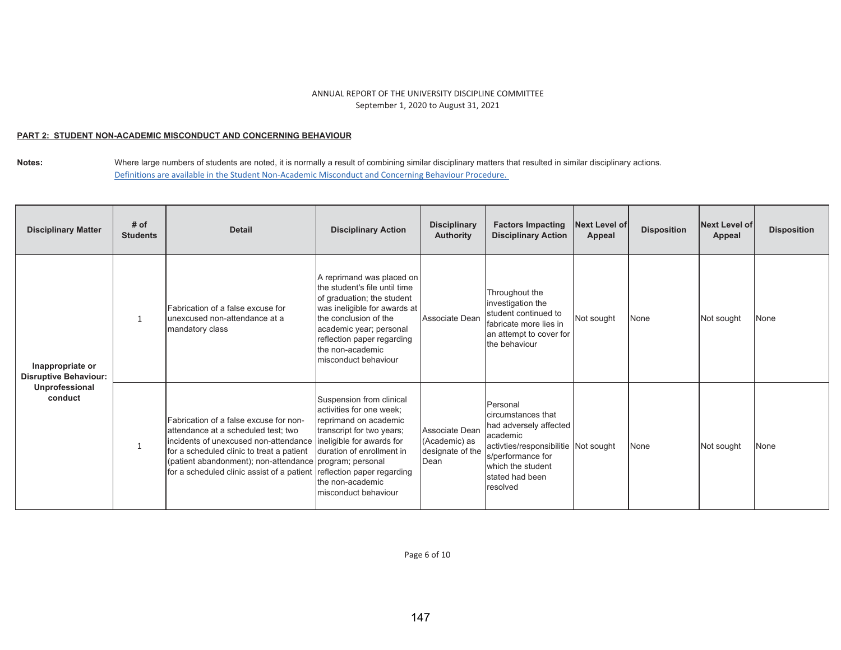### <u>PART 2: STUDENT NON-ACADEMIC MISCONDUCT AND CONCERNING BEHAVIOUR</u>

Notes: Where large numbers of students are noted, it is normally a result of combining similar disciplinary matters that resulted in similar disciplinary actions. Definitions are available in the Student Non-Academic Misconduct and Concerning Behaviour Procedure.

| <b>Disciplinary Matter</b>                                                    | # of<br><b>Students</b> | <b>Detail</b>                                                                                                                                                                                                                                                                | <b>Disciplinary Action</b>                                                                                                                                                                                                                             | <b>Disciplinary</b><br><b>Authority</b>                     | <b>Factors Impacting</b><br><b>Disciplinary Action</b>                                                                                                                                | <b>Next Level of</b><br>Appeal | <b>Disposition</b> | Next Level of<br>Appeal | <b>Disposition</b> |
|-------------------------------------------------------------------------------|-------------------------|------------------------------------------------------------------------------------------------------------------------------------------------------------------------------------------------------------------------------------------------------------------------------|--------------------------------------------------------------------------------------------------------------------------------------------------------------------------------------------------------------------------------------------------------|-------------------------------------------------------------|---------------------------------------------------------------------------------------------------------------------------------------------------------------------------------------|--------------------------------|--------------------|-------------------------|--------------------|
| Inappropriate or<br><b>Disruptive Behaviour:</b><br>Unprofessional<br>conduct | $\mathbf{1}$            | Fabrication of a false excuse for<br>unexcused non-attendance at a<br>mandatory class                                                                                                                                                                                        | A reprimand was placed on<br>the student's file until time<br>of graduation; the student<br>was ineligible for awards at<br>the conclusion of the<br>academic year; personal<br>reflection paper regarding<br>the non-academic<br>misconduct behaviour | Associate Dean                                              | Throughout the<br>investigation the<br>student continued to<br>fabricate more lies in<br>an attempt to cover for<br>the behaviour                                                     | Not sought                     | None               | Not sought              | <b>None</b>        |
|                                                                               | $\mathbf{1}$            | Fabrication of a false excuse for non-<br>attendance at a scheduled test; two<br>incidents of unexcused non-attendance<br>for a scheduled clinic to treat a patient<br>(patient abandonment); non-attendance program; personal<br>for a scheduled clinic assist of a patient | Suspension from clinical<br>activities for one week;<br>reprimand on academic<br>transcript for two years;<br>ineligible for awards for<br>duration of enrollment in<br>reflection paper regarding<br>the non-academic<br>misconduct behaviour         | Associate Dean<br>(Academic) as<br>designate of the<br>Dean | Personal<br>circumstances that<br>had adversely affected<br>academic<br>activties/responsibilitie Not sought<br>s/performance for<br>which the student<br>stated had been<br>resolved |                                | None               | Not sought              | <b>None</b>        |

Page 6 of 10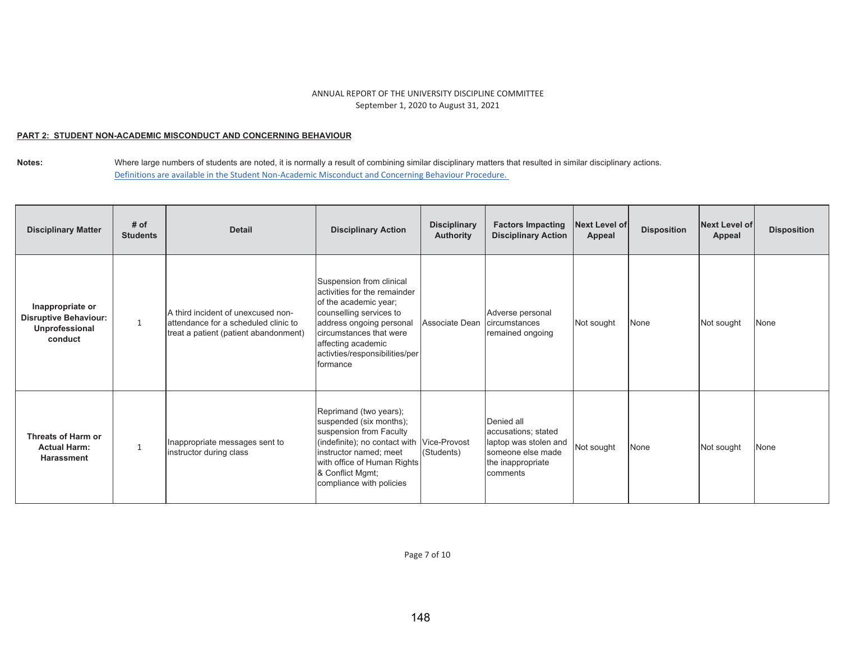### <u>PART 2: STUDENT NON-ACADEMIC MISCONDUCT AND CONCERNING BEHAVIOUR</u>

**Notes:**  Where large numbers of students are noted, it is normally a result of combining similar disciplinary matters that resulted in similar disciplinary actions. Definitions are available in the Student Non-Academic Misconduct and Concerning Behaviour Procedure.

| <b>Disciplinary Matter</b>                                                    | # of<br><b>Students</b> | <b>Detail</b>                                                                                                       | <b>Disciplinary Action</b>                                                                                                                                                                                                               | <b>Disciplinary</b><br><b>Authority</b> | <b>Factors Impacting</b><br><b>Disciplinary Action</b>                                                           | Next Level of<br>Appeal | <b>Disposition</b> | Next Level of<br>Appeal | <b>Disposition</b> |
|-------------------------------------------------------------------------------|-------------------------|---------------------------------------------------------------------------------------------------------------------|------------------------------------------------------------------------------------------------------------------------------------------------------------------------------------------------------------------------------------------|-----------------------------------------|------------------------------------------------------------------------------------------------------------------|-------------------------|--------------------|-------------------------|--------------------|
| Inappropriate or<br><b>Disruptive Behaviour:</b><br>Unprofessional<br>conduct | $\mathbf{1}$            | A third incident of unexcused non-<br>attendance for a scheduled clinic to<br>treat a patient (patient abandonment) | Suspension from clinical<br>activities for the remainder<br>of the academic year;<br>counselling services to<br>address ongoing personal<br>circumstances that were<br>affecting academic<br>activties/responsibilities/per<br>Iformance | Associate Dean                          | Adverse personal<br>circumstances<br>remained ongoing                                                            | Not sought              | None               | Not sought              | None               |
| Threats of Harm or<br><b>Actual Harm:</b><br><b>Harassment</b>                | $\mathbf{1}$            | Inappropriate messages sent to<br>instructor during class                                                           | Reprimand (two years);<br>suspended (six months);<br>suspension from Faculty<br>(indefinite); no contact with Vice-Provost<br>instructor named; meet<br>with office of Human Rights<br>& Conflict Mgmt;<br>compliance with policies      | (Students)                              | Denied all<br>accusations; stated<br>laptop was stolen and<br>someone else made<br>the inappropriate<br>comments | Not sought              | None               | Not sought              | None               |

Page 7 of 10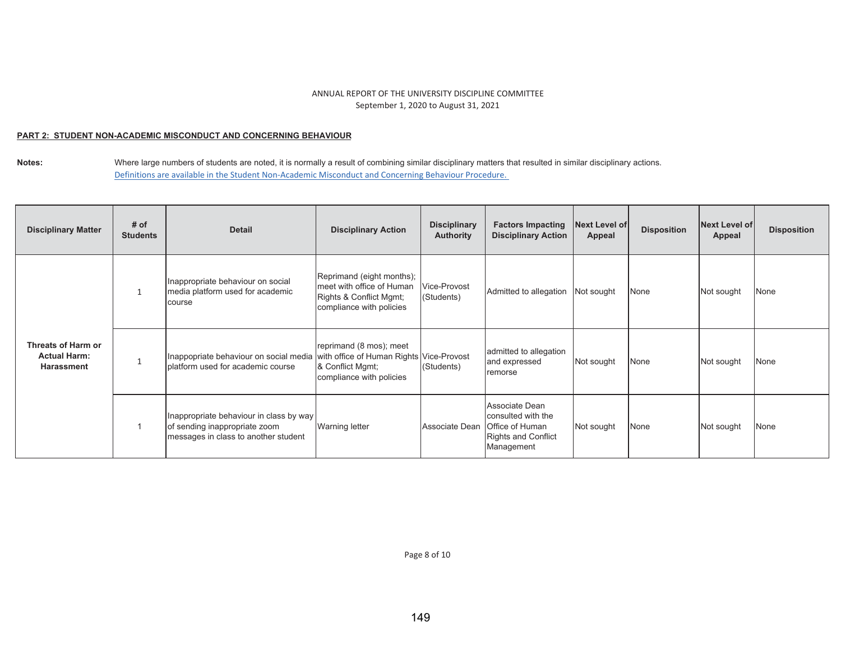### <u>PART 2: STUDENT NON-ACADEMIC MISCONDUCT AND CONCERNING BEHAVIOUR</u>

| <b>Disciplinary Matter</b>                                     | # of<br><b>Students</b> | <b>Detail</b>                                                                                                        | <b>Disciplinary Action</b>                                                                                    | <b>Disciplinary</b><br><b>Authority</b> | <b>Factors Impacting</b><br><b>Disciplinary Action</b>                                                             | <b>Next Level of</b><br>Appeal | <b>Disposition</b> | <b>Next Level of</b><br>Appeal | <b>Disposition</b> |
|----------------------------------------------------------------|-------------------------|----------------------------------------------------------------------------------------------------------------------|---------------------------------------------------------------------------------------------------------------|-----------------------------------------|--------------------------------------------------------------------------------------------------------------------|--------------------------------|--------------------|--------------------------------|--------------------|
| Threats of Harm or<br><b>Actual Harm:</b><br><b>Harassment</b> |                         | Inappropriate behaviour on social<br>media platform used for academic<br>course                                      | Reprimand (eight months);<br>meet with office of Human<br>Rights & Conflict Mgmt;<br>compliance with policies | Vice-Provost<br>(Students)              | Admitted to allegation                                                                                             | Not sought                     | None               | Not sought                     | None               |
|                                                                |                         | Inappopriate behaviour on social media with office of Human Rights Vice-Provost<br>platform used for academic course | reprimand (8 mos); meet<br>& Conflict Mgmt;<br>compliance with policies                                       | (Students)                              | admitted to allegation<br>and expressed<br>remorse                                                                 | Not sought                     | None               | Not sought                     | None               |
|                                                                |                         | Inappropriate behaviour in class by way<br>of sending inappropriate zoom<br>messages in class to another student     | <b>Warning letter</b>                                                                                         |                                         | Associate Dean<br>consulted with the<br>Associate Dean Office of Human<br><b>Rights and Conflict</b><br>Management | Not sought                     | None               | Not sought                     | None               |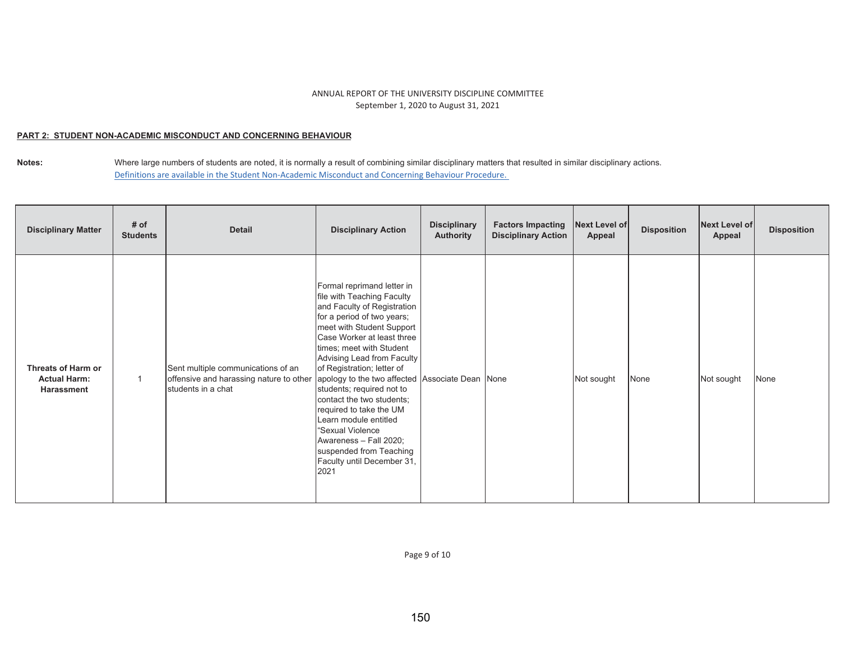### <u>PART 2: STUDENT NON-ACADEMIC MISCONDUCT AND CONCERNING BEHAVIOUR</u>

**Notes:**  Where large numbers of students are noted, it is normally a result of combining similar disciplinary matters that resulted in similar disciplinary actions. Definitions are available in the Student Non-Academic Misconduct and Concerning Behaviour Procedure.

| <b>Disciplinary Matter</b>                                     | # of<br><b>Students</b> | <b>Detail</b>                                                                                       | <b>Disciplinary Action</b>                                                                                                                                                                                                                                                                                                                                                                                                                                                                                                                               | <b>Disciplinary</b><br><b>Authority</b> | <b>Factors Impacting</b><br><b>Disciplinary Action</b> | Next Level of<br>Appeal | <b>Disposition</b> | Next Level of<br>Appeal | <b>Disposition</b> |
|----------------------------------------------------------------|-------------------------|-----------------------------------------------------------------------------------------------------|----------------------------------------------------------------------------------------------------------------------------------------------------------------------------------------------------------------------------------------------------------------------------------------------------------------------------------------------------------------------------------------------------------------------------------------------------------------------------------------------------------------------------------------------------------|-----------------------------------------|--------------------------------------------------------|-------------------------|--------------------|-------------------------|--------------------|
| Threats of Harm or<br><b>Actual Harm:</b><br><b>Harassment</b> |                         | Sent multiple communications of an<br>offensive and harassing nature to other<br>students in a chat | Formal reprimand letter in<br>file with Teaching Faculty<br>and Faculty of Registration<br>for a period of two years;<br>meet with Student Support<br>Case Worker at least three<br>times; meet with Student<br>Advising Lead from Faculty<br>of Registration; letter of<br>apology to the two affected Associate Dean None<br>students; required not to<br>contact the two students;<br>required to take the UM<br>Learn module entitled<br>"Sexual Violence<br>Awareness - Fall 2020;<br>suspended from Teaching<br>Faculty until December 31,<br>2021 |                                         |                                                        | Not sought              | None               | Not sought              | None               |

Page 9 of 10